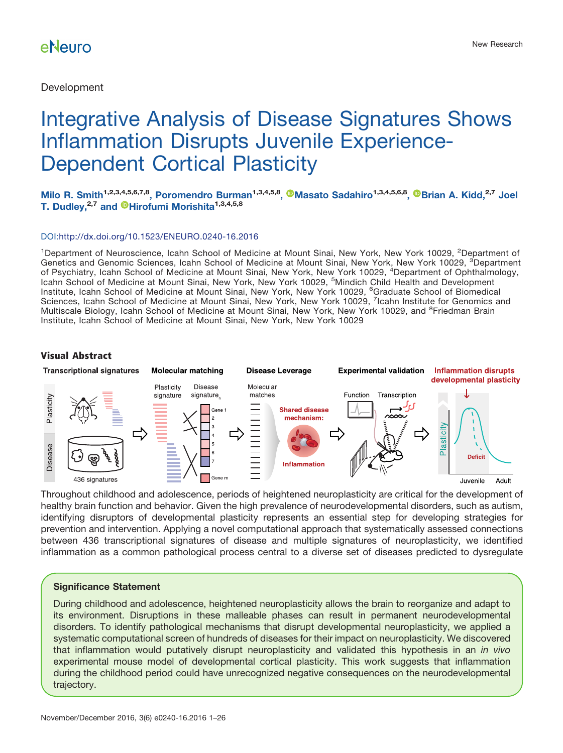**Development** 

# Integrative Analysis of Disease Signatures Shows Inflammation Disrupts Juvenile Experience-Dependent Cortical Plasticity

**Milo R. Smith1,2,3,4,5,6,7,8, Poromendro Burman1,3,4,5,8, [Masato Sadahiro](http://orcid.org/0000-0003-4164-565X)1,3,4,5,6,8, [Brian A. Kidd,](http://orcid.org/0000-0003-2110-1145)2,7 Joel T. Dudley,2,7 and [Hirofumi Morishita](http://orcid.org/0000-0002-1045-1337)1,3,4,5,8**

### DOI[:http://dx.doi.org/10.1523/ENEURO.0240-16.2016](http://dx.doi.org/10.1523/ENEURO.0240-16.2016)

<sup>1</sup>Department of Neuroscience, Icahn School of Medicine at Mount Sinai, New York, New York 10029, <sup>2</sup>Department of Genetics and Genomic Sciences, Icahn School of Medicine at Mount Sinai, New York, New York 10029, <sup>3</sup>Department of Psychiatry, Icahn School of Medicine at Mount Sinai, New York, New York 10029, <sup>4</sup>Department of Ophthalmology, Icahn School of Medicine at Mount Sinai, New York, New York 10029, <sup>5</sup>Mindich Child Health and Development Institute, Icahn School of Medicine at Mount Sinai, New York, New York 10029, <sup>6</sup>Graduate School of Biomedical<br>Sciences, Icahn School of Medicine at Mount Sinai, New York, New York 10029, <sup>7</sup>Icahn Institute for Genomics an Multiscale Biology, Icahn School of Medicine at Mount Sinai, New York, New York 10029, and <sup>8</sup>Friedman Brain Institute, Icahn School of Medicine at Mount Sinai, New York, New York 10029

### **Visual Abstract**



Throughout childhood and adolescence, periods of heightened neuroplasticity are critical for the development of healthy brain function and behavior. Given the high prevalence of neurodevelopmental disorders, such as autism, identifying disruptors of developmental plasticity represents an essential step for developing strategies for prevention and intervention. Applying a novel computational approach that systematically assessed connections between 436 transcriptional signatures of disease and multiple signatures of neuroplasticity, we identified inflammation as a common pathological process central to a diverse set of diseases predicted to dysregulate

### **Significance Statement**

During childhood and adolescence, heightened neuroplasticity allows the brain to reorganize and adapt to its environment. Disruptions in these malleable phases can result in permanent neurodevelopmental disorders. To identify pathological mechanisms that disrupt developmental neuroplasticity, we applied a systematic computational screen of hundreds of diseases for their impact on neuroplasticity. We discovered that inflammation would putatively disrupt neuroplasticity and validated this hypothesis in an *in vivo* experimental mouse model of developmental cortical plasticity. This work suggests that inflammation during the childhood period could have unrecognized negative consequences on the neurodevelopmental trajectory.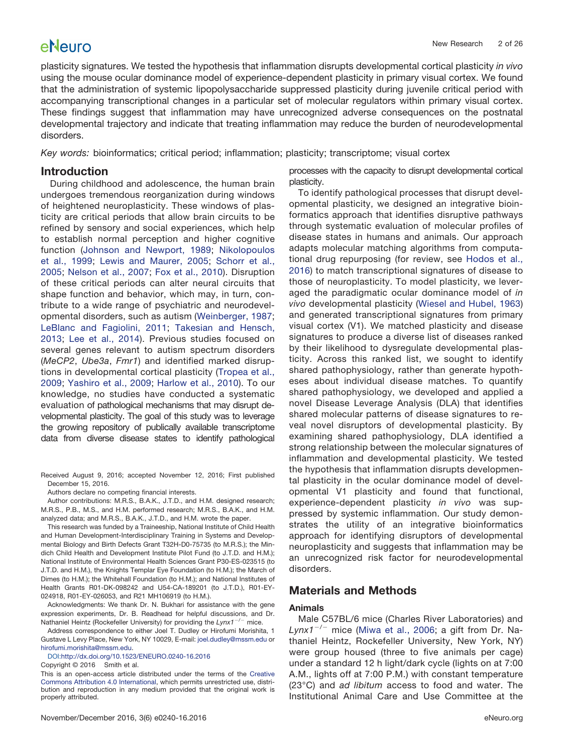plasticity signatures. We tested the hypothesis that inflammation disrupts developmental cortical plasticity *in vivo* using the mouse ocular dominance model of experience-dependent plasticity in primary visual cortex. We found that the administration of systemic lipopolysaccharide suppressed plasticity during juvenile critical period with accompanying transcriptional changes in a particular set of molecular regulators within primary visual cortex. These findings suggest that inflammation may have unrecognized adverse consequences on the postnatal developmental trajectory and indicate that treating inflammation may reduce the burden of neurodevelopmental disorders.

*Key words:* bioinformatics; critical period; inflammation; plasticity; transcriptome; visual cortex

### **Introduction**

During childhood and adolescence, the human brain undergoes tremendous reorganization during windows of heightened neuroplasticity. These windows of plasticity are critical periods that allow brain circuits to be refined by sensory and social experiences, which help to establish normal perception and higher cognitive function [\(Johnson and Newport, 1989;](#page-24-0) [Nikolopoulos](#page-24-1) [et al., 1999;](#page-24-1) [Lewis and Maurer, 2005;](#page-24-2) [Schorr et al.,](#page-24-3) [2005;](#page-24-3) [Nelson et al., 2007;](#page-24-4) [Fox et al., 2010\)](#page-23-0). Disruption of these critical periods can alter neural circuits that shape function and behavior, which may, in turn, contribute to a wide range of psychiatric and neurodevelopmental disorders, such as autism [\(Weinberger, 1987;](#page-25-0) [LeBlanc and Fagiolini, 2011;](#page-24-5) [Takesian and Hensch,](#page-24-6) [2013;](#page-24-6) [Lee et al., 2014\)](#page-24-7). Previous studies focused on several genes relevant to autism spectrum disorders (*MeCP2*, *Ube3a*, *Fmr1*) and identified marked disruptions in developmental cortical plasticity [\(Tropea et al.,](#page-24-8) [2009;](#page-24-8) [Yashiro et al., 2009;](#page-25-1) [Harlow et al., 2010\)](#page-23-1). To our knowledge, no studies have conducted a systematic evaluation of pathological mechanisms that may disrupt developmental plasticity. The goal of this study was to leverage the growing repository of publically available transcriptome data from diverse disease states to identify pathological

Received August 9, 2016; accepted November 12, 2016; First published December 15, 2016.

Authors declare no competing financial interests.

Author contributions: M.R.S., B.A.K., J.T.D., and H.M. designed research; M.R.S., P.B., M.S., and H.M. performed research; M.R.S., B.A.K., and H.M. analyzed data; and M.R.S., B.A.K., J.T.D., and H.M. wrote the paper.

This research was funded by a Traineeship, National Institute of Child Health and Human Development-Interdisciplinary Training in Systems and Developmental Biology and Birth Defects Grant T32H-D0-75735 (to M.R.S.); the Mindich Child Health and Development Institute Pilot Fund (to J.T.D. and H.M.); National Institute of Environmental Health Sciences Grant P30-ES-023515 (to J.T.D. and H.M.), the Knights Templar Eye Foundation (to H.M.); the March of Dimes (to H.M.); the Whitehall Foundation (to H.M.); and National Institutes of Health Grants R01-DK-098242 and U54-CA-189201 (to J.T.D.), R01-EY-024918, R01-EY-026053, and R21 MH106919 (to H.M.).

Acknowledgments: We thank Dr. N. Bukhari for assistance with the gene expression experiments, Dr. B. Readhead for helpful discussions, and Dr. Nathaniel Heintz (Rockefeller University) for providing the Lynx1<sup>-/-</sup> mice.

Address correspondence to either Joel T. Dudley or Hirofumi Morishita, 1 Gustave L Levy Place, New York, NY 10029, E-mail: [joel.dudley@mssm.edu](mailto:joel.dudley@mssm.edu) or [hirofumi.morishita@mssm.edu.](mailto:hirofumi.morishita@mssm.edu)

DOI[:http://dx.doi.org/10.1523/ENEURO.0240-16.2016](http://dx.doi.org/10.1523/ENEURO.0240-16.2016)

Copyright © 2016 Smith et al.

This is an open-access article distributed under the terms of the [Creative](http://creativecommons.org/licenses/by/4.0/) [Commons Attribution 4.0 International,](http://creativecommons.org/licenses/by/4.0/) which permits unrestricted use, distribution and reproduction in any medium provided that the original work is properly attributed.

processes with the capacity to disrupt developmental cortical plasticity.

To identify pathological processes that disrupt developmental plasticity, we designed an integrative bioinformatics approach that identifies disruptive pathways through systematic evaluation of molecular profiles of disease states in humans and animals. Our approach adapts molecular matching algorithms from computational drug repurposing (for review, see [Hodos et al.,](#page-23-2) [2016\)](#page-23-2) to match transcriptional signatures of disease to those of neuroplasticity. To model plasticity, we leveraged the paradigmatic ocular dominance model of *in vivo* developmental plasticity [\(Wiesel and Hubel, 1963\)](#page-25-2) and generated transcriptional signatures from primary visual cortex (V1). We matched plasticity and disease signatures to produce a diverse list of diseases ranked by their likelihood to dysregulate developmental plasticity. Across this ranked list, we sought to identify shared pathophysiology, rather than generate hypotheses about individual disease matches. To quantify shared pathophysiology, we developed and applied a novel Disease Leverage Analysis (DLA) that identifies shared molecular patterns of disease signatures to reveal novel disruptors of developmental plasticity. By examining shared pathophysiology, DLA identified a strong relationship between the molecular signatures of inflammation and developmental plasticity. We tested the hypothesis that inflammation disrupts developmental plasticity in the ocular dominance model of developmental V1 plasticity and found that functional, experience-dependent plasticity *in vivo* was suppressed by systemic inflammation. Our study demonstrates the utility of an integrative bioinformatics approach for identifying disruptors of developmental neuroplasticity and suggests that inflammation may be an unrecognized risk factor for neurodevelopmental disorders.

## **Materials and Methods**

#### **Animals**

Male C57BL/6 mice (Charles River Laboratories) and *Lynx1*-/- mice [\(Miwa et al., 2006;](#page-24-9) a gift from Dr. Nathaniel Heintz, Rockefeller University, New York, NY) were group housed (three to five animals per cage) under a standard 12 h light/dark cycle (lights on at 7:00 A.M., lights off at 7:00 P.M.) with constant temperature (23°C) and *ad libitum* access to food and water. The Institutional Animal Care and Use Committee at the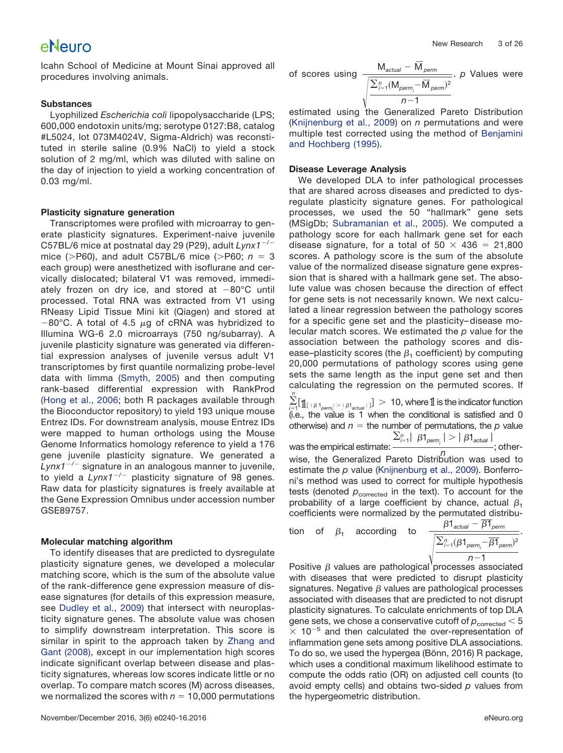Icahn School of Medicine at Mount Sinai approved all procedures involving animals.

## **Substances**

Lyophilized *Escherichia coli* lipopolysaccharide (LPS; 600,000 endotoxin units/mg; serotype 0127:B8, catalog #L5024, lot 073M4024V, Sigma-Aldrich) was reconstituted in sterile saline (0.9% NaCl) to yield a stock solution of 2 mg/ml, which was diluted with saline on the day of injection to yield a working concentration of 0.03 mg/ml.

### **Plasticity signature generation**

Transcriptomes were profiled with microarray to generate plasticity signatures. Experiment-naive juvenile C57BL/6 mice at postnatal day 29 (P29), adult *Lynx1*-/ mice (>P60), and adult C57BL/6 mice (>P60;  $n = 3$ each group) were anesthetized with isoflurane and cervically dislocated; bilateral V1 was removed, immediately frozen on dry ice, and stored at  $-80^{\circ}\mathrm{C}$  until processed. Total RNA was extracted from V1 using RNeasy Lipid Tissue Mini kit (Qiagen) and stored at  $-80^{\circ}$ C. A total of 4.5  $\mu$ g of cRNA was hybridized to Illumina WG-6 2.0 microarrays (750 ng/subarray). A juvenile plasticity signature was generated via differential expression analyses of juvenile versus adult V1 transcriptomes by first quantile normalizing probe-level data with limma [\(Smyth, 2005\)](#page-24-10) and then computing rank-based differential expression with RankProd [\(Hong et al., 2006;](#page-24-11) both R packages available through the Bioconductor repository) to yield 193 unique mouse Entrez IDs. For downstream analysis, mouse Entrez IDs were mapped to human orthologs using the Mouse Genome Informatics homology reference to yield a 176 gene juvenile plasticity signature. We generated a *Lynx1*-/- signature in an analogous manner to juvenile, to yield a *Lynx1*-/- plasticity signature of 98 genes. Raw data for plasticity signatures is freely available at the Gene Expression Omnibus under accession number GSE89757.

### **Molecular matching algorithm**

To identify diseases that are predicted to dysregulate plasticity signature genes, we developed a molecular matching score, which is the sum of the absolute value of the rank-difference gene expression measure of disease signatures (for details of this expression measure, see [Dudley et al., 2009\)](#page-23-3) that intersect with neuroplasticity signature genes. The absolute value was chosen to simplify downstream interpretation. This score is similar in spirit to the approach taken by [Zhang and](#page-25-3) [Gant \(2008\),](#page-25-3) except in our implementation high scores indicate significant overlap between disease and plasticity signatures, whereas low scores indicate little or no overlap. To compare match scores (M) across diseases, we normalized the scores with  $n = 10,000$  permutations

of scores using 
$$
\frac{M_{actual} - \overline{M}_{perm}}{\sqrt{\frac{\sum_{i=1}^{n} (M_{perm_i} - \overline{M}_{perm_i})^2}{n-1}}}
$$
. *p* Values were

estimated using the Generalized Pareto Distribution [\(Knijnenburg et al., 2009\)](#page-24-12) on *n* permutations and were multiple test corrected using the method of [Benjamini](#page-23-4) [and Hochberg \(1995\).](#page-23-4)

### **Disease Leverage Analysis**

We developed DLA to infer pathological processes that are shared across diseases and predicted to dysregulate plasticity signature genes. For pathological processes, we used the 50 "hallmark" gene sets (MSigDb; [Subramanian et al., 2005\)](#page-24-13). We computed a pathology score for each hallmark gene set for each disease signature, for a total of  $50 \times 436 = 21,800$ scores. A pathology score is the sum of the absolute value of the normalized disease signature gene expression that is shared with a hallmark gene set. The absolute value was chosen because the direction of effect for gene sets is not necessarily known. We next calculated a linear regression between the pathology scores for a specific gene set and the plasticity– disease molecular match scores. We estimated the *p* value for the association between the pathology scores and disease–plasticity scores (the  $\beta_1$  coefficient) by computing 20,000 permutations of pathology scores using gene sets the same length as the input gene set and then calculating the regression on the permuted scores. If

 $\sum_{i=1}^{n} [\mathbb{1}_{[\lfloor \beta 1_{perm_j}\rfloor > + \beta 1_{actual} \lfloor}] > 10$ , where  $\mathbb{1}$  is the indicator function (i.e., the value is 1 when the conditional is satisfied and 0 otherwise) and  $n =$  the number of permutations, the  $p$  value was the empirical estimate:  $\frac{\sum_{i=1}^{n} |\beta 1_{\text{perm}_i}| > | \beta 1_{\text{actual}}|}{n}$ 

was the empirical estimate:  $\frac{n}{n}$  ; other-<br>wise, the Generalized Pareto Distribution was used to estimate the *p* value [\(Knijnenburg et al., 2009\)](#page-24-12). Bonferroni's method was used to correct for multiple hypothesis tests (denoted  $p_{\text{corrected}}$  in the text). To account for the probability of a large coefficient by chance, actual  $\beta_1$ coefficients were normalized by the permutated distribu-

tion of 
$$
\beta_1
$$
 according to 
$$
\frac{\beta 1_{actual} - \overline{\beta 1}_{perm}}{\sqrt{\frac{\sum_{i=1}^{n}(\beta 1_{perm_i} - \overline{\beta 1}_{perm_i})^2}{n-1}}}.
$$

Positive  $\beta$  values are pathological processes associated with diseases that were predicted to disrupt plasticity signatures. Negative  $\beta$  values are pathological processes associated with diseases that are predicted to not disrupt plasticity signatures. To calculate enrichments of top DLA gene sets, we chose a conservative cutoff of  $p_{\text{corrected}} < 5$  $\times$  10<sup>-5</sup> and then calculated the over-representation of inflammation gene sets among positive DLA associations. To do so, we used the hypergea (Bönn, 2016) R package, which uses a conditional maximum likelihood estimate to compute the odds ratio (OR) on adjusted cell counts (to avoid empty cells) and obtains two-sided *p* values from the hypergeometric distribution.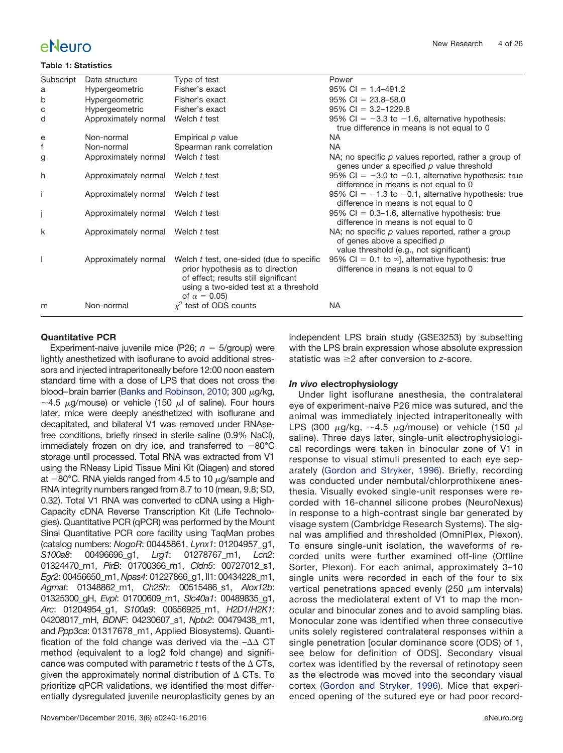#### <span id="page-3-0"></span>**Table 1: Statistics**

| Subscript | Data structure                    | Type of test                                                                                                                                                                          | Power                                                                                                                          |
|-----------|-----------------------------------|---------------------------------------------------------------------------------------------------------------------------------------------------------------------------------------|--------------------------------------------------------------------------------------------------------------------------------|
| a         | Hypergeometric                    | Fisher's exact                                                                                                                                                                        | $95\%$ CI = 1.4-491.2                                                                                                          |
| b         | Hypergeometric                    | Fisher's exact                                                                                                                                                                        | $95\%$ CI = 23.8-58.0                                                                                                          |
| с         | Hypergeometric                    | Fisher's exact                                                                                                                                                                        | $95\%$ CI = 3.2-1229.8                                                                                                         |
| d         | Approximately normal              | Welch t test                                                                                                                                                                          | 95% CI = $-3.3$ to $-1.6$ , alternative hypothesis:<br>true difference in means is not equal to 0                              |
| e         | Non-normal                        | Empirical p value                                                                                                                                                                     | NA                                                                                                                             |
| f         | Non-normal                        | Spearman rank correlation                                                                                                                                                             | <b>NA</b>                                                                                                                      |
| g         | Approximately normal              | Welch t test                                                                                                                                                                          | NA; no specific $p$ values reported, rather a group of<br>genes under a specified p value threshold                            |
| h         | Approximately normal Welch t test |                                                                                                                                                                                       | 95% CI = $-3.0$ to $-0.1$ , alternative hypothesis: true<br>difference in means is not equal to 0                              |
| ÷         | Approximately normal              | Welch t test                                                                                                                                                                          | 95% CI = $-1.3$ to $-0.1$ , alternative hypothesis: true<br>difference in means is not equal to 0                              |
|           | Approximately normal Welch t test |                                                                                                                                                                                       | $95\%$ CI = 0.3–1.6, alternative hypothesis: true<br>difference in means is not equal to 0                                     |
| k         | Approximately normal Welch t test |                                                                                                                                                                                       | NA; no specific $p$ values reported, rather a group<br>of genes above a specified p<br>value threshold (e.g., not significant) |
|           | Approximately normal              | Welch t test, one-sided (due to specific<br>prior hypothesis as to direction<br>of effect; results still significant<br>using a two-sided test at a threshold<br>of $\alpha = 0.05$ ) | 95% CI = 0.1 to $\infty$ ], alternative hypothesis: true<br>difference in means is not equal to 0                              |
| m         | Non-normal                        | $\chi^2$ test of ODS counts                                                                                                                                                           | <b>NA</b>                                                                                                                      |

### **Quantitative PCR**

Experiment-naive juvenile mice (P26;  $n = 5$ /group) were lightly anesthetized with isoflurane to avoid additional stressors and injected intraperitoneally before 12:00 noon eastern standard time with a dose of LPS that does not cross the blood–brain barrier [\(Banks and Robinson, 2010;](#page-23-5) 300  $\mu$ g/kg,  $\sim$ 4.5  $\mu$ g/mouse) or vehicle (150  $\mu$ l of saline). Four hours later, mice were deeply anesthetized with isoflurane and decapitated, and bilateral V1 was removed under RNAsefree conditions, briefly rinsed in sterile saline (0.9% NaCl), immediately frozen on dry ice, and transferred to  $-80^{\circ}$ C storage until processed. Total RNA was extracted from V1 using the RNeasy Lipid Tissue Mini Kit (Qiagen) and stored at  $-80^{\circ}$ C. RNA yields ranged from 4.5 to 10  $\mu$ g/sample and RNA integrity numbers ranged from 8.7 to 10 (mean, 9.8; SD, 0.32). Total V1 RNA was converted to cDNA using a High-Capacity cDNA Reverse Transcription Kit (Life Technologies). Quantitative PCR (qPCR) was performed by the Mount Sinai Quantitative PCR core facility using TaqMan probes (catalog numbers: *NogoR*: 00445861, *Lynx1*: 01204957\_g1, *S100a8*: 00496696\_g1, *Lrg1*: 01278767\_m1, *Lcn2*: 01324470\_m1, *PirB*: 01700366\_m1, *Cldn5*: 00727012\_s1, *Egr2*: 00456650\_m1, *Npas4*: 01227866\_g1, Il1: 00434228\_m1, *Agmat*: 01348862\_m1, *Ch25h*: 00515486\_s1, *Alox12b*: 01325300\_gH, *Evpl*: 01700609\_m1, *Slc40a1*: 00489835\_g1, *Arc*: 01204954\_g1, *S100a9*: 00656925\_m1, *H2D1/H2K1*: 04208017\_mH, *BDNF*: 04230607\_s1, *Nptx2*: 00479438\_m1, and *Ppp3ca*: 01317678\_m1, Applied Biosystems). Quantification of the fold change was derived via the  $-\Delta\Delta$  CT method (equivalent to a log2 fold change) and significance was computed with parametric  $t$  tests of the  $\Delta$  CTs, given the approximately normal distribution of  $\Delta$  CTs. To prioritize qPCR validations, we identified the most differentially dysregulated juvenile neuroplasticity genes by an independent LPS brain study (GSE3253) by subsetting with the LPS brain expression whose absolute expression statistic was 2 after conversion to *z*-score.

#### *In vivo* **electrophysiology**

Under light isoflurane anesthesia, the contralateral eye of experiment-naive P26 mice was sutured, and the animal was immediately injected intraperitoneally with LPS (300  $\mu$ g/kg,  ${\sim}4.5$   $\mu$ g/mouse) or vehicle (150  $\mu$ l saline). Three days later, single-unit electrophysiological recordings were taken in binocular zone of V1 in response to visual stimuli presented to each eye separately [\(Gordon and Stryker, 1996\)](#page-23-6). Briefly, recording was conducted under nembutal/chlorprothixene anesthesia. Visually evoked single-unit responses were recorded with 16-channel silicone probes (NeuroNexus) in response to a high-contrast single bar generated by visage system (Cambridge Research Systems). The signal was amplified and thresholded (OmniPlex, Plexon). To ensure single-unit isolation, the waveforms of recorded units were further examined off-line (Offline Sorter, Plexon). For each animal, approximately 3–10 single units were recorded in each of the four to six vertical penetrations spaced evenly (250  $\mu$ m intervals) across the mediolateral extent of V1 to map the monocular and binocular zones and to avoid sampling bias. Monocular zone was identified when three consecutive units solely registered contralateral responses within a single penetration [ocular dominance score (ODS) of 1, see below for definition of ODS]. Secondary visual cortex was identified by the reversal of retinotopy seen as the electrode was moved into the secondary visual cortex [\(Gordon and Stryker, 1996\)](#page-23-6). Mice that experienced opening of the sutured eye or had poor record-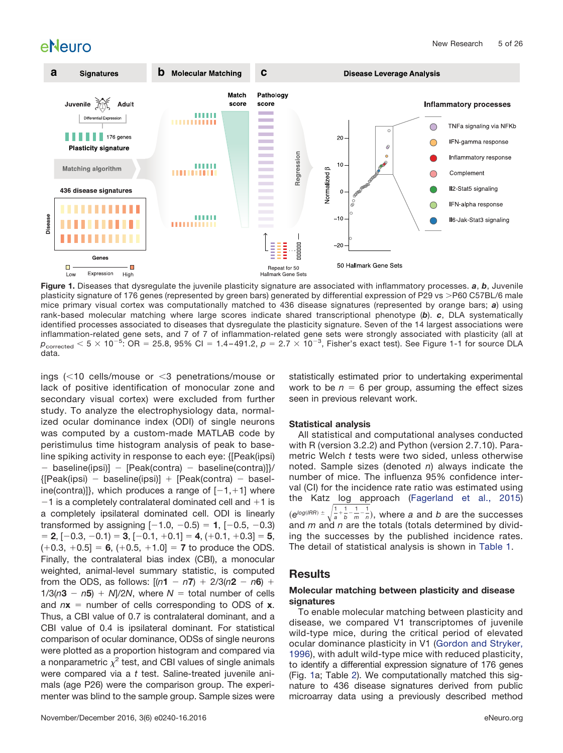

<span id="page-4-0"></span>**Figure 1.** Diseases that dysregulate the juvenile plasticity signature are associated with inflammatory processes. *a*, *b*, Juvenile plasticity signature of 176 genes (represented by green bars) generated by differential expression of P29 vs >P60 C57BL/6 male mice primary visual cortex was computationally matched to 436 disease signatures (represented by orange bars; *a*) using rank-based molecular matching where large scores indicate shared transcriptional phenotype (*b*). *c*, DLA systematically identified processes associated to diseases that dysregulate the plasticity signature. Seven of the 14 largest associations were inflammation-related gene sets, and 7 of 7 of inflammation-related gene sets were strongly associated with plasticity (all at  $p_{\rm corrected} <$  5  $\times$  10<sup>-5</sup>: OR = 25.8, 95% Cl = 1.4-491.2,  $p=$  2.7  $\times$  10<sup>-3</sup>, Fisher's exact test). See Figure 1-1 for source DLA data.

ings  $\left($  < 10 cells/mouse or  $\leq$ 3 penetrations/mouse or lack of positive identification of monocular zone and secondary visual cortex) were excluded from further study. To analyze the electrophysiology data, normalized ocular dominance index (ODI) of single neurons was computed by a custom-made MATLAB code by peristimulus time histogram analysis of peak to baseline spiking activity in response to each eye: {[Peak(ipsi) - baseline(ipsi)] - [Peak(contra) - baseline(contra)]}/ {[Peak(ipsi) - baseline(ipsi)] [Peak(contra) - baseline(contra)]}, which produces a range of  $[-1,+1]$  where  $-1$  is a completely contralateral dominated cell and  $+1$  is a completely ipsilateral dominated cell. ODI is linearly transformed by assigning [-1.0, -0.5) **1**, [-0.5, -0.3)  $\mathbf{2}$ ,  $[-0.3, -0.1) = 3$ ,  $[-0.1, +0.1] = 4$ ,  $(+0.1, +0.3] = 5$ ,  $(+0.3, +0.5] = 6, (+0.5, +1.0] = 7$  to produce the ODS. Finally, the contralateral bias index (CBI), a monocular weighted, animal-level summary statistic, is computed from the ODS, as follows:  $[(n1 - n7) + 2/3(n2 - n6) +$  $1/3(n3 - n5) + N/2N$ , where  $N =$  total number of cells and  $nx =$  number of cells corresponding to ODS of  $x$ . Thus, a CBI value of 0.7 is contralateral dominant, and a CBI value of 0.4 is ipsilateral dominant. For statistical comparison of ocular dominance, ODSs of single neurons were plotted as a proportion histogram and compared via a nonparametric  $\chi^2$  test, and CBI values of single animals were compared via a *t* test. Saline-treated juvenile animals (age P26) were the comparison group. The experimenter was blind to the sample group. Sample sizes were

November/December 2016, 3(6) e0240-16.2016 eNeuro.org

statistically estimated prior to undertaking experimental work to be  $n = 6$  per group, assuming the effect sizes seen in previous relevant work.

#### **Statistical analysis**

All statistical and computational analyses conducted with R (version 3.2.2) and Python (version 2.7.10). Parametric Welch *t* tests were two sided, unless otherwise noted. Sample sizes (denoted *n*) always indicate the number of mice. The influenza 95% confidence interval (CI) for the incidence rate ratio was estimated using the Katz log approach [\(Fagerland et al., 2015\)](#page-23-7)  $(e^{log (IRR)} \pm \sqrt{\frac{1}{2}})$ 1  $\frac{1}{a}$ ,  $\frac{1}{b}$ ,  $\frac{1}{m}$ ,  $\frac{1}{n}$ , where *a* and *b* are the successes and *m* and *n* are the totals (totals determined by dividing the successes by the published incidence rates. The detail of statistical analysis is shown in [Table 1.](#page-3-0)

## **Results**

#### **Molecular matching between plasticity and disease signatures**

To enable molecular matching between plasticity and disease, we compared V1 transcriptomes of juvenile wild-type mice, during the critical period of elevated ocular dominance plasticity in V1 [\(Gordon and Stryker,](#page-23-6) [1996\)](#page-23-6), with adult wild-type mice with reduced plasticity, to identify a differential expression signature of 176 genes (Fig. [1a](#page-4-0); Table [2\)](#page-5-0). We computationally matched this signature to 436 disease signatures derived from public microarray data using a previously described method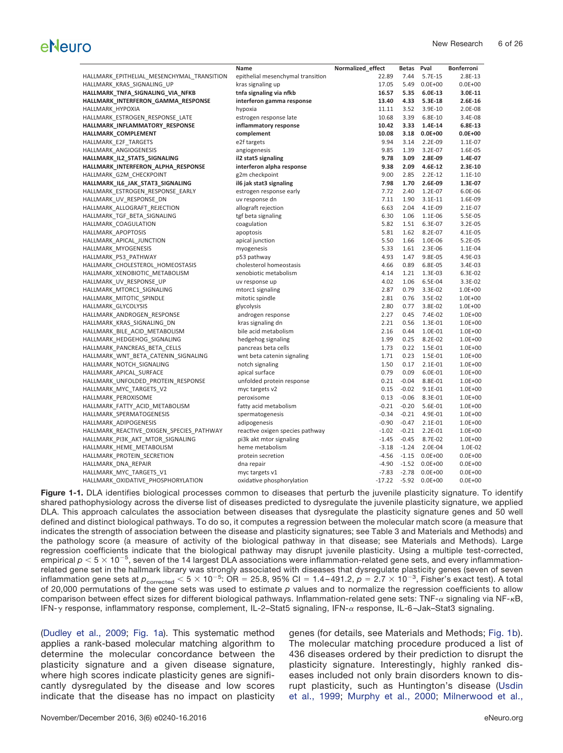|                                            | Name                              | Normalized_effect | <b>Betas</b> | Pval        | <b>Bonferroni</b> |
|--------------------------------------------|-----------------------------------|-------------------|--------------|-------------|-------------------|
| HALLMARK EPITHELIAL MESENCHYMAL TRANSITION | epithelial mesenchymal transition | 22.89             | 7.44         | 5.7E-15     | 2.8E-13           |
| HALLMARK KRAS SIGNALING UP                 | kras signaling up                 | 17.05             | 5.49         | $0.0E + 00$ | $0.0E + 00$       |
| HALLMARK_TNFA_SIGNALING_VIA_NFKB           | tnfa signaling via nfkb           | 16.57             | 5.35         | 6.0E-13     | 3.0E-11           |
| HALLMARK_INTERFERON_GAMMA_RESPONSE         | interferon gamma response         | 13.40             | 4.33         | 5.3E-18     | $2.6E-16$         |
| HALLMARK_HYPOXIA                           | hypoxia                           | 11.11             | 3.52         | 3.9E-10     | 2.0E-08           |
| HALLMARK_ESTROGEN_RESPONSE_LATE            | estrogen response late            | 10.68             | 3.39         | 6.8E-10     | 3.4E-08           |
| HALLMARK_INFLAMMATORY_RESPONSE             | inflammatory response             | 10.42             | 3.33         | 1.4E-14     | 6.8E-13           |
| HALLMARK_COMPLEMENT                        | complement                        | 10.08             | 3.18         | $0.0E + 00$ | $0.0E + 00$       |
| HALLMARK_E2F_TARGETS                       | e2f targets                       | 9.94              | 3.14         | 2.2E-09     | 1.1E-07           |
| HALLMARK ANGIOGENESIS                      | angiogenesis                      | 9.85              | 1.39         | 3.2E-07     | 1.6E-05           |
| HALLMARK_IL2_STAT5_SIGNALING               | il2 stat5 signaling               | 9.78              | 3.09         | 2.8E-09     | 1.4E-07           |
| HALLMARK_INTERFERON_ALPHA_RESPONSE         | interferon alpha response         | 9.38              | 2.09         | 4.6E-12     | 2.3E-10           |
| HALLMARK_G2M_CHECKPOINT                    | g2m checkpoint                    | 9.00              | 2.85         | $2.2E-12$   | $1.1E-10$         |
| HALLMARK_IL6_JAK_STAT3_SIGNALING           | il6 jak stat3 signaling           | 7.98              | 1.70         | 2.6E-09     | 1.3E-07           |
| HALLMARK_ESTROGEN_RESPONSE_EARLY           | estrogen response early           | 7.72              | 2.40         | 1.2E-07     | 6.0E-06           |
| HALLMARK UV RESPONSE DN                    | uv response dn                    | 7.11              | 1.90         | $3.1E-11$   | 1.6E-09           |
| HALLMARK ALLOGRAFT REJECTION               | allograft rejection               | 6.63              | 2.04         | 4.1E-09     | 2.1E-07           |
| HALLMARK_TGF_BETA_SIGNALING                | tgf beta signaling                | 6.30              | 1.06         | 1.1E-06     | 5.5E-05           |
| HALLMARK COAGULATION                       | coagulation                       | 5.82              | 1.51         | 6.3E-07     | 3.2E-05           |
| HALLMARK_APOPTOSIS                         | apoptosis                         | 5.81              | 1.62         | 8.2E-07     | 4.1E-05           |
| HALLMARK_APICAL_JUNCTION                   | apical junction                   | 5.50              | 1.66         | 1.0E-06     | 5.2E-05           |
| HALLMARK_MYOGENESIS                        | myogenesis                        | 5.33              | 1.61         | 2.3E-06     | 1.1E-04           |
| HALLMARK P53 PATHWAY                       | p53 pathway                       | 4.93              | 1.47         | 9.8E-05     | 4.9E-03           |
| HALLMARK_CHOLESTEROL_HOMEOSTASIS           | cholesterol homeostasis           | 4.66              | 0.89         | 6.8E-05     | 3.4E-03           |
| HALLMARK_XENOBIOTIC_METABOLISM             | xenobiotic metabolism             | 4.14              | 1.21         | 1.3E-03     | 6.3E-02           |
| HALLMARK_UV_RESPONSE_UP                    | uv response up                    | 4.02              | 1.06         | 6.5E-04     | 3.3E-02           |
| HALLMARK MTORC1 SIGNALING                  | mtorc1 signaling                  | 2.87              | 0.79         | 3.3E-02     | 1.0E+00           |
| HALLMARK_MITOTIC_SPINDLE                   | mitotic spindle                   | 2.81              | 0.76         | 3.5E-02     | 1.0E+00           |
| HALLMARK GLYCOLYSIS                        | glycolysis                        | 2.80              | 0.77         | 3.8E-02     | 1.0E+00           |
| HALLMARK ANDROGEN RESPONSE                 | androgen response                 | 2.27              | 0.45         | 7.4E-02     | $1.0E + 00$       |
| HALLMARK KRAS SIGNALING DN                 | kras signaling dn                 | 2.21              | 0.56         | 1.3E-01     | $1.0E + 00$       |
| HALLMARK_BILE_ACID_METABOLISM              | bile acid metabolism              | 2.16              | 0.44         | 1.0E-01     | $1.0E + 00$       |
| HALLMARK HEDGEHOG SIGNALING                | hedgehog signaling                | 1.99              | 0.25         | 8.2E-02     | $1.0E + 00$       |
| HALLMARK_PANCREAS_BETA_CELLS               | pancreas beta cells               | 1.73              | 0.22         | 1.5E-01     | 1.0E+00           |
| HALLMARK WNT BETA CATENIN SIGNALING        | wnt beta catenin signaling        | 1.71              | 0.23         | 1.5E-01     | 1.0E+00           |
| HALLMARK NOTCH SIGNALING                   | notch signaling                   | 1.50              | 0.17         | $2.1E-01$   | $1.0E + 00$       |
| HALLMARK_APICAL_SURFACE                    | apical surface                    | 0.79              | 0.09         | 6.0E-01     | $1.0E + 00$       |
| HALLMARK_UNFOLDED_PROTEIN_RESPONSE         | unfolded protein response         | 0.21              | $-0.04$      | 8.8E-01     | $1.0E + 00$       |
| HALLMARK MYC TARGETS V2                    | myc targets v2                    | 0.15              | $-0.02$      | $9.1E-01$   | $1.0E + 00$       |
| HALLMARK PEROXISOME                        | peroxisome                        | 0.13              | $-0.06$      | 8.3E-01     | $1.0E + 00$       |
|                                            | fatty acid metabolism             | $-0.21$           | $-0.20$      | 5.6E-01     | $1.0E + 00$       |
| HALLMARK_FATTY_ACID_METABOLISM             |                                   | $-0.34$           | $-0.21$      |             |                   |
| HALLMARK SPERMATOGENESIS                   | spermatogenesis                   | $-0.90$           |              | 4.9E-01     | $1.0E + 00$       |
| HALLMARK ADIPOGENESIS                      | adipogenesis                      |                   | $-0.47$      | $2.1E-01$   | $1.0E + 00$       |
| HALLMARK_REACTIVE_OXIGEN_SPECIES_PATHWAY   | reactive oxigen species pathway   | $-1.02$           | $-0.21$      | 2.2E-01     | $1.0E + 00$       |
| HALLMARK_PI3K_AKT_MTOR_SIGNALING           | pi3k akt mtor signaling           | $-1.45$           | $-0.45$      | 8.7E-02     | 1.0E+00           |
| HALLMARK HEME METABOLISM                   | heme metabolism                   | $-3.18$           | $-1.24$      | 2.0E-04     | 1.0E-02           |
| HALLMARK_PROTEIN_SECRETION                 | protein secretion                 | $-4.56$           | $-1.15$      | $0.0E + 00$ | $0.0E + 00$       |
| HALLMARK_DNA_REPAIR                        | dna repair                        | $-4.90$           | $-1.52$      | $0.0E + 00$ | $0.0E + 00$       |
| HALLMARK MYC TARGETS V1                    | myc targets v1                    | $-7.83$           | $-2.78$      | $0.0E + 00$ | $0.0E + 00$       |
| HALLMARK_OXIDATIVE_PHOSPHORYLATION         | oxidative phosphorylation         | $-17.22$          | $-5.92$      | $0.0E + 00$ | $0.0E + 00$       |

<span id="page-5-0"></span>**Figure 1-1.** DLA identifies biological processes common to diseases that perturb the juvenile plasticity signature. To identify shared pathophysiology across the diverse list of diseases predicted to dysregulate the juvenile plasticity signature, we applied DLA. This approach calculates the association between diseases that dysregulate the plasticity signature genes and 50 well defined and distinct biological pathways. To do so, it computes a regression between the molecular match score (a measure that indicates the strength of association between the disease and plasticity signatures; see Table 3 and Materials and Methods) and the pathology score (a measure of activity of the biological pathway in that disease; see Materials and Methods). Large regression coefficients indicate that the biological pathway may disrupt juvenile plasticity. Using a multiple test-corrected, empirical  $p < 5 \times 10^{-5}$ , seven of the 14 largest DLA associations were inflammation-related gene sets, and every inflammationrelated gene set in the hallmark library was strongly associated with diseases that dysregulate plasticity genes (seven of seven inflammation gene sets at  $p_{\rm corrected} <$  5  $\times$  10<sup>-5</sup>: OR = 25.8, 95% Cl = 1.4–491.2,  $p=$  2.7  $\times$  10<sup>-3</sup>, Fisher's exact test). A total of 20,000 permutations of the gene sets was used to estimate *p* values and to normalize the regression coefficients to allow comparison between effect sizes for different biological pathways. Inflammation-related gene sets: TNF- $\alpha$  signaling via NF- $\kappa$ B, IFN- $\gamma$  response, inflammatory response, complement, IL-2-Stat5 signaling, IFN- $\alpha$  response, IL-6-Jak-Stat3 signaling.

[\(Dudley et al., 2009;](#page-23-3) [Fig. 1a\)](#page-4-0). This systematic method applies a rank-based molecular matching algorithm to determine the molecular concordance between the plasticity signature and a given disease signature, where high scores indicate plasticity genes are significantly dysregulated by the disease and low scores indicate that the disease has no impact on plasticity genes (for details, see Materials and Methods; [Fig. 1b\)](#page-4-0). The molecular matching procedure produced a list of 436 diseases ordered by their prediction to disrupt the plasticity signature. Interestingly, highly ranked diseases included not only brain disorders known to disrupt plasticity, such as Huntington's disease [\(Usdin](#page-24-14) [et al., 1999;](#page-24-14) [Murphy et al., 2000;](#page-24-15) [Milnerwood et al.,](#page-24-16)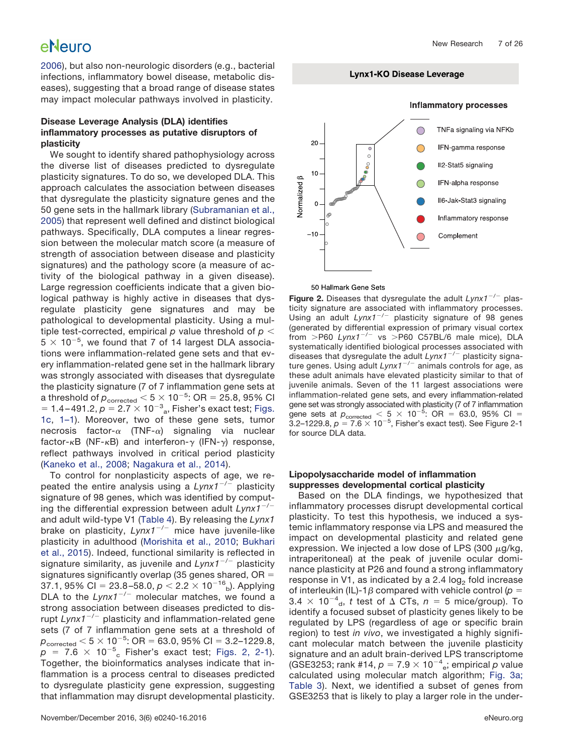#### New Research 7 of 26

# eNeuro

[2006\)](#page-24-16), but also non-neurologic disorders (e.g., bacterial infections, inflammatory bowel disease, metabolic diseases), suggesting that a broad range of disease states may impact molecular pathways involved in plasticity.

### **Disease Leverage Analysis (DLA) identifies inflammatory processes as putative disruptors of plasticity**

We sought to identify shared pathophysiology across the diverse list of diseases predicted to dysregulate plasticity signatures. To do so, we developed DLA. This approach calculates the association between diseases that dysregulate the plasticity signature genes and the 50 gene sets in the hallmark library [\(Subramanian et al.,](#page-24-13) [2005\)](#page-24-13) that represent well defined and distinct biological pathways. Specifically, DLA computes a linear regression between the molecular match score (a measure of strength of association between disease and plasticity signatures) and the pathology score (a measure of activity of the biological pathway in a given disease). Large regression coefficients indicate that a given biological pathway is highly active in diseases that dysregulate plasticity gene signatures and may be pathological to developmental plasticity. Using a multiple test-corrected, empirical  $p$  value threshold of  $p <$  $5 \times 10^{-5}$ , we found that 7 of 14 largest DLA associations were inflammation-related gene sets and that every inflammation-related gene set in the hallmark library was strongly associated with diseases that dysregulate the plasticity signature (7 of 7 inflammation gene sets at a threshold of  $\rho_{\rm corrected}$   $<$  5  $\times$  10 $^{-5}$ : OR = 25.8, 95% Cl  $= 1.4 - 491.2, p = 2.7 \times 10^{-3}$ <sub>a</sub>, Fisher's exact test; [Figs.](#page-4-0) [1c,](#page-4-0) [1–1\)](#page-23-8). Moreover, two of these gene sets, tumor necrosis factor- $\alpha$  (TNF- $\alpha$ ) signaling via nuclear factor- $\kappa$ B (NF- $\kappa$ B) and interferon- $\gamma$  (IFN- $\gamma$ ) response, reflect pathways involved in critical period plasticity [\(Kaneko et al., 2008;](#page-24-17) [Nagakura et al., 2014\)](#page-24-18).

To control for nonplasticity aspects of age, we repeated the entire analysis using a *Lynx1*-/- plasticity signature of 98 genes, which was identified by computing the differential expression between adult *Lynx1*-/ and adult wild-type V1 [\(Table 4\)](#page-21-0). By releasing the *Lynx1* brake on plasticity, Lynx1<sup>-/-</sup> mice have juvenile-like plasticity in adulthood [\(Morishita et al., 2010;](#page-24-19) [Bukhari](#page-23-9) [et al., 2015\)](#page-23-9). Indeed, functional similarity is reflected in signature similarity, as juvenile and *Lynx1<sup>-/-</sup> plasticity* signatures significantly overlap (35 genes shared,  $OR =$ 37.1, 95% Cl = 23.8-58.0,  $p <$  2.2  $\times$  10<sup>-16</sup><sub>b</sub>). Applying DLA to the *Lynx1<sup>-/-</sup>* molecular matches, we found a strong association between diseases predicted to disrupt *Lynx1*-/- plasticity and inflammation-related gene sets (7 of 7 inflammation gene sets at a threshold of  $p_{\rm corrected}$   $<$  5  $\times$  10<sup>-5</sup>: OR = 63.0, 95% CI = 3.2–1229.8,  $p = 7.6 \times 10^{-5}$  Fisher's exact test; [Figs. 2, 2-1\)](#page-5-0). Together, the bioinformatics analyses indicate that inflammation is a process central to diseases predicted to dysregulate plasticity gene expression, suggesting that inflammation may disrupt developmental plasticity. **Lynx1-KO Disease Leverage** 



50 Hallmark Gene Sets

<span id="page-6-0"></span>**Figure 2.** Diseases that dysregulate the adult Lynx1<sup>-/-</sup> plasticity signature are associated with inflammatory processes. Using an adult *Lynx1*-/- plasticity signature of 98 genes (generated by differential expression of primary visual cortex from  $>$ P60  $Lynx1^{-/-}$  vs  $>$ P60 C57BL/6 male mice), DLA systematically identified biological processes associated with diseases that dysregulate the adult *Lynx1*-/- plasticity signature genes. Using adult *Lynx1<sup>-/-</sup>* animals controls for age, as these adult animals have elevated plasticity similar to that of juvenile animals. Seven of the 11 largest associations were inflammation-related gene sets, and every inflammation-related gene set was strongly associated with plasticity (7 of 7 inflammation gene sets at  $p_{\text{corrected}} < 5 \times 10^{-5}$ : OR = 63.0, 95% CI =  $3.2 - 1229.8$ ,  $p = 7.6 \times 10^{-5}$ , Fisher's exact test). See Figure 2-1 for source DLA data.

#### **Lipopolysaccharide model of inflammation suppresses developmental cortical plasticity**

Based on the DLA findings, we hypothesized that inflammatory processes disrupt developmental cortical plasticity. To test this hypothesis, we induced a systemic inflammatory response via LPS and measured the impact on developmental plasticity and related gene expression. We injected a low dose of LPS (300  $\mu$ g/kg, intraperitoneal) at the peak of juvenile ocular dominance plasticity at P26 and found a strong inflammatory response in V1, as indicated by a 2.4  $log<sub>2</sub>$  fold increase of interleukin (IL)-1 $\beta$  compared with vehicle control ( $p =$  $3.4 \times 10^{-4}$ <sub>d</sub>, *t* test of  $\Delta$  CTs,  $n = 5$  mice/group). To identify a focused subset of plasticity genes likely to be regulated by LPS (regardless of age or specific brain region) to test *in vivo*, we investigated a highly significant molecular match between the juvenile plasticity signature and an adult brain-derived LPS transcriptome (GSE3253; rank #14,  $\rho = 7.9 \times 10^{-4}$ <sub>e</sub>; empirical  $\rho$  value calculated using molecular match algorithm; [Fig. 3a;](#page-6-0) [Table 3\)](#page-6-0). Next, we identified a subset of genes from GSE3253 that is likely to play a larger role in the under-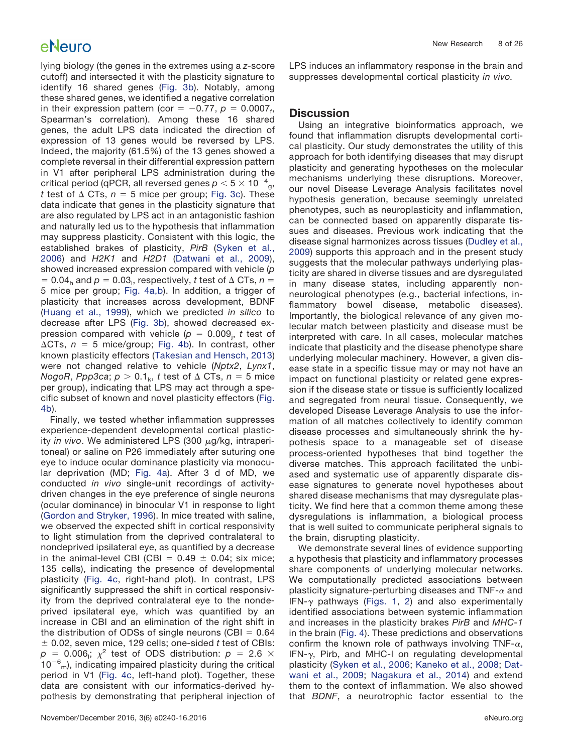lying biology (the genes in the extremes using a *z*-score cutoff) and intersected it with the plasticity signature to identify 16 shared genes [\(Fig. 3b\)](#page-6-0). Notably, among these shared genes, we identified a negative correlation in their expression pattern (cor =  $-0.77$ ,  $p = 0.0007$ <sub>f</sub>, Spearman's correlation). Among these 16 shared genes, the adult LPS data indicated the direction of expression of 13 genes would be reversed by LPS. Indeed, the majority (61.5%) of the 13 genes showed a complete reversal in their differential expression pattern in V1 after peripheral LPS administration during the critical period (qPCR, all reversed genes  $p < 5 \times 10^{-4}$ g, *t* test of  $\Delta$  CTs,  $n = 5$  mice per group; [Fig. 3c\)](#page-6-0). These data indicate that genes in the plasticity signature that are also regulated by LPS act in an antagonistic fashion and naturally led us to the hypothesis that inflammation may suppress plasticity. Consistent with this logic, the established brakes of plasticity, *PirB* [\(Syken et al.,](#page-24-20) [2006\)](#page-24-20) and *H2K1* and *H2D1* [\(Datwani et al., 2009\)](#page-23-10), showed increased expression compared with vehicle (*p*  $= 0.04$ <sub>h</sub> and  $p = 0.03$ <sub>i</sub>, respectively, *t* test of  $\Delta$  CTs,  $n =$ 5 mice per group; [Fig. 4a,b\)](#page-8-0). In addition, a trigger of plasticity that increases across development, BDNF [\(Huang et al., 1999\)](#page-24-21), which we predicted *in silico* to decrease after LPS [\(Fig. 3b\)](#page-6-0), showed decreased expression compared with vehicle ( $p~=~0.009_{\rm j},~t$  test of  $\Delta CTs$ ,  $n = 5$  mice/group; [Fig. 4b\)](#page-8-0). In contrast, other known plasticity effectors [\(Takesian and Hensch, 2013\)](#page-24-6) were not changed relative to vehicle (*Nptx2*, *Lynx1*, *NogoR*, *Ppp3ca*;  $p > 0.1_k$ , *t* test of  $\Delta$  CTs,  $n = 5$  mice per group), indicating that LPS may act through a specific subset of known and novel plasticity effectors [\(Fig.](#page-8-0) [4b\)](#page-8-0).

Finally, we tested whether inflammation suppresses experience-dependent developmental cortical plasticity in vivo. We administered LPS (300 µg/kg, intraperitoneal) or saline on P26 immediately after suturing one eye to induce ocular dominance plasticity via monocular deprivation (MD; [Fig. 4a\)](#page-8-0). After 3 d of MD, we conducted *in vivo* single-unit recordings of activitydriven changes in the eye preference of single neurons (ocular dominance) in binocular V1 in response to light [\(Gordon and Stryker, 1996\)](#page-23-6). In mice treated with saline, we observed the expected shift in cortical responsivity to light stimulation from the deprived contralateral to nondeprived ipsilateral eye, as quantified by a decrease in the animal-level CBI (CBI =  $0.49 \pm 0.04$ ; six mice; 135 cells), indicating the presence of developmental plasticity [\(Fig. 4c,](#page-8-0) right-hand plot). In contrast, LPS significantly suppressed the shift in cortical responsivity from the deprived contralateral eye to the nondeprived ipsilateral eye, which was quantified by an increase in CBI and an elimination of the right shift in the distribution of ODSs of single neurons (CBI  $= 0.64$  0.02, seven mice, 129 cells; one-sided *t* test of CBIs:  $p = 0.006$ ;;  $\chi^2$  test of ODS distribution:  $p = 2.6 \times$  $10^{-6}$ <sub>m</sub>), indicating impaired plasticity during the critical period in V1 [\(Fig. 4c,](#page-8-0) left-hand plot). Together, these data are consistent with our informatics-derived hypothesis by demonstrating that peripheral injection of

LPS induces an inflammatory response in the brain and suppresses developmental cortical plasticity *in vivo.*

## **Discussion**

Using an integrative bioinformatics approach, we found that inflammation disrupts developmental cortical plasticity. Our study demonstrates the utility of this approach for both identifying diseases that may disrupt plasticity and generating hypotheses on the molecular mechanisms underlying these disruptions. Moreover, our novel Disease Leverage Analysis facilitates novel hypothesis generation, because seemingly unrelated phenotypes, such as neuroplasticity and inflammation, can be connected based on apparently disparate tissues and diseases. Previous work indicating that the disease signal harmonizes across tissues [\(Dudley et al.,](#page-23-3) [2009\)](#page-23-3) supports this approach and in the present study suggests that the molecular pathways underlying plasticity are shared in diverse tissues and are dysregulated in many disease states, including apparently nonneurological phenotypes (e.g., bacterial infections, inflammatory bowel disease, metabolic diseases). Importantly, the biological relevance of any given molecular match between plasticity and disease must be interpreted with care. In all cases, molecular matches indicate that plasticity and the disease phenotype share underlying molecular machinery. However, a given disease state in a specific tissue may or may not have an impact on functional plasticity or related gene expression if the disease state or tissue is sufficiently localized and segregated from neural tissue. Consequently, we developed Disease Leverage Analysis to use the information of all matches collectively to identify common disease processes and simultaneously shrink the hypothesis space to a manageable set of disease process-oriented hypotheses that bind together the diverse matches. This approach facilitated the unbiased and systematic use of apparently disparate disease signatures to generate novel hypotheses about shared disease mechanisms that may dysregulate plasticity. We find here that a common theme among these dysregulations is inflammation, a biological process that is well suited to communicate peripheral signals to the brain, disrupting plasticity.

We demonstrate several lines of evidence supporting a hypothesis that plasticity and inflammatory processes share components of underlying molecular networks. We computationally predicted associations between plasticity signature-perturbing diseases and TNF- $\alpha$  and IFN- $\gamma$  pathways [\(Figs. 1,](#page-4-0) [2\)](#page-5-0) and also experimentally identified associations between systemic inflammation and increases in the plasticity brakes *PirB* and *MHC-1* in the brain [\(Fig. 4\)](#page-8-0). These predictions and observations confirm the known role of pathways involving TNF- $\alpha$ , IFN- $\gamma$ , Pirb, and MHC-I on regulating developmental plasticity [\(Syken et al., 2006;](#page-24-20) [Kaneko et al., 2008;](#page-24-17) [Dat](#page-23-10)[wani et al., 2009;](#page-23-10) [Nagakura et al., 2014\)](#page-24-18) and extend them to the context of inflammation. We also showed that *BDNF*, a neurotrophic factor essential to the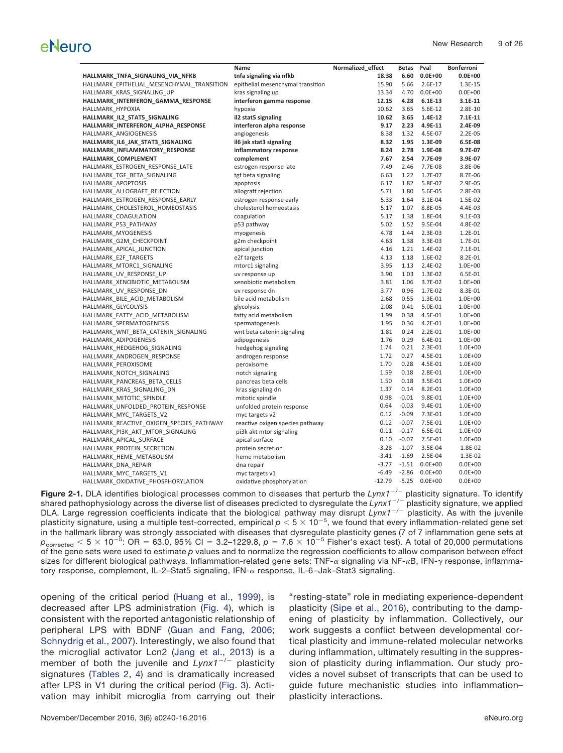|                                            | Name                              | Normalized_effect | Betas   | Pval        | <b>Bonferroni</b> |
|--------------------------------------------|-----------------------------------|-------------------|---------|-------------|-------------------|
| HALLMARK_TNFA_SIGNALING_VIA_NFKB           | tnfa signaling via nfkb           | 18.38             | 6.60    | $0.0E + 00$ | $0.0E + 00$       |
| HALLMARK_EPITHELIAL_MESENCHYMAL_TRANSITION | epithelial mesenchymal transition | 15.90             | 5.66    | 2.6E-17     | 1.3E-15           |
| HALLMARK KRAS SIGNALING UP                 | kras signaling up                 | 13.34             | 4.70    | $0.0E + 00$ | $0.0E + 00$       |
| HALLMARK_INTERFERON_GAMMA_RESPONSE         | interferon gamma response         | 12.15             | 4.28    | $6.1E-13$   | $3.1E-11$         |
| HALLMARK HYPOXIA                           | hypoxia                           | 10.62             | 3.65    | 5.6E-12     | $2.8E-10$         |
| HALLMARK_IL2_STAT5_SIGNALING               | il2 stat5 signaling               | 10.62             | 3.65    | 1.4E-12     | $7.1E-11$         |
| HALLMARK_INTERFERON_ALPHA_RESPONSE         | interferon alpha response         | 9.17              | 2.23    | 4.9E-11     | 2.4E-09           |
| HALLMARK ANGIOGENESIS                      | angiogenesis                      | 8.38              | 1.32    | 4.5E-07     | $2.2E-05$         |
| HALLMARK_IL6_JAK_STAT3_SIGNALING           | il6 jak stat3 signaling           | 8.32              | 1.95    | 1.3E-09     | 6.5E-08           |
| HALLMARK_INFLAMMATORY_RESPONSE             | inflammatory response             | 8.24              | 2.78    | 1.9E-08     | 9.7E-07           |
| HALLMARK_COMPLEMENT                        | complement                        | 7.67              | 2.54    | 7.7E-09     | 3.9E-07           |
| HALLMARK ESTROGEN RESPONSE LATE            | estrogen response late            | 7.49              | 2.46    | 7.7E-08     | 3.8E-06           |
| HALLMARK TGF BETA SIGNALING                | tgf beta signaling                | 6.63              | 1.22    | 1.7E-07     | 8.7E-06           |
| HALLMARK_APOPTOSIS                         | apoptosis                         | 6.17              | 1.82    | 5.8E-07     | 2.9E-05           |
| HALLMARK ALLOGRAFT REJECTION               | allograft rejection               | 5.71              | 1.80    | 5.6E-05     | 2.8E-03           |
| HALLMARK_ESTROGEN_RESPONSE_EARLY           | estrogen response early           | 5.33              | 1.64    | 3.1E-04     | 1.5E-02           |
| HALLMARK_CHOLESTEROL_HOMEOSTASIS           | cholesterol homeostasis           | 5.17              | 1.07    | 8.8E-05     | 4.4E-03           |
| HALLMARK COAGULATION                       | coagulation                       | 5.17              | 1.38    | 1.8E-04     | $9.1E-03$         |
| HALLMARK_P53_PATHWAY                       | p53 pathway                       | 5.02              | 1.52    | 9.5E-04     | 4.8E-02           |
| HALLMARK MYOGENESIS                        | myogenesis                        | 4.78              | 1.44    | 2.3E-03     | 1.2E-01           |
| HALLMARK_G2M_CHECKPOINT                    | g2m checkpoint                    | 4.63              | 1.38    | 3.3E-03     | 1.7E-01           |
| HALLMARK APICAL JUNCTION                   | apical junction                   | 4.16              | 1.21    | 1.4E-02     | 7.1E-01           |
| HALLMARK E2F TARGETS                       | e2f targets                       | 4.13              | 1.18    | 1.6E-02     | 8.2E-01           |
| HALLMARK_MTORC1_SIGNALING                  | mtorc1 signaling                  | 3.95              | 1.13    | 2.4E-02     | $1.0E + 00$       |
| HALLMARK UV RESPONSE UP                    | uv response up                    | 3.90              | 1.03    | 1.3E-02     | 6.5E-01           |
| HALLMARK_XENOBIOTIC_METABOLISM             | xenobiotic metabolism             | 3.81              | 1.06    | 3.7E-02     | $1.0E + 00$       |
| HALLMARK UV RESPONSE DN                    | uv response dn                    | 3.77              | 0.96    | 1.7E-02     | 8.3E-01           |
| HALLMARK_BILE_ACID_METABOLISM              | bile acid metabolism              | 2.68              | 0.55    | 1.3E-01     | $1.0E + 00$       |
| HALLMARK GLYCOLYSIS                        | glycolysis                        | 2.08              | 0.41    | 5.0E-01     | $1.0E + 00$       |
| HALLMARK FATTY ACID METABOLISM             | fatty acid metabolism             | 1.99              | 0.38    | 4.5E-01     | $1.0E + 00$       |
| HALLMARK_SPERMATOGENESIS                   | spermatogenesis                   | 1.95              | 0.36    | 4.2E-01     | $1.0E + 00$       |
| HALLMARK_WNT_BETA_CATENIN_SIGNALING        | wnt beta catenin signaling        | 1.81              | 0.24    | 2.2E-01     | $1.0E + 00$       |
| HALLMARK ADIPOGENESIS                      | adipogenesis                      | 1.76              | 0.29    | 6.4E-01     | $1.0E + 00$       |
| HALLMARK_HEDGEHOG_SIGNALING                | hedgehog signaling                | 1.74              | 0.21    | 2.3E-01     | $1.0E + 00$       |
| HALLMARK ANDROGEN RESPONSE                 | androgen response                 | 1.72              | 0.27    | 4.5E-01     | 1.0E+00           |
| HALLMARK PEROXISOME                        | peroxisome                        | 1.70              | 0.28    | 4.5E-01     | $1.0E + 00$       |
| HALLMARK NOTCH SIGNALING                   | notch signaling                   | 1.59              | 0.18    | 2.8E-01     | 1.0E+00           |
| HALLMARK_PANCREAS_BETA_CELLS               | pancreas beta cells               | 1.50              | 0.18    | 3.5E-01     | 1.0E+00           |
| HALLMARK KRAS SIGNALING DN                 | kras signaling dn                 | 1.37              | 0.14    | 8.2E-01     | $1.0E + 00$       |
| HALLMARK MITOTIC SPINDLE                   | mitotic spindle                   | 0.98              | $-0.01$ | 9.8E-01     | $1.0E + 00$       |
|                                            |                                   | 0.64              | $-0.03$ | 9.4E-01     | $1.0E + 00$       |
| HALLMARK_UNFOLDED_PROTEIN_RESPONSE         | unfolded protein response         | 0.12              | $-0.09$ | 7.3E-01     | 1.0E+00           |
| HALLMARK_MYC_TARGETS_V2                    | myc targets v2                    | 0.12              | $-0.07$ | 7.5E-01     | 1.0E+00           |
| HALLMARK_REACTIVE_OXIGEN_SPECIES_PATHWAY   | reactive oxigen species pathway   |                   |         |             |                   |
| HALLMARK_PI3K_AKT_MTOR_SIGNALING           | pi3k akt mtor signaling           | 0.11              | $-0.17$ | 6.5E-01     | $1.0E + 00$       |
| HALLMARK_APICAL_SURFACE                    | apical surface                    | 0.10              | $-0.07$ | 7.5E-01     | $1.0E + 00$       |
| HALLMARK_PROTEIN_SECRETION                 | protein secretion                 | $-3.28$           | $-1.07$ | 3.5E-04     | 1.8E-02           |
| HALLMARK_HEME_METABOLISM                   | heme metabolism                   | $-3.41$           | $-1.69$ | 2.5E-04     | 1.3E-02           |
| HALLMARK_DNA_REPAIR                        | dna repair                        | $-3.77$           | $-1.51$ | $0.0E + 00$ | $0.0E + 00$       |
| HALLMARK_MYC_TARGETS_V1                    | myc targets v1                    | $-6.49$           | $-2.86$ | $0.0E + 00$ | $0.0E + 00$       |
| HALLMARK_OXIDATIVE_PHOSPHORYLATION         | oxidative phosphorylation         | $-12.79$          | $-5.25$ | $0.0E + 00$ | $0.0E + 00$       |

<span id="page-8-0"></span>Figure 2-1. DLA identifies biological processes common to diseases that perturb the Lynx1<sup>-/-</sup> plasticity signature. To identify shared pathophysiology across the diverse list of diseases predicted to dysregulate the Lynx1<sup>-/-</sup> plasticity signature, we applied DLA. Large regression coefficients indicate that the biological pathway may disrupt *Lynx1<sup>-/-</sup>* plasticity. As with the juvenile plasticity signature, using a multiple test-corrected, empirical  $\rho <$  5  $\times$  10<sup>-5</sup>, we found that every inflammation-related gene set in the hallmark library was strongly associated with diseases that dysregulate plasticity genes (7 of 7 inflammation gene sets at  $p_{\rm corrected}$   $<$  5  $\times$  10<sup>-5</sup>: OR = 63.0, 95% Cl = 3.2–1229.8,  $p$  = 7.6  $\times$  10<sup>-5</sup> Fisher's exact test). A total of 20,000 permutations of the gene sets were used to estimate *p* values and to normalize the regression coefficients to allow comparison between effect sizes for different biological pathways. Inflammation-related gene sets: TNF- $\alpha$  signaling via NF- $\kappa$ B, IFN- $\gamma$  response, inflammatory response, complement, IL-2-Stat5 signaling, IFN- $\alpha$  response, IL-6-Jak-Stat3 signaling.

opening of the critical period [\(Huang et al., 1999\)](#page-24-21), is decreased after LPS administration [\(Fig. 4\)](#page-8-0), which is consistent with the reported antagonistic relationship of peripheral LPS with BDNF [\(Guan and Fang, 2006;](#page-23-11) [Schnydrig et al., 2007\)](#page-24-22). Interestingly, we also found that the microglial activator Lcn2 [\(Jang et al., 2013\)](#page-24-23) is a member of both the juvenile and *Lynx1<sup>-/-</sup>* plasticity signatures [\(Tables 2,](#page-12-0) [4\)](#page-21-0) and is dramatically increased after LPS in V1 during the critical period [\(Fig. 3\)](#page-6-0). Activation may inhibit microglia from carrying out their "resting-state" role in mediating experience-dependent plasticity [\(Sipe et al., 2016\)](#page-24-24), contributing to the dampening of plasticity by inflammation. Collectively, our work suggests a conflict between developmental cortical plasticity and immune-related molecular networks during inflammation, ultimately resulting in the suppression of plasticity during inflammation. Our study provides a novel subset of transcripts that can be used to guide future mechanistic studies into inflammation– plasticity interactions.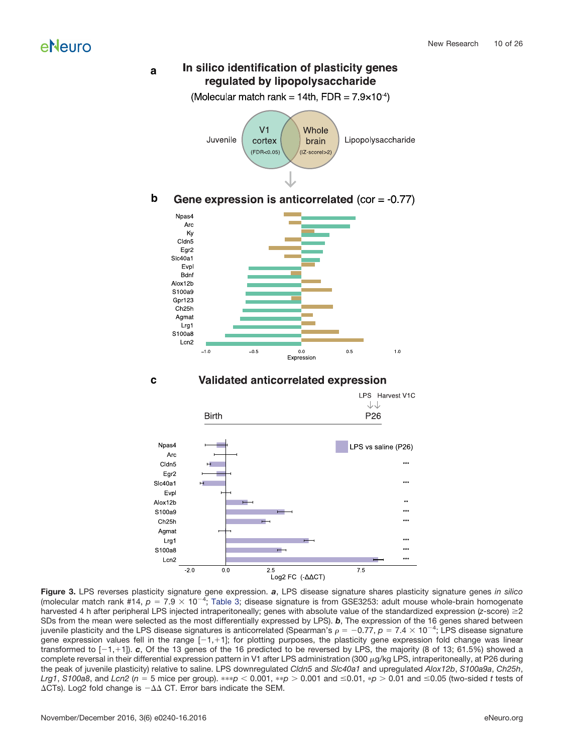#### In silico identification of plasticity genes **a** regulated by lipopolysaccharide



#### **b** Gene expression is anticorrelated (cor =  $-0.77$ )



#### LPS Harvest V1C  $\downarrow\downarrow$ P<sub>26</sub> **Birth** Npas4 LPS vs saline (P26) Arc Cldn<sub>5</sub> \*\*\* Egr<sub>2</sub> Sic40a1 Evpl Alox12b S100a9 ... \*\*\* Ch<sub>25</sub>h Agmat \*\*\* Lrg1 \*\*\* S100a8  $***$ Lcn2  $2.0$  $\overline{0.0}$  $\overline{2.5}$  $\overline{7.5}$ Log2 FC (-AACT)

**Validated anticorrelated expression c**

**Figure 3.** LPS reverses plasticity signature gene expression. *a*, LPS disease signature shares plasticity signature genes *in silico* (molecular match rank #14,  $p = 7.9 \times 10^{-4}$ ; [Table 3;](#page-15-0) disease signature is from GSE3253: adult mouse whole-brain homogenate harvested 4 h after peripheral LPS injected intraperitoneally; genes with absolute value of the standardized expression (*z*-score)  $\geq$ 2 SDs from the mean were selected as the most differentially expressed by LPS). *b*, The expression of the 16 genes shared between juvenile plasticity and the LPS disease signatures is anticorrelated (Spearman's  $\rho=-0.77,$   $\rho=7.4\times10^{-4},$  LPS disease signature gene expression values fell in the range [-1,+1]; for plotting purposes, the plasticity gene expression fold change was linear transformed to [-1, 1]). *c*, Of the 13 genes of the 16 predicted to be reversed by LPS, the majority (8 of 13; 61.5%) showed a complete reversal in their differential expression pattern in V1 after LPS administration (300 µg/kg LPS, intraperitoneally, at P26 during the peak of juvenile plasticity) relative to saline. LPS downregulated *Cldn5* and *Slc40a1* and upregulated *Alox12b*, *S100a9a*, *Ch25h*, *Lrg1, S100a8, a*nd *Lcn2 (n = 5 mice per group). ∗∗∗p < 0.001, ∗∗p > 0.001 and ≤0.01, ∗p > 0.01 and ≤0.05 (two-sided <i>t* tests of  $\Delta$ CTs). Log2 fold change is  $-\Delta\Delta$  CT. Error bars indicate the SEM.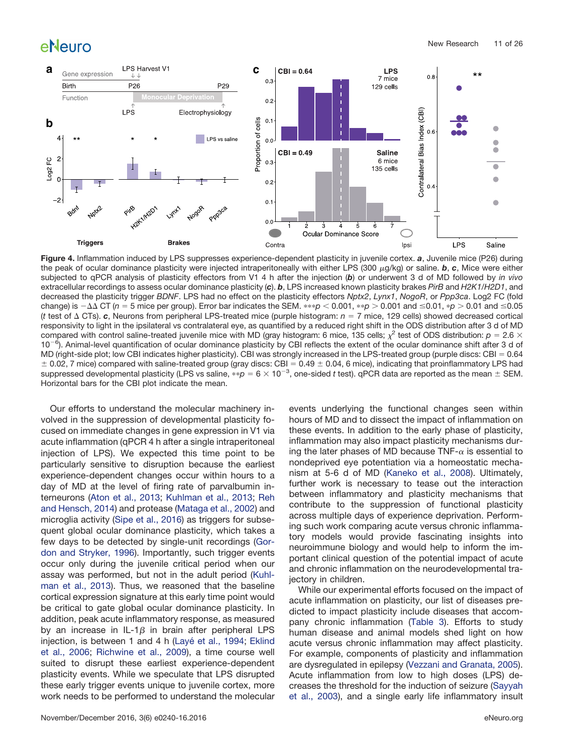

**Figure 4.** Inflammation induced by LPS suppresses experience-dependent plasticity in juvenile cortex. *a*, Juvenile mice (P26) during the peak of ocular dominance plasticity were injected intraperitoneally with either LPS (300 µg/kg) or saline. **b, c**, Mice were either subjected to qPCR analysis of plasticity effectors from V1 4 h after the injection (*b*) or underwent 3 d of MD followed by *in vivo* extracellular recordings to assess ocular dominance plasticity (*c*). *b*, LPS increased known plasticity brakes *PirB* and *H2K1*/*H2D1*, and decreased the plasticity trigger *BDNF*. LPS had no effect on the plasticity effectors *Nptx2*, *Lynx1*, *NogoR*, or *Ppp3ca*. Log2 FC (fold change) is −∆∆ CT (*n = 5 mice per group*). Error bar indicates the SEM. \*\*\*p < 0.001, \*\*p > 0.001 and ≤0.01, \**p* > 0.01 and ≤0.05 (*t* test of  $\triangle$  CTs). *c*, Neurons from peripheral LPS-treated mice (purple histogram:  $n = 7$  mice, 129 cells) showed decreased cortical responsivity to light in the ipsilateral vs contralateral eye, as quantified by a reduced right shift in the ODS distribution after 3 d of MD compared with control saline-treated juvenile mice with MD (gray histogram: 6 mice, 135 cells;  $\chi^2$  test of ODS distribution:  $p = 2.6 \times$ 10<sup>-6</sup>). Animal-level quantification of ocular dominance plasticity by CBI reflects the extent of the ocular dominance shift after 3 d of MD (right-side plot; low CBI indicates higher plasticity). CBI was strongly increased in the LPS-treated group (purple discs: CBI =  $0.64$  $\pm$  0.02, 7 mice) compared with saline-treated group (gray discs: CBI = 0.49  $\pm$  0.04, 6 mice), indicating that proinflammatory LPS had suppressed developmental plasticity (LPS vs saline,  $**$ p = 6  $\times$  10<sup>-3</sup>, one-sided *t* test). qPCR data are reported as the mean  $\pm$  SEM. Horizontal bars for the CBI plot indicate the mean.

Our efforts to understand the molecular machinery involved in the suppression of developmental plasticity focused on immediate changes in gene expression in V1 via acute inflammation (qPCR 4 h after a single intraperitoneal injection of LPS). We expected this time point to be particularly sensitive to disruption because the earliest experience-dependent changes occur within hours to a day of MD at the level of firing rate of parvalbumin interneurons [\(Aton et al., 2013;](#page-23-12) [Kuhlman et al., 2013;](#page-24-25) [Reh](#page-24-26) [and Hensch, 2014\)](#page-24-26) and protease [\(Mataga et al., 2002\)](#page-24-27) and microglia activity [\(Sipe et al., 2016\)](#page-24-24) as triggers for subsequent global ocular dominance plasticity, which takes a few days to be detected by single-unit recordings [\(Gor](#page-23-6)[don and Stryker, 1996\)](#page-23-6). Importantly, such trigger events occur only during the juvenile critical period when our assay was performed, but not in the adult period [\(Kuhl](#page-24-25)[man et al., 2013\)](#page-24-25). Thus, we reasoned that the baseline cortical expression signature at this early time point would be critical to gate global ocular dominance plasticity. In addition, peak acute inflammatory response, as measured by an increase in IL-1 $\beta$  in brain after peripheral LPS injection, is between 1 and 4 h [\(Layé et al., 1994;](#page-24-28) [Eklind](#page-23-13) [et al., 2006;](#page-23-13) [Richwine et al., 2009\)](#page-24-29), a time course well suited to disrupt these earliest experience-dependent plasticity events. While we speculate that LPS disrupted these early trigger events unique to juvenile cortex, more work needs to be performed to understand the molecular events underlying the functional changes seen within hours of MD and to dissect the impact of inflammation on these events. In addition to the early phase of plasticity, inflammation may also impact plasticity mechanisms during the later phases of MD because TNF- $\alpha$  is essential to nondeprived eye potentiation via a homeostatic mechanism at 5-6 d of MD [\(Kaneko et al., 2008\)](#page-24-17). Ultimately, further work is necessary to tease out the interaction between inflammatory and plasticity mechanisms that contribute to the suppression of functional plasticity across multiple days of experience deprivation. Performing such work comparing acute versus chronic inflammatory models would provide fascinating insights into neuroimmune biology and would help to inform the important clinical question of the potential impact of acute and chronic inflammation on the neurodevelopmental trajectory in children.

While our experimental efforts focused on the impact of acute inflammation on plasticity, our list of diseases predicted to impact plasticity include diseases that accompany chronic inflammation [\(Table 3\)](#page-15-0). Efforts to study human disease and animal models shed light on how acute versus chronic inflammation may affect plasticity. For example, components of plasticity and inflammation are dysregulated in epilepsy [\(Vezzani and Granata, 2005\)](#page-25-4). Acute inflammation from low to high doses (LPS) decreases the threshold for the induction of seizure [\(Sayyah](#page-24-30) [et al., 2003\)](#page-24-30), and a single early life inflammatory insult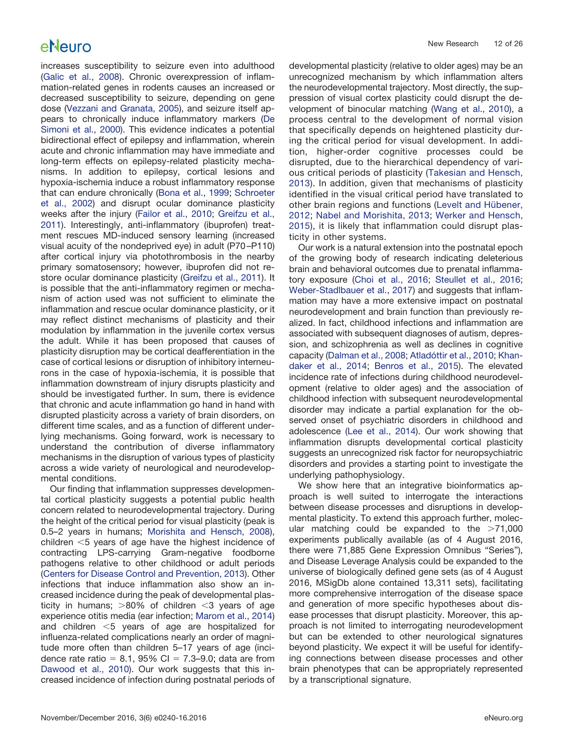increases susceptibility to seizure even into adulthood [\(Galic et al., 2008\)](#page-23-14). Chronic overexpression of inflammation-related genes in rodents causes an increased or decreased susceptibility to seizure, depending on gene dose [\(Vezzani and Granata, 2005\)](#page-25-4), and seizure itself appears to chronically induce inflammatory markers [\(De](#page-23-15) [Simoni et al., 2000\)](#page-23-15). This evidence indicates a potential bidirectional effect of epilepsy and inflammation, wherein acute and chronic inflammation may have immediate and long-term effects on epilepsy-related plasticity mechanisms. In addition to epilepsy, cortical lesions and hypoxia-ischemia induce a robust inflammatory response that can endure chronically [\(Bona et al., 1999;](#page-23-16) [Schroeter](#page-24-31) [et al., 2002\)](#page-24-31) and disrupt ocular dominance plasticity weeks after the injury [\(Failor et al., 2010;](#page-23-17) [Greifzu et al.,](#page-23-18) [2011\)](#page-23-18). Interestingly, anti-inflammatory (ibuprofen) treatment rescues MD-induced sensory learning (increased visual acuity of the nondeprived eye) in adult (P70 –P110) after cortical injury via photothrombosis in the nearby primary somatosensory; however, ibuprofen did not restore ocular dominance plasticity [\(Greifzu et al., 2011\)](#page-23-18). It is possible that the anti-inflammatory regimen or mechanism of action used was not sufficient to eliminate the inflammation and rescue ocular dominance plasticity, or it may reflect distinct mechanisms of plasticity and their modulation by inflammation in the juvenile cortex versus the adult. While it has been proposed that causes of plasticity disruption may be cortical deafferentiation in the case of cortical lesions or disruption of inhibitory interneurons in the case of hypoxia-ischemia, it is possible that inflammation downstream of injury disrupts plasticity and should be investigated further. In sum, there is evidence that chronic and acute inflammation go hand in hand with disrupted plasticity across a variety of brain disorders, on different time scales, and as a function of different underlying mechanisms. Going forward, work is necessary to understand the contribution of diverse inflammatory mechanisms in the disruption of various types of plasticity across a wide variety of neurological and neurodevelopmental conditions.

Our finding that inflammation suppresses developmental cortical plasticity suggests a potential public health concern related to neurodevelopmental trajectory. During the height of the critical period for visual plasticity (peak is 0.5–2 years in humans; [Morishita and Hensch, 2008\)](#page-24-32), children  $<$ 5 years of age have the highest incidence of contracting LPS-carrying Gram-negative foodborne pathogens relative to other childhood or adult periods [\(Centers for Disease Control and Prevention, 2013\)](#page-23-19). Other infections that induce inflammation also show an increased incidence during the peak of developmental plasticity in humans;  $>80\%$  of children <3 years of age experience otitis media (ear infection; [Marom et al., 2014\)](#page-24-33) and children  $<$ 5 years of age are hospitalized for influenza-related complications nearly an order of magnitude more often than children 5–17 years of age (incidence rate ratio = 8.1, 95% CI =  $7.3-9.0$ ; data are from [Dawood et al., 2010\)](#page-23-20). Our work suggests that this increased incidence of infection during postnatal periods of developmental plasticity (relative to older ages) may be an unrecognized mechanism by which inflammation alters the neurodevelopmental trajectory. Most directly, the suppression of visual cortex plasticity could disrupt the development of binocular matching [\(Wang et al., 2010\)](#page-25-5), a process central to the development of normal vision that specifically depends on heightened plasticity during the critical period for visual development. In addition, higher-order cognitive processes could be disrupted, due to the hierarchical dependency of various critical periods of plasticity [\(Takesian and Hensch,](#page-24-6) [2013\)](#page-24-6). In addition, given that mechanisms of plasticity identified in the visual critical period have translated to other brain regions and functions [\(Levelt and Hübener,](#page-24-34) [2012;](#page-24-34) [Nabel and Morishita, 2013;](#page-24-35) [Werker and Hensch,](#page-25-6) [2015\)](#page-25-6), it is likely that inflammation could disrupt plasticity in other systems.

Our work is a natural extension into the postnatal epoch of the growing body of research indicating deleterious brain and behavioral outcomes due to prenatal inflammatory exposure [\(Choi et al., 2016;](#page-23-21) [Steullet et al., 2016;](#page-24-36) [Weber-Stadlbauer et al., 2017\)](#page-25-7) and suggests that inflammation may have a more extensive impact on postnatal neurodevelopment and brain function than previously realized. In fact, childhood infections and inflammation are associated with subsequent diagnoses of autism, depression, and schizophrenia as well as declines in cognitive capacity [\(Dalman et al., 2008;](#page-23-22) [Atladóttir et al., 2010;](#page-23-8) [Khan](#page-24-37)[daker et al., 2014;](#page-24-37) [Benros et al., 2015\)](#page-23-23). The elevated incidence rate of infections during childhood neurodevelopment (relative to older ages) and the association of childhood infection with subsequent neurodevelopmental disorder may indicate a partial explanation for the observed onset of psychiatric disorders in childhood and adolescence [\(Lee et al., 2014\)](#page-24-7). Our work showing that inflammation disrupts developmental cortical plasticity suggests an unrecognized risk factor for neuropsychiatric disorders and provides a starting point to investigate the underlying pathophysiology.

We show here that an integrative bioinformatics approach is well suited to interrogate the interactions between disease processes and disruptions in developmental plasticity. To extend this approach further, molecular matching could be expanded to the  $>71,000$ experiments publically available (as of 4 August 2016, there were 71,885 Gene Expression Omnibus "Series"), and Disease Leverage Analysis could be expanded to the universe of biologically defined gene sets (as of 4 August 2016, MSigDb alone contained 13,311 sets), facilitating more comprehensive interrogation of the disease space and generation of more specific hypotheses about disease processes that disrupt plasticity. Moreover, this approach is not limited to interrogating neurodevelopment but can be extended to other neurological signatures beyond plasticity. We expect it will be useful for identifying connections between disease processes and other brain phenotypes that can be appropriately represented by a transcriptional signature.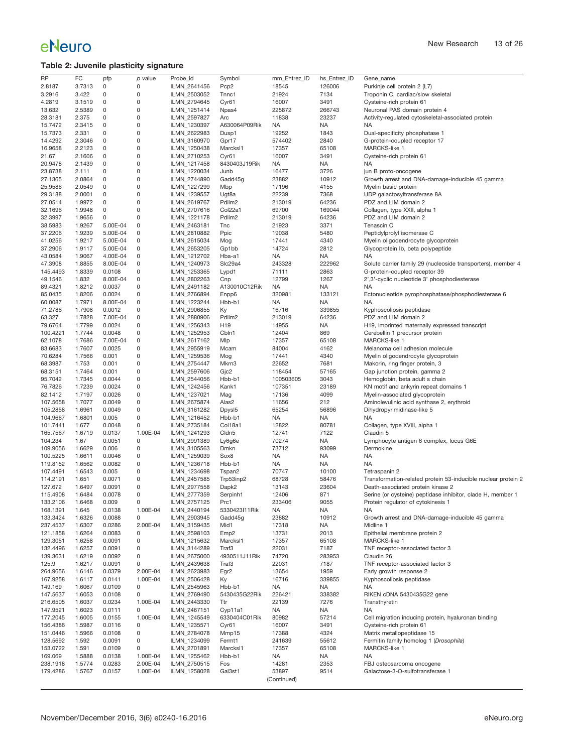## <span id="page-12-0"></span>**Table 2: Juvenile plasticity signature**

| <b>RP</b> | FC     | pfp      | $p$ value   | Probe_id     | Symbol               | mm_Entrez_ID | hs_Entrez_ID | Gene_name                                                     |
|-----------|--------|----------|-------------|--------------|----------------------|--------------|--------------|---------------------------------------------------------------|
| 2.8187    | 3.7313 | 0        | 0           | ILMN_2641456 | Pcp <sub>2</sub>     | 18545        | 126006       | Purkinje cell protein 2 (L7)                                  |
|           |        |          |             |              |                      |              |              |                                                               |
| 3.2916    | 3.422  | 0        | 0           | ILMN_2503052 | Tnnc1                | 21924        | 7134         | Troponin C, cardiac/slow skeletal                             |
| 4.2819    | 3.1519 | 0        | 0           | ILMN_2794645 | Cyr61                | 16007        | 3491         | Cysteine-rich protein 61                                      |
| 13.632    | 2.5389 | 0        | 0           | ILMN_1251414 | Npas4                | 225872       | 266743       | Neuronal PAS domain protein 4                                 |
|           |        |          |             |              |                      |              |              |                                                               |
| 28.3181   | 2.375  | 0        | $\mathsf 0$ | ILMN_2597827 | Arc                  | 11838        | 23237        | Activity-regulated cytoskeletal-associated protein            |
| 15.7472   | 2.3415 | 0        | 0           | ILMN_1230397 | A630064P09Rik        | <b>NA</b>    | NA           | NA                                                            |
| 15.7373   | 2.331  | 0        | 0           | ILMN_2622983 | Dusp1                | 19252        | 1843         | Dual-specificity phosphatase 1                                |
|           |        |          |             |              |                      |              |              |                                                               |
| 14.4292   | 2.3046 | 0        | $\mathsf 0$ | ILMN 3160970 | Gpr17                | 574402       | 2840         | G-protein-coupled receptor 17                                 |
| 16.9658   | 2.2123 | 0        | 0           | ILMN_1250438 | Marcks <sub>11</sub> | 17357        | 65108        | MARCKS-like 1                                                 |
| 21.67     | 2.1606 | 0        | 0           | ILMN_2710253 | Cyr61                | 16007        | 3491         | Cysteine-rich protein 61                                      |
|           |        |          |             |              |                      |              |              |                                                               |
| 20.9478   | 2.1439 | 0        | $\mathsf 0$ | ILMN_1217458 | 8430403J19Rik        | <b>NA</b>    | NA           | NA                                                            |
| 23.8738   | 2.111  | 0        | 0           | ILMN_1220034 | Junb                 | 16477        | 3726         | jun B proto-oncogene                                          |
| 27.1365   | 2.0864 | 0        | 0           | ILMN_2744890 | Gadd45g              | 23882        | 10912        | Growth arrest and DNA-damage-inducible 45 gamma               |
| 25.9586   | 2.0549 | 0        | $\mathsf 0$ | ILMN_1227299 | Mbp                  | 17196        | 4155         | Myelin basic protein                                          |
|           |        |          |             |              |                      |              |              |                                                               |
| 29.3188   | 2.0001 | 0        | 0           | ILMN_1239557 | Ugt8a                | 22239        | 7368         | UDP galactosyltransferase 8A                                  |
| 27.0514   | 1.9972 | 0        | $\mathsf 0$ | ILMN 2619767 | Pdlim <sub>2</sub>   | 213019       | 64236        | PDZ and LIM domain 2                                          |
| 32.1696   | 1.9948 | 0        | 0           | ILMN_2707616 | Col22a1              | 69700        | 169044       | Collagen, type XXII, alpha 1                                  |
|           |        |          |             |              |                      |              |              |                                                               |
| 32.3997   | 1.9656 | 0        | 0           | ILMN_1221178 | Pdlim <sub>2</sub>   | 213019       | 64236        | PDZ and LIM domain 2                                          |
| 38.5983   | 1.9267 | 5.00E-04 | 0           | ILMN_2463181 | Tnc                  | 21923        | 3371         | Tenascin C                                                    |
| 37.2206   | 1.9239 | 5.00E-04 | 0           | ILMN_2810882 | Ppic                 | 19038        | 5480         | Peptidylprolyl isomerase C                                    |
|           |        |          |             |              |                      |              |              |                                                               |
| 41.0256   | 1.9217 | 5.00E-04 | 0           | ILMN_2615034 | Mog                  | 17441        | 4340         | Myelin oligodendrocyte glycoprotein                           |
| 37.2906   | 1.9117 | 5.00E-04 | $\mathsf 0$ | ILMN_2653205 | Gp1bb                | 14724        | 2812         | Glycoprotein lb, beta polypeptide                             |
| 43.0584   | 1.9067 | 4.00E-04 | 0           | ILMN_1212702 | Hba-a1               | <b>NA</b>    | NA           | NA                                                            |
|           |        |          |             |              |                      |              |              |                                                               |
| 47.3908   | 1.8855 | 8.00E-04 | 0           | ILMN_1240973 | Slc29a4              | 243328       | 222962       | Solute carrier family 29 (nucleoside transporters), member 4  |
| 145.4493  | 1.8339 | 0.0108   | $\mathsf 0$ | ILMN 1253365 | Lypd1                | 71111        | 2863         | G-protein-coupled receptor 39                                 |
| 49.1546   | 1.832  | 8.00E-04 | 0           | ILMN_2802263 | Cnp                  | 12799        | 1267         | 2',3'-cyclic nucleotide 3' phosphodiesterase                  |
|           |        |          |             |              |                      |              |              |                                                               |
| 89.4321   | 1.8212 | 0.0037   | 0           | ILMN 2491182 | A130010C12Rik        | <b>NA</b>    | NA           | NA                                                            |
| 85.0435   | 1.8206 | 0.0024   | $\mathsf 0$ | ILMN_2766894 | Enpp6                | 320981       | 133121       | Ectonucleotide pyrophosphatase/phosphodiesterase 6            |
| 60.0087   | 1.7971 | 8.00E-04 | 0           | ILMN_1223244 | Hbb-b1               | <b>NA</b>    | NA           | NA                                                            |
|           |        |          |             |              |                      |              |              |                                                               |
| 71.2786   | 1.7908 | 0.0012   | 0           | ILMN_2906855 | Кy                   | 16716        | 339855       | Kyphoscoliosis peptidase                                      |
| 63.327    | 1.7828 | 7.00E-04 | $\mathsf 0$ | ILMN_2880906 | Pdlim <sub>2</sub>   | 213019       | 64236        | PDZ and LIM domain 2                                          |
| 79.6764   | 1.7799 | 0.0024   | 0           | ILMN_1256343 | H19                  | 14955        | NA           | H19, imprinted maternally expressed transcript                |
|           |        |          |             |              |                      |              |              |                                                               |
| 100.4221  | 1.7744 | 0.0048   | 0           | ILMN_1252953 | Cbln1                | 12404        | 869          | Cerebellin 1 precursor protein                                |
| 62.1078   | 1.7686 | 7.00E-04 | $\mathsf 0$ | ILMN_2617162 | Mlp                  | 17357        | 65108        | <b>MARCKS-like 1</b>                                          |
| 83.6683   | 1.7607 | 0.0025   | 0           | ILMN_2955919 | Mcam                 | 84004        | 4162         | Melanoma cell adhesion molecule                               |
|           |        |          | 0           |              |                      |              |              |                                                               |
| 70.6284   | 1.7566 | 0.001    |             | ILMN_1259536 | Mog                  | 17441        | 4340         | Myelin oligodendrocyte glycoprotein                           |
| 68.3987   | 1.753  | 0.001    | 0           | ILMN_2754447 | Mkrn3                | 22652        | 7681         | Makorin, ring finger protein, 3                               |
| 68.3151   | 1.7464 | 0.001    | 0           | ILMN_2597606 | Gjc2                 | 118454       | 57165        | Gap junction protein, gamma 2                                 |
| 95.7042   | 1.7345 | 0.0044   | 0           | ILMN_2544056 | Hbb-b1               | 100503605    | 3043         | Hemoglobin, beta adult s chain                                |
|           |        |          |             |              |                      |              |              |                                                               |
| 76.7826   | 1.7239 | 0.0024   | $\mathsf 0$ | ILMN_1242456 | Kank1                | 107351       | 23189        | KN motif and ankyrin repeat domains 1                         |
| 82.1412   | 1.7197 | 0.0026   | 0           | ILMN_1237021 | Mag                  | 17136        | 4099         | Myelin-associated glycoprotein                                |
| 107.5658  | 1.7077 | 0.0049   | 0           | ILMN_2675874 | Alas2                | 11656        | 212          | Aminolevulinic acid synthase 2, erythroid                     |
|           |        |          |             |              |                      |              |              |                                                               |
| 105.2858  | 1.6961 | 0.0049   | $\mathsf 0$ | ILMN_3161282 | Dpysl5               | 65254        | 56896        | Dihydropyrimidinase-like 5                                    |
| 104.9667  | 1.6801 | 0.005    | 0           | ILMN_1216452 | Hbb-b1               | <b>NA</b>    | NA           | NA                                                            |
| 101.7441  | 1.677  | 0.0048   | 0           | ILMN_2735184 | Col18a1              | 12822        | 80781        | Collagen, type XVIII, alpha 1                                 |
|           |        |          |             |              |                      |              |              |                                                               |
| 165.7567  | 1.6719 | 0.0137   | 1.00E-04    | ILMN_1241293 | Cldn <sub>5</sub>    | 12741        | 7122         | Claudin 5                                                     |
| 104.234   | 1.67   | 0.0051   | 0           | ILMN_2991389 | Ly6g6e               | 70274        | NA           | Lymphocyte antigen 6 complex, locus G6E                       |
| 109.9056  | 1.6629 | 0.006    | 0           | ILMN_3105563 | Dmkn                 | 73712        | 93099        | Dermokine                                                     |
|           |        |          |             |              |                      |              |              |                                                               |
| 100.5225  | 1.6611 | 0.0046   | 0           | ILMN 1259039 | Sox8                 | <b>NA</b>    | NA           | NA                                                            |
| 119.8152  | 1.6562 | 0.0082   | 0           | ILMN_1236718 | Hbb-b1               | <b>NA</b>    | NA           | NA                                                            |
| 107.4491  | 1.6543 | 0.005    | 0           | ILMN_1234698 | Tspan2               | 70747        | 10100        | Tetraspanin 2                                                 |
|           |        |          |             |              |                      |              |              | Transformation-related protein 53-inducible nuclear protein 2 |
| 114.2191  | 1.651  | 0.0071   | 0           | ILMN_2457585 | Trp53inp2            | 68728        | 58476        |                                                               |
| 127.672   | 1.6497 | 0.0091   | 0           | ILMN_2977558 | Dapk2                | 13143        | 23604        | Death-associated protein kinase 2                             |
| 115.4908  | 1.6484 | 0.0078   | 0           | ILMN_2777359 | Serpinh1             | 12406        | 871          | Serine (or cysteine) peptidase inhibitor, clade H, member 1   |
| 133.2106  | 1.6468 | 0.009    | 0           | ILMN_2757125 | Prc1                 | 233406       | 9055         | Protein regulator of cytokinesis 1                            |
|           |        |          |             |              |                      |              |              |                                                               |
| 168.1391  | 1.645  | 0.0138   | 1.00E-04    | ILMN_2440194 | 5330423I11Rik        | NA           | NA           | NA.                                                           |
| 133.3424  | 1.6326 | 0.0088   | 0           | ILMN_2903945 | Gadd45g              | 23882        | 10912        | Growth arrest and DNA-damage-inducible 45 gamma               |
| 237.4537  | 1.6307 | 0.0286   | 2.00E-04    | ILMN_3159435 | Mid1                 | 17318        | NA           | Midline 1                                                     |
|           |        |          |             | ILMN 2598103 |                      |              |              | Epithelial membrane protein 2                                 |
| 121.1858  | 1.6264 | 0.0083   | 0           |              | Emp <sub>2</sub>     | 13731        | 2013         |                                                               |
| 129.3051  | 1.6258 | 0.0091   | 0           | ILMN_1215632 | Marcksl1             | 17357        | 65108        | MARCKS-like 1                                                 |
| 132.4496  | 1.6257 | 0.0091   | 0           | ILMN_3144289 | Traf3                | 22031        | 7187         | TNF receptor-associated factor 3                              |
| 139.3631  | 1.6219 | 0.0092   | 0           | ILMN 2675000 | 4930511J11Rik        | 74720        | 283953       | Claudin 26                                                    |
|           |        |          |             |              |                      |              |              |                                                               |
| 125.9     | 1.6217 | 0.0091   | 0           | ILMN_2439638 | Traf3                | 22031        | 7187         | TNF receptor-associated factor 3                              |
| 264.9656  | 1.6146 | 0.0379   | 2.00E-04    | ILMN_2623983 | Egr <sub>2</sub>     | 13654        | 1959         | Early growth response 2                                       |
| 167.9258  | 1.6117 | 0.0141   | 1.00E-04    | ILMN_2506428 | Ky                   | 16716        | 339855       | Kyphoscoliosis peptidase                                      |
|           |        |          |             |              |                      |              |              |                                                               |
| 149.169   | 1.6067 | 0.0109   | 0           | ILMN_2545963 | Hbb-b1               | <b>NA</b>    | NA           | NA                                                            |
| 147.5637  | 1.6053 | 0.0108   | 0           | ILMN_2769490 | 5430435G22Rik        | 226421       | 338382       | RIKEN cDNA 5430435G22 gene                                    |
| 216.6505  | 1.6037 | 0.0234   | 1.00E-04    | ILMN_2443330 | Ttr                  | 22139        | 7276         | Transthyretin                                                 |
|           |        |          |             |              |                      |              |              |                                                               |
| 147.9521  | 1.6023 | 0.0111   | 0           | ILMN_2467151 | Cyp11a1              | <b>NA</b>    | NA           | NA                                                            |
| 177.2045  | 1.6005 | 0.0155   | 1.00E-04    | ILMN 1245549 | 6330404C01Rik        | 80982        | 57214        | Cell migration inducing protein, hyaluronan binding           |
| 156.4386  | 1.5987 | 0.0116   | 0           | ILMN_1235571 | Cyr61                | 16007        | 3491         | Cysteine-rich protein 61                                      |
|           | 1.5966 | 0.0108   | 0           |              |                      | 17388        | 4324         | Matrix metallopeptidase 15                                    |
| 151.0446  |        |          |             | ILMN_2784078 | Mmp15                |              |              |                                                               |
| 128.5692  | 1.592  | 0.0091   | 0           | ILMN_1234099 | Fermt1               | 241639       | 55612        | Fermitin family homolog 1 (Drosophila)                        |
| 153.0722  | 1.591  | 0.0109   | 0           | ILMN_2701891 | Marcks <sub>11</sub> | 17357        | 65108        | MARCKS-like 1                                                 |
| 169.069   | 1.5888 | 0.0138   | 1.00E-04    | ILMN_1255462 | Hbb-b1               | <b>NA</b>    | NA           | NA                                                            |
|           |        |          |             |              |                      |              |              |                                                               |
| 238.1918  | 1.5774 | 0.0283   | 2.00E-04    | ILMN_2750515 | Fos                  | 14281        | 2353         | FBJ osteosarcoma oncogene                                     |
| 179.4286  | 1.5767 | 0.0157   | 1.00E-04    | ILMN_1258028 | Gal3st1              | 53897        | 9514         | Galactose-3-O-sulfotransferase 1                              |
|           |        |          |             |              |                      | (Continued)  |              |                                                               |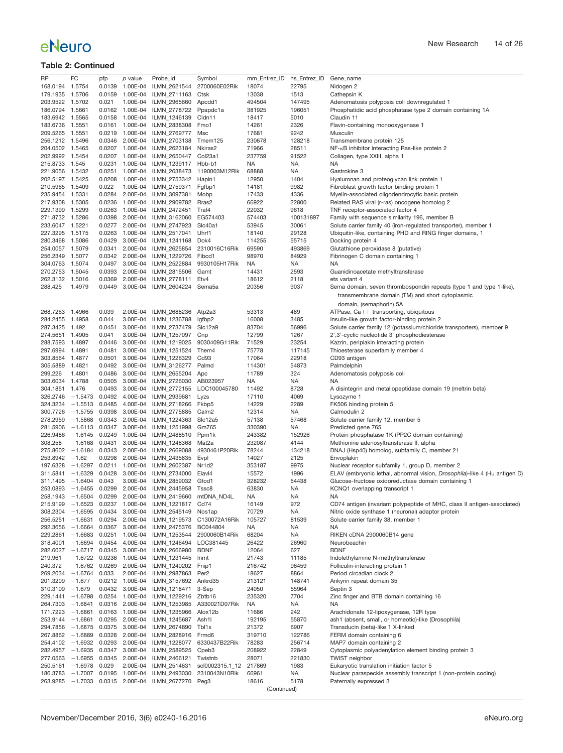| <b>RP</b>       | FC               | pfp    | p value                   | Probe_id     | Symbol             | mm_Entrez_ID | hs_Entrez_ID | Gene_name                                                                  |
|-----------------|------------------|--------|---------------------------|--------------|--------------------|--------------|--------------|----------------------------------------------------------------------------|
| 168.0194        | 1.5754           | 0.0139 | 1.00E-04                  | ILMN_2621544 | 2700060E02Rik      | 18074        | 22795        | Nidogen 2                                                                  |
| 179.1935        | 1.5706           | 0.0159 | 1.00E-04                  | ILMN_2711163 | Ctsk               | 13038        | 1513         | Cathepsin K                                                                |
| 203.9522        | 1.5702           | 0.021  | 1.00E-04                  | ILMN_2965660 | Apcdd1             | 494504       | 147495       | Adenomatosis polyposis coli downregulated 1                                |
| 186.0794        | 1.5661           | 0.0162 | 1.00E-04                  | ILMN_2778722 | Ppapdc1a           | 381925       | 196051       | Phosphatidic acid phosphatase type 2 domain containing 1A                  |
| 183.6942        | 1.5565           | 0.0158 | 1.00E-04                  | ILMN_1246139 | Cldn11             | 18417        | 5010         | Claudin 11                                                                 |
| 183.6736        | 1.5551           |        | 0.0161 1.00E-04           | ILMN_2838308 | Fmo1               | 14261        | 2326         | Flavin-containing monooxygenase 1                                          |
|                 |                  |        |                           |              |                    |              |              |                                                                            |
| 209.5265        | 1.5551           | 0.0219 | 1.00E-04                  | ILMN_2769777 | Msc                | 17681        | 9242         | Musculin                                                                   |
| 256.1212        | 1.5496           | 0.0346 | 2.00E-04                  | ILMN_2703138 | Tmem125            | 230678       | 128218       | Transmembrane protein 125                                                  |
| 204.0502        | 1.5465           |        | 0.0207 1.00E-04           | ILMN_2623184 | Nkiras2            | 71966        | 28511        | NF- <sub>K</sub> B inhibitor interacting Ras-like protein 2                |
| 202.9992        | 1.5454           |        | 0.0207 1.00E-04           | ILMN_2650447 | Col23a1            | 237759       | 91522        | Collagen, type XXIII, alpha 1                                              |
| 215.8733        | 1.545            | 0.0231 | 1.00E-04                  | ILMN_1239117 | Hbb-b1             | <b>NA</b>    | NA           | NA                                                                         |
| 221.9056        | 1.5432           |        | 0.0251 1.00E-04           | ILMN_2638473 | 1190003M12Rik      | 68888        | NA           | Gastrokine 3                                                               |
|                 |                  |        |                           |              |                    |              |              |                                                                            |
| 202.5197        | 1.5425           | 0.0208 | 1.00E-04                  | ILMN_2753342 | Hapln1             | 12950        | 1404         | Hyaluronan and proteoglycan link protein 1                                 |
| 210.5965        | 1.5409           | 0.022  | 1.00E-04                  | ILMN_2759371 | Fgfbp1             | 14181        | 9982         | Fibroblast growth factor binding protein 1                                 |
| 235.9454        | 1.5331           |        | 0.0284 2.00E-04           | ILMN_3097381 | Mobp               | 17433        | 4336         | Myelin-associated oligodendrocytic basic protein                           |
| 217.9308        | 1.5305           | 0.0236 | 1.00E-04                  | ILMN_2909782 | Rras2              | 66922        | 22800        | Related RAS viral (r-ras) oncogene homolog 2                               |
| 229.1399        | 1.5299           | 0.0263 | 1.00E-04                  | ILMN 2472451 | Traf4              | 22032        | 9618         | TNF receptor-associated factor 4                                           |
| 271.8732        | 1.5286           |        | 0.0398 2.00E-04           | ILMN_3162060 | EG574403           | 574403       | 100131897    | Family with sequence similarity 196, member B                              |
| 233.6047 1.5221 |                  |        | 0.0277 2.00E-04           | ILMN_2747923 | Slc40a1            | 53945        | 30061        | Solute carrier family 40 (iron-regulated transporter), member 1            |
|                 |                  |        |                           |              |                    |              |              |                                                                            |
| 227.3295        | 1.5175           | 0.0263 | 1.00E-04                  | ILMN_2517041 | Uhrf1              | 18140        | 29128        | Ubiquitin-like, containing PHD and RING finger domains, 1                  |
| 280.3468        | 1.5086           | 0.0429 | 3.00E-04                  | ILMN_1241168 | Dok4               | 114255       | 55715        | Docking protein 4                                                          |
| 254.0057 1.5079 |                  |        | 0.0341 2.00E-04           | ILMN_2625854 | 2310016C16Rik      | 69590        | 493869       | Glutathione peroxidase 8 (putative)                                        |
| 256.2349        | 1.5077           | 0.0342 | 2.00E-04                  | ILMN_1229726 | Fibcd1             | 98970        | 84929        | Fibrinogen C domain containing 1                                           |
| 304.0763 1.5074 |                  |        | 0.0497 3.00E-04           | ILMN_2522884 | 9930105H17Rik      | NA           | NA           | NA                                                                         |
| 270.2753        | 1.5045           |        | 0.0393 2.00E-04           | ILMN_2815506 | Gamt               | 14431        | 2593         | Guanidinoacetate methyltransferase                                         |
|                 |                  | 0.0369 |                           |              |                    |              | 2118         |                                                                            |
| 262.3132        | 1.5016           |        | 2.00E-04                  | ILMN_2778111 | Etv4               | 18612        |              | ets variant 4                                                              |
| 288.425         | 1.4979           | 0.0449 | 3.00E-04                  | ILMN 2604224 | Sema <sub>5a</sub> | 20356        | 9037         | Sema domain, seven thrombospondin repeats (type 1 and type 1-like),        |
|                 |                  |        |                           |              |                    |              |              | transmembrane domain (TM) and short cytoplasmic                            |
|                 |                  |        |                           |              |                    |              |              | domain, (semaphorin) 5A                                                    |
| 268.7263        | 1.4966           | 0.039  | 2.00E-04                  | ILMN_2688236 | Atp2a3             | 53313        | 489          | ATPase, $Ca++$ transporting, ubiquitous                                    |
|                 |                  |        |                           |              |                    |              |              |                                                                            |
| 284.2455        | 1.4958           | 0.044  | 3.00E-04                  | ILMN_1236788 | lgfbp2             | 16008        | 3485         | Insulin-like growth factor-binding protein 2                               |
| 287.3425        | 1.492            | 0.0451 | 3.00E-04                  | ILMN_2737479 | Slc12a9            | 83704        | 56996        | Solute carrier family 12 (potassium/chloride transporters), member 9       |
| 274.5651        | 1.4905           | 0.041  | 3.00E-04                  | ILMN_1257097 | Cnp                | 12799        | 1267         | 2',3'-cyclic nucleotide 3' phosphodiesterase                               |
| 288.7593        | 1.4897           | 0.0446 | 3.00E-04                  | ILMN_1219025 | 9030409G11Rik      | 71529        | 23254        | Kazrin, periplakin interacting protein                                     |
| 297.6994        | 1.4891           | 0.0481 | 3.00E-04                  | ILMN_1251524 | Them4              | 75778        | 117145       | Thioesterase superfamily member 4                                          |
| 303.8564        | 1.4877           | 0.0501 | 3.00E-04                  | ILMN_1226329 | Cd93               | 17064        | 22918        | CD93 antigen                                                               |
| 305.5889        | 1.4821           | 0.0492 | 3.00E-04                  | ILMN_3126277 | Palmd              | 114301       | 54873        |                                                                            |
|                 |                  |        |                           |              |                    |              |              | Palmdelphin                                                                |
| 299.226         | 1.4801           | 0.0486 | 3.00E-04                  | ILMN_2655204 | Apc                | 11789        | 324          | Adenomatosis polyposis coli                                                |
| 303.6034        | 1.4788           | 0.0505 | 3.00E-04                  | ILMN_2726030 | AB023957           | <b>NA</b>    | NA           | NA                                                                         |
| 304.1851        | 1.476            | 0.0493 | 3.00E-04                  | ILMN_2772155 | LOC100045780       | 11492        | 8728         | A disintegrin and metallopeptidase domain 19 (meltrin beta)                |
| 326.2746        | $-1.5473$        | 0.0492 | 4.00E-04                  | ILMN_2939681 | Lyzs               | 17110        | 4069         | Lysozyme 1                                                                 |
| 324.3234        | $-1.5513$        | 0.0485 | 4.00E-04                  | ILMN_2718266 | Fkbp5              | 14229        | 2289         | FK506 binding protein 5                                                    |
| 300.7726        | $-1.5755$        | 0.0398 | 3.00E-04                  | ILMN_2775885 | Calm <sub>2</sub>  | 12314        | NA           | Calmodulin 2                                                               |
| 278.2959        |                  |        | $-1.5868$ 0.0343 2.00E-04 | ILMN_1224363 | SIc12a5            | 57138        | 57468        | Solute carrier family 12, member 5                                         |
|                 |                  |        |                           |              |                    |              |              |                                                                            |
| 281.5906        |                  |        | $-1.6113$ 0.0347 3.00E-04 | ILMN_1251998 | Gm765              | 330390       | NA           | Predicted gene 765                                                         |
| 226.9486        | $-1.6145$ 0.0249 |        | 1.00E-04                  | ILMN_2488510 | Ppm1k              | 243382       | 152926       | Protein phosphatase 1K (PP2C domain containing)                            |
| 308.258         | $-1.6168$ 0.0431 |        | 3.00E-04                  | ILMN_1248368 | Mat2a              | 232087       | 4144         | Methionine adenosyltransferase II, alpha                                   |
| 275.8602        | $-1.6184$        | 0.0343 | 2.00E-04                  | ILMN_2669088 | 4930461P20Rik      | 78244        | 134218       | DNAJ (Hsp40) homolog, subfamily C, member 21                               |
| 253.8942        | $-1.62$          | 0.0298 | 2.00E-04                  | ILMN_2435835 | Evpl               | 14027        | 2125         | Envoplakin                                                                 |
| 197.6328        | $-1.6297$ 0.0211 |        | 1.00E-04                  | ILMN_2602387 | Nr1d2              | 353187       | 9975         | Nuclear receptor subfamily 1, group D, member 2                            |
|                 | $-1.6329$ 0.0428 |        |                           |              | Elavl4             |              |              |                                                                            |
| 311.5841        |                  |        | 3.00E-04                  | ILMN_2734000 |                    | 15572        | 1996         | ELAV (embryonic lethal, abnormal vision, Drosophila)-like 4 (Hu antigen D) |
| 311.1495        | $-1.6404$ 0.043  |        | 3.00E-04                  | ILMN_2859032 | Gfod1              | 328232       | 54438        | Glucose-fructose oxidoreductase domain containing 1                        |
| 253.0893        | $-1.6455$ 0.0299 |        | 2.00E-04                  | ILMN 2445958 | Tssc8              | 63830        | NA           | KCNQ1 overlapping transcript 1                                             |
| 258.1943        | $-1.6504$        | 0.0299 | 2.00E-04                  | ILMN_2419660 | mtDNA_ND4L         | <b>NA</b>    | NA           | <b>NA</b>                                                                  |
| 215.9199        | $-1.6523$        | 0.0237 | 1.00E-04                  | ILMN_1221817 | Cd/4               | 16149        | 972          | CD74 antigen (invariant polypeptide of MHC, class II antigen-associated)   |
| 308.2304        | $-1.6595$        |        | 0.0434 3.00E-04           | ILMN_2545149 | Nos1ap             | 70729        | NA           | Nitric oxide synthase 1 (neuronal) adaptor protein                         |
| 256.5251        | $-1.6631$        | 0.0294 | 2.00E-04                  | ILMN_1219573 | C130072A16Rik      | 105727       | 81539        | Solute carrier family 38, member 1                                         |
|                 |                  | 0.0367 | 3.00E-04                  |              |                    |              |              |                                                                            |
| 292.3656        | $-1.6664$        |        |                           | ILMN_2475376 | BC044804           | NA           | NA           | NA                                                                         |
| 229.2861        | $-1.6683$        | 0.0251 | 1.00E-04                  | ILMN_1253544 | 2900060B14Rik      | 68204        | NA           | RIKEN cDNA 2900060B14 gene                                                 |
| 318.4001        | $-1.6694$        | 0.0454 | 4.00E-04                  | ILMN 1246494 | LOC381445          | 26422        | 26960        | Neurobeachin                                                               |
| 282.6027        | $-1.6717$        | 0.0345 | 3.00E-04                  | ILMN 2666980 | <b>BDNF</b>        | 12064        | 627          | <b>BDNF</b>                                                                |
| 219.961         | $-1.6722$ 0.0236 |        | 1.00E-04                  | ILMN_1231445 | Inmt               | 21743        | 11185        | Indolethylamine N-methyltransferase                                        |
| 240.372         | $-1.6762$        | 0.0269 | 2.00E-04                  | ILMN_1240202 | Fnip1              | 216742       | 96459        | Folliculin-interacting protein 1                                           |
| 269.2034        | $-1.6764$        | 0.033  | 2.00E-04                  | ILMN_2987863 | Per <sub>2</sub>   | 18627        | 8864         | Period circadian clock 2                                                   |
| 201.3209        | $-1.677$         |        | 0.0212 1.00E-04           | ILMN 3157692 | Ankrd35            | 213121       | 148741       | Ankyrin repeat domain 35                                                   |
|                 |                  |        |                           |              |                    |              |              |                                                                            |
| 310.3109        | $-1.679$         | 0.0432 | 3.00E-04                  | ILMN_1218471 | 3-Sep              | 24050        | 55964        | Septin 3                                                                   |
| 229.1441        | $-1.6798$ 0.0254 |        | 1.00E-04                  | ILMN_1229216 | Zbtb16             | 235320       | 7704         | Zinc finger and BTB domain containing 16                                   |
| 264.7303        | $-1.6841$        |        | 0.0316 2.00E-04           | ILMN_1253985 | A330021D07Rik      | NA           | NA           | NA                                                                         |
| 171.7223        | $-1.6861$        | 0.0163 | 1.00E-04                  | ILMN_1235966 | Alox12b            | 11686        | 242          | Arachidonate 12-lipoxygenase, 12R type                                     |
| 253.9144        | $-1.6861$        | 0.0295 | 2.00E-04                  | ILMN_1245687 | Ash11              | 192195       | 55870        | ash1 (absent, small, or homeotic)-like (Drosophila)                        |
| 294.7856        | $-1.6875$ 0.0375 |        | 3.00E-04                  | ILMN_2674890 | Tbl1x              | 21372        | 6907         | Transducin (beta)-like 1 X-linked                                          |
| 267.8862        | $-1.6889$        | 0.0328 | 2.00E-04                  | ILMN_2828916 | Frmd6              | 319710       | 122786       | FERM domain containing 6                                                   |
|                 |                  |        |                           |              |                    |              |              |                                                                            |
| 254.4102        | $-1.6932$        | 0.0293 | 2.00E-04                  | ILMN_1228077 | 6330437B22Rik      | 78283        | 256714       | MAP7 domain containing 2                                                   |
| 282.4957        | $-1.6935$        |        | 0.0347 3.00E-04           | ILMN_2589525 | Cpeb <sub>3</sub>  | 208922       | 22849        | Cytoplasmic polyadenylation element binding protein 3                      |
| 277.0563        | $-1.6955$ 0.0345 |        | 2.00E-04                  | ILMN_2466121 | Twistnb            | 28071        | 221830       | <b>TWIST neighbor</b>                                                      |
| 250.5161        | $-1.6978$        | 0.029  | 2.00E-04                  | ILMN_2514631 | scl0002315.1_12    | 217869       | 1983         | Eukaryotic translation initiation factor 5                                 |
| 186.3783        | $-1.7007$        | 0.0195 | 1.00E-04                  | ILMN_2493030 | 2310043N10Rik      | 66961        | NA           | Nuclear paraspeckle assembly transcript 1 (non-protein coding)             |
| 263.9285        |                  |        | $-1.7033$ 0.0315 2.00E-04 | ILMN_2677270 | Peg3               | 18616        | 5178         | Paternally expressed 3                                                     |
|                 |                  |        |                           |              |                    | (Continued)  |              |                                                                            |
|                 |                  |        |                           |              |                    |              |              |                                                                            |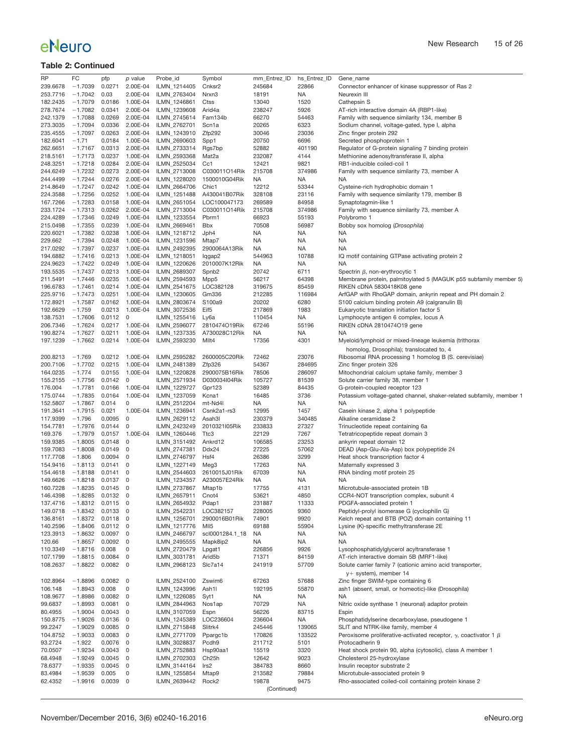| <b>RP</b> | FC               | pfp    | p value         | Probe_id     | Symbol              | mm Entrez ID | hs_Entrez_ID | Gene_name                                                                     |
|-----------|------------------|--------|-----------------|--------------|---------------------|--------------|--------------|-------------------------------------------------------------------------------|
| 239.6678  | $-1.7039$        | 0.0271 | 2.00E-04        | ILMN_1214405 | Cnksr2              | 245684       | 22866        | Connector enhancer of kinase suppressor of Ras 2                              |
| 253.7716  | $-1.7042$        | 0.03   | 2.00E-04        | ILMN_2763404 | Nrxn3               | 18191        | <b>NA</b>    | Neurexin III                                                                  |
| 182.2435  | $-1.7079$        |        | 0.0186 1.00E-04 | ILMN_1246861 | Ctss                | 13040        | 1520         | Cathepsin S                                                                   |
| 278.7674  | $-1.7082$        | 0.0341 | 2.00E-04        | ILMN_1239608 | Arid4a              | 238247       | 5926         | AT-rich interactive domain 4A (RBP1-like)                                     |
| 242.1379  | $-1.7088$        | 0.0269 | 2.00E-04        | ILMN_2745614 | Fam134b             | 66270        | 54463        | Family with sequence similarity 134, member B                                 |
| 273.3035  | $-1.7094$        |        | 0.0336 2.00E-04 | ILMN_2762701 | Scn1a               | 20265        | 6323         | Sodium channel, voltage-gated, type I, alpha                                  |
| 235.4555  | $-1.7097$        | 0.0263 | 2.00E-04        | ILMN_1243910 | Zfp292              | 30046        | 23036        | Zinc finger protein 292                                                       |
|           |                  |        | 0.0184 1.00E-04 |              |                     |              |              | Secreted phosphoprotein 1                                                     |
| 182.6041  | $-1.71$          |        |                 | ILMN_2690603 | Spp1                | 20750        | 6696         |                                                                               |
| 262.6651  | $-1.7167$        |        | 0.0313 2.00E-04 | ILMN_2733314 | Rgs7bp              | 52882        | 401190       | Regulator of G-protein signaling 7 binding protein                            |
| 218.5161  | $-1.7173$        |        | 0.0237 1.00E-04 | ILMN_2593368 | Mat2a               | 232087       | 4144         | Methionine adenosyltransferase II, alpha                                      |
| 248.3251  | $-1.7218$        | 0.0284 | 2.00E-04        | ILMN_2525034 | Cc1                 | 12421        | 9821         | RB1-inducible coiled-coil 1                                                   |
| 244.6249  | $-1.7232$        |        | 0.0273 2.00E-04 | ILMN_2713008 | C030011O14Rik       | 215708       | 374986       | Family with sequence similarity 73, member A                                  |
| 244.4499  | $-1.7244$        |        | 0.0276 2.00E-04 | ILMN_1228020 | 1500010G04Rik       | <b>NA</b>    | NA           | NA                                                                            |
| 214.8649  | $-1.7247$        |        | 0.0242 1.00E-04 | ILMN_2664706 | Chic1               | 12212        | 53344        | Cysteine-rich hydrophobic domain 1                                            |
| 224.3588  | $-1.7256$        |        | 0.0252 1.00E-04 | ILMN_1251488 | A430041B07Rik       | 328108       | 23116        | Family with sequence similarity 179, member B                                 |
| 167.7266  | $-1.7283$        |        | 0.0158 1.00E-04 | ILMN_2651054 | LOC100047173        | 269589       | 84958        | Synaptotagmin-like 1                                                          |
| 233.1724  | $-1.7313$        | 0.0262 | 2.00E-04        | ILMN_2713004 | C030011O14Rik       | 215708       | 374986       | Family with sequence similarity 73, member A                                  |
| 224.4289  | $-1.7346$        |        | 0.0249 1.00E-04 | ILMN_1233554 | Pbrm1               | 66923        | 55193        | Polybromo 1                                                                   |
| 215.0498  | $-1.7355$        | 0.0239 | 1.00E-04        | ILMN_2669461 | Bbx                 | 70508        | 56987        |                                                                               |
|           |                  |        |                 |              |                     |              |              | Bobby sox homolog (Drosophila)                                                |
| 220.6021  | $-1.7382$        |        | 0.0238 1.00E-04 | ILMN_1218712 | Jph4                | <b>NA</b>    | <b>NA</b>    | <b>NA</b>                                                                     |
| 229.662   | $-1.7394$        |        | 0.0248 1.00E-04 | ILMN_1231596 | Mtap7               | <b>NA</b>    | NA           | <b>NA</b>                                                                     |
| 217.0292  | $-1.7397$        |        | 0.0237 1.00E-04 | ILMN_2492395 | 2900064A13Rik       | NA           | NA           | <b>NA</b>                                                                     |
| 194.6882  | $-1.7416$        |        | 0.0213 1.00E-04 | ILMN_1218051 | lqgap2              | 544963       | 10788        | IQ motif containing GTPase activating protein 2                               |
| 224.9623  | $-1.7422$        |        | 0.0249 1.00E-04 | ILMN_1220626 | 2010007K12Rik       | <b>NA</b>    | NA           | <b>NA</b>                                                                     |
| 193.5535  | $-1.7437$        |        | 0.0213 1.00E-04 | ILMN_2689307 | Spnb <sub>2</sub>   | 20742        | 6711         | Spectrin $\beta$ , non-erythrocytic 1                                         |
| 211.5491  | $-1.7446$        |        | 0.0235 1.00E-04 | ILMN_2594593 | Mpp5                | 56217        | 64398        | Membrane protein, palmitoylated 5 (MAGUK p55 subfamily member 5)              |
| 196.6783  | $-1.7461$        |        | 0.0214 1.00E-04 | ILMN_2541675 | LOC382128           | 319675       | 85459        | RIKEN cDNA 5830418K08 gene                                                    |
| 225.9716  | $-1.7473$        |        | 0.0251 1.00E-04 | ILMN_1230605 | Gm336               | 212285       | 116984       | ArfGAP with RhoGAP domain, ankyrin repeat and PH domain 2                     |
| 172.8921  | $-1.7587$        |        | 0.0162 1.00E-04 | ILMN_2803674 | S100a9              | 20202        | 6280         | S100 calcium binding protein A9 (calgranulin B)                               |
| 192.6629  | $-1.759$         |        | 0.0213 1.00E-04 | ILMN_3072536 | Eif <sub>5</sub>    | 217869       | 1983         | Eukaryotic translation initiation factor 5                                    |
|           |                  |        |                 |              |                     |              |              |                                                                               |
| 138.7531  | $-1.7606$        | 0.0112 | 0               | ILMN_1255416 | Ly6a                | 110454       | <b>NA</b>    | Lymphocyte antigen 6 complex, locus A                                         |
| 206.7346  | $-1.7624$        |        | 0.0217 1.00E-04 | ILMN_2596077 | 2810474O19Rik       | 67246        | 55196        | RIKEN cDNA 2810474O19 gene                                                    |
| 190.8274  | $-1.7627$        | 0.0211 | 1.00E-04        | ILMN_1237335 | A730028C12Rik       | <b>NA</b>    | NA           | NA                                                                            |
| 197.1239  | $-1.7662$        | 0.0214 | 1.00E-04        | ILMN 2593230 | MIIt4               | 17356        | 4301         | Myeloid/lymphoid or mixed-lineage leukemia (trithorax                         |
|           |                  |        |                 |              |                     |              |              | homolog, Drosophila); translocated to, 4                                      |
| 200.8213  | $-1.769$         | 0.0212 | 1.00E-04        | ILMN_2595282 | 2600005C20Rik       | 72462        | 23076        | Ribosomal RNA processing 1 homolog B (S. cerevisiae)                          |
| 200.7106  | $-1.7702$        | 0.0215 | 1.00E-04        | ILMN_2481389 | Zfp326              | 54367        | 284695       | Zinc finger protein 326                                                       |
| 164.0235  | $-1.774$         | 0.0155 | 1.00E-04        | ILMN_1220828 | 2900075B16Rik       | 78506        | 286097       | Mitochondrial calcium uptake family, member 3                                 |
| 155.2155  | $-1.7756$        | 0.0142 | 0               | ILMN_2571934 | D030034I04Rik       | 105727       | 81539        | Solute carrier family 38, member 1                                            |
| 176.004   | $-1.7781$        | 0.0166 | 1.00E-04        | ILMN_1229727 | Gpr123              | 52389        | 84435        | G-protein-coupled receptor 123                                                |
|           |                  |        | 1.00E-04        |              |                     |              |              |                                                                               |
| 175.0744  | $-1.7835$        | 0.0164 |                 | ILMN_1237059 | Kcna1               | 16485        | 3736         | Potassium voltage-gated channel, shaker-related subfamily, member 1           |
| 152.5807  | $-1.7867$        | 0.014  | 0               | ILMN_2512204 | mt-Nd4l             | <b>NA</b>    | <b>NA</b>    | NA                                                                            |
| 191.3641  | $-1.7915$        | 0.021  | 1.00E-04        | ILMN_1236941 | Csnk2a1-rs3         | 12995        | 1457         | Casein kinase 2, alpha 1 polypeptide                                          |
| 117.9399  | $-1.796$         | 0.0095 | $\mathbf{0}$    | ILMN_2629112 | Asah3l              | 230379       | 340485       | Alkaline ceramidase 2                                                         |
| 154.7781  | $-1.7976$        | 0.0144 | 0               | ILMN_2423249 | 2010321l05Rik       | 233833       | 27327        | Trinucleotide repeat containing 6a                                            |
| 169.376   | $-1.7979$        | 0.0157 | 1.00E-04        | ILMN_1260446 | Ttc3                | 22129        | 7267         | Tetratricopeptide repeat domain 3                                             |
| 159.9385  | $-1.8005$        | 0.0148 | 0               | ILMN_3151492 | Ankrd12             | 106585       | 23253        | ankyrin repeat domain 12                                                      |
| 159.7083  | $-1.8008$        | 0.0149 | 0               | ILMN_2747381 | Ddx24               | 27225        | 57062        | DEAD (Asp-Glu-Ala-Asp) box polypeptide 24                                     |
| 117.7708  | $-1.806$         | 0.0094 | 0               | ILMN_2746797 | Hsf4                | 26386        | 3299         | Heat shock transcription factor 4                                             |
| 154.9416  | $-1.8113$        | 0.0141 | 0               | ILMN 1227149 | Meg3                | 17263        | <b>NA</b>    | Maternally expressed 3                                                        |
| 154.4618  | $-1.8188$        | 0.0141 | 0               | ILMN_2544603 | 2610015J01Rik       | 67039        | <b>NA</b>    | RNA binding motif protein 25                                                  |
| 149.6626  | $-1.8218$        | 0.0137 | 0               | ILMN_1234357 | A230057E24Rik       | <b>NA</b>    | <b>NA</b>    | NA                                                                            |
| 160.7228  | $-1.8235$        | 0.0145 | 0               | ILMN_2737867 | Mtap1b              | 17755        | 4131         | Microtubule-associated protein 1B                                             |
| 146.4398  | $-1.8285$        | 0.0132 | 0               | ILMN_2657911 | Cnot4               | 53621        | 4850         | CCR4-NOT transcription complex, subunit 4                                     |
|           |                  |        |                 |              |                     |              |              |                                                                               |
| 137.4716  | $-1.8312$        | 0.0115 | O               | ILMN_2654932 | Pdap1               | 231887       | 11333        | PDGFA-associated protein 1                                                    |
| 149.0718  | $-1.8342$ 0.0133 |        | 0               | ILMN_2542231 | LOC382157           | 228005       | 9360         | Peptidyl-prolyl isomerase G (cyclophilin G)                                   |
| 136.8161  | $-1.8372$        | 0.0118 | 0               | ILMN_1256701 | 2900016B01Rik       | 74901        | 9920         | Kelch repeat and BTB (POZ) domain containing 11                               |
| 140.2596  | $-1.8406$        | 0.0112 | 0               | ILMN_1217776 | MII5                | 69188        | 55904        | Lysine (K)-specific methyltransferase 2E                                      |
| 123.3913  | $-1.8632$        | 0.0097 | 0               | ILMN_2466797 | scl0001284.1_18     | NA           | <b>NA</b>    | <b>NA</b>                                                                     |
| 120.66    | $-1.8657$        | 0.0092 | 0               | ILMN_2495555 | Mapk8ip2            | <b>NA</b>    | <b>NA</b>    | <b>NA</b>                                                                     |
| 110.3349  | $-1.8716$        | 0.008  | 0               | ILMN_2720479 | Lpgat1              | 226856       | 9926         | Lysophosphatidylglycerol acyltransferase 1                                    |
| 107.1799  | $-1.8815$        | 0.0084 | 0               | ILMN_3031781 | Arid <sub>5</sub> b | 71371        | 84159        | AT-rich interactive domain 5B (MRF1-like)                                     |
| 108.2637  | $-1.8822$        | 0.0082 | 0               | ILMN_2968123 | Slc7a14             | 241919       | 57709        | Solute carrier family 7 (cationic amino acid transporter,                     |
|           |                  |        |                 |              |                     |              |              | y+ system), member 14                                                         |
| 102.8964  | $-1.8896$        | 0.0082 | 0               | ILMN_2524100 | Zswim6              | 67263        | 57688        | Zinc finger SWIM-type containing 6                                            |
| 106.148   | $-1.8943$        | 0.008  | $\mathsf 0$     | ILMN_1243996 | Ash1l               | 192195       | 55870        | ash1 (absent, small, or homeotic)-like (Drosophila)                           |
| 108.9677  | $-1.8986$        | 0.0082 | 0               | ILMN 1226085 | Syt1                | NA           | <b>NA</b>    | NA                                                                            |
| 99.6837   | $-1.8993$        | 0.0081 | 0               | ILMN_2844963 | Nos1ap              | 70729        | <b>NA</b>    | Nitric oxide synthase 1 (neuronal) adaptor protein                            |
|           |                  |        |                 |              |                     |              |              |                                                                               |
| 80.4955   | $-1.9004$        | 0.0043 | 0               | ILMN_3107059 | Espn                | 56226        | 83715        | Espin                                                                         |
| 150.8775  | $-1.9026$        | 0.0136 | 0               | ILMN_1245389 | LOC236604           | 236604       | <b>NA</b>    | Phosphatidylserine decarboxylase, pseudogene 1                                |
| 99.2247   | $-1.9029$        | 0.0085 | 0               | ILMN_2715848 | Slitrk4             | 245446       | 139065       | SLIT and NTRK-like family, member 4                                           |
| 104.8752  | $-1.9033$        | 0.0083 | 0               | ILMN_2771709 | Ppargc1b            | 170826       | 133522       | Peroxisome proliferative-activated receptor, $\gamma$ , coactivator 1 $\beta$ |
| 93.2724   | $-1.922$         | 0.0076 | 0               | ILMN_3028837 | Pcdh9               | 211712       | 5101         | Protocadherin 9                                                               |
| 70.0507   | $-1.9234$        | 0.0043 | 0               | ILMN_2752883 | Hsp90aa1            | 15519        | 3320         | Heat shock protein 90, alpha (cytosolic), class A member 1                    |
| 68.4948   | $-1.9249$        | 0.0045 | 0               | ILMN_2702303 | Ch <sub>25</sub> h  | 12642        | 9023         | Cholesterol 25-hydroxylase                                                    |
| 78.6377   | $-1.9335$        | 0.0045 | 0               | ILMN_3144164 | Irs2                | 384783       | 8660         | Insulin receptor substrate 2                                                  |
| 83.4984   | $-1.9539$        | 0.005  | 0               | ILMN_1255854 | Mtap9               | 213582       | 79884        | Microtubule-associated protein 9                                              |
| 62.4352   | $-1.9916$        | 0.0039 | 0               | ILMN_2639442 | Rock <sub>2</sub>   | 19878        | 9475         | Rho-associated coiled-coil containing protein kinase 2                        |
|           |                  |        |                 |              |                     | (Continued)  |              |                                                                               |
|           |                  |        |                 |              |                     |              |              |                                                                               |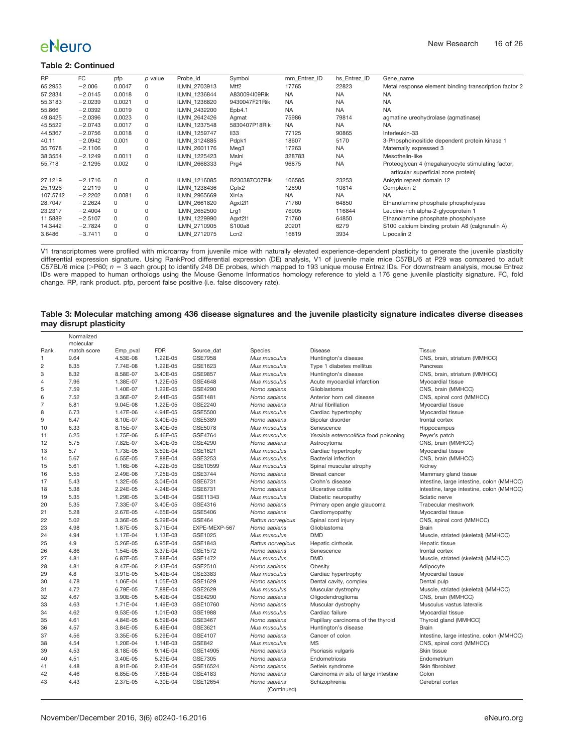#### **Table 2: Continued**

| <b>RP</b> | FC        | pfp      | p value     | Probe id     | Symbol           | mm Entrez ID | hs Entrez ID | Gene name                                                                                |
|-----------|-----------|----------|-------------|--------------|------------------|--------------|--------------|------------------------------------------------------------------------------------------|
| 65.2953   | $-2.006$  | 0.0047   | 0           | ILMN 2703913 | Mtf <sub>2</sub> | 17765        | 22823        | Metal response element binding transcription factor 2                                    |
| 57.2834   | $-2.0145$ | 0.0018   | 0           | ILMN 1236844 | A830094I09Rik    | <b>NA</b>    | <b>NA</b>    | <b>NA</b>                                                                                |
| 55.3183   | $-2.0239$ | 0.0021   | 0           | ILMN 1236820 | 9430047F21Rik    | <b>NA</b>    | <b>NA</b>    | <b>NA</b>                                                                                |
| 55.866    | $-2.0392$ | 0.0019   | 0           | ILMN 2432200 | Epb4.1           | <b>NA</b>    | <b>NA</b>    | <b>NA</b>                                                                                |
| 49.8425   | $-2.0396$ | 0.0023   | $\mathbf 0$ | ILMN 2642426 | Agmat            | 75986        | 79814        | agmatine ureohydrolase (agmatinase)                                                      |
| 45.5522   | $-2.0743$ | 0.0017   | 0           | ILMN 1237548 | 5830407P18Rik    | <b>NA</b>    | <b>NA</b>    | <b>NA</b>                                                                                |
| 44.5367   | $-2.0756$ | 0.0018   | $\mathbf 0$ | ILMN 1259747 | II <sub>33</sub> | 77125        | 90865        | Interleukin-33                                                                           |
| 40.11     | $-2.0942$ | 0.001    | 0           | ILMN 3124885 | Pdpk1            | 18607        | 5170         | 3-Phosphoinositide dependent protein kinase 1                                            |
| 35.7678   | $-2.1106$ | 0        | 0           | ILMN 2601176 | Meg3             | 17263        | <b>NA</b>    | Maternally expressed 3                                                                   |
| 38.3554   | $-2.1249$ | 0.0011   | 0           | ILMN 1225423 | Mslnl            | 328783       | <b>NA</b>    | Mesothelin-like                                                                          |
| 55.718    | $-2.1295$ | 0.002    | 0           | ILMN 2668333 | Prg4             | 96875        | <b>NA</b>    | Proteoglycan 4 (megakaryocyte stimulating factor,<br>articular superficial zone protein) |
| 27.1219   | $-2.1716$ | 0        | 0           | ILMN 1216085 | B230387C07Rik    | 106585       | 23253        | Ankyrin repeat domain 12                                                                 |
| 25.1926   | $-2.2119$ | 0        | 0           | ILMN 1238436 | Cplx2            | 12890        | 10814        | Complexin 2                                                                              |
| 107.5742  | $-2.2202$ | 0.0081   | $\Omega$    | ILMN 2965669 | XIr4a            | <b>NA</b>    | <b>NA</b>    | <b>NA</b>                                                                                |
| 28.7047   | $-2.2624$ | $\Omega$ | 0           | ILMN 2661820 | Agxt211          | 71760        | 64850        | Ethanolamine phosphate phospholyase                                                      |
| 23.2317   | $-2.4004$ | $\Omega$ | 0           | ILMN 2652500 | Lrg1             | 76905        | 116844       | Leucine-rich alpha-2-glycoprotein 1                                                      |
| 11.5889   | $-2.5107$ | 0        | 0           | ILMN 1229990 | Agxt211          | 71760        | 64850        | Ethanolamine phosphate phospholyase                                                      |
| 14.3442   | $-2.7824$ | $\Omega$ | 0           | ILMN 2710905 | S100a8           | 20201        | 6279         | S100 calcium binding protein A8 (calgranulin A)                                          |
| 3.6486    | $-3.7411$ | $\Omega$ | $\Omega$    | ILMN 2712075 | Lcn2             | 16819        | 3934         | Lipocalin 2                                                                              |

V1 transcriptomes were profiled with microarray from juvenile mice with naturally elevated experience-dependent plasticity to generate the juvenile plasticity differential expression signature. Using RankProd differential expression (DE) analysis, V1 of juvenile male mice C57BL/6 at P29 was compared to adult C57BL/6 mice (>P60; n = 3 each group) to identify 248 DE probes, which mapped to 193 unique mouse Entrez IDs. For downstream analysis, mouse Entrez<br>IDs were mapped to human orthologs using the Mouse Genome Informatics homo change. RP, rank product. pfp, percent false positive (i.e. false discovery rate).

#### <span id="page-15-0"></span>**Table 3: Molecular matching among 436 disease signatures and the juvenile plasticity signature indicates diverse diseases may disrupt plasticity**

|                | Normalized<br>molecular |          |            |               |                   |                                        |                                           |
|----------------|-------------------------|----------|------------|---------------|-------------------|----------------------------------------|-------------------------------------------|
| Rank           | match score             | Emp_pval | <b>FDR</b> | Source_dat    | Species           | <b>Disease</b>                         | Tissue                                    |
| 1              | 9.64                    | 4.53E-08 | 1.22E-05   | GSE7958       | Mus musculus      | Huntington's disease                   | CNS, brain, striatum (MMHCC)              |
| $\overline{c}$ | 8.35                    | 7.74E-08 | 1.22E-05   | GSE1623       | Mus musculus      | Type 1 diabetes mellitus               | Pancreas                                  |
| 3              | 8.32                    | 8.58E-07 | 3.40E-05   | GSE9857       | Mus musculus      | Huntington's disease                   | CNS, brain, striatum (MMHCC)              |
| $\overline{4}$ | 7.96                    | 1.38E-07 | 1.22E-05   | GSE4648       | Mus musculus      | Acute myocardial infarction            | Myocardial tissue                         |
| 5              | 7.59                    | 1.40E-07 | 1.22E-05   | GSE4290       | Homo sapiens      | Glioblastoma                           | CNS, brain (MMHCC)                        |
| 6              | 7.52                    | 3.36E-07 | 2.44E-05   | GSE1481       | Homo sapiens      | Anterior horn cell disease             | CNS, spinal cord (MMHCC)                  |
| $\overline{7}$ | 6.81                    | 9.04E-08 | 1.22E-05   | GSE2240       | Homo sapiens      | Atrial fibrillation                    | Myocardial tissue                         |
| 8              | 6.73                    | 1.47E-06 | 4.94E-05   | GSE5500       | Mus musculus      | Cardiac hypertrophy                    | Myocardial tissue                         |
| 9              | 6.47                    | 8.10E-07 | 3.40E-05   | GSE5389       | Homo sapiens      | Bipolar disorder                       | frontal cortex                            |
| 10             | 6.33                    | 8.15E-07 | 3.40E-05   | GSE5078       | Mus musculus      | Senescence                             | Hippocampus                               |
| 11             | 6.25                    | 1.75E-06 | 5.46E-05   | GSE4764       | Mus musculus      | Yersinia enterocolitica food poisoning | Peyer's patch                             |
| 12             | 5.75                    | 7.82E-07 | 3.40E-05   | GSE4290       | Homo sapiens      | Astrocytoma                            | CNS, brain (MMHCC)                        |
| 13             | 5.7                     | 1.73E-05 | 3.59E-04   | GSE1621       | Mus musculus      | Cardiac hypertrophy                    | Myocardial tissue                         |
| 14             | 5.67                    | 6.55E-05 | 7.88E-04   | GSE3253       | Mus musculus      | <b>Bacterial infection</b>             | CNS, brain (MMHCC)                        |
| 15             | 5.61                    | 1.16E-06 | 4.22E-05   | GSE10599      | Mus musculus      | Spinal muscular atrophy                | Kidney                                    |
| 16             | 5.55                    | 2.49E-06 | 7.25E-05   | GSE3744       | Homo sapiens      | Breast cancer                          | Mammary gland tissue                      |
| 17             | 5.43                    | 1.32E-05 | 3.04E-04   | GSE6731       | Homo sapiens      | Crohn's disease                        | Intestine, large intestine, colon (MMHCC) |
| 18             | 5.38                    | 2.24E-05 | 4.24E-04   | GSE6731       | Homo sapiens      | Ulcerative colitis                     | Intestine, large intestine, colon (MMHCC) |
| 19             | 5.35                    | 1.29E-05 | 3.04E-04   | GSE11343      | Mus musculus      | Diabetic neuropathy                    | Sciatic nerve                             |
| 20             | 5.35                    | 7.33E-07 | 3.40E-05   | GSE4316       | Homo sapiens      | Primary open angle glaucoma            | Trabecular meshwork                       |
| 21             | 5.28                    | 2.67E-05 | 4.65E-04   | GSE5406       | Homo sapiens      | Cardiomyopathy                         | Myocardial tissue                         |
| 22             | 5.02                    | 3.36E-05 | 5.29E-04   | <b>GSE464</b> | Rattus norvegicus | Spinal cord injury                     | CNS, spinal cord (MMHCC)                  |
| 23             | 4.98                    | 1.87E-05 | 3.71E-04   | EXPE-MEXP-567 | Homo sapiens      | Glioblastoma                           | Brain                                     |
| 24             | 4.94                    | 1.17E-04 | 1.13E-03   | GSE1025       | Mus musculus      | <b>DMD</b>                             | Muscle, striated (skeletal) (MMHCC)       |
| 25             | 4.9                     | 5.26E-05 | 6.95E-04   | GSE1843       | Rattus norvegicus | Hepatic cirrhosis                      | Hepatic tissue                            |
| 26             | 4.86                    | 1.54E-05 | 3.37E-04   | GSE1572       | Homo sapiens      | Senescence                             | frontal cortex                            |
| 27             | 4.81                    | 6.87E-05 | 7.88E-04   | GSE1472       | Mus musculus      | <b>DMD</b>                             | Muscle, striated (skeletal) (MMHCC)       |
| 28             | 4.81                    | 9.47E-06 | 2.43E-04   | GSE2510       | Homo sapiens      | Obesity                                | Adipocyte                                 |
| 29             | 4.8                     | 3.91E-05 | 5.49E-04   | GSE3383       | Mus musculus      | Cardiac hypertrophy                    | Myocardial tissue                         |
| 30             | 4.78                    | 1.06E-04 | 1.05E-03   | GSE1629       | Homo sapiens      | Dental cavity, complex                 | Dental pulp                               |
| 31             | 4.72                    | 6.79E-05 | 7.88E-04   | GSE2629       | Mus musculus      | Muscular dystrophy                     | Muscle, striated (skeletal) (MMHCC)       |
| 32             | 4.67                    | 3.90E-05 | 5.49E-04   | GSE4290       | Homo sapiens      | Oligodendroglioma                      | CNS, brain (MMHCC)                        |
| 33             | 4.63                    | 1.71E-04 | 1.49E-03   | GSE10760      | Homo sapiens      | Muscular dystrophy                     | Musculus vastus lateralis                 |
| 34             | 4.62                    | 9.53E-05 | 1.01E-03   | GSE1988       | Mus musculus      | Cardiac failure                        | Myocardial tissue                         |
| 35             | 4.61                    | 4.84E-05 | 6.59E-04   | GSE3467       | Homo sapiens      | Papillary carcinoma of the thyroid     | Thyroid gland (MMHCC)                     |
| 36             | 4.57                    | 3.84E-05 | 5.49E-04   | GSE3621       | Mus musculus      | Huntington's disease                   | <b>Brain</b>                              |
| 37             | 4.56                    | 3.35E-05 | 5.29E-04   | GSE4107       | Homo sapiens      | Cancer of colon                        | Intestine, large intestine, colon (MMHCC) |
| 38             | 4.54                    | 1.20E-04 | 1.14E-03   | GSE842        | Mus musculus      | <b>MS</b>                              | CNS, spinal cord (MMHCC)                  |
| 39             | 4.53                    | 8.18E-05 | 9.14E-04   | GSE14905      | Homo sapiens      | Psoriasis vulgaris                     | Skin tissue                               |
| 40             | 4.51                    | 3.40E-05 | 5.29E-04   | GSE7305       | Homo sapiens      | Endometriosis                          | Endometrium                               |
| 41             | 4.48                    | 8.91E-06 | 2.43E-04   | GSE16524      | Homo sapiens      | Setleis syndrome                       | Skin fibroblast                           |
| 42             | 4.46                    | 6.85E-05 | 7.88E-04   | GSE4183       | Homo sapiens      | Carcinoma in situ of large intestine   | Colon                                     |
| 43             | 4.43                    | 2.37E-05 | 4.30E-04   | GSE12654      | Homo sapiens      | Schizophrenia                          | Cerebral cortex                           |
|                |                         |          |            |               | (Continued)       |                                        |                                           |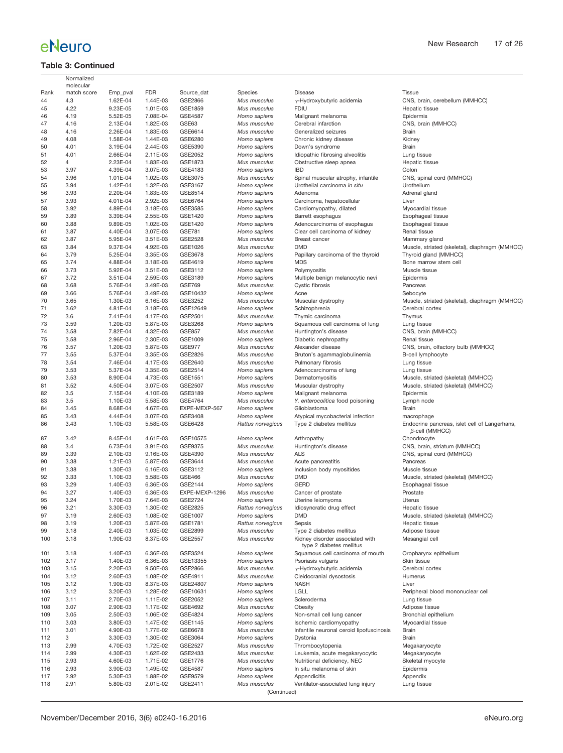### **Table 3: Continued**

|            | Normalized               |                      |                      |                    |                              |                                                                    |                                                                        |
|------------|--------------------------|----------------------|----------------------|--------------------|------------------------------|--------------------------------------------------------------------|------------------------------------------------------------------------|
| Rank       | molecular<br>match score | Emp pval             | <b>FDR</b>           | Source_dat         | Species                      | Disease                                                            | <b>Tissue</b>                                                          |
| 44         | 4.3                      | 1.62E-04             | 1.44E-03             | GSE2866            | Mus musculus                 | y-Hydroxybutyric acidemia                                          | CNS, brain, cerebellum (MMHCC)                                         |
| 45         | 4.22                     | 9.23E-05             | 1.01E-03             | GSE1859            | Mus musculus                 | <b>FDIU</b>                                                        | Hepatic tissue                                                         |
| 46         | 4.19                     | 5.52E-05             | 7.08E-04             | <b>GSE4587</b>     | Homo sapiens                 | Malignant melanoma                                                 | Epidermis                                                              |
| 47         | 4.16                     | 2.13E-04             | 1.82E-03             | GSE63              | Mus musculus                 | Cerebral infarction                                                | CNS, brain (MMHCC)                                                     |
| 48         | 4.16                     | 2.26E-04             | 1.83E-03             | GSE6614            | Mus musculus                 | Generalized seizures                                               | Brain                                                                  |
| 49         | 4.08                     | 1.58E-04             | 1.44E-03             | GSE6280            | Homo sapiens                 | Chronic kidney disease                                             | Kidney                                                                 |
| 50         | 4.01                     | 3.19E-04             | 2.44E-03             | GSE5390            | Homo sapiens                 | Down's syndrome                                                    | Brain                                                                  |
| 51         | 4.01                     | 2.66E-04             | 2.11E-03             | GSE2052            | Homo sapiens                 | Idiopathic fibrosing alveolitis                                    | Lung tissue                                                            |
| 52         | 4                        | 2.23E-04             | 1.83E-03             | GSE1873            | Mus musculus                 | Obstructive sleep apnea                                            | Hepatic tissue                                                         |
| 53         | 3.97                     | 4.39E-04             | 3.07E-03             | GSE4183            | Homo sapiens                 | <b>IBD</b>                                                         | Colon                                                                  |
| 54<br>55   | 3.96<br>3.94             | 1.01E-04<br>1.42E-04 | 1.02E-03<br>1.32E-03 | GSE3075<br>GSE3167 | Mus musculus<br>Homo sapiens | Spinal muscular atrophy, infantile<br>Urothelial carcinoma in situ | CNS, spinal cord (MMHCC)<br>Urothelium                                 |
| 56         | 3.93                     | 2.20E-04             | 1.83E-03             | GSE8514            | Homo sapiens                 | Adenoma                                                            | Adrenal gland                                                          |
| 57         | 3.93                     | 4.01E-04             | 2.92E-03             | GSE6764            | Homo sapiens                 | Carcinoma, hepatocellular                                          | Liver                                                                  |
| 58         | 3.92                     | 4.89E-04             | 3.18E-03             | GSE3585            | Homo sapiens                 | Cardiomyopathy, dilated                                            | Myocardial tissue                                                      |
| 59         | 3.89                     | 3.39E-04             | 2.55E-03             | GSE1420            | Homo sapiens                 | Barrett esophagus                                                  | Esophageal tissue                                                      |
| 60         | 3.88                     | 9.89E-05             | 1.02E-03             | GSE1420            | Homo sapiens                 | Adenocarcinoma of esophagus                                        | Esophageal tissue                                                      |
| 61         | 3.87                     | 4.40E-04             | 3.07E-03             | GSE781             | Homo sapiens                 | Clear cell carcinoma of kidney                                     | Renal tissue                                                           |
| 62         | 3.87                     | 5.95E-04             | 3.51E-03             | GSE2528            | Mus musculus                 | Breast cancer                                                      | Mammary gland                                                          |
| 63         | 3.84                     | 9.37E-04             | 4.92E-03             | GSE1026            | Mus musculus                 | DMD                                                                | Muscle, striated (skeletal), diaphragm (MMHCC)                         |
| 64         | 3.79                     | 5.25E-04             | 3.35E-03             | GSE3678            | Homo sapiens                 | Papillary carcinoma of the thyroid                                 | Thyroid gland (MMHCC)                                                  |
| 65         | 3.74                     | 4.88E-04             | 3.18E-03             | GSE4619            | Homo sapiens                 | <b>MDS</b>                                                         | Bone marrow stem cell                                                  |
| 66         | 3.73                     | 5.92E-04             | 3.51E-03             | GSE3112            | Homo sapiens                 | Polymyositis                                                       | Muscle tissue                                                          |
| 67         | 3.72                     | 3.51E-04             | 2.59E-03             | GSE3189            | Homo sapiens                 | Multiple benign melanocytic nevi                                   | Epidermis                                                              |
| 68         | 3.68                     | 5.76E-04             | 3.49E-03             | GSE769             | Mus musculus                 | Cystic fibrosis                                                    | Pancreas                                                               |
| 69         | 3.66                     | 5.76E-04             | 3.49E-03             | GSE10432           | Homo sapiens                 | Acne                                                               | Sebocyte                                                               |
| 70         | 3.65                     | 1.30E-03             | 6.16E-03             | GSE3252            | Mus musculus                 | Muscular dystrophy                                                 | Muscle, striated (skeletal), diaphragm (MMHCC)                         |
| 71         | 3.62                     | 4.81E-04             | 3.18E-03             | GSE12649           | Homo sapiens                 | Schizophrenia                                                      | Cerebral cortex                                                        |
| 72<br>73   | 3.6<br>3.59              | 7.41E-04<br>1.20E-03 | 4.17E-03<br>5.87E-03 | GSE2501<br>GSE3268 | Mus musculus<br>Homo sapiens | Thymic carcinoma                                                   | Thymus                                                                 |
| 74         | 3.58                     | 7.82E-04             | 4.32E-03             | GSE857             | Mus musculus                 | Squamous cell carcinoma of lung<br>Huntington's disease            | Lung tissue<br>CNS, brain (MMHCC)                                      |
| 75         | 3.58                     | 2.96E-04             | 2.30E-03             | GSE1009            | Homo sapiens                 | Diabetic nephropathy                                               | Renal tissue                                                           |
| 76         | 3.57                     | 1.20E-03             | 5.87E-03             | <b>GSE977</b>      | Mus musculus                 | Alexander disease                                                  | CNS, brain, olfactory bulb (MMHCC)                                     |
| 77         | 3.55                     | 5.37E-04             | 3.35E-03             | GSE2826            | Mus musculus                 | Bruton's agammaglobulinemia                                        | B-cell lymphocyte                                                      |
| 78         | 3.54                     | 7.46E-04             | 4.17E-03             | GSE2640            | Mus musculus                 | Pulmonary fibrosis                                                 | Lung tissue                                                            |
| 79         | 3.53                     | 5.37E-04             | 3.35E-03             | GSE2514            | Homo sapiens                 | Adenocarcinoma of lung                                             | Lung tissue                                                            |
| 80         | 3.53                     | 8.90E-04             | 4.73E-03             | GSE1551            | Homo sapiens                 | Dermatomyositis                                                    | Muscle, striated (skeletal) (MMHCC)                                    |
| 81         | 3.52                     | 4.50E-04             | 3.07E-03             | GSE2507            | Mus musculus                 | Muscular dystrophy                                                 | Muscle, striated (skeletal) (MMHCC)                                    |
| 82         | 3.5                      | 7.15E-04             | 4.10E-03             | GSE3189            | Homo sapiens                 | Malignant melanoma                                                 | Epidermis                                                              |
| 83         | 3.5                      | 1.10E-03             | 5.58E-03             | GSE4764            | Mus musculus                 | Y. enterocolitica food poisoning                                   | Lymph node                                                             |
| 84         | 3.45                     | 8.68E-04             | 4.67E-03             | EXPE-MEXP-567      | Homo sapiens                 | Glioblastoma                                                       | <b>Brain</b>                                                           |
| 85         | 3.43                     | 4.44E-04             | 3.07E-03             | GSE3408            | Homo sapiens                 | Atypical mycobacterial infection                                   | macrophage                                                             |
| 86         | 3.43                     | 1.10E-03             | 5.58E-03             | GSE6428            | Rattus norvegicus            | Type 2 diabetes mellitus                                           | Endocrine pancreas, islet cell of Langerhans,<br>$\beta$ -cell (MMHCC) |
| 87         | 3.42                     | 8.45E-04             | 4.61E-03             | GSE10575           | Homo sapiens                 | Arthropathy                                                        | Chondrocyte                                                            |
| 88         | 3.4                      | 6.73E-04             | 3.91E-03             | GSE9375            | Mus musculus                 | Huntington's disease                                               | CNS, brain, striatum (MMHCC)                                           |
| 89         | 3.39                     | 2.10E-03             | 9.16E-03             | GSE4390            | Mus musculus                 | <b>ALS</b>                                                         | CNS, spinal cord (MMHCC)<br>Pancreas                                   |
| 90<br>91   | 3.38<br>3.38             | 1.21E-03<br>1.30E-03 | 5.87E-03<br>6.16E-03 | GSE3644<br>GSE3112 | Mus musculus<br>Homo sapiens | Acute pancreatitis<br>Inclusion body myositides                    | Muscle tissue                                                          |
| 92         | 3.33                     | 1.10E-03             | 5.58E-03             | <b>GSE466</b>      | Mus musculus                 | <b>DMD</b>                                                         | Muscle, striated (skeletal) (MMHCC)                                    |
| 93         | 3.29                     | 1.40E-03             | 6.36E-03             | GSE2144            | Homo sapiens                 | <b>GERD</b>                                                        | Esophageal tissue                                                      |
| 94         | 3.27                     | 1.40E-03             | 6.36E-03             | EXPE-MEXP-1296     | Mus musculus                 | Cancer of prostate                                                 | Prostate                                                               |
| 95         | 3.24                     | 1.70E-03             | 7.64E-03             | GSE2724            | Homo sapiens                 | Uterine leiomyoma                                                  | Uterus                                                                 |
| 96         | 3.21                     | 3.30E-03             | 1.30E-02             | GSE2825            | Rattus norvegicus            | Idiosyncratic drug effect                                          | Hepatic tissue                                                         |
| 97         | 3.19                     | 2.60E-03             | 1.08E-02             | GSE1007            | Homo sapiens                 | DMD                                                                | Muscle, striated (skeletal) (MMHCC)                                    |
| 98         | 3.19                     | 1.20E-03             | 5.87E-03             | GSE1781            | Rattus norvegicus            | Sepsis                                                             | Hepatic tissue                                                         |
| 99         | 3.18                     | 2.40E-03             | 1.03E-02             | GSE2899            | Mus musculus                 | Type 2 diabetes mellitus                                           | Adipose tissue                                                         |
| 100        | 3.18                     | 1.90E-03             | 8.37E-03             | GSE2557            | Mus musculus                 | Kidney disorder associated with<br>type 2 diabetes mellitus        | Mesangial cell                                                         |
| 101        | 3.18                     | 1.40E-03             | 6.36E-03             | GSE3524            | Homo sapiens                 | Squamous cell carcinoma of mouth                                   | Oropharynx epithelium                                                  |
| 102        | 3.17                     | 1.40E-03             | 6.36E-03             | GSE13355           | Homo sapiens                 | Psoriasis vulgaris                                                 | Skin tissue                                                            |
| 103        | 3.15                     | 2.20E-03             | 9.50E-03             | GSE2866            | Mus musculus                 | $\gamma$ -Hydroxybutyric acidemia                                  | Cerebral cortex                                                        |
| 104        | 3.12                     | 2.60E-03             | 1.08E-02             | GSE4911            | Mus musculus                 | Cleidocranial dysostosis                                           | Humerus                                                                |
| 105        | 3.12                     | 1.90E-03             | 8.37E-03             | GSE24807           | Homo sapiens                 | <b>NASH</b>                                                        | Liver                                                                  |
| 106        | 3.12                     | 3.20E-03             | 1.28E-02             | GSE10631           | Homo sapiens                 | LGLL                                                               | Peripheral blood mononuclear cell                                      |
| 107        | 3.11<br>3.07             | 2.70E-03<br>2.90E-03 | 1.11E-02             | GSE2052            | Homo sapiens                 | Scleroderma                                                        | Lung tissue                                                            |
| 108<br>109 | 3.05                     | 2.50E-03             | 1.17E-02<br>1.06E-02 | GSE4692<br>GSE4824 | Mus musculus<br>Homo sapiens | Obesity<br>Non-small cell lung cancer                              | Adipose tissue<br>Bronchial epithelium                                 |
| 110        | 3.03                     | 3.80E-03             | 1.47E-02             | GSE1145            | Homo sapiens                 | Ischemic cardiomyopathy                                            | Myocardial tissue                                                      |
| 111        | 3.01                     | 4.90E-03             | 1.77E-02             | GSE6678            | Mus musculus                 | Infantile neuronal ceroid lipofuscinosis                           | Brain                                                                  |
| 112        | 3                        | 3.30E-03             | 1.30E-02             | GSE3064            | Homo sapiens                 | Dystonia                                                           | Brain                                                                  |
| 113        | 2.99                     | 4.70E-03             | 1.72E-02             | GSE2527            | Mus musculus                 | Thrombocytopenia                                                   | Megakaryocyte                                                          |
| 114        | 2.99                     | 4.30E-03             | 1.62E-02             | GSE2433            | Mus musculus                 | Leukemia, acute megakaryocytic                                     | Megakaryocyte                                                          |
| 115        | 2.93                     | 4.60E-03             | 1.71E-02             | GSE1776            | Mus musculus                 | Nutritional deficiency, NEC                                        | Skeletal myocyte                                                       |
| 116        | 2.93                     | 3.90E-03             | 1.49E-02             | GSE4587            | Homo sapiens                 | In situ melanoma of skin                                           | Epidermis                                                              |
| 117        | 2.92                     | 5.30E-03             | 1.88E-02             | GSE9579            | Homo sapiens                 | Appendicitis                                                       | Appendix                                                               |
| 118        | 2.91                     | 5.80E-03             | 2.01E-02             | GSE2411            | Mus musculus                 | Ventilator-associated lung injury                                  | Lung tissue                                                            |
|            |                          |                      |                      |                    | (Continued)                  |                                                                    |                                                                        |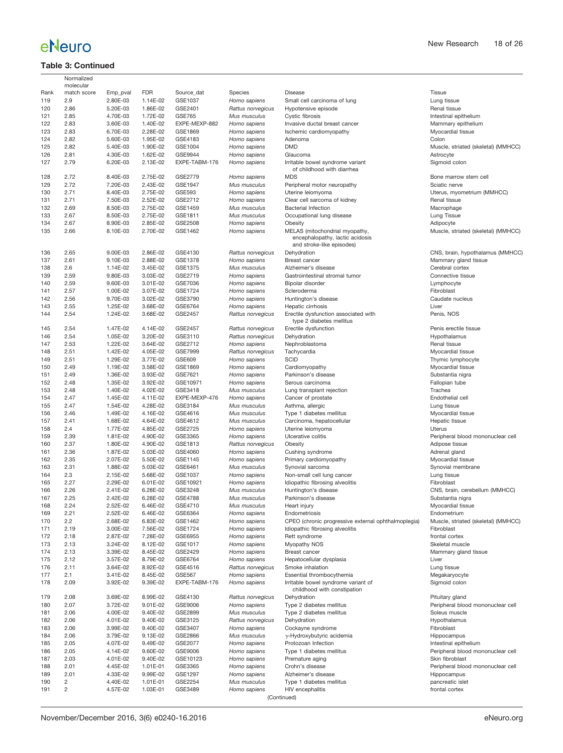### **Table 3: Continued**

| Rank<br>match score<br><b>FDR</b><br>Species<br>Disease<br><b>Tissue</b><br>Emp_pval<br>Source dat<br>2.9<br>2.80E-03<br>1.14E-02<br>GSE1037<br>Lung tissue<br>119<br>Homo sapiens<br>Small cell carcinoma of lung<br>2.86<br>5.20E-03<br>1.86E-02<br>GSE2401<br>Hypotensive episode<br>Renal tissue<br>120<br>Rattus norvegicus<br>121<br>2.85<br>4.70E-03<br>1.72E-02<br><b>GSE765</b><br>Cystic fibrosis<br>Mus musculus<br>122<br>2.83<br>3.60E-03<br>1.40E-02<br>EXPE-MEXP-882<br>Homo sapiens<br>Invasive ductal breast cancer<br>123<br>2.83<br>6.70E-03<br>2.28E-02<br>GSE1869<br>Ischemic cardiomyopathy<br>Myocardial tissue<br>Homo sapiens<br>124<br>2.82<br>5.60E-03<br>1.95E-02<br>GSE4183<br>Colon<br>Homo sapiens<br>Adenoma<br><b>DMD</b><br>125<br>2.82<br>1.90E-02<br>GSE1004<br>5.40E-03<br>Homo sapiens<br>126<br>2.81<br>4.30E-03<br>1.62E-02<br>GSE9944<br>Homo sapiens<br>Glaucoma<br>Astrocyte<br>127<br>2.79<br>6.20E-03<br>2.13E-02<br>EXPE-TABM-176<br>Irritable bowel syndrome variant<br>Sigmoid colon<br>Homo sapiens<br>of childhood with diarrhea<br>2.72<br>8.40E-03<br>128<br>2.75E-02<br>GSE2779<br>Homo sapiens<br><b>MDS</b><br>Bone marrow stem<br>129<br>2.72<br>2.43E-02<br>7.20E-03<br>GSE1947<br>Mus musculus<br>Peripheral motor neuropathy<br>Sciatic nerve<br>2.71<br>8.40E-03<br>2.75E-02<br><b>GSE593</b><br>130<br>Homo sapiens<br>Uterine leiomyoma<br>2.71<br>7.50E-03<br>2.52E-02<br>131<br>GSE2712<br>Homo sapiens<br>Clear cell sarcoma of kidney<br>Renal tissue<br>2.69<br>2.75E-02<br>132<br>8.50E-03<br>GSE1459<br>Mus musculus<br><b>Bacterial Infection</b><br>Macrophage<br>2.67<br>8.50E-03<br>2.75E-02<br>GSE1811<br>Occupational lung disease<br>Lung Tissue<br>133<br>Mus musculus<br>2.67<br>8.90E-03<br>2.85E-02<br>GSE2508<br>134<br>Homo sapiens<br>Obesity<br>Adipocyte<br>2.66<br>2.70E-02<br>135<br>8.10E-03<br>GSE1462<br>Homo sapiens<br>MELAS (mitochondrial myopathy,<br>encephalopathy, lactic acidosis<br>and stroke-like episodes)<br>2.65<br>9.00E-03<br>2.86E-02<br>GSE4130<br>136<br>Rattus norvegicus<br>Dehydration<br>CNS, brain, hypotha<br>137<br>2.61<br>9.10E-03<br>2.88E-02<br>GSE1378<br>Mammary gland tiss<br>Homo sapiens<br><b>Breast cancer</b><br>2.6<br>GSE1375<br>Cerebral cortex<br>138<br>1.14E-02<br>3.45E-02<br>Mus musculus<br>Alzheimer's disease<br>2.59<br>139<br>9.80E-03<br>3.03E-02<br>GSE2719<br>Homo sapiens<br>Gastrointestinal stromal tumor<br>Connective tissue<br>2.59<br>9.60E-03<br>3.01E-02<br>Lymphocyte<br>140<br>GSE7036<br>Homo sapiens<br>Bipolar disorder<br>2.57<br>3.07E-02<br>GSE1724<br>Fibroblast<br>141<br>1.00E-02<br>Homo sapiens<br>Scleroderma<br>2.56<br>9.70E-03<br>3.02E-02<br>Caudate nucleus<br>142<br>GSE3790<br>Homo sapiens<br>Huntington's disease<br>2.55<br>1.25E-02<br>3.68E-02<br>GSE6764<br>143<br>Homo sapiens<br>Hepatic cirrhosis<br>Liver<br>2.54<br>1.24E-02<br>3.68E-02<br>GSE2457<br>Erectile dysfunction associated with<br>Penis, NOS<br>144<br>Rattus norvegicus<br>type 2 diabetes mellitus<br>2.54<br>GSE2457<br>145<br>1.47E-02<br>4.14E-02<br>Rattus norvegicus<br>Erectile dysfunction<br>Penis erectile tissue<br>2.54<br>1.05E-02<br>3.20E-02<br>GSE3110<br>Rattus norvegicus<br>Dehydration<br>146<br>Hypothalamus<br>2.53<br>1.22E-02<br>3.64E-02<br>GSE2712<br>Nephroblastoma<br>147<br>Homo sapiens<br>Renal tissue<br>2.51<br>1.42E-02<br>GSE7999<br>Tachycardia<br>148<br>4.05E-02<br>Rattus norvegicus<br>Myocardial tissue<br>149<br>2.51<br>1.29E-02<br>3.77E-02<br>GSE609<br><b>SCID</b><br>Thymic lymphocyte<br>Homo sapiens<br>150<br>2.49<br>1.19E-02<br>3.58E-02<br>Myocardial tissue<br>GSE1869<br>Homo sapiens<br>Cardiomyopathy<br>151<br>2.49<br>Parkinson's disease<br>1.36E-02<br>3.93E-02<br>GSE7621<br>Homo sapiens<br>Substantia nigra<br>2.48<br>1.35E-02<br>3.92E-02<br>GSE10971<br>Fallopian tube<br>152<br>Homo sapiens<br>Serous carcinoma<br>153<br>2.48<br>1.40E-02<br>4.02E-02<br>GSE3418<br>Trachea<br>Mus musculus<br>Lung transplant rejection<br>154<br>2.47<br>Endothelial cell<br>1.45E-02<br>4.11E-02<br>EXPE-MEXP-476<br>Homo sapiens<br>Cancer of prostate<br>2.47<br>1.54E-02<br>4.28E-02<br>155<br>GSE3184<br>Mus musculus<br>Asthma, allergic<br>Lung tissue<br>156<br>2.46<br>1.49E-02<br>4.16E-02<br>GSE4616<br>Type 1 diabetes mellitus<br>Myocardial tissue<br>Mus musculus<br>157<br>2.41<br>1.68E-02<br>GSE4612<br>Hepatic tissue<br>4.64E-02<br>Mus musculus<br>Carcinoma, hepatocellular<br>2.4<br>4.85E-02<br>GSE2725<br>158<br>1.77E-02<br>Homo sapiens<br>Uterine leiomyoma<br>Uterus<br>159<br>2.39<br>1.81E-02<br>4.90E-02<br>GSE3365<br>Ulcerative colitis<br>Homo sapiens<br>Peripheral blood mo<br>2.37<br>160<br>1.80E-02<br>4.90E-02<br>GSE1813<br>Rattus norvegicus<br>Obesity<br>Adipose tissue<br>2.36<br>5.03E-02<br>GSE4060<br>Cushing syndrome<br>161<br>1.87E-02<br>Homo sapiens<br>Adrenal gland<br>162<br>2.35<br>2.07E-02<br>5.50E-02<br>GSE1145<br>Homo sapiens<br>Primary cardiomyopathy<br>Myocardial tissue<br>2.31<br>163<br>1.88E-02<br>5.03E-02<br>GSE6461<br>Mus musculus<br>Synovial sarcoma<br>2.3<br>2.15E-02<br>5.68E-02<br>GSE1037<br>164<br>Homo sapiens<br>Non-small cell lung cancer<br>Lung tissue<br>165<br>2.27<br>2.29E-02<br>6.01E-02<br>GSE10921<br>Fibroblast<br>Homo sapiens<br>Idiopathic fibrosing alveolitis<br>2.26<br>166<br>2.41E-02<br>6.28E-02<br>GSE3248<br>Mus musculus<br>Huntington's disease<br>2.25<br>2.42E-02<br>6.28E-02<br><b>GSE4788</b><br>Parkinson's disease<br>Substantia nigra<br>167<br>Mus musculus<br>168<br>2.24<br>2.52E-02<br>6.46E-02<br>GSE4710<br>Mus musculus<br>Heart injury<br>Myocardial tissue<br>2.21<br>2.52E-02<br>6.46E-02<br>GSE6364<br>169<br>Homo sapiens<br>Endometriosis<br>Endometrium<br>170<br>2.2<br>2.68E-02<br>6.83E-02<br>GSE1462<br>Homo sapiens<br>CPEO (chronic progressive external ophthalmoplegia)<br>2.19<br>3.00E-02<br>7.56E-02<br>GSE1724<br>Homo sapiens<br>Idiopathic fibrosing alveolitis<br>Fibroblast<br>171<br>172<br>2.18<br>Rett syndrome<br>frontal cortex<br>2.87E-02<br>7.28E-02<br>GSE6955<br>Homo sapiens<br>2.13<br>3.24E-02<br>8.12E-02<br>GSE1017<br>Homo sapiens<br>Myopathy NOS<br>173<br>Skeletal muscle<br>2.13<br>3.39E-02<br>8.45E-02<br>Breast cancer<br>174<br>GSE2429<br>Homo sapiens<br>Mammary gland tiss<br>2.12<br>175<br>3.57E-02<br>8.79E-02<br>GSE6764<br>Homo sapiens<br>Hepatocellular dysplasia<br>Liver<br>2.11<br>3.64E-02<br>8.92E-02<br>GSE4516<br>Rattus norvegicus<br>Smoke inhalation<br>176<br>Lung tissue<br>2.1<br>3.41E-02<br>8.45E-02<br><b>GSE567</b><br>Homo sapiens<br>Megakaryocyte<br>177<br>Essential thrombocythemia<br>2.09<br>9.39E-02<br>EXPE-TABM-176<br>Irritable bowel syndrome variant of<br>Sigmoid colon<br>178<br>3.92E-02<br>Homo sapiens<br>childhood with constipation<br>179<br>2.08<br>3.69E-02<br>8.99E-02<br>GSE4130<br>Rattus norvegicus<br>Dehydration<br>Pituitary gland<br>2.07<br>3.72E-02<br>9.01E-02<br>GSE9006<br>Homo sapiens<br>Type 2 diabetes mellitus<br>180<br>2.06<br>Type 2 diabetes mellitus<br>Soleus muscle<br>181<br>4.00E-02<br>9.40E-02<br>GSE2899<br>Mus musculus<br>182<br>2.06<br>4.01E-02<br>9.40E-02<br>GSE3125<br>Rattus norvegicus<br>Dehydration<br>Hypothalamus<br>2.06<br>9.40E-02<br>GSE3407<br>Fibroblast<br>183<br>3.99E-02<br>Homo sapiens<br>Cockayne syndrome<br>2.06<br>184<br>3.79E-02<br>9.13E-02<br>GSE2866<br>Mus musculus<br>$\gamma$ -Hydroxybutyric acidemia<br>Hippocampus<br>2.05<br>185<br>4.07E-02<br>9.49E-02<br>GSE2077<br>Homo sapiens<br>Protozoan Infection<br>Intestinal epithelium<br>2.05<br>9.60E-02<br>GSE9006<br>186<br>4.14E-02<br>Homo sapiens<br>Type 1 diabetes mellitus<br>Peripheral blood mo<br>2.03<br>Skin fibroblast<br>187<br>4.01E-02<br>9.40E-02<br>GSE10123<br>Homo sapiens<br>Premature aging<br>2.01<br>Homo sapiens<br>188<br>4.45E-02<br>1.01E-01<br>GSE3365<br>Crohn's disease<br>Peripheral blood mo<br>2.01<br>Homo sapiens<br>Alzheimer's disease<br>189<br>4.33E-02<br>9.99E-02<br>GSE1297<br>Hippocampus<br>2<br>4.40E-02<br>Type 1 diabetes mellitus<br>190<br>1.01E-01<br>GSE2254<br>Mus musculus<br>pancreatic islet<br>2<br>1.03E-01<br>GSE3489<br>Homo sapiens<br>frontal cortex<br>191<br>4.57E-02<br>HIV encephalitis<br>(Continued) | Normalized<br>molecular |  |  |                       |
|----------------------------------------------------------------------------------------------------------------------------------------------------------------------------------------------------------------------------------------------------------------------------------------------------------------------------------------------------------------------------------------------------------------------------------------------------------------------------------------------------------------------------------------------------------------------------------------------------------------------------------------------------------------------------------------------------------------------------------------------------------------------------------------------------------------------------------------------------------------------------------------------------------------------------------------------------------------------------------------------------------------------------------------------------------------------------------------------------------------------------------------------------------------------------------------------------------------------------------------------------------------------------------------------------------------------------------------------------------------------------------------------------------------------------------------------------------------------------------------------------------------------------------------------------------------------------------------------------------------------------------------------------------------------------------------------------------------------------------------------------------------------------------------------------------------------------------------------------------------------------------------------------------------------------------------------------------------------------------------------------------------------------------------------------------------------------------------------------------------------------------------------------------------------------------------------------------------------------------------------------------------------------------------------------------------------------------------------------------------------------------------------------------------------------------------------------------------------------------------------------------------------------------------------------------------------------------------------------------------------------------------------------------------------------------------------------------------------------------------------------------------------------------------------------------------------------------------------------------------------------------------------------------------------------------------------------------------------------------------------------------------------------------------------------------------------------------------------------------------------------------------------------------------------------------------------------------------------------------------------------------------------------------------------------------------------------------------------------------------------------------------------------------------------------------------------------------------------------------------------------------------------------------------------------------------------------------------------------------------------------------------------------------------------------------------------------------------------------------------------------------------------------------------------------------------------------------------------------------------------------------------------------------------------------------------------------------------------------------------------------------------------------------------------------------------------------------------------------------------------------------------------------------------------------------------------------------------------------------------------------------------------------------------------------------------------------------------------------------------------------------------------------------------------------------------------------------------------------------------------------------------------------------------------------------------------------------------------------------------------------------------------------------------------------------------------------------------------------------------------------------------------------------------------------------------------------------------------------------------------------------------------------------------------------------------------------------------------------------------------------------------------------------------------------------------------------------------------------------------------------------------------------------------------------------------------------------------------------------------------------------------------------------------------------------------------------------------------------------------------------------------------------------------------------------------------------------------------------------------------------------------------------------------------------------------------------------------------------------------------------------------------------------------------------------------------------------------------------------------------------------------------------------------------------------------------------------------------------------------------------------------------------------------------------------------------------------------------------------------------------------------------------------------------------------------------------------------------------------------------------------------------------------------------------------------------------------------------------------------------------------------------------------------------------------------------------------------------------------------------------------------------------------------------------------------------------------------------------------------------------------------------------------------------------------------------------------------------------------------------------------------------------------------------------------------------------------------------------------------------------------------------------------------------------------------------------------------------------------------------------------------------------------------------------------------------------------------------------------------------------------------------------------------------------------------------------------------------------------------------------------------------------------------------------------------------------------------------------------------------------------------------------------------------------------------------------------------------------------------------------------------------------------------------------------------------------------------------------------------------------------------------------------------------------------------------------------------------------------------------------------------------------------------------------------------------------------------------------------------------------------------------------------------------------------------------------------------------------------------------------------------------------------------------------------------------------------------------------------------------------------------------------------------------------------------------------------------------------------------------------------------------------------------------------------------------------------------------------------------------------------------------------------------------------------------------------------------------|-------------------------|--|--|-----------------------|
|                                                                                                                                                                                                                                                                                                                                                                                                                                                                                                                                                                                                                                                                                                                                                                                                                                                                                                                                                                                                                                                                                                                                                                                                                                                                                                                                                                                                                                                                                                                                                                                                                                                                                                                                                                                                                                                                                                                                                                                                                                                                                                                                                                                                                                                                                                                                                                                                                                                                                                                                                                                                                                                                                                                                                                                                                                                                                                                                                                                                                                                                                                                                                                                                                                                                                                                                                                                                                                                                                                                                                                                                                                                                                                                                                                                                                                                                                                                                                                                                                                                                                                                                                                                                                                                                                                                                                                                                                                                                                                                                                                                                                                                                                                                                                                                                                                                                                                                                                                                                                                                                                                                                                                                                                                                                                                                                                                                                                                                                                                                                                                                                                                                                                                                                                                                                                                                                                                                                                                                                                                                                                                                                                                                                                                                                                                                                                                                                                                                                                                                                                                                                                                                                                                                                                                                                                                                                                                                                                                                                                                                                                                                                                                                                                                                                                                                                                                                                                                                                                                                                                                                                                                                                                                                                                                                                                                                                                                                                                                                                                                                                                                                                                                                                                                                                                                                                              |                         |  |  |                       |
|                                                                                                                                                                                                                                                                                                                                                                                                                                                                                                                                                                                                                                                                                                                                                                                                                                                                                                                                                                                                                                                                                                                                                                                                                                                                                                                                                                                                                                                                                                                                                                                                                                                                                                                                                                                                                                                                                                                                                                                                                                                                                                                                                                                                                                                                                                                                                                                                                                                                                                                                                                                                                                                                                                                                                                                                                                                                                                                                                                                                                                                                                                                                                                                                                                                                                                                                                                                                                                                                                                                                                                                                                                                                                                                                                                                                                                                                                                                                                                                                                                                                                                                                                                                                                                                                                                                                                                                                                                                                                                                                                                                                                                                                                                                                                                                                                                                                                                                                                                                                                                                                                                                                                                                                                                                                                                                                                                                                                                                                                                                                                                                                                                                                                                                                                                                                                                                                                                                                                                                                                                                                                                                                                                                                                                                                                                                                                                                                                                                                                                                                                                                                                                                                                                                                                                                                                                                                                                                                                                                                                                                                                                                                                                                                                                                                                                                                                                                                                                                                                                                                                                                                                                                                                                                                                                                                                                                                                                                                                                                                                                                                                                                                                                                                                                                                                                                                              |                         |  |  |                       |
|                                                                                                                                                                                                                                                                                                                                                                                                                                                                                                                                                                                                                                                                                                                                                                                                                                                                                                                                                                                                                                                                                                                                                                                                                                                                                                                                                                                                                                                                                                                                                                                                                                                                                                                                                                                                                                                                                                                                                                                                                                                                                                                                                                                                                                                                                                                                                                                                                                                                                                                                                                                                                                                                                                                                                                                                                                                                                                                                                                                                                                                                                                                                                                                                                                                                                                                                                                                                                                                                                                                                                                                                                                                                                                                                                                                                                                                                                                                                                                                                                                                                                                                                                                                                                                                                                                                                                                                                                                                                                                                                                                                                                                                                                                                                                                                                                                                                                                                                                                                                                                                                                                                                                                                                                                                                                                                                                                                                                                                                                                                                                                                                                                                                                                                                                                                                                                                                                                                                                                                                                                                                                                                                                                                                                                                                                                                                                                                                                                                                                                                                                                                                                                                                                                                                                                                                                                                                                                                                                                                                                                                                                                                                                                                                                                                                                                                                                                                                                                                                                                                                                                                                                                                                                                                                                                                                                                                                                                                                                                                                                                                                                                                                                                                                                                                                                                                                              |                         |  |  |                       |
|                                                                                                                                                                                                                                                                                                                                                                                                                                                                                                                                                                                                                                                                                                                                                                                                                                                                                                                                                                                                                                                                                                                                                                                                                                                                                                                                                                                                                                                                                                                                                                                                                                                                                                                                                                                                                                                                                                                                                                                                                                                                                                                                                                                                                                                                                                                                                                                                                                                                                                                                                                                                                                                                                                                                                                                                                                                                                                                                                                                                                                                                                                                                                                                                                                                                                                                                                                                                                                                                                                                                                                                                                                                                                                                                                                                                                                                                                                                                                                                                                                                                                                                                                                                                                                                                                                                                                                                                                                                                                                                                                                                                                                                                                                                                                                                                                                                                                                                                                                                                                                                                                                                                                                                                                                                                                                                                                                                                                                                                                                                                                                                                                                                                                                                                                                                                                                                                                                                                                                                                                                                                                                                                                                                                                                                                                                                                                                                                                                                                                                                                                                                                                                                                                                                                                                                                                                                                                                                                                                                                                                                                                                                                                                                                                                                                                                                                                                                                                                                                                                                                                                                                                                                                                                                                                                                                                                                                                                                                                                                                                                                                                                                                                                                                                                                                                                                                              |                         |  |  | Intestinal epithelium |
|                                                                                                                                                                                                                                                                                                                                                                                                                                                                                                                                                                                                                                                                                                                                                                                                                                                                                                                                                                                                                                                                                                                                                                                                                                                                                                                                                                                                                                                                                                                                                                                                                                                                                                                                                                                                                                                                                                                                                                                                                                                                                                                                                                                                                                                                                                                                                                                                                                                                                                                                                                                                                                                                                                                                                                                                                                                                                                                                                                                                                                                                                                                                                                                                                                                                                                                                                                                                                                                                                                                                                                                                                                                                                                                                                                                                                                                                                                                                                                                                                                                                                                                                                                                                                                                                                                                                                                                                                                                                                                                                                                                                                                                                                                                                                                                                                                                                                                                                                                                                                                                                                                                                                                                                                                                                                                                                                                                                                                                                                                                                                                                                                                                                                                                                                                                                                                                                                                                                                                                                                                                                                                                                                                                                                                                                                                                                                                                                                                                                                                                                                                                                                                                                                                                                                                                                                                                                                                                                                                                                                                                                                                                                                                                                                                                                                                                                                                                                                                                                                                                                                                                                                                                                                                                                                                                                                                                                                                                                                                                                                                                                                                                                                                                                                                                                                                                                              |                         |  |  | Mammary epitheliur    |
|                                                                                                                                                                                                                                                                                                                                                                                                                                                                                                                                                                                                                                                                                                                                                                                                                                                                                                                                                                                                                                                                                                                                                                                                                                                                                                                                                                                                                                                                                                                                                                                                                                                                                                                                                                                                                                                                                                                                                                                                                                                                                                                                                                                                                                                                                                                                                                                                                                                                                                                                                                                                                                                                                                                                                                                                                                                                                                                                                                                                                                                                                                                                                                                                                                                                                                                                                                                                                                                                                                                                                                                                                                                                                                                                                                                                                                                                                                                                                                                                                                                                                                                                                                                                                                                                                                                                                                                                                                                                                                                                                                                                                                                                                                                                                                                                                                                                                                                                                                                                                                                                                                                                                                                                                                                                                                                                                                                                                                                                                                                                                                                                                                                                                                                                                                                                                                                                                                                                                                                                                                                                                                                                                                                                                                                                                                                                                                                                                                                                                                                                                                                                                                                                                                                                                                                                                                                                                                                                                                                                                                                                                                                                                                                                                                                                                                                                                                                                                                                                                                                                                                                                                                                                                                                                                                                                                                                                                                                                                                                                                                                                                                                                                                                                                                                                                                                                              |                         |  |  |                       |
|                                                                                                                                                                                                                                                                                                                                                                                                                                                                                                                                                                                                                                                                                                                                                                                                                                                                                                                                                                                                                                                                                                                                                                                                                                                                                                                                                                                                                                                                                                                                                                                                                                                                                                                                                                                                                                                                                                                                                                                                                                                                                                                                                                                                                                                                                                                                                                                                                                                                                                                                                                                                                                                                                                                                                                                                                                                                                                                                                                                                                                                                                                                                                                                                                                                                                                                                                                                                                                                                                                                                                                                                                                                                                                                                                                                                                                                                                                                                                                                                                                                                                                                                                                                                                                                                                                                                                                                                                                                                                                                                                                                                                                                                                                                                                                                                                                                                                                                                                                                                                                                                                                                                                                                                                                                                                                                                                                                                                                                                                                                                                                                                                                                                                                                                                                                                                                                                                                                                                                                                                                                                                                                                                                                                                                                                                                                                                                                                                                                                                                                                                                                                                                                                                                                                                                                                                                                                                                                                                                                                                                                                                                                                                                                                                                                                                                                                                                                                                                                                                                                                                                                                                                                                                                                                                                                                                                                                                                                                                                                                                                                                                                                                                                                                                                                                                                                                              |                         |  |  |                       |
|                                                                                                                                                                                                                                                                                                                                                                                                                                                                                                                                                                                                                                                                                                                                                                                                                                                                                                                                                                                                                                                                                                                                                                                                                                                                                                                                                                                                                                                                                                                                                                                                                                                                                                                                                                                                                                                                                                                                                                                                                                                                                                                                                                                                                                                                                                                                                                                                                                                                                                                                                                                                                                                                                                                                                                                                                                                                                                                                                                                                                                                                                                                                                                                                                                                                                                                                                                                                                                                                                                                                                                                                                                                                                                                                                                                                                                                                                                                                                                                                                                                                                                                                                                                                                                                                                                                                                                                                                                                                                                                                                                                                                                                                                                                                                                                                                                                                                                                                                                                                                                                                                                                                                                                                                                                                                                                                                                                                                                                                                                                                                                                                                                                                                                                                                                                                                                                                                                                                                                                                                                                                                                                                                                                                                                                                                                                                                                                                                                                                                                                                                                                                                                                                                                                                                                                                                                                                                                                                                                                                                                                                                                                                                                                                                                                                                                                                                                                                                                                                                                                                                                                                                                                                                                                                                                                                                                                                                                                                                                                                                                                                                                                                                                                                                                                                                                                                              |                         |  |  | Muscle, striated (sk  |
|                                                                                                                                                                                                                                                                                                                                                                                                                                                                                                                                                                                                                                                                                                                                                                                                                                                                                                                                                                                                                                                                                                                                                                                                                                                                                                                                                                                                                                                                                                                                                                                                                                                                                                                                                                                                                                                                                                                                                                                                                                                                                                                                                                                                                                                                                                                                                                                                                                                                                                                                                                                                                                                                                                                                                                                                                                                                                                                                                                                                                                                                                                                                                                                                                                                                                                                                                                                                                                                                                                                                                                                                                                                                                                                                                                                                                                                                                                                                                                                                                                                                                                                                                                                                                                                                                                                                                                                                                                                                                                                                                                                                                                                                                                                                                                                                                                                                                                                                                                                                                                                                                                                                                                                                                                                                                                                                                                                                                                                                                                                                                                                                                                                                                                                                                                                                                                                                                                                                                                                                                                                                                                                                                                                                                                                                                                                                                                                                                                                                                                                                                                                                                                                                                                                                                                                                                                                                                                                                                                                                                                                                                                                                                                                                                                                                                                                                                                                                                                                                                                                                                                                                                                                                                                                                                                                                                                                                                                                                                                                                                                                                                                                                                                                                                                                                                                                                              |                         |  |  |                       |
|                                                                                                                                                                                                                                                                                                                                                                                                                                                                                                                                                                                                                                                                                                                                                                                                                                                                                                                                                                                                                                                                                                                                                                                                                                                                                                                                                                                                                                                                                                                                                                                                                                                                                                                                                                                                                                                                                                                                                                                                                                                                                                                                                                                                                                                                                                                                                                                                                                                                                                                                                                                                                                                                                                                                                                                                                                                                                                                                                                                                                                                                                                                                                                                                                                                                                                                                                                                                                                                                                                                                                                                                                                                                                                                                                                                                                                                                                                                                                                                                                                                                                                                                                                                                                                                                                                                                                                                                                                                                                                                                                                                                                                                                                                                                                                                                                                                                                                                                                                                                                                                                                                                                                                                                                                                                                                                                                                                                                                                                                                                                                                                                                                                                                                                                                                                                                                                                                                                                                                                                                                                                                                                                                                                                                                                                                                                                                                                                                                                                                                                                                                                                                                                                                                                                                                                                                                                                                                                                                                                                                                                                                                                                                                                                                                                                                                                                                                                                                                                                                                                                                                                                                                                                                                                                                                                                                                                                                                                                                                                                                                                                                                                                                                                                                                                                                                                                              |                         |  |  |                       |
|                                                                                                                                                                                                                                                                                                                                                                                                                                                                                                                                                                                                                                                                                                                                                                                                                                                                                                                                                                                                                                                                                                                                                                                                                                                                                                                                                                                                                                                                                                                                                                                                                                                                                                                                                                                                                                                                                                                                                                                                                                                                                                                                                                                                                                                                                                                                                                                                                                                                                                                                                                                                                                                                                                                                                                                                                                                                                                                                                                                                                                                                                                                                                                                                                                                                                                                                                                                                                                                                                                                                                                                                                                                                                                                                                                                                                                                                                                                                                                                                                                                                                                                                                                                                                                                                                                                                                                                                                                                                                                                                                                                                                                                                                                                                                                                                                                                                                                                                                                                                                                                                                                                                                                                                                                                                                                                                                                                                                                                                                                                                                                                                                                                                                                                                                                                                                                                                                                                                                                                                                                                                                                                                                                                                                                                                                                                                                                                                                                                                                                                                                                                                                                                                                                                                                                                                                                                                                                                                                                                                                                                                                                                                                                                                                                                                                                                                                                                                                                                                                                                                                                                                                                                                                                                                                                                                                                                                                                                                                                                                                                                                                                                                                                                                                                                                                                                                              |                         |  |  |                       |
|                                                                                                                                                                                                                                                                                                                                                                                                                                                                                                                                                                                                                                                                                                                                                                                                                                                                                                                                                                                                                                                                                                                                                                                                                                                                                                                                                                                                                                                                                                                                                                                                                                                                                                                                                                                                                                                                                                                                                                                                                                                                                                                                                                                                                                                                                                                                                                                                                                                                                                                                                                                                                                                                                                                                                                                                                                                                                                                                                                                                                                                                                                                                                                                                                                                                                                                                                                                                                                                                                                                                                                                                                                                                                                                                                                                                                                                                                                                                                                                                                                                                                                                                                                                                                                                                                                                                                                                                                                                                                                                                                                                                                                                                                                                                                                                                                                                                                                                                                                                                                                                                                                                                                                                                                                                                                                                                                                                                                                                                                                                                                                                                                                                                                                                                                                                                                                                                                                                                                                                                                                                                                                                                                                                                                                                                                                                                                                                                                                                                                                                                                                                                                                                                                                                                                                                                                                                                                                                                                                                                                                                                                                                                                                                                                                                                                                                                                                                                                                                                                                                                                                                                                                                                                                                                                                                                                                                                                                                                                                                                                                                                                                                                                                                                                                                                                                                                              |                         |  |  |                       |
|                                                                                                                                                                                                                                                                                                                                                                                                                                                                                                                                                                                                                                                                                                                                                                                                                                                                                                                                                                                                                                                                                                                                                                                                                                                                                                                                                                                                                                                                                                                                                                                                                                                                                                                                                                                                                                                                                                                                                                                                                                                                                                                                                                                                                                                                                                                                                                                                                                                                                                                                                                                                                                                                                                                                                                                                                                                                                                                                                                                                                                                                                                                                                                                                                                                                                                                                                                                                                                                                                                                                                                                                                                                                                                                                                                                                                                                                                                                                                                                                                                                                                                                                                                                                                                                                                                                                                                                                                                                                                                                                                                                                                                                                                                                                                                                                                                                                                                                                                                                                                                                                                                                                                                                                                                                                                                                                                                                                                                                                                                                                                                                                                                                                                                                                                                                                                                                                                                                                                                                                                                                                                                                                                                                                                                                                                                                                                                                                                                                                                                                                                                                                                                                                                                                                                                                                                                                                                                                                                                                                                                                                                                                                                                                                                                                                                                                                                                                                                                                                                                                                                                                                                                                                                                                                                                                                                                                                                                                                                                                                                                                                                                                                                                                                                                                                                                                                              |                         |  |  |                       |
|                                                                                                                                                                                                                                                                                                                                                                                                                                                                                                                                                                                                                                                                                                                                                                                                                                                                                                                                                                                                                                                                                                                                                                                                                                                                                                                                                                                                                                                                                                                                                                                                                                                                                                                                                                                                                                                                                                                                                                                                                                                                                                                                                                                                                                                                                                                                                                                                                                                                                                                                                                                                                                                                                                                                                                                                                                                                                                                                                                                                                                                                                                                                                                                                                                                                                                                                                                                                                                                                                                                                                                                                                                                                                                                                                                                                                                                                                                                                                                                                                                                                                                                                                                                                                                                                                                                                                                                                                                                                                                                                                                                                                                                                                                                                                                                                                                                                                                                                                                                                                                                                                                                                                                                                                                                                                                                                                                                                                                                                                                                                                                                                                                                                                                                                                                                                                                                                                                                                                                                                                                                                                                                                                                                                                                                                                                                                                                                                                                                                                                                                                                                                                                                                                                                                                                                                                                                                                                                                                                                                                                                                                                                                                                                                                                                                                                                                                                                                                                                                                                                                                                                                                                                                                                                                                                                                                                                                                                                                                                                                                                                                                                                                                                                                                                                                                                                                              |                         |  |  | Uterus, myometriun    |
|                                                                                                                                                                                                                                                                                                                                                                                                                                                                                                                                                                                                                                                                                                                                                                                                                                                                                                                                                                                                                                                                                                                                                                                                                                                                                                                                                                                                                                                                                                                                                                                                                                                                                                                                                                                                                                                                                                                                                                                                                                                                                                                                                                                                                                                                                                                                                                                                                                                                                                                                                                                                                                                                                                                                                                                                                                                                                                                                                                                                                                                                                                                                                                                                                                                                                                                                                                                                                                                                                                                                                                                                                                                                                                                                                                                                                                                                                                                                                                                                                                                                                                                                                                                                                                                                                                                                                                                                                                                                                                                                                                                                                                                                                                                                                                                                                                                                                                                                                                                                                                                                                                                                                                                                                                                                                                                                                                                                                                                                                                                                                                                                                                                                                                                                                                                                                                                                                                                                                                                                                                                                                                                                                                                                                                                                                                                                                                                                                                                                                                                                                                                                                                                                                                                                                                                                                                                                                                                                                                                                                                                                                                                                                                                                                                                                                                                                                                                                                                                                                                                                                                                                                                                                                                                                                                                                                                                                                                                                                                                                                                                                                                                                                                                                                                                                                                                                              |                         |  |  |                       |
|                                                                                                                                                                                                                                                                                                                                                                                                                                                                                                                                                                                                                                                                                                                                                                                                                                                                                                                                                                                                                                                                                                                                                                                                                                                                                                                                                                                                                                                                                                                                                                                                                                                                                                                                                                                                                                                                                                                                                                                                                                                                                                                                                                                                                                                                                                                                                                                                                                                                                                                                                                                                                                                                                                                                                                                                                                                                                                                                                                                                                                                                                                                                                                                                                                                                                                                                                                                                                                                                                                                                                                                                                                                                                                                                                                                                                                                                                                                                                                                                                                                                                                                                                                                                                                                                                                                                                                                                                                                                                                                                                                                                                                                                                                                                                                                                                                                                                                                                                                                                                                                                                                                                                                                                                                                                                                                                                                                                                                                                                                                                                                                                                                                                                                                                                                                                                                                                                                                                                                                                                                                                                                                                                                                                                                                                                                                                                                                                                                                                                                                                                                                                                                                                                                                                                                                                                                                                                                                                                                                                                                                                                                                                                                                                                                                                                                                                                                                                                                                                                                                                                                                                                                                                                                                                                                                                                                                                                                                                                                                                                                                                                                                                                                                                                                                                                                                                              |                         |  |  |                       |
|                                                                                                                                                                                                                                                                                                                                                                                                                                                                                                                                                                                                                                                                                                                                                                                                                                                                                                                                                                                                                                                                                                                                                                                                                                                                                                                                                                                                                                                                                                                                                                                                                                                                                                                                                                                                                                                                                                                                                                                                                                                                                                                                                                                                                                                                                                                                                                                                                                                                                                                                                                                                                                                                                                                                                                                                                                                                                                                                                                                                                                                                                                                                                                                                                                                                                                                                                                                                                                                                                                                                                                                                                                                                                                                                                                                                                                                                                                                                                                                                                                                                                                                                                                                                                                                                                                                                                                                                                                                                                                                                                                                                                                                                                                                                                                                                                                                                                                                                                                                                                                                                                                                                                                                                                                                                                                                                                                                                                                                                                                                                                                                                                                                                                                                                                                                                                                                                                                                                                                                                                                                                                                                                                                                                                                                                                                                                                                                                                                                                                                                                                                                                                                                                                                                                                                                                                                                                                                                                                                                                                                                                                                                                                                                                                                                                                                                                                                                                                                                                                                                                                                                                                                                                                                                                                                                                                                                                                                                                                                                                                                                                                                                                                                                                                                                                                                                                              |                         |  |  |                       |
|                                                                                                                                                                                                                                                                                                                                                                                                                                                                                                                                                                                                                                                                                                                                                                                                                                                                                                                                                                                                                                                                                                                                                                                                                                                                                                                                                                                                                                                                                                                                                                                                                                                                                                                                                                                                                                                                                                                                                                                                                                                                                                                                                                                                                                                                                                                                                                                                                                                                                                                                                                                                                                                                                                                                                                                                                                                                                                                                                                                                                                                                                                                                                                                                                                                                                                                                                                                                                                                                                                                                                                                                                                                                                                                                                                                                                                                                                                                                                                                                                                                                                                                                                                                                                                                                                                                                                                                                                                                                                                                                                                                                                                                                                                                                                                                                                                                                                                                                                                                                                                                                                                                                                                                                                                                                                                                                                                                                                                                                                                                                                                                                                                                                                                                                                                                                                                                                                                                                                                                                                                                                                                                                                                                                                                                                                                                                                                                                                                                                                                                                                                                                                                                                                                                                                                                                                                                                                                                                                                                                                                                                                                                                                                                                                                                                                                                                                                                                                                                                                                                                                                                                                                                                                                                                                                                                                                                                                                                                                                                                                                                                                                                                                                                                                                                                                                                                              |                         |  |  |                       |
|                                                                                                                                                                                                                                                                                                                                                                                                                                                                                                                                                                                                                                                                                                                                                                                                                                                                                                                                                                                                                                                                                                                                                                                                                                                                                                                                                                                                                                                                                                                                                                                                                                                                                                                                                                                                                                                                                                                                                                                                                                                                                                                                                                                                                                                                                                                                                                                                                                                                                                                                                                                                                                                                                                                                                                                                                                                                                                                                                                                                                                                                                                                                                                                                                                                                                                                                                                                                                                                                                                                                                                                                                                                                                                                                                                                                                                                                                                                                                                                                                                                                                                                                                                                                                                                                                                                                                                                                                                                                                                                                                                                                                                                                                                                                                                                                                                                                                                                                                                                                                                                                                                                                                                                                                                                                                                                                                                                                                                                                                                                                                                                                                                                                                                                                                                                                                                                                                                                                                                                                                                                                                                                                                                                                                                                                                                                                                                                                                                                                                                                                                                                                                                                                                                                                                                                                                                                                                                                                                                                                                                                                                                                                                                                                                                                                                                                                                                                                                                                                                                                                                                                                                                                                                                                                                                                                                                                                                                                                                                                                                                                                                                                                                                                                                                                                                                                                              |                         |  |  | Muscle, striated (sk  |
|                                                                                                                                                                                                                                                                                                                                                                                                                                                                                                                                                                                                                                                                                                                                                                                                                                                                                                                                                                                                                                                                                                                                                                                                                                                                                                                                                                                                                                                                                                                                                                                                                                                                                                                                                                                                                                                                                                                                                                                                                                                                                                                                                                                                                                                                                                                                                                                                                                                                                                                                                                                                                                                                                                                                                                                                                                                                                                                                                                                                                                                                                                                                                                                                                                                                                                                                                                                                                                                                                                                                                                                                                                                                                                                                                                                                                                                                                                                                                                                                                                                                                                                                                                                                                                                                                                                                                                                                                                                                                                                                                                                                                                                                                                                                                                                                                                                                                                                                                                                                                                                                                                                                                                                                                                                                                                                                                                                                                                                                                                                                                                                                                                                                                                                                                                                                                                                                                                                                                                                                                                                                                                                                                                                                                                                                                                                                                                                                                                                                                                                                                                                                                                                                                                                                                                                                                                                                                                                                                                                                                                                                                                                                                                                                                                                                                                                                                                                                                                                                                                                                                                                                                                                                                                                                                                                                                                                                                                                                                                                                                                                                                                                                                                                                                                                                                                                                              |                         |  |  |                       |
|                                                                                                                                                                                                                                                                                                                                                                                                                                                                                                                                                                                                                                                                                                                                                                                                                                                                                                                                                                                                                                                                                                                                                                                                                                                                                                                                                                                                                                                                                                                                                                                                                                                                                                                                                                                                                                                                                                                                                                                                                                                                                                                                                                                                                                                                                                                                                                                                                                                                                                                                                                                                                                                                                                                                                                                                                                                                                                                                                                                                                                                                                                                                                                                                                                                                                                                                                                                                                                                                                                                                                                                                                                                                                                                                                                                                                                                                                                                                                                                                                                                                                                                                                                                                                                                                                                                                                                                                                                                                                                                                                                                                                                                                                                                                                                                                                                                                                                                                                                                                                                                                                                                                                                                                                                                                                                                                                                                                                                                                                                                                                                                                                                                                                                                                                                                                                                                                                                                                                                                                                                                                                                                                                                                                                                                                                                                                                                                                                                                                                                                                                                                                                                                                                                                                                                                                                                                                                                                                                                                                                                                                                                                                                                                                                                                                                                                                                                                                                                                                                                                                                                                                                                                                                                                                                                                                                                                                                                                                                                                                                                                                                                                                                                                                                                                                                                                                              |                         |  |  |                       |
|                                                                                                                                                                                                                                                                                                                                                                                                                                                                                                                                                                                                                                                                                                                                                                                                                                                                                                                                                                                                                                                                                                                                                                                                                                                                                                                                                                                                                                                                                                                                                                                                                                                                                                                                                                                                                                                                                                                                                                                                                                                                                                                                                                                                                                                                                                                                                                                                                                                                                                                                                                                                                                                                                                                                                                                                                                                                                                                                                                                                                                                                                                                                                                                                                                                                                                                                                                                                                                                                                                                                                                                                                                                                                                                                                                                                                                                                                                                                                                                                                                                                                                                                                                                                                                                                                                                                                                                                                                                                                                                                                                                                                                                                                                                                                                                                                                                                                                                                                                                                                                                                                                                                                                                                                                                                                                                                                                                                                                                                                                                                                                                                                                                                                                                                                                                                                                                                                                                                                                                                                                                                                                                                                                                                                                                                                                                                                                                                                                                                                                                                                                                                                                                                                                                                                                                                                                                                                                                                                                                                                                                                                                                                                                                                                                                                                                                                                                                                                                                                                                                                                                                                                                                                                                                                                                                                                                                                                                                                                                                                                                                                                                                                                                                                                                                                                                                                              |                         |  |  |                       |
|                                                                                                                                                                                                                                                                                                                                                                                                                                                                                                                                                                                                                                                                                                                                                                                                                                                                                                                                                                                                                                                                                                                                                                                                                                                                                                                                                                                                                                                                                                                                                                                                                                                                                                                                                                                                                                                                                                                                                                                                                                                                                                                                                                                                                                                                                                                                                                                                                                                                                                                                                                                                                                                                                                                                                                                                                                                                                                                                                                                                                                                                                                                                                                                                                                                                                                                                                                                                                                                                                                                                                                                                                                                                                                                                                                                                                                                                                                                                                                                                                                                                                                                                                                                                                                                                                                                                                                                                                                                                                                                                                                                                                                                                                                                                                                                                                                                                                                                                                                                                                                                                                                                                                                                                                                                                                                                                                                                                                                                                                                                                                                                                                                                                                                                                                                                                                                                                                                                                                                                                                                                                                                                                                                                                                                                                                                                                                                                                                                                                                                                                                                                                                                                                                                                                                                                                                                                                                                                                                                                                                                                                                                                                                                                                                                                                                                                                                                                                                                                                                                                                                                                                                                                                                                                                                                                                                                                                                                                                                                                                                                                                                                                                                                                                                                                                                                                                              |                         |  |  |                       |
|                                                                                                                                                                                                                                                                                                                                                                                                                                                                                                                                                                                                                                                                                                                                                                                                                                                                                                                                                                                                                                                                                                                                                                                                                                                                                                                                                                                                                                                                                                                                                                                                                                                                                                                                                                                                                                                                                                                                                                                                                                                                                                                                                                                                                                                                                                                                                                                                                                                                                                                                                                                                                                                                                                                                                                                                                                                                                                                                                                                                                                                                                                                                                                                                                                                                                                                                                                                                                                                                                                                                                                                                                                                                                                                                                                                                                                                                                                                                                                                                                                                                                                                                                                                                                                                                                                                                                                                                                                                                                                                                                                                                                                                                                                                                                                                                                                                                                                                                                                                                                                                                                                                                                                                                                                                                                                                                                                                                                                                                                                                                                                                                                                                                                                                                                                                                                                                                                                                                                                                                                                                                                                                                                                                                                                                                                                                                                                                                                                                                                                                                                                                                                                                                                                                                                                                                                                                                                                                                                                                                                                                                                                                                                                                                                                                                                                                                                                                                                                                                                                                                                                                                                                                                                                                                                                                                                                                                                                                                                                                                                                                                                                                                                                                                                                                                                                                                              |                         |  |  |                       |
|                                                                                                                                                                                                                                                                                                                                                                                                                                                                                                                                                                                                                                                                                                                                                                                                                                                                                                                                                                                                                                                                                                                                                                                                                                                                                                                                                                                                                                                                                                                                                                                                                                                                                                                                                                                                                                                                                                                                                                                                                                                                                                                                                                                                                                                                                                                                                                                                                                                                                                                                                                                                                                                                                                                                                                                                                                                                                                                                                                                                                                                                                                                                                                                                                                                                                                                                                                                                                                                                                                                                                                                                                                                                                                                                                                                                                                                                                                                                                                                                                                                                                                                                                                                                                                                                                                                                                                                                                                                                                                                                                                                                                                                                                                                                                                                                                                                                                                                                                                                                                                                                                                                                                                                                                                                                                                                                                                                                                                                                                                                                                                                                                                                                                                                                                                                                                                                                                                                                                                                                                                                                                                                                                                                                                                                                                                                                                                                                                                                                                                                                                                                                                                                                                                                                                                                                                                                                                                                                                                                                                                                                                                                                                                                                                                                                                                                                                                                                                                                                                                                                                                                                                                                                                                                                                                                                                                                                                                                                                                                                                                                                                                                                                                                                                                                                                                                                              |                         |  |  |                       |
|                                                                                                                                                                                                                                                                                                                                                                                                                                                                                                                                                                                                                                                                                                                                                                                                                                                                                                                                                                                                                                                                                                                                                                                                                                                                                                                                                                                                                                                                                                                                                                                                                                                                                                                                                                                                                                                                                                                                                                                                                                                                                                                                                                                                                                                                                                                                                                                                                                                                                                                                                                                                                                                                                                                                                                                                                                                                                                                                                                                                                                                                                                                                                                                                                                                                                                                                                                                                                                                                                                                                                                                                                                                                                                                                                                                                                                                                                                                                                                                                                                                                                                                                                                                                                                                                                                                                                                                                                                                                                                                                                                                                                                                                                                                                                                                                                                                                                                                                                                                                                                                                                                                                                                                                                                                                                                                                                                                                                                                                                                                                                                                                                                                                                                                                                                                                                                                                                                                                                                                                                                                                                                                                                                                                                                                                                                                                                                                                                                                                                                                                                                                                                                                                                                                                                                                                                                                                                                                                                                                                                                                                                                                                                                                                                                                                                                                                                                                                                                                                                                                                                                                                                                                                                                                                                                                                                                                                                                                                                                                                                                                                                                                                                                                                                                                                                                                                              |                         |  |  |                       |
|                                                                                                                                                                                                                                                                                                                                                                                                                                                                                                                                                                                                                                                                                                                                                                                                                                                                                                                                                                                                                                                                                                                                                                                                                                                                                                                                                                                                                                                                                                                                                                                                                                                                                                                                                                                                                                                                                                                                                                                                                                                                                                                                                                                                                                                                                                                                                                                                                                                                                                                                                                                                                                                                                                                                                                                                                                                                                                                                                                                                                                                                                                                                                                                                                                                                                                                                                                                                                                                                                                                                                                                                                                                                                                                                                                                                                                                                                                                                                                                                                                                                                                                                                                                                                                                                                                                                                                                                                                                                                                                                                                                                                                                                                                                                                                                                                                                                                                                                                                                                                                                                                                                                                                                                                                                                                                                                                                                                                                                                                                                                                                                                                                                                                                                                                                                                                                                                                                                                                                                                                                                                                                                                                                                                                                                                                                                                                                                                                                                                                                                                                                                                                                                                                                                                                                                                                                                                                                                                                                                                                                                                                                                                                                                                                                                                                                                                                                                                                                                                                                                                                                                                                                                                                                                                                                                                                                                                                                                                                                                                                                                                                                                                                                                                                                                                                                                                              |                         |  |  |                       |
|                                                                                                                                                                                                                                                                                                                                                                                                                                                                                                                                                                                                                                                                                                                                                                                                                                                                                                                                                                                                                                                                                                                                                                                                                                                                                                                                                                                                                                                                                                                                                                                                                                                                                                                                                                                                                                                                                                                                                                                                                                                                                                                                                                                                                                                                                                                                                                                                                                                                                                                                                                                                                                                                                                                                                                                                                                                                                                                                                                                                                                                                                                                                                                                                                                                                                                                                                                                                                                                                                                                                                                                                                                                                                                                                                                                                                                                                                                                                                                                                                                                                                                                                                                                                                                                                                                                                                                                                                                                                                                                                                                                                                                                                                                                                                                                                                                                                                                                                                                                                                                                                                                                                                                                                                                                                                                                                                                                                                                                                                                                                                                                                                                                                                                                                                                                                                                                                                                                                                                                                                                                                                                                                                                                                                                                                                                                                                                                                                                                                                                                                                                                                                                                                                                                                                                                                                                                                                                                                                                                                                                                                                                                                                                                                                                                                                                                                                                                                                                                                                                                                                                                                                                                                                                                                                                                                                                                                                                                                                                                                                                                                                                                                                                                                                                                                                                                                              |                         |  |  |                       |
|                                                                                                                                                                                                                                                                                                                                                                                                                                                                                                                                                                                                                                                                                                                                                                                                                                                                                                                                                                                                                                                                                                                                                                                                                                                                                                                                                                                                                                                                                                                                                                                                                                                                                                                                                                                                                                                                                                                                                                                                                                                                                                                                                                                                                                                                                                                                                                                                                                                                                                                                                                                                                                                                                                                                                                                                                                                                                                                                                                                                                                                                                                                                                                                                                                                                                                                                                                                                                                                                                                                                                                                                                                                                                                                                                                                                                                                                                                                                                                                                                                                                                                                                                                                                                                                                                                                                                                                                                                                                                                                                                                                                                                                                                                                                                                                                                                                                                                                                                                                                                                                                                                                                                                                                                                                                                                                                                                                                                                                                                                                                                                                                                                                                                                                                                                                                                                                                                                                                                                                                                                                                                                                                                                                                                                                                                                                                                                                                                                                                                                                                                                                                                                                                                                                                                                                                                                                                                                                                                                                                                                                                                                                                                                                                                                                                                                                                                                                                                                                                                                                                                                                                                                                                                                                                                                                                                                                                                                                                                                                                                                                                                                                                                                                                                                                                                                                                              |                         |  |  |                       |
|                                                                                                                                                                                                                                                                                                                                                                                                                                                                                                                                                                                                                                                                                                                                                                                                                                                                                                                                                                                                                                                                                                                                                                                                                                                                                                                                                                                                                                                                                                                                                                                                                                                                                                                                                                                                                                                                                                                                                                                                                                                                                                                                                                                                                                                                                                                                                                                                                                                                                                                                                                                                                                                                                                                                                                                                                                                                                                                                                                                                                                                                                                                                                                                                                                                                                                                                                                                                                                                                                                                                                                                                                                                                                                                                                                                                                                                                                                                                                                                                                                                                                                                                                                                                                                                                                                                                                                                                                                                                                                                                                                                                                                                                                                                                                                                                                                                                                                                                                                                                                                                                                                                                                                                                                                                                                                                                                                                                                                                                                                                                                                                                                                                                                                                                                                                                                                                                                                                                                                                                                                                                                                                                                                                                                                                                                                                                                                                                                                                                                                                                                                                                                                                                                                                                                                                                                                                                                                                                                                                                                                                                                                                                                                                                                                                                                                                                                                                                                                                                                                                                                                                                                                                                                                                                                                                                                                                                                                                                                                                                                                                                                                                                                                                                                                                                                                                                              |                         |  |  |                       |
|                                                                                                                                                                                                                                                                                                                                                                                                                                                                                                                                                                                                                                                                                                                                                                                                                                                                                                                                                                                                                                                                                                                                                                                                                                                                                                                                                                                                                                                                                                                                                                                                                                                                                                                                                                                                                                                                                                                                                                                                                                                                                                                                                                                                                                                                                                                                                                                                                                                                                                                                                                                                                                                                                                                                                                                                                                                                                                                                                                                                                                                                                                                                                                                                                                                                                                                                                                                                                                                                                                                                                                                                                                                                                                                                                                                                                                                                                                                                                                                                                                                                                                                                                                                                                                                                                                                                                                                                                                                                                                                                                                                                                                                                                                                                                                                                                                                                                                                                                                                                                                                                                                                                                                                                                                                                                                                                                                                                                                                                                                                                                                                                                                                                                                                                                                                                                                                                                                                                                                                                                                                                                                                                                                                                                                                                                                                                                                                                                                                                                                                                                                                                                                                                                                                                                                                                                                                                                                                                                                                                                                                                                                                                                                                                                                                                                                                                                                                                                                                                                                                                                                                                                                                                                                                                                                                                                                                                                                                                                                                                                                                                                                                                                                                                                                                                                                                                              |                         |  |  |                       |
|                                                                                                                                                                                                                                                                                                                                                                                                                                                                                                                                                                                                                                                                                                                                                                                                                                                                                                                                                                                                                                                                                                                                                                                                                                                                                                                                                                                                                                                                                                                                                                                                                                                                                                                                                                                                                                                                                                                                                                                                                                                                                                                                                                                                                                                                                                                                                                                                                                                                                                                                                                                                                                                                                                                                                                                                                                                                                                                                                                                                                                                                                                                                                                                                                                                                                                                                                                                                                                                                                                                                                                                                                                                                                                                                                                                                                                                                                                                                                                                                                                                                                                                                                                                                                                                                                                                                                                                                                                                                                                                                                                                                                                                                                                                                                                                                                                                                                                                                                                                                                                                                                                                                                                                                                                                                                                                                                                                                                                                                                                                                                                                                                                                                                                                                                                                                                                                                                                                                                                                                                                                                                                                                                                                                                                                                                                                                                                                                                                                                                                                                                                                                                                                                                                                                                                                                                                                                                                                                                                                                                                                                                                                                                                                                                                                                                                                                                                                                                                                                                                                                                                                                                                                                                                                                                                                                                                                                                                                                                                                                                                                                                                                                                                                                                                                                                                                                              |                         |  |  |                       |
|                                                                                                                                                                                                                                                                                                                                                                                                                                                                                                                                                                                                                                                                                                                                                                                                                                                                                                                                                                                                                                                                                                                                                                                                                                                                                                                                                                                                                                                                                                                                                                                                                                                                                                                                                                                                                                                                                                                                                                                                                                                                                                                                                                                                                                                                                                                                                                                                                                                                                                                                                                                                                                                                                                                                                                                                                                                                                                                                                                                                                                                                                                                                                                                                                                                                                                                                                                                                                                                                                                                                                                                                                                                                                                                                                                                                                                                                                                                                                                                                                                                                                                                                                                                                                                                                                                                                                                                                                                                                                                                                                                                                                                                                                                                                                                                                                                                                                                                                                                                                                                                                                                                                                                                                                                                                                                                                                                                                                                                                                                                                                                                                                                                                                                                                                                                                                                                                                                                                                                                                                                                                                                                                                                                                                                                                                                                                                                                                                                                                                                                                                                                                                                                                                                                                                                                                                                                                                                                                                                                                                                                                                                                                                                                                                                                                                                                                                                                                                                                                                                                                                                                                                                                                                                                                                                                                                                                                                                                                                                                                                                                                                                                                                                                                                                                                                                                                              |                         |  |  |                       |
|                                                                                                                                                                                                                                                                                                                                                                                                                                                                                                                                                                                                                                                                                                                                                                                                                                                                                                                                                                                                                                                                                                                                                                                                                                                                                                                                                                                                                                                                                                                                                                                                                                                                                                                                                                                                                                                                                                                                                                                                                                                                                                                                                                                                                                                                                                                                                                                                                                                                                                                                                                                                                                                                                                                                                                                                                                                                                                                                                                                                                                                                                                                                                                                                                                                                                                                                                                                                                                                                                                                                                                                                                                                                                                                                                                                                                                                                                                                                                                                                                                                                                                                                                                                                                                                                                                                                                                                                                                                                                                                                                                                                                                                                                                                                                                                                                                                                                                                                                                                                                                                                                                                                                                                                                                                                                                                                                                                                                                                                                                                                                                                                                                                                                                                                                                                                                                                                                                                                                                                                                                                                                                                                                                                                                                                                                                                                                                                                                                                                                                                                                                                                                                                                                                                                                                                                                                                                                                                                                                                                                                                                                                                                                                                                                                                                                                                                                                                                                                                                                                                                                                                                                                                                                                                                                                                                                                                                                                                                                                                                                                                                                                                                                                                                                                                                                                                                              |                         |  |  |                       |
|                                                                                                                                                                                                                                                                                                                                                                                                                                                                                                                                                                                                                                                                                                                                                                                                                                                                                                                                                                                                                                                                                                                                                                                                                                                                                                                                                                                                                                                                                                                                                                                                                                                                                                                                                                                                                                                                                                                                                                                                                                                                                                                                                                                                                                                                                                                                                                                                                                                                                                                                                                                                                                                                                                                                                                                                                                                                                                                                                                                                                                                                                                                                                                                                                                                                                                                                                                                                                                                                                                                                                                                                                                                                                                                                                                                                                                                                                                                                                                                                                                                                                                                                                                                                                                                                                                                                                                                                                                                                                                                                                                                                                                                                                                                                                                                                                                                                                                                                                                                                                                                                                                                                                                                                                                                                                                                                                                                                                                                                                                                                                                                                                                                                                                                                                                                                                                                                                                                                                                                                                                                                                                                                                                                                                                                                                                                                                                                                                                                                                                                                                                                                                                                                                                                                                                                                                                                                                                                                                                                                                                                                                                                                                                                                                                                                                                                                                                                                                                                                                                                                                                                                                                                                                                                                                                                                                                                                                                                                                                                                                                                                                                                                                                                                                                                                                                                                              |                         |  |  |                       |
|                                                                                                                                                                                                                                                                                                                                                                                                                                                                                                                                                                                                                                                                                                                                                                                                                                                                                                                                                                                                                                                                                                                                                                                                                                                                                                                                                                                                                                                                                                                                                                                                                                                                                                                                                                                                                                                                                                                                                                                                                                                                                                                                                                                                                                                                                                                                                                                                                                                                                                                                                                                                                                                                                                                                                                                                                                                                                                                                                                                                                                                                                                                                                                                                                                                                                                                                                                                                                                                                                                                                                                                                                                                                                                                                                                                                                                                                                                                                                                                                                                                                                                                                                                                                                                                                                                                                                                                                                                                                                                                                                                                                                                                                                                                                                                                                                                                                                                                                                                                                                                                                                                                                                                                                                                                                                                                                                                                                                                                                                                                                                                                                                                                                                                                                                                                                                                                                                                                                                                                                                                                                                                                                                                                                                                                                                                                                                                                                                                                                                                                                                                                                                                                                                                                                                                                                                                                                                                                                                                                                                                                                                                                                                                                                                                                                                                                                                                                                                                                                                                                                                                                                                                                                                                                                                                                                                                                                                                                                                                                                                                                                                                                                                                                                                                                                                                                                              |                         |  |  |                       |
|                                                                                                                                                                                                                                                                                                                                                                                                                                                                                                                                                                                                                                                                                                                                                                                                                                                                                                                                                                                                                                                                                                                                                                                                                                                                                                                                                                                                                                                                                                                                                                                                                                                                                                                                                                                                                                                                                                                                                                                                                                                                                                                                                                                                                                                                                                                                                                                                                                                                                                                                                                                                                                                                                                                                                                                                                                                                                                                                                                                                                                                                                                                                                                                                                                                                                                                                                                                                                                                                                                                                                                                                                                                                                                                                                                                                                                                                                                                                                                                                                                                                                                                                                                                                                                                                                                                                                                                                                                                                                                                                                                                                                                                                                                                                                                                                                                                                                                                                                                                                                                                                                                                                                                                                                                                                                                                                                                                                                                                                                                                                                                                                                                                                                                                                                                                                                                                                                                                                                                                                                                                                                                                                                                                                                                                                                                                                                                                                                                                                                                                                                                                                                                                                                                                                                                                                                                                                                                                                                                                                                                                                                                                                                                                                                                                                                                                                                                                                                                                                                                                                                                                                                                                                                                                                                                                                                                                                                                                                                                                                                                                                                                                                                                                                                                                                                                                                              |                         |  |  |                       |
|                                                                                                                                                                                                                                                                                                                                                                                                                                                                                                                                                                                                                                                                                                                                                                                                                                                                                                                                                                                                                                                                                                                                                                                                                                                                                                                                                                                                                                                                                                                                                                                                                                                                                                                                                                                                                                                                                                                                                                                                                                                                                                                                                                                                                                                                                                                                                                                                                                                                                                                                                                                                                                                                                                                                                                                                                                                                                                                                                                                                                                                                                                                                                                                                                                                                                                                                                                                                                                                                                                                                                                                                                                                                                                                                                                                                                                                                                                                                                                                                                                                                                                                                                                                                                                                                                                                                                                                                                                                                                                                                                                                                                                                                                                                                                                                                                                                                                                                                                                                                                                                                                                                                                                                                                                                                                                                                                                                                                                                                                                                                                                                                                                                                                                                                                                                                                                                                                                                                                                                                                                                                                                                                                                                                                                                                                                                                                                                                                                                                                                                                                                                                                                                                                                                                                                                                                                                                                                                                                                                                                                                                                                                                                                                                                                                                                                                                                                                                                                                                                                                                                                                                                                                                                                                                                                                                                                                                                                                                                                                                                                                                                                                                                                                                                                                                                                                                              |                         |  |  |                       |
|                                                                                                                                                                                                                                                                                                                                                                                                                                                                                                                                                                                                                                                                                                                                                                                                                                                                                                                                                                                                                                                                                                                                                                                                                                                                                                                                                                                                                                                                                                                                                                                                                                                                                                                                                                                                                                                                                                                                                                                                                                                                                                                                                                                                                                                                                                                                                                                                                                                                                                                                                                                                                                                                                                                                                                                                                                                                                                                                                                                                                                                                                                                                                                                                                                                                                                                                                                                                                                                                                                                                                                                                                                                                                                                                                                                                                                                                                                                                                                                                                                                                                                                                                                                                                                                                                                                                                                                                                                                                                                                                                                                                                                                                                                                                                                                                                                                                                                                                                                                                                                                                                                                                                                                                                                                                                                                                                                                                                                                                                                                                                                                                                                                                                                                                                                                                                                                                                                                                                                                                                                                                                                                                                                                                                                                                                                                                                                                                                                                                                                                                                                                                                                                                                                                                                                                                                                                                                                                                                                                                                                                                                                                                                                                                                                                                                                                                                                                                                                                                                                                                                                                                                                                                                                                                                                                                                                                                                                                                                                                                                                                                                                                                                                                                                                                                                                                                              |                         |  |  |                       |
|                                                                                                                                                                                                                                                                                                                                                                                                                                                                                                                                                                                                                                                                                                                                                                                                                                                                                                                                                                                                                                                                                                                                                                                                                                                                                                                                                                                                                                                                                                                                                                                                                                                                                                                                                                                                                                                                                                                                                                                                                                                                                                                                                                                                                                                                                                                                                                                                                                                                                                                                                                                                                                                                                                                                                                                                                                                                                                                                                                                                                                                                                                                                                                                                                                                                                                                                                                                                                                                                                                                                                                                                                                                                                                                                                                                                                                                                                                                                                                                                                                                                                                                                                                                                                                                                                                                                                                                                                                                                                                                                                                                                                                                                                                                                                                                                                                                                                                                                                                                                                                                                                                                                                                                                                                                                                                                                                                                                                                                                                                                                                                                                                                                                                                                                                                                                                                                                                                                                                                                                                                                                                                                                                                                                                                                                                                                                                                                                                                                                                                                                                                                                                                                                                                                                                                                                                                                                                                                                                                                                                                                                                                                                                                                                                                                                                                                                                                                                                                                                                                                                                                                                                                                                                                                                                                                                                                                                                                                                                                                                                                                                                                                                                                                                                                                                                                                                              |                         |  |  |                       |
|                                                                                                                                                                                                                                                                                                                                                                                                                                                                                                                                                                                                                                                                                                                                                                                                                                                                                                                                                                                                                                                                                                                                                                                                                                                                                                                                                                                                                                                                                                                                                                                                                                                                                                                                                                                                                                                                                                                                                                                                                                                                                                                                                                                                                                                                                                                                                                                                                                                                                                                                                                                                                                                                                                                                                                                                                                                                                                                                                                                                                                                                                                                                                                                                                                                                                                                                                                                                                                                                                                                                                                                                                                                                                                                                                                                                                                                                                                                                                                                                                                                                                                                                                                                                                                                                                                                                                                                                                                                                                                                                                                                                                                                                                                                                                                                                                                                                                                                                                                                                                                                                                                                                                                                                                                                                                                                                                                                                                                                                                                                                                                                                                                                                                                                                                                                                                                                                                                                                                                                                                                                                                                                                                                                                                                                                                                                                                                                                                                                                                                                                                                                                                                                                                                                                                                                                                                                                                                                                                                                                                                                                                                                                                                                                                                                                                                                                                                                                                                                                                                                                                                                                                                                                                                                                                                                                                                                                                                                                                                                                                                                                                                                                                                                                                                                                                                                                              |                         |  |  |                       |
|                                                                                                                                                                                                                                                                                                                                                                                                                                                                                                                                                                                                                                                                                                                                                                                                                                                                                                                                                                                                                                                                                                                                                                                                                                                                                                                                                                                                                                                                                                                                                                                                                                                                                                                                                                                                                                                                                                                                                                                                                                                                                                                                                                                                                                                                                                                                                                                                                                                                                                                                                                                                                                                                                                                                                                                                                                                                                                                                                                                                                                                                                                                                                                                                                                                                                                                                                                                                                                                                                                                                                                                                                                                                                                                                                                                                                                                                                                                                                                                                                                                                                                                                                                                                                                                                                                                                                                                                                                                                                                                                                                                                                                                                                                                                                                                                                                                                                                                                                                                                                                                                                                                                                                                                                                                                                                                                                                                                                                                                                                                                                                                                                                                                                                                                                                                                                                                                                                                                                                                                                                                                                                                                                                                                                                                                                                                                                                                                                                                                                                                                                                                                                                                                                                                                                                                                                                                                                                                                                                                                                                                                                                                                                                                                                                                                                                                                                                                                                                                                                                                                                                                                                                                                                                                                                                                                                                                                                                                                                                                                                                                                                                                                                                                                                                                                                                                                              |                         |  |  |                       |
|                                                                                                                                                                                                                                                                                                                                                                                                                                                                                                                                                                                                                                                                                                                                                                                                                                                                                                                                                                                                                                                                                                                                                                                                                                                                                                                                                                                                                                                                                                                                                                                                                                                                                                                                                                                                                                                                                                                                                                                                                                                                                                                                                                                                                                                                                                                                                                                                                                                                                                                                                                                                                                                                                                                                                                                                                                                                                                                                                                                                                                                                                                                                                                                                                                                                                                                                                                                                                                                                                                                                                                                                                                                                                                                                                                                                                                                                                                                                                                                                                                                                                                                                                                                                                                                                                                                                                                                                                                                                                                                                                                                                                                                                                                                                                                                                                                                                                                                                                                                                                                                                                                                                                                                                                                                                                                                                                                                                                                                                                                                                                                                                                                                                                                                                                                                                                                                                                                                                                                                                                                                                                                                                                                                                                                                                                                                                                                                                                                                                                                                                                                                                                                                                                                                                                                                                                                                                                                                                                                                                                                                                                                                                                                                                                                                                                                                                                                                                                                                                                                                                                                                                                                                                                                                                                                                                                                                                                                                                                                                                                                                                                                                                                                                                                                                                                                                                              |                         |  |  |                       |
|                                                                                                                                                                                                                                                                                                                                                                                                                                                                                                                                                                                                                                                                                                                                                                                                                                                                                                                                                                                                                                                                                                                                                                                                                                                                                                                                                                                                                                                                                                                                                                                                                                                                                                                                                                                                                                                                                                                                                                                                                                                                                                                                                                                                                                                                                                                                                                                                                                                                                                                                                                                                                                                                                                                                                                                                                                                                                                                                                                                                                                                                                                                                                                                                                                                                                                                                                                                                                                                                                                                                                                                                                                                                                                                                                                                                                                                                                                                                                                                                                                                                                                                                                                                                                                                                                                                                                                                                                                                                                                                                                                                                                                                                                                                                                                                                                                                                                                                                                                                                                                                                                                                                                                                                                                                                                                                                                                                                                                                                                                                                                                                                                                                                                                                                                                                                                                                                                                                                                                                                                                                                                                                                                                                                                                                                                                                                                                                                                                                                                                                                                                                                                                                                                                                                                                                                                                                                                                                                                                                                                                                                                                                                                                                                                                                                                                                                                                                                                                                                                                                                                                                                                                                                                                                                                                                                                                                                                                                                                                                                                                                                                                                                                                                                                                                                                                                                              |                         |  |  |                       |
|                                                                                                                                                                                                                                                                                                                                                                                                                                                                                                                                                                                                                                                                                                                                                                                                                                                                                                                                                                                                                                                                                                                                                                                                                                                                                                                                                                                                                                                                                                                                                                                                                                                                                                                                                                                                                                                                                                                                                                                                                                                                                                                                                                                                                                                                                                                                                                                                                                                                                                                                                                                                                                                                                                                                                                                                                                                                                                                                                                                                                                                                                                                                                                                                                                                                                                                                                                                                                                                                                                                                                                                                                                                                                                                                                                                                                                                                                                                                                                                                                                                                                                                                                                                                                                                                                                                                                                                                                                                                                                                                                                                                                                                                                                                                                                                                                                                                                                                                                                                                                                                                                                                                                                                                                                                                                                                                                                                                                                                                                                                                                                                                                                                                                                                                                                                                                                                                                                                                                                                                                                                                                                                                                                                                                                                                                                                                                                                                                                                                                                                                                                                                                                                                                                                                                                                                                                                                                                                                                                                                                                                                                                                                                                                                                                                                                                                                                                                                                                                                                                                                                                                                                                                                                                                                                                                                                                                                                                                                                                                                                                                                                                                                                                                                                                                                                                                                              |                         |  |  |                       |
|                                                                                                                                                                                                                                                                                                                                                                                                                                                                                                                                                                                                                                                                                                                                                                                                                                                                                                                                                                                                                                                                                                                                                                                                                                                                                                                                                                                                                                                                                                                                                                                                                                                                                                                                                                                                                                                                                                                                                                                                                                                                                                                                                                                                                                                                                                                                                                                                                                                                                                                                                                                                                                                                                                                                                                                                                                                                                                                                                                                                                                                                                                                                                                                                                                                                                                                                                                                                                                                                                                                                                                                                                                                                                                                                                                                                                                                                                                                                                                                                                                                                                                                                                                                                                                                                                                                                                                                                                                                                                                                                                                                                                                                                                                                                                                                                                                                                                                                                                                                                                                                                                                                                                                                                                                                                                                                                                                                                                                                                                                                                                                                                                                                                                                                                                                                                                                                                                                                                                                                                                                                                                                                                                                                                                                                                                                                                                                                                                                                                                                                                                                                                                                                                                                                                                                                                                                                                                                                                                                                                                                                                                                                                                                                                                                                                                                                                                                                                                                                                                                                                                                                                                                                                                                                                                                                                                                                                                                                                                                                                                                                                                                                                                                                                                                                                                                                                              |                         |  |  |                       |
|                                                                                                                                                                                                                                                                                                                                                                                                                                                                                                                                                                                                                                                                                                                                                                                                                                                                                                                                                                                                                                                                                                                                                                                                                                                                                                                                                                                                                                                                                                                                                                                                                                                                                                                                                                                                                                                                                                                                                                                                                                                                                                                                                                                                                                                                                                                                                                                                                                                                                                                                                                                                                                                                                                                                                                                                                                                                                                                                                                                                                                                                                                                                                                                                                                                                                                                                                                                                                                                                                                                                                                                                                                                                                                                                                                                                                                                                                                                                                                                                                                                                                                                                                                                                                                                                                                                                                                                                                                                                                                                                                                                                                                                                                                                                                                                                                                                                                                                                                                                                                                                                                                                                                                                                                                                                                                                                                                                                                                                                                                                                                                                                                                                                                                                                                                                                                                                                                                                                                                                                                                                                                                                                                                                                                                                                                                                                                                                                                                                                                                                                                                                                                                                                                                                                                                                                                                                                                                                                                                                                                                                                                                                                                                                                                                                                                                                                                                                                                                                                                                                                                                                                                                                                                                                                                                                                                                                                                                                                                                                                                                                                                                                                                                                                                                                                                                                                              |                         |  |  |                       |
|                                                                                                                                                                                                                                                                                                                                                                                                                                                                                                                                                                                                                                                                                                                                                                                                                                                                                                                                                                                                                                                                                                                                                                                                                                                                                                                                                                                                                                                                                                                                                                                                                                                                                                                                                                                                                                                                                                                                                                                                                                                                                                                                                                                                                                                                                                                                                                                                                                                                                                                                                                                                                                                                                                                                                                                                                                                                                                                                                                                                                                                                                                                                                                                                                                                                                                                                                                                                                                                                                                                                                                                                                                                                                                                                                                                                                                                                                                                                                                                                                                                                                                                                                                                                                                                                                                                                                                                                                                                                                                                                                                                                                                                                                                                                                                                                                                                                                                                                                                                                                                                                                                                                                                                                                                                                                                                                                                                                                                                                                                                                                                                                                                                                                                                                                                                                                                                                                                                                                                                                                                                                                                                                                                                                                                                                                                                                                                                                                                                                                                                                                                                                                                                                                                                                                                                                                                                                                                                                                                                                                                                                                                                                                                                                                                                                                                                                                                                                                                                                                                                                                                                                                                                                                                                                                                                                                                                                                                                                                                                                                                                                                                                                                                                                                                                                                                                                              |                         |  |  | Synovial membrane     |
|                                                                                                                                                                                                                                                                                                                                                                                                                                                                                                                                                                                                                                                                                                                                                                                                                                                                                                                                                                                                                                                                                                                                                                                                                                                                                                                                                                                                                                                                                                                                                                                                                                                                                                                                                                                                                                                                                                                                                                                                                                                                                                                                                                                                                                                                                                                                                                                                                                                                                                                                                                                                                                                                                                                                                                                                                                                                                                                                                                                                                                                                                                                                                                                                                                                                                                                                                                                                                                                                                                                                                                                                                                                                                                                                                                                                                                                                                                                                                                                                                                                                                                                                                                                                                                                                                                                                                                                                                                                                                                                                                                                                                                                                                                                                                                                                                                                                                                                                                                                                                                                                                                                                                                                                                                                                                                                                                                                                                                                                                                                                                                                                                                                                                                                                                                                                                                                                                                                                                                                                                                                                                                                                                                                                                                                                                                                                                                                                                                                                                                                                                                                                                                                                                                                                                                                                                                                                                                                                                                                                                                                                                                                                                                                                                                                                                                                                                                                                                                                                                                                                                                                                                                                                                                                                                                                                                                                                                                                                                                                                                                                                                                                                                                                                                                                                                                                                              |                         |  |  |                       |
|                                                                                                                                                                                                                                                                                                                                                                                                                                                                                                                                                                                                                                                                                                                                                                                                                                                                                                                                                                                                                                                                                                                                                                                                                                                                                                                                                                                                                                                                                                                                                                                                                                                                                                                                                                                                                                                                                                                                                                                                                                                                                                                                                                                                                                                                                                                                                                                                                                                                                                                                                                                                                                                                                                                                                                                                                                                                                                                                                                                                                                                                                                                                                                                                                                                                                                                                                                                                                                                                                                                                                                                                                                                                                                                                                                                                                                                                                                                                                                                                                                                                                                                                                                                                                                                                                                                                                                                                                                                                                                                                                                                                                                                                                                                                                                                                                                                                                                                                                                                                                                                                                                                                                                                                                                                                                                                                                                                                                                                                                                                                                                                                                                                                                                                                                                                                                                                                                                                                                                                                                                                                                                                                                                                                                                                                                                                                                                                                                                                                                                                                                                                                                                                                                                                                                                                                                                                                                                                                                                                                                                                                                                                                                                                                                                                                                                                                                                                                                                                                                                                                                                                                                                                                                                                                                                                                                                                                                                                                                                                                                                                                                                                                                                                                                                                                                                                                              |                         |  |  |                       |
|                                                                                                                                                                                                                                                                                                                                                                                                                                                                                                                                                                                                                                                                                                                                                                                                                                                                                                                                                                                                                                                                                                                                                                                                                                                                                                                                                                                                                                                                                                                                                                                                                                                                                                                                                                                                                                                                                                                                                                                                                                                                                                                                                                                                                                                                                                                                                                                                                                                                                                                                                                                                                                                                                                                                                                                                                                                                                                                                                                                                                                                                                                                                                                                                                                                                                                                                                                                                                                                                                                                                                                                                                                                                                                                                                                                                                                                                                                                                                                                                                                                                                                                                                                                                                                                                                                                                                                                                                                                                                                                                                                                                                                                                                                                                                                                                                                                                                                                                                                                                                                                                                                                                                                                                                                                                                                                                                                                                                                                                                                                                                                                                                                                                                                                                                                                                                                                                                                                                                                                                                                                                                                                                                                                                                                                                                                                                                                                                                                                                                                                                                                                                                                                                                                                                                                                                                                                                                                                                                                                                                                                                                                                                                                                                                                                                                                                                                                                                                                                                                                                                                                                                                                                                                                                                                                                                                                                                                                                                                                                                                                                                                                                                                                                                                                                                                                                                              |                         |  |  | CNS, brain, cerebel   |
|                                                                                                                                                                                                                                                                                                                                                                                                                                                                                                                                                                                                                                                                                                                                                                                                                                                                                                                                                                                                                                                                                                                                                                                                                                                                                                                                                                                                                                                                                                                                                                                                                                                                                                                                                                                                                                                                                                                                                                                                                                                                                                                                                                                                                                                                                                                                                                                                                                                                                                                                                                                                                                                                                                                                                                                                                                                                                                                                                                                                                                                                                                                                                                                                                                                                                                                                                                                                                                                                                                                                                                                                                                                                                                                                                                                                                                                                                                                                                                                                                                                                                                                                                                                                                                                                                                                                                                                                                                                                                                                                                                                                                                                                                                                                                                                                                                                                                                                                                                                                                                                                                                                                                                                                                                                                                                                                                                                                                                                                                                                                                                                                                                                                                                                                                                                                                                                                                                                                                                                                                                                                                                                                                                                                                                                                                                                                                                                                                                                                                                                                                                                                                                                                                                                                                                                                                                                                                                                                                                                                                                                                                                                                                                                                                                                                                                                                                                                                                                                                                                                                                                                                                                                                                                                                                                                                                                                                                                                                                                                                                                                                                                                                                                                                                                                                                                                                              |                         |  |  |                       |
|                                                                                                                                                                                                                                                                                                                                                                                                                                                                                                                                                                                                                                                                                                                                                                                                                                                                                                                                                                                                                                                                                                                                                                                                                                                                                                                                                                                                                                                                                                                                                                                                                                                                                                                                                                                                                                                                                                                                                                                                                                                                                                                                                                                                                                                                                                                                                                                                                                                                                                                                                                                                                                                                                                                                                                                                                                                                                                                                                                                                                                                                                                                                                                                                                                                                                                                                                                                                                                                                                                                                                                                                                                                                                                                                                                                                                                                                                                                                                                                                                                                                                                                                                                                                                                                                                                                                                                                                                                                                                                                                                                                                                                                                                                                                                                                                                                                                                                                                                                                                                                                                                                                                                                                                                                                                                                                                                                                                                                                                                                                                                                                                                                                                                                                                                                                                                                                                                                                                                                                                                                                                                                                                                                                                                                                                                                                                                                                                                                                                                                                                                                                                                                                                                                                                                                                                                                                                                                                                                                                                                                                                                                                                                                                                                                                                                                                                                                                                                                                                                                                                                                                                                                                                                                                                                                                                                                                                                                                                                                                                                                                                                                                                                                                                                                                                                                                                              |                         |  |  |                       |
|                                                                                                                                                                                                                                                                                                                                                                                                                                                                                                                                                                                                                                                                                                                                                                                                                                                                                                                                                                                                                                                                                                                                                                                                                                                                                                                                                                                                                                                                                                                                                                                                                                                                                                                                                                                                                                                                                                                                                                                                                                                                                                                                                                                                                                                                                                                                                                                                                                                                                                                                                                                                                                                                                                                                                                                                                                                                                                                                                                                                                                                                                                                                                                                                                                                                                                                                                                                                                                                                                                                                                                                                                                                                                                                                                                                                                                                                                                                                                                                                                                                                                                                                                                                                                                                                                                                                                                                                                                                                                                                                                                                                                                                                                                                                                                                                                                                                                                                                                                                                                                                                                                                                                                                                                                                                                                                                                                                                                                                                                                                                                                                                                                                                                                                                                                                                                                                                                                                                                                                                                                                                                                                                                                                                                                                                                                                                                                                                                                                                                                                                                                                                                                                                                                                                                                                                                                                                                                                                                                                                                                                                                                                                                                                                                                                                                                                                                                                                                                                                                                                                                                                                                                                                                                                                                                                                                                                                                                                                                                                                                                                                                                                                                                                                                                                                                                                                              |                         |  |  |                       |
|                                                                                                                                                                                                                                                                                                                                                                                                                                                                                                                                                                                                                                                                                                                                                                                                                                                                                                                                                                                                                                                                                                                                                                                                                                                                                                                                                                                                                                                                                                                                                                                                                                                                                                                                                                                                                                                                                                                                                                                                                                                                                                                                                                                                                                                                                                                                                                                                                                                                                                                                                                                                                                                                                                                                                                                                                                                                                                                                                                                                                                                                                                                                                                                                                                                                                                                                                                                                                                                                                                                                                                                                                                                                                                                                                                                                                                                                                                                                                                                                                                                                                                                                                                                                                                                                                                                                                                                                                                                                                                                                                                                                                                                                                                                                                                                                                                                                                                                                                                                                                                                                                                                                                                                                                                                                                                                                                                                                                                                                                                                                                                                                                                                                                                                                                                                                                                                                                                                                                                                                                                                                                                                                                                                                                                                                                                                                                                                                                                                                                                                                                                                                                                                                                                                                                                                                                                                                                                                                                                                                                                                                                                                                                                                                                                                                                                                                                                                                                                                                                                                                                                                                                                                                                                                                                                                                                                                                                                                                                                                                                                                                                                                                                                                                                                                                                                                                              |                         |  |  | Muscle, striated (sk  |
|                                                                                                                                                                                                                                                                                                                                                                                                                                                                                                                                                                                                                                                                                                                                                                                                                                                                                                                                                                                                                                                                                                                                                                                                                                                                                                                                                                                                                                                                                                                                                                                                                                                                                                                                                                                                                                                                                                                                                                                                                                                                                                                                                                                                                                                                                                                                                                                                                                                                                                                                                                                                                                                                                                                                                                                                                                                                                                                                                                                                                                                                                                                                                                                                                                                                                                                                                                                                                                                                                                                                                                                                                                                                                                                                                                                                                                                                                                                                                                                                                                                                                                                                                                                                                                                                                                                                                                                                                                                                                                                                                                                                                                                                                                                                                                                                                                                                                                                                                                                                                                                                                                                                                                                                                                                                                                                                                                                                                                                                                                                                                                                                                                                                                                                                                                                                                                                                                                                                                                                                                                                                                                                                                                                                                                                                                                                                                                                                                                                                                                                                                                                                                                                                                                                                                                                                                                                                                                                                                                                                                                                                                                                                                                                                                                                                                                                                                                                                                                                                                                                                                                                                                                                                                                                                                                                                                                                                                                                                                                                                                                                                                                                                                                                                                                                                                                                                              |                         |  |  |                       |
|                                                                                                                                                                                                                                                                                                                                                                                                                                                                                                                                                                                                                                                                                                                                                                                                                                                                                                                                                                                                                                                                                                                                                                                                                                                                                                                                                                                                                                                                                                                                                                                                                                                                                                                                                                                                                                                                                                                                                                                                                                                                                                                                                                                                                                                                                                                                                                                                                                                                                                                                                                                                                                                                                                                                                                                                                                                                                                                                                                                                                                                                                                                                                                                                                                                                                                                                                                                                                                                                                                                                                                                                                                                                                                                                                                                                                                                                                                                                                                                                                                                                                                                                                                                                                                                                                                                                                                                                                                                                                                                                                                                                                                                                                                                                                                                                                                                                                                                                                                                                                                                                                                                                                                                                                                                                                                                                                                                                                                                                                                                                                                                                                                                                                                                                                                                                                                                                                                                                                                                                                                                                                                                                                                                                                                                                                                                                                                                                                                                                                                                                                                                                                                                                                                                                                                                                                                                                                                                                                                                                                                                                                                                                                                                                                                                                                                                                                                                                                                                                                                                                                                                                                                                                                                                                                                                                                                                                                                                                                                                                                                                                                                                                                                                                                                                                                                                                              |                         |  |  |                       |
|                                                                                                                                                                                                                                                                                                                                                                                                                                                                                                                                                                                                                                                                                                                                                                                                                                                                                                                                                                                                                                                                                                                                                                                                                                                                                                                                                                                                                                                                                                                                                                                                                                                                                                                                                                                                                                                                                                                                                                                                                                                                                                                                                                                                                                                                                                                                                                                                                                                                                                                                                                                                                                                                                                                                                                                                                                                                                                                                                                                                                                                                                                                                                                                                                                                                                                                                                                                                                                                                                                                                                                                                                                                                                                                                                                                                                                                                                                                                                                                                                                                                                                                                                                                                                                                                                                                                                                                                                                                                                                                                                                                                                                                                                                                                                                                                                                                                                                                                                                                                                                                                                                                                                                                                                                                                                                                                                                                                                                                                                                                                                                                                                                                                                                                                                                                                                                                                                                                                                                                                                                                                                                                                                                                                                                                                                                                                                                                                                                                                                                                                                                                                                                                                                                                                                                                                                                                                                                                                                                                                                                                                                                                                                                                                                                                                                                                                                                                                                                                                                                                                                                                                                                                                                                                                                                                                                                                                                                                                                                                                                                                                                                                                                                                                                                                                                                                                              |                         |  |  |                       |
|                                                                                                                                                                                                                                                                                                                                                                                                                                                                                                                                                                                                                                                                                                                                                                                                                                                                                                                                                                                                                                                                                                                                                                                                                                                                                                                                                                                                                                                                                                                                                                                                                                                                                                                                                                                                                                                                                                                                                                                                                                                                                                                                                                                                                                                                                                                                                                                                                                                                                                                                                                                                                                                                                                                                                                                                                                                                                                                                                                                                                                                                                                                                                                                                                                                                                                                                                                                                                                                                                                                                                                                                                                                                                                                                                                                                                                                                                                                                                                                                                                                                                                                                                                                                                                                                                                                                                                                                                                                                                                                                                                                                                                                                                                                                                                                                                                                                                                                                                                                                                                                                                                                                                                                                                                                                                                                                                                                                                                                                                                                                                                                                                                                                                                                                                                                                                                                                                                                                                                                                                                                                                                                                                                                                                                                                                                                                                                                                                                                                                                                                                                                                                                                                                                                                                                                                                                                                                                                                                                                                                                                                                                                                                                                                                                                                                                                                                                                                                                                                                                                                                                                                                                                                                                                                                                                                                                                                                                                                                                                                                                                                                                                                                                                                                                                                                                                                              |                         |  |  |                       |
|                                                                                                                                                                                                                                                                                                                                                                                                                                                                                                                                                                                                                                                                                                                                                                                                                                                                                                                                                                                                                                                                                                                                                                                                                                                                                                                                                                                                                                                                                                                                                                                                                                                                                                                                                                                                                                                                                                                                                                                                                                                                                                                                                                                                                                                                                                                                                                                                                                                                                                                                                                                                                                                                                                                                                                                                                                                                                                                                                                                                                                                                                                                                                                                                                                                                                                                                                                                                                                                                                                                                                                                                                                                                                                                                                                                                                                                                                                                                                                                                                                                                                                                                                                                                                                                                                                                                                                                                                                                                                                                                                                                                                                                                                                                                                                                                                                                                                                                                                                                                                                                                                                                                                                                                                                                                                                                                                                                                                                                                                                                                                                                                                                                                                                                                                                                                                                                                                                                                                                                                                                                                                                                                                                                                                                                                                                                                                                                                                                                                                                                                                                                                                                                                                                                                                                                                                                                                                                                                                                                                                                                                                                                                                                                                                                                                                                                                                                                                                                                                                                                                                                                                                                                                                                                                                                                                                                                                                                                                                                                                                                                                                                                                                                                                                                                                                                                                              |                         |  |  |                       |
|                                                                                                                                                                                                                                                                                                                                                                                                                                                                                                                                                                                                                                                                                                                                                                                                                                                                                                                                                                                                                                                                                                                                                                                                                                                                                                                                                                                                                                                                                                                                                                                                                                                                                                                                                                                                                                                                                                                                                                                                                                                                                                                                                                                                                                                                                                                                                                                                                                                                                                                                                                                                                                                                                                                                                                                                                                                                                                                                                                                                                                                                                                                                                                                                                                                                                                                                                                                                                                                                                                                                                                                                                                                                                                                                                                                                                                                                                                                                                                                                                                                                                                                                                                                                                                                                                                                                                                                                                                                                                                                                                                                                                                                                                                                                                                                                                                                                                                                                                                                                                                                                                                                                                                                                                                                                                                                                                                                                                                                                                                                                                                                                                                                                                                                                                                                                                                                                                                                                                                                                                                                                                                                                                                                                                                                                                                                                                                                                                                                                                                                                                                                                                                                                                                                                                                                                                                                                                                                                                                                                                                                                                                                                                                                                                                                                                                                                                                                                                                                                                                                                                                                                                                                                                                                                                                                                                                                                                                                                                                                                                                                                                                                                                                                                                                                                                                                                              |                         |  |  |                       |
|                                                                                                                                                                                                                                                                                                                                                                                                                                                                                                                                                                                                                                                                                                                                                                                                                                                                                                                                                                                                                                                                                                                                                                                                                                                                                                                                                                                                                                                                                                                                                                                                                                                                                                                                                                                                                                                                                                                                                                                                                                                                                                                                                                                                                                                                                                                                                                                                                                                                                                                                                                                                                                                                                                                                                                                                                                                                                                                                                                                                                                                                                                                                                                                                                                                                                                                                                                                                                                                                                                                                                                                                                                                                                                                                                                                                                                                                                                                                                                                                                                                                                                                                                                                                                                                                                                                                                                                                                                                                                                                                                                                                                                                                                                                                                                                                                                                                                                                                                                                                                                                                                                                                                                                                                                                                                                                                                                                                                                                                                                                                                                                                                                                                                                                                                                                                                                                                                                                                                                                                                                                                                                                                                                                                                                                                                                                                                                                                                                                                                                                                                                                                                                                                                                                                                                                                                                                                                                                                                                                                                                                                                                                                                                                                                                                                                                                                                                                                                                                                                                                                                                                                                                                                                                                                                                                                                                                                                                                                                                                                                                                                                                                                                                                                                                                                                                                                              |                         |  |  |                       |
|                                                                                                                                                                                                                                                                                                                                                                                                                                                                                                                                                                                                                                                                                                                                                                                                                                                                                                                                                                                                                                                                                                                                                                                                                                                                                                                                                                                                                                                                                                                                                                                                                                                                                                                                                                                                                                                                                                                                                                                                                                                                                                                                                                                                                                                                                                                                                                                                                                                                                                                                                                                                                                                                                                                                                                                                                                                                                                                                                                                                                                                                                                                                                                                                                                                                                                                                                                                                                                                                                                                                                                                                                                                                                                                                                                                                                                                                                                                                                                                                                                                                                                                                                                                                                                                                                                                                                                                                                                                                                                                                                                                                                                                                                                                                                                                                                                                                                                                                                                                                                                                                                                                                                                                                                                                                                                                                                                                                                                                                                                                                                                                                                                                                                                                                                                                                                                                                                                                                                                                                                                                                                                                                                                                                                                                                                                                                                                                                                                                                                                                                                                                                                                                                                                                                                                                                                                                                                                                                                                                                                                                                                                                                                                                                                                                                                                                                                                                                                                                                                                                                                                                                                                                                                                                                                                                                                                                                                                                                                                                                                                                                                                                                                                                                                                                                                                                                              |                         |  |  |                       |
|                                                                                                                                                                                                                                                                                                                                                                                                                                                                                                                                                                                                                                                                                                                                                                                                                                                                                                                                                                                                                                                                                                                                                                                                                                                                                                                                                                                                                                                                                                                                                                                                                                                                                                                                                                                                                                                                                                                                                                                                                                                                                                                                                                                                                                                                                                                                                                                                                                                                                                                                                                                                                                                                                                                                                                                                                                                                                                                                                                                                                                                                                                                                                                                                                                                                                                                                                                                                                                                                                                                                                                                                                                                                                                                                                                                                                                                                                                                                                                                                                                                                                                                                                                                                                                                                                                                                                                                                                                                                                                                                                                                                                                                                                                                                                                                                                                                                                                                                                                                                                                                                                                                                                                                                                                                                                                                                                                                                                                                                                                                                                                                                                                                                                                                                                                                                                                                                                                                                                                                                                                                                                                                                                                                                                                                                                                                                                                                                                                                                                                                                                                                                                                                                                                                                                                                                                                                                                                                                                                                                                                                                                                                                                                                                                                                                                                                                                                                                                                                                                                                                                                                                                                                                                                                                                                                                                                                                                                                                                                                                                                                                                                                                                                                                                                                                                                                                              |                         |  |  |                       |
|                                                                                                                                                                                                                                                                                                                                                                                                                                                                                                                                                                                                                                                                                                                                                                                                                                                                                                                                                                                                                                                                                                                                                                                                                                                                                                                                                                                                                                                                                                                                                                                                                                                                                                                                                                                                                                                                                                                                                                                                                                                                                                                                                                                                                                                                                                                                                                                                                                                                                                                                                                                                                                                                                                                                                                                                                                                                                                                                                                                                                                                                                                                                                                                                                                                                                                                                                                                                                                                                                                                                                                                                                                                                                                                                                                                                                                                                                                                                                                                                                                                                                                                                                                                                                                                                                                                                                                                                                                                                                                                                                                                                                                                                                                                                                                                                                                                                                                                                                                                                                                                                                                                                                                                                                                                                                                                                                                                                                                                                                                                                                                                                                                                                                                                                                                                                                                                                                                                                                                                                                                                                                                                                                                                                                                                                                                                                                                                                                                                                                                                                                                                                                                                                                                                                                                                                                                                                                                                                                                                                                                                                                                                                                                                                                                                                                                                                                                                                                                                                                                                                                                                                                                                                                                                                                                                                                                                                                                                                                                                                                                                                                                                                                                                                                                                                                                                                              |                         |  |  | Peripheral blood mo   |
|                                                                                                                                                                                                                                                                                                                                                                                                                                                                                                                                                                                                                                                                                                                                                                                                                                                                                                                                                                                                                                                                                                                                                                                                                                                                                                                                                                                                                                                                                                                                                                                                                                                                                                                                                                                                                                                                                                                                                                                                                                                                                                                                                                                                                                                                                                                                                                                                                                                                                                                                                                                                                                                                                                                                                                                                                                                                                                                                                                                                                                                                                                                                                                                                                                                                                                                                                                                                                                                                                                                                                                                                                                                                                                                                                                                                                                                                                                                                                                                                                                                                                                                                                                                                                                                                                                                                                                                                                                                                                                                                                                                                                                                                                                                                                                                                                                                                                                                                                                                                                                                                                                                                                                                                                                                                                                                                                                                                                                                                                                                                                                                                                                                                                                                                                                                                                                                                                                                                                                                                                                                                                                                                                                                                                                                                                                                                                                                                                                                                                                                                                                                                                                                                                                                                                                                                                                                                                                                                                                                                                                                                                                                                                                                                                                                                                                                                                                                                                                                                                                                                                                                                                                                                                                                                                                                                                                                                                                                                                                                                                                                                                                                                                                                                                                                                                                                                              |                         |  |  |                       |
|                                                                                                                                                                                                                                                                                                                                                                                                                                                                                                                                                                                                                                                                                                                                                                                                                                                                                                                                                                                                                                                                                                                                                                                                                                                                                                                                                                                                                                                                                                                                                                                                                                                                                                                                                                                                                                                                                                                                                                                                                                                                                                                                                                                                                                                                                                                                                                                                                                                                                                                                                                                                                                                                                                                                                                                                                                                                                                                                                                                                                                                                                                                                                                                                                                                                                                                                                                                                                                                                                                                                                                                                                                                                                                                                                                                                                                                                                                                                                                                                                                                                                                                                                                                                                                                                                                                                                                                                                                                                                                                                                                                                                                                                                                                                                                                                                                                                                                                                                                                                                                                                                                                                                                                                                                                                                                                                                                                                                                                                                                                                                                                                                                                                                                                                                                                                                                                                                                                                                                                                                                                                                                                                                                                                                                                                                                                                                                                                                                                                                                                                                                                                                                                                                                                                                                                                                                                                                                                                                                                                                                                                                                                                                                                                                                                                                                                                                                                                                                                                                                                                                                                                                                                                                                                                                                                                                                                                                                                                                                                                                                                                                                                                                                                                                                                                                                                                              |                         |  |  |                       |
|                                                                                                                                                                                                                                                                                                                                                                                                                                                                                                                                                                                                                                                                                                                                                                                                                                                                                                                                                                                                                                                                                                                                                                                                                                                                                                                                                                                                                                                                                                                                                                                                                                                                                                                                                                                                                                                                                                                                                                                                                                                                                                                                                                                                                                                                                                                                                                                                                                                                                                                                                                                                                                                                                                                                                                                                                                                                                                                                                                                                                                                                                                                                                                                                                                                                                                                                                                                                                                                                                                                                                                                                                                                                                                                                                                                                                                                                                                                                                                                                                                                                                                                                                                                                                                                                                                                                                                                                                                                                                                                                                                                                                                                                                                                                                                                                                                                                                                                                                                                                                                                                                                                                                                                                                                                                                                                                                                                                                                                                                                                                                                                                                                                                                                                                                                                                                                                                                                                                                                                                                                                                                                                                                                                                                                                                                                                                                                                                                                                                                                                                                                                                                                                                                                                                                                                                                                                                                                                                                                                                                                                                                                                                                                                                                                                                                                                                                                                                                                                                                                                                                                                                                                                                                                                                                                                                                                                                                                                                                                                                                                                                                                                                                                                                                                                                                                                                              |                         |  |  |                       |
|                                                                                                                                                                                                                                                                                                                                                                                                                                                                                                                                                                                                                                                                                                                                                                                                                                                                                                                                                                                                                                                                                                                                                                                                                                                                                                                                                                                                                                                                                                                                                                                                                                                                                                                                                                                                                                                                                                                                                                                                                                                                                                                                                                                                                                                                                                                                                                                                                                                                                                                                                                                                                                                                                                                                                                                                                                                                                                                                                                                                                                                                                                                                                                                                                                                                                                                                                                                                                                                                                                                                                                                                                                                                                                                                                                                                                                                                                                                                                                                                                                                                                                                                                                                                                                                                                                                                                                                                                                                                                                                                                                                                                                                                                                                                                                                                                                                                                                                                                                                                                                                                                                                                                                                                                                                                                                                                                                                                                                                                                                                                                                                                                                                                                                                                                                                                                                                                                                                                                                                                                                                                                                                                                                                                                                                                                                                                                                                                                                                                                                                                                                                                                                                                                                                                                                                                                                                                                                                                                                                                                                                                                                                                                                                                                                                                                                                                                                                                                                                                                                                                                                                                                                                                                                                                                                                                                                                                                                                                                                                                                                                                                                                                                                                                                                                                                                                                              |                         |  |  |                       |
|                                                                                                                                                                                                                                                                                                                                                                                                                                                                                                                                                                                                                                                                                                                                                                                                                                                                                                                                                                                                                                                                                                                                                                                                                                                                                                                                                                                                                                                                                                                                                                                                                                                                                                                                                                                                                                                                                                                                                                                                                                                                                                                                                                                                                                                                                                                                                                                                                                                                                                                                                                                                                                                                                                                                                                                                                                                                                                                                                                                                                                                                                                                                                                                                                                                                                                                                                                                                                                                                                                                                                                                                                                                                                                                                                                                                                                                                                                                                                                                                                                                                                                                                                                                                                                                                                                                                                                                                                                                                                                                                                                                                                                                                                                                                                                                                                                                                                                                                                                                                                                                                                                                                                                                                                                                                                                                                                                                                                                                                                                                                                                                                                                                                                                                                                                                                                                                                                                                                                                                                                                                                                                                                                                                                                                                                                                                                                                                                                                                                                                                                                                                                                                                                                                                                                                                                                                                                                                                                                                                                                                                                                                                                                                                                                                                                                                                                                                                                                                                                                                                                                                                                                                                                                                                                                                                                                                                                                                                                                                                                                                                                                                                                                                                                                                                                                                                                              |                         |  |  |                       |
|                                                                                                                                                                                                                                                                                                                                                                                                                                                                                                                                                                                                                                                                                                                                                                                                                                                                                                                                                                                                                                                                                                                                                                                                                                                                                                                                                                                                                                                                                                                                                                                                                                                                                                                                                                                                                                                                                                                                                                                                                                                                                                                                                                                                                                                                                                                                                                                                                                                                                                                                                                                                                                                                                                                                                                                                                                                                                                                                                                                                                                                                                                                                                                                                                                                                                                                                                                                                                                                                                                                                                                                                                                                                                                                                                                                                                                                                                                                                                                                                                                                                                                                                                                                                                                                                                                                                                                                                                                                                                                                                                                                                                                                                                                                                                                                                                                                                                                                                                                                                                                                                                                                                                                                                                                                                                                                                                                                                                                                                                                                                                                                                                                                                                                                                                                                                                                                                                                                                                                                                                                                                                                                                                                                                                                                                                                                                                                                                                                                                                                                                                                                                                                                                                                                                                                                                                                                                                                                                                                                                                                                                                                                                                                                                                                                                                                                                                                                                                                                                                                                                                                                                                                                                                                                                                                                                                                                                                                                                                                                                                                                                                                                                                                                                                                                                                                                                              |                         |  |  |                       |
|                                                                                                                                                                                                                                                                                                                                                                                                                                                                                                                                                                                                                                                                                                                                                                                                                                                                                                                                                                                                                                                                                                                                                                                                                                                                                                                                                                                                                                                                                                                                                                                                                                                                                                                                                                                                                                                                                                                                                                                                                                                                                                                                                                                                                                                                                                                                                                                                                                                                                                                                                                                                                                                                                                                                                                                                                                                                                                                                                                                                                                                                                                                                                                                                                                                                                                                                                                                                                                                                                                                                                                                                                                                                                                                                                                                                                                                                                                                                                                                                                                                                                                                                                                                                                                                                                                                                                                                                                                                                                                                                                                                                                                                                                                                                                                                                                                                                                                                                                                                                                                                                                                                                                                                                                                                                                                                                                                                                                                                                                                                                                                                                                                                                                                                                                                                                                                                                                                                                                                                                                                                                                                                                                                                                                                                                                                                                                                                                                                                                                                                                                                                                                                                                                                                                                                                                                                                                                                                                                                                                                                                                                                                                                                                                                                                                                                                                                                                                                                                                                                                                                                                                                                                                                                                                                                                                                                                                                                                                                                                                                                                                                                                                                                                                                                                                                                                                              |                         |  |  |                       |
|                                                                                                                                                                                                                                                                                                                                                                                                                                                                                                                                                                                                                                                                                                                                                                                                                                                                                                                                                                                                                                                                                                                                                                                                                                                                                                                                                                                                                                                                                                                                                                                                                                                                                                                                                                                                                                                                                                                                                                                                                                                                                                                                                                                                                                                                                                                                                                                                                                                                                                                                                                                                                                                                                                                                                                                                                                                                                                                                                                                                                                                                                                                                                                                                                                                                                                                                                                                                                                                                                                                                                                                                                                                                                                                                                                                                                                                                                                                                                                                                                                                                                                                                                                                                                                                                                                                                                                                                                                                                                                                                                                                                                                                                                                                                                                                                                                                                                                                                                                                                                                                                                                                                                                                                                                                                                                                                                                                                                                                                                                                                                                                                                                                                                                                                                                                                                                                                                                                                                                                                                                                                                                                                                                                                                                                                                                                                                                                                                                                                                                                                                                                                                                                                                                                                                                                                                                                                                                                                                                                                                                                                                                                                                                                                                                                                                                                                                                                                                                                                                                                                                                                                                                                                                                                                                                                                                                                                                                                                                                                                                                                                                                                                                                                                                                                                                                                                              |                         |  |  |                       |
|                                                                                                                                                                                                                                                                                                                                                                                                                                                                                                                                                                                                                                                                                                                                                                                                                                                                                                                                                                                                                                                                                                                                                                                                                                                                                                                                                                                                                                                                                                                                                                                                                                                                                                                                                                                                                                                                                                                                                                                                                                                                                                                                                                                                                                                                                                                                                                                                                                                                                                                                                                                                                                                                                                                                                                                                                                                                                                                                                                                                                                                                                                                                                                                                                                                                                                                                                                                                                                                                                                                                                                                                                                                                                                                                                                                                                                                                                                                                                                                                                                                                                                                                                                                                                                                                                                                                                                                                                                                                                                                                                                                                                                                                                                                                                                                                                                                                                                                                                                                                                                                                                                                                                                                                                                                                                                                                                                                                                                                                                                                                                                                                                                                                                                                                                                                                                                                                                                                                                                                                                                                                                                                                                                                                                                                                                                                                                                                                                                                                                                                                                                                                                                                                                                                                                                                                                                                                                                                                                                                                                                                                                                                                                                                                                                                                                                                                                                                                                                                                                                                                                                                                                                                                                                                                                                                                                                                                                                                                                                                                                                                                                                                                                                                                                                                                                                                                              |                         |  |  |                       |
|                                                                                                                                                                                                                                                                                                                                                                                                                                                                                                                                                                                                                                                                                                                                                                                                                                                                                                                                                                                                                                                                                                                                                                                                                                                                                                                                                                                                                                                                                                                                                                                                                                                                                                                                                                                                                                                                                                                                                                                                                                                                                                                                                                                                                                                                                                                                                                                                                                                                                                                                                                                                                                                                                                                                                                                                                                                                                                                                                                                                                                                                                                                                                                                                                                                                                                                                                                                                                                                                                                                                                                                                                                                                                                                                                                                                                                                                                                                                                                                                                                                                                                                                                                                                                                                                                                                                                                                                                                                                                                                                                                                                                                                                                                                                                                                                                                                                                                                                                                                                                                                                                                                                                                                                                                                                                                                                                                                                                                                                                                                                                                                                                                                                                                                                                                                                                                                                                                                                                                                                                                                                                                                                                                                                                                                                                                                                                                                                                                                                                                                                                                                                                                                                                                                                                                                                                                                                                                                                                                                                                                                                                                                                                                                                                                                                                                                                                                                                                                                                                                                                                                                                                                                                                                                                                                                                                                                                                                                                                                                                                                                                                                                                                                                                                                                                                                                                              |                         |  |  |                       |
|                                                                                                                                                                                                                                                                                                                                                                                                                                                                                                                                                                                                                                                                                                                                                                                                                                                                                                                                                                                                                                                                                                                                                                                                                                                                                                                                                                                                                                                                                                                                                                                                                                                                                                                                                                                                                                                                                                                                                                                                                                                                                                                                                                                                                                                                                                                                                                                                                                                                                                                                                                                                                                                                                                                                                                                                                                                                                                                                                                                                                                                                                                                                                                                                                                                                                                                                                                                                                                                                                                                                                                                                                                                                                                                                                                                                                                                                                                                                                                                                                                                                                                                                                                                                                                                                                                                                                                                                                                                                                                                                                                                                                                                                                                                                                                                                                                                                                                                                                                                                                                                                                                                                                                                                                                                                                                                                                                                                                                                                                                                                                                                                                                                                                                                                                                                                                                                                                                                                                                                                                                                                                                                                                                                                                                                                                                                                                                                                                                                                                                                                                                                                                                                                                                                                                                                                                                                                                                                                                                                                                                                                                                                                                                                                                                                                                                                                                                                                                                                                                                                                                                                                                                                                                                                                                                                                                                                                                                                                                                                                                                                                                                                                                                                                                                                                                                                                              |                         |  |  |                       |
|                                                                                                                                                                                                                                                                                                                                                                                                                                                                                                                                                                                                                                                                                                                                                                                                                                                                                                                                                                                                                                                                                                                                                                                                                                                                                                                                                                                                                                                                                                                                                                                                                                                                                                                                                                                                                                                                                                                                                                                                                                                                                                                                                                                                                                                                                                                                                                                                                                                                                                                                                                                                                                                                                                                                                                                                                                                                                                                                                                                                                                                                                                                                                                                                                                                                                                                                                                                                                                                                                                                                                                                                                                                                                                                                                                                                                                                                                                                                                                                                                                                                                                                                                                                                                                                                                                                                                                                                                                                                                                                                                                                                                                                                                                                                                                                                                                                                                                                                                                                                                                                                                                                                                                                                                                                                                                                                                                                                                                                                                                                                                                                                                                                                                                                                                                                                                                                                                                                                                                                                                                                                                                                                                                                                                                                                                                                                                                                                                                                                                                                                                                                                                                                                                                                                                                                                                                                                                                                                                                                                                                                                                                                                                                                                                                                                                                                                                                                                                                                                                                                                                                                                                                                                                                                                                                                                                                                                                                                                                                                                                                                                                                                                                                                                                                                                                                                                              |                         |  |  |                       |

<sup>1</sup> 2.9 Lung tissue<br>
119 2.9 Europe samples in the same samples in the same samples samples samples in the same samples in the same samples in the same samples in the same samples in the same same same same same same same 121 2.85 4.70E-03 1.72E-02 GSE765 *Mus musculus* Cystic fibrosis Intestinal epithelium 122 2.83 3.60E-03 1.40E-02 EXPE-MEXP-882 *Homo sapiens* Invasive ductal breast cancer Mammary epithelium bowel syndrome variant hildhood with diarrhea **129 2.72 Prairies are muscules in the Sciatic nerversion of the Sciatic nerversion of the Sciatic nerversion of the Sciatic nerversion of the Sciatic nerversion of the Sciatic nerversion of the Sciatic nerversion of the S** 130 2.71 8.40E-03 2.75E-02 GSE593 *Homo sapiens* Uterine leiomyoma Uterus, myometrium (MMHCC) 131 2.71 7.50E-03 2.52E-02 GSE2712 *Homo sapiens* Clear cell sarcoma of kidney Renal tissue 133 133 2.583 2.50E-03 2.50E-03 2.50E-03 2.50E-03 2.50E-03 2.5<br>Tanàna mampiasa ny kaodim-paositra 2013–2014.<br>I Adipocyte (mitochondrial myopathy, ephalopathy, lactic acidosis stroke-like episodes) 136 2.65 ation 2.65 a.65 p.00E-02 ation 2.86E-02 ation 2.86E-02 a.65E-02 a.65E-02 a.65E-02 a.65E-02 a.65E-02 a 137 2.61 9.10E-03 2.88E-02 GSE1378 *Homo sapiens* Breast cancer Mammary gland tissue 139 2.59 9.80E-03 3.03E-02 GSE2719 *Homo sapiens* Gastrointestinal stromal tumor Connective tissue 142 2.56 9.70E-03 3.02E-02 GSE3790 *Homo sapiens* Huntington's disease Caudate nucleus 144 2.54 1.24E-02 3.68E-02 GSE2457 *Rattus norvegicus* Erectile dysfunction associated with 2 diabetes mellitus<br>dysfunction 145 2.54 1.47E-02 4.14E-02 GSE2457 *Rattus norvegicus* Erectile dysfunction Penis erectile tissue 148 2.51 1.42E-02 4.05E-02 GSE7999 *Rattus norvegicus* Tachycardia Myocardial tissue diabetes mellitus **Myocardial** tissue 157 1.589 2.41 1.695 Musculus mais musculus mais musculus musculus musculus musculus musculus musculus muscul<br>Next musculus musculus musculus musculus musculus musculus musculus musculus musculus musculus musculus muscul<br>N 159 1.39 1.815 Peripheral blood mononuclear cell<br>Adipose tissue<br>Adipose tissue <sup>2</sup> cardiomyopathy **Access 2.02 5.50 Exercise Services** Myocardial tissue 163 al sarcoma 1.88E-02 5.31 al sarcoma 1.88E-02 5.03E-02 5.03E-02 Synovial membrane<br>The Synovial musculus musculus santa Synovial membrane<br>Synovial musculus nall cell lung cancer 165 2.27 2.29E-02 6.01E-02 GSE10921 *Homo sapiens* Idiopathic fibrosing alveolitis Fibroblast 166 2.415 2.415 2.416 2.415 2.415 2.415 a.425 Aren of CNS, brain, cerebellum (MMHCC) 170 2.2 2.68E-02 6.83E-02 GSE1462 *Homo sapiens* CPEO (chronic progressive external ophthalmoplegia) Muscle, striated (skeletal) (MMHCC) 171 2.19 3.00E-02 7.56E-02 GSE1724 *Homo sapiens* Idiopathic fibrosing alveolitis Fibroblast **174 2.139 2.13 3.45 A.13 3.45 S.45 A.13 3.39 E-02 8.45 E-02 S.45E-02 S.45E-02 S.45E-02 S.45E-02 S.45E-02 S.45E-02 S.45E-02 S.45E-02 S.45E-02 S.45E-02 S.45E-02 S.45E-02 S.45E-02 S.45E-02 S.45E-02 S.45E-02 S.45E-02 S.45E-02** 175 2.12 3.57E-02 8.79E-02 GSE6764 *Homo sapiens* Hepatocellular dysplasia Liver 177 2.1 3.41E-02 8.45E-02 GSE567 *Homo sapiens* Essential thrombocythemia Megakaryocyte bowel syndrome variant of thood with constipation 180 2.07 3.72E-02 9.01E-02 GSE9006 *Homo sapiens* Type 2 diabetes mellitus Peripheral blood mononuclear cell diabetes mellitus 184 2.06 3.79E-02 9.13E-02 GSE2866 *Mus musculus* -Hydroxybutyric acidemia Hippocampus 186 2.05 4.14E-02 9.60E-02 GSE9006 *Homo sapiens* Type 1 diabetes mellitus Peripheral blood mononuclear cell 188 2.01 4.45E-02 1.01E-01 GSE3365 *Homo sapiens* Crohn's disease Peripheral blood mononuclear cell

Muscle, striated (skeletal) (MMHCC) Sigmoid colon Bone marrow stem cell Muscle, striated (skeletal) (MMHCC) Penis, NOS 149 2.51 1.29E-02 3.77E-02 GSE609 *Homo sapiens* SCID Thymic lymphocyte Sigmoid colon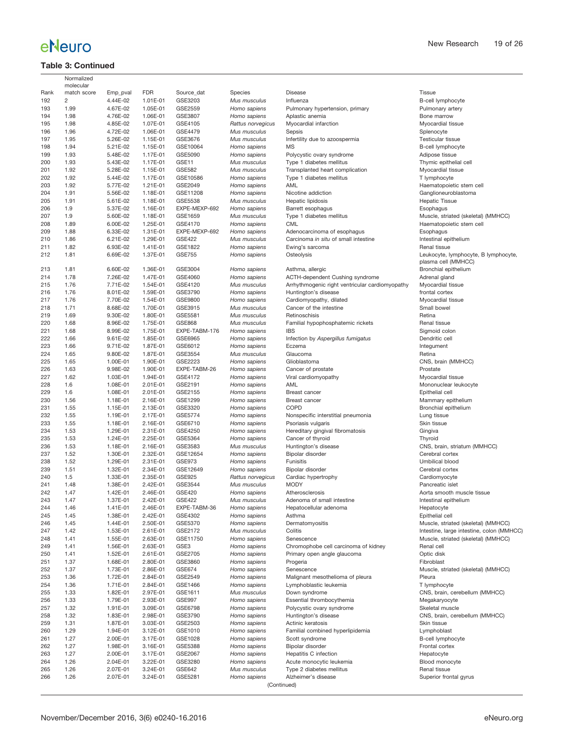### **Table 3: Continued**

<sup>2</sup><br>Muscle, striated (skeletal) (MMHCC) Intestine, large intestine, colon (MMHCC) Muscle, striated (skeletal) (MMHCC)

| <b>FDR</b><br>Rank<br>match score<br>Emp_pval<br>Source dat<br>Species<br><b>Disease</b><br>Tissue<br>192<br>2<br>4.44E-02<br>1.01E-01<br>GSE3203<br>B-cell lymphocyte<br>Mus musculus<br>Influenza<br>1.99<br>4.67E-02<br>193<br>1.05E-01<br>GSE2559<br>Homo sapiens<br>Pulmonary hypertension, primary<br>Pulmonary artery<br>194<br>1.98<br>4.76E-02<br>1.06E-01<br>GSE3807<br>Aplastic anemia<br>Bone marrow<br>Homo sapiens<br>1.98<br>4.85E-02<br>1.07E-01<br>Myocardial infarction<br>195<br>GSE4105<br>Rattus norvegicus<br>Myocardial tissue<br>4.72E-02<br>1.06E-01<br>196<br>1.96<br>GSE4479<br>Mus musculus<br>Sepsis<br>Splenocyte<br>197<br>1.95<br>5.26E-02<br>1.15E-01<br>GSE3676<br>Mus musculus<br>Testicular tissue<br>Infertility due to azoospermia<br>198<br>1.94<br>5.21E-02<br>1.15E-01<br>GSE10064<br><b>MS</b><br>B-cell lymphocyte<br>Homo sapiens<br>1.93<br>5.48E-02<br>Polycystic ovary syndrome<br>199<br>1.17E-01<br>GSE5090<br>Homo sapiens<br>Adipose tissue<br>200<br>1.93<br>5.43E-02<br>1.17E-01<br>GSE11<br>Type 1 diabetes mellitus<br>Thymic epithelial cell<br>Mus musculus<br>201<br>1.92<br>5.28E-02<br>1.15E-01<br><b>GSE582</b><br>Transplanted heart complication<br>Mus musculus<br>Myocardial tissue<br>1.92<br>5.44E-02<br>1.17E-01<br>202<br>GSE10586<br>Homo sapiens<br>Type 1 diabetes mellitus<br>T lymphocyte<br>203<br>1.92<br>5.77E-02<br>1.21E-01<br>GSE2049<br>AML<br>Haematopoietic stem cell<br>Homo sapiens<br>204<br>1.91<br>5.56E-02<br>1.18E-01<br>Nicotine addiction<br>Ganglioneuroblastoma<br>GSE11208<br>Homo sapiens<br>5.61E-02<br>1.18E-01<br>205<br>1.91<br>GSE5538<br>Mus musculus<br>Hepatic lipidosis<br><b>Hepatic Tissue</b><br>206<br>1.9<br>5.37E-02<br>1.16E-01<br>EXPE-MEXP-692<br>Barrett esophagus<br>Homo sapiens<br>Esophagus<br>207<br>1.9<br>5.60E-02<br>1.18E-01<br>Type 1 diabetes mellitus<br>Muscle, striated (skeletal) (MMHCC)<br>GSE1659<br>Mus musculus<br>1.89<br>6.00E-02<br>1.25E-01<br><b>CML</b><br>Haematopoietic stem cell<br>208<br>GSE4170<br>Homo sapiens<br>209<br>1.88<br>6.33E-02<br>1.31E-01<br>EXPE-MEXP-692<br>Adenocarcinoma of esophagus<br>Esophagus<br>Homo sapiens<br>210<br>1.86<br>6.21E-02<br>1.29E-01<br><b>GSE422</b><br>Carcinoma in situ of small intestine<br>Intestinal epithelium<br>Mus musculus<br>1.82<br>6.93E-02<br>211<br>1.41E-01<br>GSE1822<br>Homo sapiens<br>Ewing's sarcoma<br>Renal tissue<br>212<br>1.81<br>6.69E-02<br>1.37E-01<br><b>GSE755</b><br>Osteolysis<br>Homo sapiens<br>plasma cell (MMHCC)<br>213<br>1.81<br>6.60E-02<br>1.36E-01<br>GSE3004<br>Homo sapiens<br>Bronchial epithelium<br>Asthma, allergic<br>1.47E-01<br>214<br>1.78<br>7.26E-02<br>GSE4060<br>ACTH-dependent Cushing syndrome<br>Homo sapiens<br>Adrenal gland<br>1.76<br>7.71E-02<br>1.54E-01<br>Arrhythmogenic right ventricular cardiomyopathy<br>215<br>GSE4120<br>Mus musculus<br>Myocardial tissue<br>216<br>1.76<br>8.01E-02<br>1.59E-01<br>GSE3790<br>Huntington's disease<br>Homo sapiens<br>frontal cortex<br>217<br>1.76<br>7.70E-02<br>1.54E-01<br>GSE9800<br>Myocardial tissue<br>Homo sapiens<br>Cardiomyopathy, dilated<br>1.71<br>8.68E-02<br>Cancer of the intestine<br>Small bowel<br>218<br>1.70E-01<br>GSE3915<br>Mus musculus<br>219<br>1.69<br>9.30E-02<br>1.80E-01<br>GSE5581<br>Retinoschisis<br>Retina<br>Mus musculus<br>220<br>1.68<br>8.96E-02<br>1.75E-01<br><b>GSE868</b><br>Familial hypophosphatemic rickets<br>Renal tissue<br>Mus musculus<br>1.68<br>1.75E-01<br>221<br>8.99E-02<br>EXPE-TABM-176<br>Homo sapiens<br><b>IBS</b><br>Sigmoid colon<br>222<br>1.66<br>9.61E-02<br>1.85E-01<br>GSE6965<br>Infection by Aspergillus fumigatus<br>Dendritic cell<br>Homo sapiens<br>223<br>1.66<br>9.71E-02<br>1.87E-01<br>GSE6012<br>Homo sapiens<br>Eczema<br>Integument<br>224<br>1.65<br>Glaucoma<br>9.80E-02<br>1.87E-01<br>GSE3554<br>Mus musculus<br>Retina<br>225<br>1.65<br>1.00E-01<br>1.90E-01<br>GSE2223<br>Glioblastoma<br>CNS, brain (MMHCC)<br>Homo sapiens<br>226<br>1.63<br>9.98E-02<br>1.90E-01<br>EXPE-TABM-26<br>Prostate<br>Homo sapiens<br>Cancer of prostate<br>227<br>1.62<br>1.03E-01<br>1.94E-01<br>GSE4172<br>Homo sapiens<br>Viral cardiomyopathy<br>Myocardial tissue<br>228<br>1.6<br>1.08E-01<br>2.01E-01<br>GSE2191<br>AML<br>Mononuclear leukocyte<br>Homo sapiens<br>229<br>1.6<br>1.08E-01<br>2.01E-01<br>GSE2155<br>Epithelial cell<br>Homo sapiens<br>Breast cancer<br>230<br>1.56<br>1.18E-01<br>2.16E-01<br>GSE1299<br>Homo sapiens<br><b>Breast cancer</b><br>Mammary epithelium<br>231<br>1.55<br>1.15E-01<br>2.13E-01<br>GSE3320<br><b>COPD</b><br>Bronchial epithelium<br>Homo sapiens<br>232<br>1.55<br>1.19E-01<br>2.17E-01<br>GSE5774<br>Homo sapiens<br>Nonspecific interstitial pneumonia<br>Lung tissue<br>233<br>1.55<br>Skin tissue<br>1.18E-01<br>2.16E-01<br>GSE6710<br>Homo sapiens<br>Psoriasis vulgaris<br>234<br>1.53<br>1.29E-01<br>2.31E-01<br>GSE4250<br>Hereditary gingival fibromatosis<br>Gingiva<br>Homo sapiens<br>235<br>1.53<br>2.25E-01<br>GSE5364<br>Thyroid<br>1.24E-01<br>Homo sapiens<br>Cancer of thyroid<br>1.53<br>CNS, brain, striatum (MMHCC)<br>236<br>1.18E-01<br>2.16E-01<br>GSE3583<br>Mus musculus<br>Huntington's disease<br>237<br>1.52<br>1.30E-01<br>2.32E-01<br>GSE12654<br>Bipolar disorder<br>Cerebral cortex<br>Homo sapiens<br>238<br>1.52<br>1.29E-01<br>2.31E-01<br><b>GSE973</b><br>Umbilical blood<br>Homo sapiens<br>Funisitis<br>1.51<br>239<br>1.32E-01<br>2.34E-01<br>GSE12649<br>Homo sapiens<br>Bipolar disorder<br>Cerebral cortex<br>240<br>1.5<br>1.33E-01<br>2.35E-01<br>GSE925<br>Cardiac hypertrophy<br>Rattus norvegicus<br>Cardiomyocyte<br>241<br>1.38E-01<br>2.42E-01<br>GSE3544<br><b>MODY</b><br>1.48<br>Mus musculus<br>Pancreatic islet<br>1.47<br>242<br>1.42E-01<br>2.46E-01<br>GSE420<br>Homo sapiens<br>Atherosclerosis<br>Aorta smooth muscle tissue<br>2.42E-01<br>243<br>1.47<br>1.37E-01<br><b>GSE422</b><br>Mus musculus<br>Intestinal epithelium<br>Adenoma of small intestine<br>244<br>1.41E-01<br>2.46E-01<br>EXPE-TABM-36<br>1.46<br>Homo sapiens<br>Hepatocellular adenoma<br>Hepatocyte<br>245<br>1.45<br>1.38E-01<br>2.42E-01<br>GSE4302<br>Homo sapiens<br>Asthma<br>Epithelial cell<br>1.45<br>1.44E-01<br>2.50E-01<br>GSE5370<br>Homo sapiens<br>Dermatomyositis<br>Muscle, striated (skeletal) (MMHCC)<br>246<br>GSE2172<br>Colitis<br>247<br>1.42<br>1.53E-01<br>2.61E-01<br>Mus musculus<br>248<br>1.41<br>1.55E-01<br>2.63E-01<br>GSE11750<br>Homo sapiens<br>Senescence<br>Muscle, striated (skeletal) (MMHCC)<br>1.41<br>1.56E-01<br>2.63E-01<br>GSE3<br>Chromophobe cell carcinoma of kidney<br>Renal cell<br>249<br>Homo sapiens<br>250<br>GSE2705<br>Optic disk<br>1.41<br>1.52E-01<br>2.61E-01<br>Homo sapiens<br>Primary open angle glaucoma<br>251<br>1.37<br>1.68E-01<br>2.80E-01<br>GSE3860<br>Homo sapiens<br>Progeria<br>Fibroblast<br>1.37<br>1.73E-01<br>2.86E-01<br>GSE674<br>Muscle, striated (skeletal) (MMHCC)<br>252<br>Homo sapiens<br>Senescence<br>253<br>1.36<br>GSE2549<br>1.72E-01<br>2.84E-01<br>Homo sapiens<br>Malignant mesothelioma of pleura<br>Pleura<br>254<br>1.36<br>1.71E-01<br>2.84E-01<br>GSE1466<br>Homo sapiens<br>Lymphoblastic leukemia<br>T lymphocyte<br>1.33<br>1.82E-01<br>2.97E-01<br>GSE1611<br>CNS, brain, cerebellum (MMHCC)<br>255<br>Mus musculus<br>Down syndrome<br>1.33<br>256<br>1.79E-01<br>2.93E-01<br>GSE997<br>Homo sapiens<br>Essential thrombocythemia<br>Megakaryocyte<br>257<br>1.32<br>1.91E-01<br>3.09E-01<br>GSE6798<br>Homo sapiens<br>Polycystic ovary syndrome<br>Skeletal muscle<br>1.32<br>1.83E-01<br>2.98E-01<br>GSE3790<br>CNS, brain, cerebellum (MMHCC)<br>258<br>Homo sapiens<br>Huntington's disease<br>1.31<br>259<br>1.87E-01<br>3.03E-01<br>GSE2503<br>Homo sapiens<br>Actinic keratosis<br>Skin tissue<br>260<br>1.29<br>1.94E-01<br>3.12E-01<br>GSE1010<br>Homo sapiens<br>Familial combined hyperlipidemia<br>Lymphoblast<br>1.27<br>2.00E-01<br>3.17E-01<br>GSE1028<br>261<br>Homo sapiens<br>Scott syndrome<br>B-cell lymphocyte<br>1.27<br>262<br>1.98E-01<br>3.16E-01<br>GSE5388<br>Homo sapiens<br>Bipolar disorder<br>Frontal cortex<br>263<br>1.27<br>2.00E-01<br>3.17E-01<br>GSE2067<br>Homo sapiens<br>Hepatitis C infection<br>Hepatocyte<br>1.26<br>2.04E-01<br>3.22E-01<br>GSE3280<br>Blood monocyte<br>264<br>Homo sapiens<br>Acute monocytic leukemia<br>1.26<br>265<br>2.07E-01<br>3.24E-01<br>GSE642<br>Mus musculus<br>Type 2 diabetes mellitus<br>Renal tissue<br>Alzheimer's disease<br>266<br>1.26<br>2.07E-01<br>3.24E-01<br>GSE5281<br>Homo sapiens<br>Superior frontal gyrus<br>(Continued) | Normalized<br>molecular |  |  |                                         |
|--------------------------------------------------------------------------------------------------------------------------------------------------------------------------------------------------------------------------------------------------------------------------------------------------------------------------------------------------------------------------------------------------------------------------------------------------------------------------------------------------------------------------------------------------------------------------------------------------------------------------------------------------------------------------------------------------------------------------------------------------------------------------------------------------------------------------------------------------------------------------------------------------------------------------------------------------------------------------------------------------------------------------------------------------------------------------------------------------------------------------------------------------------------------------------------------------------------------------------------------------------------------------------------------------------------------------------------------------------------------------------------------------------------------------------------------------------------------------------------------------------------------------------------------------------------------------------------------------------------------------------------------------------------------------------------------------------------------------------------------------------------------------------------------------------------------------------------------------------------------------------------------------------------------------------------------------------------------------------------------------------------------------------------------------------------------------------------------------------------------------------------------------------------------------------------------------------------------------------------------------------------------------------------------------------------------------------------------------------------------------------------------------------------------------------------------------------------------------------------------------------------------------------------------------------------------------------------------------------------------------------------------------------------------------------------------------------------------------------------------------------------------------------------------------------------------------------------------------------------------------------------------------------------------------------------------------------------------------------------------------------------------------------------------------------------------------------------------------------------------------------------------------------------------------------------------------------------------------------------------------------------------------------------------------------------------------------------------------------------------------------------------------------------------------------------------------------------------------------------------------------------------------------------------------------------------------------------------------------------------------------------------------------------------------------------------------------------------------------------------------------------------------------------------------------------------------------------------------------------------------------------------------------------------------------------------------------------------------------------------------------------------------------------------------------------------------------------------------------------------------------------------------------------------------------------------------------------------------------------------------------------------------------------------------------------------------------------------------------------------------------------------------------------------------------------------------------------------------------------------------------------------------------------------------------------------------------------------------------------------------------------------------------------------------------------------------------------------------------------------------------------------------------------------------------------------------------------------------------------------------------------------------------------------------------------------------------------------------------------------------------------------------------------------------------------------------------------------------------------------------------------------------------------------------------------------------------------------------------------------------------------------------------------------------------------------------------------------------------------------------------------------------------------------------------------------------------------------------------------------------------------------------------------------------------------------------------------------------------------------------------------------------------------------------------------------------------------------------------------------------------------------------------------------------------------------------------------------------------------------------------------------------------------------------------------------------------------------------------------------------------------------------------------------------------------------------------------------------------------------------------------------------------------------------------------------------------------------------------------------------------------------------------------------------------------------------------------------------------------------------------------------------------------------------------------------------------------------------------------------------------------------------------------------------------------------------------------------------------------------------------------------------------------------------------------------------------------------------------------------------------------------------------------------------------------------------------------------------------------------------------------------------------------------------------------------------------------------------------------------------------------------------------------------------------------------------------------------------------------------------------------------------------------------------------------------------------------------------------------------------------------------------------------------------------------------------------------------------------------------------------------------------------------------------------------------------------------------------------------------------------------------------------------------------------------------------------------------------------------------------------------------------------------------------------------------------------------------------------------------------------------------------------------------------------------------------------------------------------------------------------------------------------------------------------------------------------------------------------------------------------------------------------------------------------------------------------------------------------------------------------------------------------------------------------------------------------------------------------------------------------------------------------------------------------------------------------------------------------------------------------------------------------------------------------------------------------------------------------------------------------------------------------------------------------------------------------------------------------------------------------------------------------------------------------------------------------|-------------------------|--|--|-----------------------------------------|
|                                                                                                                                                                                                                                                                                                                                                                                                                                                                                                                                                                                                                                                                                                                                                                                                                                                                                                                                                                                                                                                                                                                                                                                                                                                                                                                                                                                                                                                                                                                                                                                                                                                                                                                                                                                                                                                                                                                                                                                                                                                                                                                                                                                                                                                                                                                                                                                                                                                                                                                                                                                                                                                                                                                                                                                                                                                                                                                                                                                                                                                                                                                                                                                                                                                                                                                                                                                                                                                                                                                                                                                                                                                                                                                                                                                                                                                                                                                                                                                                                                                                                                                                                                                                                                                                                                                                                                                                                                                                                                                                                                                                                                                                                                                                                                                                                                                                                                                                                                                                                                                                                                                                                                                                                                                                                                                                                                                                                                                                                                                                                                                                                                                                                                                                                                                                                                                                                                                                                                                                                                                                                                                                                                                                                                                                                                                                                                                                                                                                                                                                                                                                                                                                                                                                                                                                                                                                                                                                                                                                                                                                                                                                                                                                                                                                                                                                                                                                                                                                                                                                                                                                                                                                                                                                                                                                                                                                                                                                                                                                                                                                                                                                                                                                                                                                                                                                                                                                                                                                                                                                                                                                                                                                                                        |                         |  |  |                                         |
|                                                                                                                                                                                                                                                                                                                                                                                                                                                                                                                                                                                                                                                                                                                                                                                                                                                                                                                                                                                                                                                                                                                                                                                                                                                                                                                                                                                                                                                                                                                                                                                                                                                                                                                                                                                                                                                                                                                                                                                                                                                                                                                                                                                                                                                                                                                                                                                                                                                                                                                                                                                                                                                                                                                                                                                                                                                                                                                                                                                                                                                                                                                                                                                                                                                                                                                                                                                                                                                                                                                                                                                                                                                                                                                                                                                                                                                                                                                                                                                                                                                                                                                                                                                                                                                                                                                                                                                                                                                                                                                                                                                                                                                                                                                                                                                                                                                                                                                                                                                                                                                                                                                                                                                                                                                                                                                                                                                                                                                                                                                                                                                                                                                                                                                                                                                                                                                                                                                                                                                                                                                                                                                                                                                                                                                                                                                                                                                                                                                                                                                                                                                                                                                                                                                                                                                                                                                                                                                                                                                                                                                                                                                                                                                                                                                                                                                                                                                                                                                                                                                                                                                                                                                                                                                                                                                                                                                                                                                                                                                                                                                                                                                                                                                                                                                                                                                                                                                                                                                                                                                                                                                                                                                                                                        |                         |  |  |                                         |
|                                                                                                                                                                                                                                                                                                                                                                                                                                                                                                                                                                                                                                                                                                                                                                                                                                                                                                                                                                                                                                                                                                                                                                                                                                                                                                                                                                                                                                                                                                                                                                                                                                                                                                                                                                                                                                                                                                                                                                                                                                                                                                                                                                                                                                                                                                                                                                                                                                                                                                                                                                                                                                                                                                                                                                                                                                                                                                                                                                                                                                                                                                                                                                                                                                                                                                                                                                                                                                                                                                                                                                                                                                                                                                                                                                                                                                                                                                                                                                                                                                                                                                                                                                                                                                                                                                                                                                                                                                                                                                                                                                                                                                                                                                                                                                                                                                                                                                                                                                                                                                                                                                                                                                                                                                                                                                                                                                                                                                                                                                                                                                                                                                                                                                                                                                                                                                                                                                                                                                                                                                                                                                                                                                                                                                                                                                                                                                                                                                                                                                                                                                                                                                                                                                                                                                                                                                                                                                                                                                                                                                                                                                                                                                                                                                                                                                                                                                                                                                                                                                                                                                                                                                                                                                                                                                                                                                                                                                                                                                                                                                                                                                                                                                                                                                                                                                                                                                                                                                                                                                                                                                                                                                                                                                        |                         |  |  |                                         |
|                                                                                                                                                                                                                                                                                                                                                                                                                                                                                                                                                                                                                                                                                                                                                                                                                                                                                                                                                                                                                                                                                                                                                                                                                                                                                                                                                                                                                                                                                                                                                                                                                                                                                                                                                                                                                                                                                                                                                                                                                                                                                                                                                                                                                                                                                                                                                                                                                                                                                                                                                                                                                                                                                                                                                                                                                                                                                                                                                                                                                                                                                                                                                                                                                                                                                                                                                                                                                                                                                                                                                                                                                                                                                                                                                                                                                                                                                                                                                                                                                                                                                                                                                                                                                                                                                                                                                                                                                                                                                                                                                                                                                                                                                                                                                                                                                                                                                                                                                                                                                                                                                                                                                                                                                                                                                                                                                                                                                                                                                                                                                                                                                                                                                                                                                                                                                                                                                                                                                                                                                                                                                                                                                                                                                                                                                                                                                                                                                                                                                                                                                                                                                                                                                                                                                                                                                                                                                                                                                                                                                                                                                                                                                                                                                                                                                                                                                                                                                                                                                                                                                                                                                                                                                                                                                                                                                                                                                                                                                                                                                                                                                                                                                                                                                                                                                                                                                                                                                                                                                                                                                                                                                                                                                                        |                         |  |  |                                         |
|                                                                                                                                                                                                                                                                                                                                                                                                                                                                                                                                                                                                                                                                                                                                                                                                                                                                                                                                                                                                                                                                                                                                                                                                                                                                                                                                                                                                                                                                                                                                                                                                                                                                                                                                                                                                                                                                                                                                                                                                                                                                                                                                                                                                                                                                                                                                                                                                                                                                                                                                                                                                                                                                                                                                                                                                                                                                                                                                                                                                                                                                                                                                                                                                                                                                                                                                                                                                                                                                                                                                                                                                                                                                                                                                                                                                                                                                                                                                                                                                                                                                                                                                                                                                                                                                                                                                                                                                                                                                                                                                                                                                                                                                                                                                                                                                                                                                                                                                                                                                                                                                                                                                                                                                                                                                                                                                                                                                                                                                                                                                                                                                                                                                                                                                                                                                                                                                                                                                                                                                                                                                                                                                                                                                                                                                                                                                                                                                                                                                                                                                                                                                                                                                                                                                                                                                                                                                                                                                                                                                                                                                                                                                                                                                                                                                                                                                                                                                                                                                                                                                                                                                                                                                                                                                                                                                                                                                                                                                                                                                                                                                                                                                                                                                                                                                                                                                                                                                                                                                                                                                                                                                                                                                                                        |                         |  |  |                                         |
|                                                                                                                                                                                                                                                                                                                                                                                                                                                                                                                                                                                                                                                                                                                                                                                                                                                                                                                                                                                                                                                                                                                                                                                                                                                                                                                                                                                                                                                                                                                                                                                                                                                                                                                                                                                                                                                                                                                                                                                                                                                                                                                                                                                                                                                                                                                                                                                                                                                                                                                                                                                                                                                                                                                                                                                                                                                                                                                                                                                                                                                                                                                                                                                                                                                                                                                                                                                                                                                                                                                                                                                                                                                                                                                                                                                                                                                                                                                                                                                                                                                                                                                                                                                                                                                                                                                                                                                                                                                                                                                                                                                                                                                                                                                                                                                                                                                                                                                                                                                                                                                                                                                                                                                                                                                                                                                                                                                                                                                                                                                                                                                                                                                                                                                                                                                                                                                                                                                                                                                                                                                                                                                                                                                                                                                                                                                                                                                                                                                                                                                                                                                                                                                                                                                                                                                                                                                                                                                                                                                                                                                                                                                                                                                                                                                                                                                                                                                                                                                                                                                                                                                                                                                                                                                                                                                                                                                                                                                                                                                                                                                                                                                                                                                                                                                                                                                                                                                                                                                                                                                                                                                                                                                                                                        |                         |  |  |                                         |
|                                                                                                                                                                                                                                                                                                                                                                                                                                                                                                                                                                                                                                                                                                                                                                                                                                                                                                                                                                                                                                                                                                                                                                                                                                                                                                                                                                                                                                                                                                                                                                                                                                                                                                                                                                                                                                                                                                                                                                                                                                                                                                                                                                                                                                                                                                                                                                                                                                                                                                                                                                                                                                                                                                                                                                                                                                                                                                                                                                                                                                                                                                                                                                                                                                                                                                                                                                                                                                                                                                                                                                                                                                                                                                                                                                                                                                                                                                                                                                                                                                                                                                                                                                                                                                                                                                                                                                                                                                                                                                                                                                                                                                                                                                                                                                                                                                                                                                                                                                                                                                                                                                                                                                                                                                                                                                                                                                                                                                                                                                                                                                                                                                                                                                                                                                                                                                                                                                                                                                                                                                                                                                                                                                                                                                                                                                                                                                                                                                                                                                                                                                                                                                                                                                                                                                                                                                                                                                                                                                                                                                                                                                                                                                                                                                                                                                                                                                                                                                                                                                                                                                                                                                                                                                                                                                                                                                                                                                                                                                                                                                                                                                                                                                                                                                                                                                                                                                                                                                                                                                                                                                                                                                                                                                        |                         |  |  |                                         |
|                                                                                                                                                                                                                                                                                                                                                                                                                                                                                                                                                                                                                                                                                                                                                                                                                                                                                                                                                                                                                                                                                                                                                                                                                                                                                                                                                                                                                                                                                                                                                                                                                                                                                                                                                                                                                                                                                                                                                                                                                                                                                                                                                                                                                                                                                                                                                                                                                                                                                                                                                                                                                                                                                                                                                                                                                                                                                                                                                                                                                                                                                                                                                                                                                                                                                                                                                                                                                                                                                                                                                                                                                                                                                                                                                                                                                                                                                                                                                                                                                                                                                                                                                                                                                                                                                                                                                                                                                                                                                                                                                                                                                                                                                                                                                                                                                                                                                                                                                                                                                                                                                                                                                                                                                                                                                                                                                                                                                                                                                                                                                                                                                                                                                                                                                                                                                                                                                                                                                                                                                                                                                                                                                                                                                                                                                                                                                                                                                                                                                                                                                                                                                                                                                                                                                                                                                                                                                                                                                                                                                                                                                                                                                                                                                                                                                                                                                                                                                                                                                                                                                                                                                                                                                                                                                                                                                                                                                                                                                                                                                                                                                                                                                                                                                                                                                                                                                                                                                                                                                                                                                                                                                                                                                                        |                         |  |  |                                         |
|                                                                                                                                                                                                                                                                                                                                                                                                                                                                                                                                                                                                                                                                                                                                                                                                                                                                                                                                                                                                                                                                                                                                                                                                                                                                                                                                                                                                                                                                                                                                                                                                                                                                                                                                                                                                                                                                                                                                                                                                                                                                                                                                                                                                                                                                                                                                                                                                                                                                                                                                                                                                                                                                                                                                                                                                                                                                                                                                                                                                                                                                                                                                                                                                                                                                                                                                                                                                                                                                                                                                                                                                                                                                                                                                                                                                                                                                                                                                                                                                                                                                                                                                                                                                                                                                                                                                                                                                                                                                                                                                                                                                                                                                                                                                                                                                                                                                                                                                                                                                                                                                                                                                                                                                                                                                                                                                                                                                                                                                                                                                                                                                                                                                                                                                                                                                                                                                                                                                                                                                                                                                                                                                                                                                                                                                                                                                                                                                                                                                                                                                                                                                                                                                                                                                                                                                                                                                                                                                                                                                                                                                                                                                                                                                                                                                                                                                                                                                                                                                                                                                                                                                                                                                                                                                                                                                                                                                                                                                                                                                                                                                                                                                                                                                                                                                                                                                                                                                                                                                                                                                                                                                                                                                                                        |                         |  |  |                                         |
|                                                                                                                                                                                                                                                                                                                                                                                                                                                                                                                                                                                                                                                                                                                                                                                                                                                                                                                                                                                                                                                                                                                                                                                                                                                                                                                                                                                                                                                                                                                                                                                                                                                                                                                                                                                                                                                                                                                                                                                                                                                                                                                                                                                                                                                                                                                                                                                                                                                                                                                                                                                                                                                                                                                                                                                                                                                                                                                                                                                                                                                                                                                                                                                                                                                                                                                                                                                                                                                                                                                                                                                                                                                                                                                                                                                                                                                                                                                                                                                                                                                                                                                                                                                                                                                                                                                                                                                                                                                                                                                                                                                                                                                                                                                                                                                                                                                                                                                                                                                                                                                                                                                                                                                                                                                                                                                                                                                                                                                                                                                                                                                                                                                                                                                                                                                                                                                                                                                                                                                                                                                                                                                                                                                                                                                                                                                                                                                                                                                                                                                                                                                                                                                                                                                                                                                                                                                                                                                                                                                                                                                                                                                                                                                                                                                                                                                                                                                                                                                                                                                                                                                                                                                                                                                                                                                                                                                                                                                                                                                                                                                                                                                                                                                                                                                                                                                                                                                                                                                                                                                                                                                                                                                                                                        |                         |  |  |                                         |
|                                                                                                                                                                                                                                                                                                                                                                                                                                                                                                                                                                                                                                                                                                                                                                                                                                                                                                                                                                                                                                                                                                                                                                                                                                                                                                                                                                                                                                                                                                                                                                                                                                                                                                                                                                                                                                                                                                                                                                                                                                                                                                                                                                                                                                                                                                                                                                                                                                                                                                                                                                                                                                                                                                                                                                                                                                                                                                                                                                                                                                                                                                                                                                                                                                                                                                                                                                                                                                                                                                                                                                                                                                                                                                                                                                                                                                                                                                                                                                                                                                                                                                                                                                                                                                                                                                                                                                                                                                                                                                                                                                                                                                                                                                                                                                                                                                                                                                                                                                                                                                                                                                                                                                                                                                                                                                                                                                                                                                                                                                                                                                                                                                                                                                                                                                                                                                                                                                                                                                                                                                                                                                                                                                                                                                                                                                                                                                                                                                                                                                                                                                                                                                                                                                                                                                                                                                                                                                                                                                                                                                                                                                                                                                                                                                                                                                                                                                                                                                                                                                                                                                                                                                                                                                                                                                                                                                                                                                                                                                                                                                                                                                                                                                                                                                                                                                                                                                                                                                                                                                                                                                                                                                                                                                        |                         |  |  |                                         |
|                                                                                                                                                                                                                                                                                                                                                                                                                                                                                                                                                                                                                                                                                                                                                                                                                                                                                                                                                                                                                                                                                                                                                                                                                                                                                                                                                                                                                                                                                                                                                                                                                                                                                                                                                                                                                                                                                                                                                                                                                                                                                                                                                                                                                                                                                                                                                                                                                                                                                                                                                                                                                                                                                                                                                                                                                                                                                                                                                                                                                                                                                                                                                                                                                                                                                                                                                                                                                                                                                                                                                                                                                                                                                                                                                                                                                                                                                                                                                                                                                                                                                                                                                                                                                                                                                                                                                                                                                                                                                                                                                                                                                                                                                                                                                                                                                                                                                                                                                                                                                                                                                                                                                                                                                                                                                                                                                                                                                                                                                                                                                                                                                                                                                                                                                                                                                                                                                                                                                                                                                                                                                                                                                                                                                                                                                                                                                                                                                                                                                                                                                                                                                                                                                                                                                                                                                                                                                                                                                                                                                                                                                                                                                                                                                                                                                                                                                                                                                                                                                                                                                                                                                                                                                                                                                                                                                                                                                                                                                                                                                                                                                                                                                                                                                                                                                                                                                                                                                                                                                                                                                                                                                                                                                                        |                         |  |  |                                         |
|                                                                                                                                                                                                                                                                                                                                                                                                                                                                                                                                                                                                                                                                                                                                                                                                                                                                                                                                                                                                                                                                                                                                                                                                                                                                                                                                                                                                                                                                                                                                                                                                                                                                                                                                                                                                                                                                                                                                                                                                                                                                                                                                                                                                                                                                                                                                                                                                                                                                                                                                                                                                                                                                                                                                                                                                                                                                                                                                                                                                                                                                                                                                                                                                                                                                                                                                                                                                                                                                                                                                                                                                                                                                                                                                                                                                                                                                                                                                                                                                                                                                                                                                                                                                                                                                                                                                                                                                                                                                                                                                                                                                                                                                                                                                                                                                                                                                                                                                                                                                                                                                                                                                                                                                                                                                                                                                                                                                                                                                                                                                                                                                                                                                                                                                                                                                                                                                                                                                                                                                                                                                                                                                                                                                                                                                                                                                                                                                                                                                                                                                                                                                                                                                                                                                                                                                                                                                                                                                                                                                                                                                                                                                                                                                                                                                                                                                                                                                                                                                                                                                                                                                                                                                                                                                                                                                                                                                                                                                                                                                                                                                                                                                                                                                                                                                                                                                                                                                                                                                                                                                                                                                                                                                                                        |                         |  |  |                                         |
|                                                                                                                                                                                                                                                                                                                                                                                                                                                                                                                                                                                                                                                                                                                                                                                                                                                                                                                                                                                                                                                                                                                                                                                                                                                                                                                                                                                                                                                                                                                                                                                                                                                                                                                                                                                                                                                                                                                                                                                                                                                                                                                                                                                                                                                                                                                                                                                                                                                                                                                                                                                                                                                                                                                                                                                                                                                                                                                                                                                                                                                                                                                                                                                                                                                                                                                                                                                                                                                                                                                                                                                                                                                                                                                                                                                                                                                                                                                                                                                                                                                                                                                                                                                                                                                                                                                                                                                                                                                                                                                                                                                                                                                                                                                                                                                                                                                                                                                                                                                                                                                                                                                                                                                                                                                                                                                                                                                                                                                                                                                                                                                                                                                                                                                                                                                                                                                                                                                                                                                                                                                                                                                                                                                                                                                                                                                                                                                                                                                                                                                                                                                                                                                                                                                                                                                                                                                                                                                                                                                                                                                                                                                                                                                                                                                                                                                                                                                                                                                                                                                                                                                                                                                                                                                                                                                                                                                                                                                                                                                                                                                                                                                                                                                                                                                                                                                                                                                                                                                                                                                                                                                                                                                                                                        |                         |  |  |                                         |
|                                                                                                                                                                                                                                                                                                                                                                                                                                                                                                                                                                                                                                                                                                                                                                                                                                                                                                                                                                                                                                                                                                                                                                                                                                                                                                                                                                                                                                                                                                                                                                                                                                                                                                                                                                                                                                                                                                                                                                                                                                                                                                                                                                                                                                                                                                                                                                                                                                                                                                                                                                                                                                                                                                                                                                                                                                                                                                                                                                                                                                                                                                                                                                                                                                                                                                                                                                                                                                                                                                                                                                                                                                                                                                                                                                                                                                                                                                                                                                                                                                                                                                                                                                                                                                                                                                                                                                                                                                                                                                                                                                                                                                                                                                                                                                                                                                                                                                                                                                                                                                                                                                                                                                                                                                                                                                                                                                                                                                                                                                                                                                                                                                                                                                                                                                                                                                                                                                                                                                                                                                                                                                                                                                                                                                                                                                                                                                                                                                                                                                                                                                                                                                                                                                                                                                                                                                                                                                                                                                                                                                                                                                                                                                                                                                                                                                                                                                                                                                                                                                                                                                                                                                                                                                                                                                                                                                                                                                                                                                                                                                                                                                                                                                                                                                                                                                                                                                                                                                                                                                                                                                                                                                                                                                        |                         |  |  |                                         |
|                                                                                                                                                                                                                                                                                                                                                                                                                                                                                                                                                                                                                                                                                                                                                                                                                                                                                                                                                                                                                                                                                                                                                                                                                                                                                                                                                                                                                                                                                                                                                                                                                                                                                                                                                                                                                                                                                                                                                                                                                                                                                                                                                                                                                                                                                                                                                                                                                                                                                                                                                                                                                                                                                                                                                                                                                                                                                                                                                                                                                                                                                                                                                                                                                                                                                                                                                                                                                                                                                                                                                                                                                                                                                                                                                                                                                                                                                                                                                                                                                                                                                                                                                                                                                                                                                                                                                                                                                                                                                                                                                                                                                                                                                                                                                                                                                                                                                                                                                                                                                                                                                                                                                                                                                                                                                                                                                                                                                                                                                                                                                                                                                                                                                                                                                                                                                                                                                                                                                                                                                                                                                                                                                                                                                                                                                                                                                                                                                                                                                                                                                                                                                                                                                                                                                                                                                                                                                                                                                                                                                                                                                                                                                                                                                                                                                                                                                                                                                                                                                                                                                                                                                                                                                                                                                                                                                                                                                                                                                                                                                                                                                                                                                                                                                                                                                                                                                                                                                                                                                                                                                                                                                                                                                                        |                         |  |  |                                         |
|                                                                                                                                                                                                                                                                                                                                                                                                                                                                                                                                                                                                                                                                                                                                                                                                                                                                                                                                                                                                                                                                                                                                                                                                                                                                                                                                                                                                                                                                                                                                                                                                                                                                                                                                                                                                                                                                                                                                                                                                                                                                                                                                                                                                                                                                                                                                                                                                                                                                                                                                                                                                                                                                                                                                                                                                                                                                                                                                                                                                                                                                                                                                                                                                                                                                                                                                                                                                                                                                                                                                                                                                                                                                                                                                                                                                                                                                                                                                                                                                                                                                                                                                                                                                                                                                                                                                                                                                                                                                                                                                                                                                                                                                                                                                                                                                                                                                                                                                                                                                                                                                                                                                                                                                                                                                                                                                                                                                                                                                                                                                                                                                                                                                                                                                                                                                                                                                                                                                                                                                                                                                                                                                                                                                                                                                                                                                                                                                                                                                                                                                                                                                                                                                                                                                                                                                                                                                                                                                                                                                                                                                                                                                                                                                                                                                                                                                                                                                                                                                                                                                                                                                                                                                                                                                                                                                                                                                                                                                                                                                                                                                                                                                                                                                                                                                                                                                                                                                                                                                                                                                                                                                                                                                                                        |                         |  |  |                                         |
|                                                                                                                                                                                                                                                                                                                                                                                                                                                                                                                                                                                                                                                                                                                                                                                                                                                                                                                                                                                                                                                                                                                                                                                                                                                                                                                                                                                                                                                                                                                                                                                                                                                                                                                                                                                                                                                                                                                                                                                                                                                                                                                                                                                                                                                                                                                                                                                                                                                                                                                                                                                                                                                                                                                                                                                                                                                                                                                                                                                                                                                                                                                                                                                                                                                                                                                                                                                                                                                                                                                                                                                                                                                                                                                                                                                                                                                                                                                                                                                                                                                                                                                                                                                                                                                                                                                                                                                                                                                                                                                                                                                                                                                                                                                                                                                                                                                                                                                                                                                                                                                                                                                                                                                                                                                                                                                                                                                                                                                                                                                                                                                                                                                                                                                                                                                                                                                                                                                                                                                                                                                                                                                                                                                                                                                                                                                                                                                                                                                                                                                                                                                                                                                                                                                                                                                                                                                                                                                                                                                                                                                                                                                                                                                                                                                                                                                                                                                                                                                                                                                                                                                                                                                                                                                                                                                                                                                                                                                                                                                                                                                                                                                                                                                                                                                                                                                                                                                                                                                                                                                                                                                                                                                                                                        |                         |  |  |                                         |
|                                                                                                                                                                                                                                                                                                                                                                                                                                                                                                                                                                                                                                                                                                                                                                                                                                                                                                                                                                                                                                                                                                                                                                                                                                                                                                                                                                                                                                                                                                                                                                                                                                                                                                                                                                                                                                                                                                                                                                                                                                                                                                                                                                                                                                                                                                                                                                                                                                                                                                                                                                                                                                                                                                                                                                                                                                                                                                                                                                                                                                                                                                                                                                                                                                                                                                                                                                                                                                                                                                                                                                                                                                                                                                                                                                                                                                                                                                                                                                                                                                                                                                                                                                                                                                                                                                                                                                                                                                                                                                                                                                                                                                                                                                                                                                                                                                                                                                                                                                                                                                                                                                                                                                                                                                                                                                                                                                                                                                                                                                                                                                                                                                                                                                                                                                                                                                                                                                                                                                                                                                                                                                                                                                                                                                                                                                                                                                                                                                                                                                                                                                                                                                                                                                                                                                                                                                                                                                                                                                                                                                                                                                                                                                                                                                                                                                                                                                                                                                                                                                                                                                                                                                                                                                                                                                                                                                                                                                                                                                                                                                                                                                                                                                                                                                                                                                                                                                                                                                                                                                                                                                                                                                                                                                        |                         |  |  |                                         |
|                                                                                                                                                                                                                                                                                                                                                                                                                                                                                                                                                                                                                                                                                                                                                                                                                                                                                                                                                                                                                                                                                                                                                                                                                                                                                                                                                                                                                                                                                                                                                                                                                                                                                                                                                                                                                                                                                                                                                                                                                                                                                                                                                                                                                                                                                                                                                                                                                                                                                                                                                                                                                                                                                                                                                                                                                                                                                                                                                                                                                                                                                                                                                                                                                                                                                                                                                                                                                                                                                                                                                                                                                                                                                                                                                                                                                                                                                                                                                                                                                                                                                                                                                                                                                                                                                                                                                                                                                                                                                                                                                                                                                                                                                                                                                                                                                                                                                                                                                                                                                                                                                                                                                                                                                                                                                                                                                                                                                                                                                                                                                                                                                                                                                                                                                                                                                                                                                                                                                                                                                                                                                                                                                                                                                                                                                                                                                                                                                                                                                                                                                                                                                                                                                                                                                                                                                                                                                                                                                                                                                                                                                                                                                                                                                                                                                                                                                                                                                                                                                                                                                                                                                                                                                                                                                                                                                                                                                                                                                                                                                                                                                                                                                                                                                                                                                                                                                                                                                                                                                                                                                                                                                                                                                                        |                         |  |  | Leukocyte, lymphocyte, B lymphocyte,    |
|                                                                                                                                                                                                                                                                                                                                                                                                                                                                                                                                                                                                                                                                                                                                                                                                                                                                                                                                                                                                                                                                                                                                                                                                                                                                                                                                                                                                                                                                                                                                                                                                                                                                                                                                                                                                                                                                                                                                                                                                                                                                                                                                                                                                                                                                                                                                                                                                                                                                                                                                                                                                                                                                                                                                                                                                                                                                                                                                                                                                                                                                                                                                                                                                                                                                                                                                                                                                                                                                                                                                                                                                                                                                                                                                                                                                                                                                                                                                                                                                                                                                                                                                                                                                                                                                                                                                                                                                                                                                                                                                                                                                                                                                                                                                                                                                                                                                                                                                                                                                                                                                                                                                                                                                                                                                                                                                                                                                                                                                                                                                                                                                                                                                                                                                                                                                                                                                                                                                                                                                                                                                                                                                                                                                                                                                                                                                                                                                                                                                                                                                                                                                                                                                                                                                                                                                                                                                                                                                                                                                                                                                                                                                                                                                                                                                                                                                                                                                                                                                                                                                                                                                                                                                                                                                                                                                                                                                                                                                                                                                                                                                                                                                                                                                                                                                                                                                                                                                                                                                                                                                                                                                                                                                                                        |                         |  |  |                                         |
|                                                                                                                                                                                                                                                                                                                                                                                                                                                                                                                                                                                                                                                                                                                                                                                                                                                                                                                                                                                                                                                                                                                                                                                                                                                                                                                                                                                                                                                                                                                                                                                                                                                                                                                                                                                                                                                                                                                                                                                                                                                                                                                                                                                                                                                                                                                                                                                                                                                                                                                                                                                                                                                                                                                                                                                                                                                                                                                                                                                                                                                                                                                                                                                                                                                                                                                                                                                                                                                                                                                                                                                                                                                                                                                                                                                                                                                                                                                                                                                                                                                                                                                                                                                                                                                                                                                                                                                                                                                                                                                                                                                                                                                                                                                                                                                                                                                                                                                                                                                                                                                                                                                                                                                                                                                                                                                                                                                                                                                                                                                                                                                                                                                                                                                                                                                                                                                                                                                                                                                                                                                                                                                                                                                                                                                                                                                                                                                                                                                                                                                                                                                                                                                                                                                                                                                                                                                                                                                                                                                                                                                                                                                                                                                                                                                                                                                                                                                                                                                                                                                                                                                                                                                                                                                                                                                                                                                                                                                                                                                                                                                                                                                                                                                                                                                                                                                                                                                                                                                                                                                                                                                                                                                                                                        |                         |  |  |                                         |
|                                                                                                                                                                                                                                                                                                                                                                                                                                                                                                                                                                                                                                                                                                                                                                                                                                                                                                                                                                                                                                                                                                                                                                                                                                                                                                                                                                                                                                                                                                                                                                                                                                                                                                                                                                                                                                                                                                                                                                                                                                                                                                                                                                                                                                                                                                                                                                                                                                                                                                                                                                                                                                                                                                                                                                                                                                                                                                                                                                                                                                                                                                                                                                                                                                                                                                                                                                                                                                                                                                                                                                                                                                                                                                                                                                                                                                                                                                                                                                                                                                                                                                                                                                                                                                                                                                                                                                                                                                                                                                                                                                                                                                                                                                                                                                                                                                                                                                                                                                                                                                                                                                                                                                                                                                                                                                                                                                                                                                                                                                                                                                                                                                                                                                                                                                                                                                                                                                                                                                                                                                                                                                                                                                                                                                                                                                                                                                                                                                                                                                                                                                                                                                                                                                                                                                                                                                                                                                                                                                                                                                                                                                                                                                                                                                                                                                                                                                                                                                                                                                                                                                                                                                                                                                                                                                                                                                                                                                                                                                                                                                                                                                                                                                                                                                                                                                                                                                                                                                                                                                                                                                                                                                                                                                        |                         |  |  |                                         |
|                                                                                                                                                                                                                                                                                                                                                                                                                                                                                                                                                                                                                                                                                                                                                                                                                                                                                                                                                                                                                                                                                                                                                                                                                                                                                                                                                                                                                                                                                                                                                                                                                                                                                                                                                                                                                                                                                                                                                                                                                                                                                                                                                                                                                                                                                                                                                                                                                                                                                                                                                                                                                                                                                                                                                                                                                                                                                                                                                                                                                                                                                                                                                                                                                                                                                                                                                                                                                                                                                                                                                                                                                                                                                                                                                                                                                                                                                                                                                                                                                                                                                                                                                                                                                                                                                                                                                                                                                                                                                                                                                                                                                                                                                                                                                                                                                                                                                                                                                                                                                                                                                                                                                                                                                                                                                                                                                                                                                                                                                                                                                                                                                                                                                                                                                                                                                                                                                                                                                                                                                                                                                                                                                                                                                                                                                                                                                                                                                                                                                                                                                                                                                                                                                                                                                                                                                                                                                                                                                                                                                                                                                                                                                                                                                                                                                                                                                                                                                                                                                                                                                                                                                                                                                                                                                                                                                                                                                                                                                                                                                                                                                                                                                                                                                                                                                                                                                                                                                                                                                                                                                                                                                                                                                                        |                         |  |  |                                         |
|                                                                                                                                                                                                                                                                                                                                                                                                                                                                                                                                                                                                                                                                                                                                                                                                                                                                                                                                                                                                                                                                                                                                                                                                                                                                                                                                                                                                                                                                                                                                                                                                                                                                                                                                                                                                                                                                                                                                                                                                                                                                                                                                                                                                                                                                                                                                                                                                                                                                                                                                                                                                                                                                                                                                                                                                                                                                                                                                                                                                                                                                                                                                                                                                                                                                                                                                                                                                                                                                                                                                                                                                                                                                                                                                                                                                                                                                                                                                                                                                                                                                                                                                                                                                                                                                                                                                                                                                                                                                                                                                                                                                                                                                                                                                                                                                                                                                                                                                                                                                                                                                                                                                                                                                                                                                                                                                                                                                                                                                                                                                                                                                                                                                                                                                                                                                                                                                                                                                                                                                                                                                                                                                                                                                                                                                                                                                                                                                                                                                                                                                                                                                                                                                                                                                                                                                                                                                                                                                                                                                                                                                                                                                                                                                                                                                                                                                                                                                                                                                                                                                                                                                                                                                                                                                                                                                                                                                                                                                                                                                                                                                                                                                                                                                                                                                                                                                                                                                                                                                                                                                                                                                                                                                                                        |                         |  |  |                                         |
|                                                                                                                                                                                                                                                                                                                                                                                                                                                                                                                                                                                                                                                                                                                                                                                                                                                                                                                                                                                                                                                                                                                                                                                                                                                                                                                                                                                                                                                                                                                                                                                                                                                                                                                                                                                                                                                                                                                                                                                                                                                                                                                                                                                                                                                                                                                                                                                                                                                                                                                                                                                                                                                                                                                                                                                                                                                                                                                                                                                                                                                                                                                                                                                                                                                                                                                                                                                                                                                                                                                                                                                                                                                                                                                                                                                                                                                                                                                                                                                                                                                                                                                                                                                                                                                                                                                                                                                                                                                                                                                                                                                                                                                                                                                                                                                                                                                                                                                                                                                                                                                                                                                                                                                                                                                                                                                                                                                                                                                                                                                                                                                                                                                                                                                                                                                                                                                                                                                                                                                                                                                                                                                                                                                                                                                                                                                                                                                                                                                                                                                                                                                                                                                                                                                                                                                                                                                                                                                                                                                                                                                                                                                                                                                                                                                                                                                                                                                                                                                                                                                                                                                                                                                                                                                                                                                                                                                                                                                                                                                                                                                                                                                                                                                                                                                                                                                                                                                                                                                                                                                                                                                                                                                                                                        |                         |  |  |                                         |
|                                                                                                                                                                                                                                                                                                                                                                                                                                                                                                                                                                                                                                                                                                                                                                                                                                                                                                                                                                                                                                                                                                                                                                                                                                                                                                                                                                                                                                                                                                                                                                                                                                                                                                                                                                                                                                                                                                                                                                                                                                                                                                                                                                                                                                                                                                                                                                                                                                                                                                                                                                                                                                                                                                                                                                                                                                                                                                                                                                                                                                                                                                                                                                                                                                                                                                                                                                                                                                                                                                                                                                                                                                                                                                                                                                                                                                                                                                                                                                                                                                                                                                                                                                                                                                                                                                                                                                                                                                                                                                                                                                                                                                                                                                                                                                                                                                                                                                                                                                                                                                                                                                                                                                                                                                                                                                                                                                                                                                                                                                                                                                                                                                                                                                                                                                                                                                                                                                                                                                                                                                                                                                                                                                                                                                                                                                                                                                                                                                                                                                                                                                                                                                                                                                                                                                                                                                                                                                                                                                                                                                                                                                                                                                                                                                                                                                                                                                                                                                                                                                                                                                                                                                                                                                                                                                                                                                                                                                                                                                                                                                                                                                                                                                                                                                                                                                                                                                                                                                                                                                                                                                                                                                                                                                        |                         |  |  |                                         |
|                                                                                                                                                                                                                                                                                                                                                                                                                                                                                                                                                                                                                                                                                                                                                                                                                                                                                                                                                                                                                                                                                                                                                                                                                                                                                                                                                                                                                                                                                                                                                                                                                                                                                                                                                                                                                                                                                                                                                                                                                                                                                                                                                                                                                                                                                                                                                                                                                                                                                                                                                                                                                                                                                                                                                                                                                                                                                                                                                                                                                                                                                                                                                                                                                                                                                                                                                                                                                                                                                                                                                                                                                                                                                                                                                                                                                                                                                                                                                                                                                                                                                                                                                                                                                                                                                                                                                                                                                                                                                                                                                                                                                                                                                                                                                                                                                                                                                                                                                                                                                                                                                                                                                                                                                                                                                                                                                                                                                                                                                                                                                                                                                                                                                                                                                                                                                                                                                                                                                                                                                                                                                                                                                                                                                                                                                                                                                                                                                                                                                                                                                                                                                                                                                                                                                                                                                                                                                                                                                                                                                                                                                                                                                                                                                                                                                                                                                                                                                                                                                                                                                                                                                                                                                                                                                                                                                                                                                                                                                                                                                                                                                                                                                                                                                                                                                                                                                                                                                                                                                                                                                                                                                                                                                                        |                         |  |  |                                         |
|                                                                                                                                                                                                                                                                                                                                                                                                                                                                                                                                                                                                                                                                                                                                                                                                                                                                                                                                                                                                                                                                                                                                                                                                                                                                                                                                                                                                                                                                                                                                                                                                                                                                                                                                                                                                                                                                                                                                                                                                                                                                                                                                                                                                                                                                                                                                                                                                                                                                                                                                                                                                                                                                                                                                                                                                                                                                                                                                                                                                                                                                                                                                                                                                                                                                                                                                                                                                                                                                                                                                                                                                                                                                                                                                                                                                                                                                                                                                                                                                                                                                                                                                                                                                                                                                                                                                                                                                                                                                                                                                                                                                                                                                                                                                                                                                                                                                                                                                                                                                                                                                                                                                                                                                                                                                                                                                                                                                                                                                                                                                                                                                                                                                                                                                                                                                                                                                                                                                                                                                                                                                                                                                                                                                                                                                                                                                                                                                                                                                                                                                                                                                                                                                                                                                                                                                                                                                                                                                                                                                                                                                                                                                                                                                                                                                                                                                                                                                                                                                                                                                                                                                                                                                                                                                                                                                                                                                                                                                                                                                                                                                                                                                                                                                                                                                                                                                                                                                                                                                                                                                                                                                                                                                                                        |                         |  |  |                                         |
|                                                                                                                                                                                                                                                                                                                                                                                                                                                                                                                                                                                                                                                                                                                                                                                                                                                                                                                                                                                                                                                                                                                                                                                                                                                                                                                                                                                                                                                                                                                                                                                                                                                                                                                                                                                                                                                                                                                                                                                                                                                                                                                                                                                                                                                                                                                                                                                                                                                                                                                                                                                                                                                                                                                                                                                                                                                                                                                                                                                                                                                                                                                                                                                                                                                                                                                                                                                                                                                                                                                                                                                                                                                                                                                                                                                                                                                                                                                                                                                                                                                                                                                                                                                                                                                                                                                                                                                                                                                                                                                                                                                                                                                                                                                                                                                                                                                                                                                                                                                                                                                                                                                                                                                                                                                                                                                                                                                                                                                                                                                                                                                                                                                                                                                                                                                                                                                                                                                                                                                                                                                                                                                                                                                                                                                                                                                                                                                                                                                                                                                                                                                                                                                                                                                                                                                                                                                                                                                                                                                                                                                                                                                                                                                                                                                                                                                                                                                                                                                                                                                                                                                                                                                                                                                                                                                                                                                                                                                                                                                                                                                                                                                                                                                                                                                                                                                                                                                                                                                                                                                                                                                                                                                                                                        |                         |  |  |                                         |
|                                                                                                                                                                                                                                                                                                                                                                                                                                                                                                                                                                                                                                                                                                                                                                                                                                                                                                                                                                                                                                                                                                                                                                                                                                                                                                                                                                                                                                                                                                                                                                                                                                                                                                                                                                                                                                                                                                                                                                                                                                                                                                                                                                                                                                                                                                                                                                                                                                                                                                                                                                                                                                                                                                                                                                                                                                                                                                                                                                                                                                                                                                                                                                                                                                                                                                                                                                                                                                                                                                                                                                                                                                                                                                                                                                                                                                                                                                                                                                                                                                                                                                                                                                                                                                                                                                                                                                                                                                                                                                                                                                                                                                                                                                                                                                                                                                                                                                                                                                                                                                                                                                                                                                                                                                                                                                                                                                                                                                                                                                                                                                                                                                                                                                                                                                                                                                                                                                                                                                                                                                                                                                                                                                                                                                                                                                                                                                                                                                                                                                                                                                                                                                                                                                                                                                                                                                                                                                                                                                                                                                                                                                                                                                                                                                                                                                                                                                                                                                                                                                                                                                                                                                                                                                                                                                                                                                                                                                                                                                                                                                                                                                                                                                                                                                                                                                                                                                                                                                                                                                                                                                                                                                                                                                        |                         |  |  |                                         |
|                                                                                                                                                                                                                                                                                                                                                                                                                                                                                                                                                                                                                                                                                                                                                                                                                                                                                                                                                                                                                                                                                                                                                                                                                                                                                                                                                                                                                                                                                                                                                                                                                                                                                                                                                                                                                                                                                                                                                                                                                                                                                                                                                                                                                                                                                                                                                                                                                                                                                                                                                                                                                                                                                                                                                                                                                                                                                                                                                                                                                                                                                                                                                                                                                                                                                                                                                                                                                                                                                                                                                                                                                                                                                                                                                                                                                                                                                                                                                                                                                                                                                                                                                                                                                                                                                                                                                                                                                                                                                                                                                                                                                                                                                                                                                                                                                                                                                                                                                                                                                                                                                                                                                                                                                                                                                                                                                                                                                                                                                                                                                                                                                                                                                                                                                                                                                                                                                                                                                                                                                                                                                                                                                                                                                                                                                                                                                                                                                                                                                                                                                                                                                                                                                                                                                                                                                                                                                                                                                                                                                                                                                                                                                                                                                                                                                                                                                                                                                                                                                                                                                                                                                                                                                                                                                                                                                                                                                                                                                                                                                                                                                                                                                                                                                                                                                                                                                                                                                                                                                                                                                                                                                                                                                                        |                         |  |  |                                         |
|                                                                                                                                                                                                                                                                                                                                                                                                                                                                                                                                                                                                                                                                                                                                                                                                                                                                                                                                                                                                                                                                                                                                                                                                                                                                                                                                                                                                                                                                                                                                                                                                                                                                                                                                                                                                                                                                                                                                                                                                                                                                                                                                                                                                                                                                                                                                                                                                                                                                                                                                                                                                                                                                                                                                                                                                                                                                                                                                                                                                                                                                                                                                                                                                                                                                                                                                                                                                                                                                                                                                                                                                                                                                                                                                                                                                                                                                                                                                                                                                                                                                                                                                                                                                                                                                                                                                                                                                                                                                                                                                                                                                                                                                                                                                                                                                                                                                                                                                                                                                                                                                                                                                                                                                                                                                                                                                                                                                                                                                                                                                                                                                                                                                                                                                                                                                                                                                                                                                                                                                                                                                                                                                                                                                                                                                                                                                                                                                                                                                                                                                                                                                                                                                                                                                                                                                                                                                                                                                                                                                                                                                                                                                                                                                                                                                                                                                                                                                                                                                                                                                                                                                                                                                                                                                                                                                                                                                                                                                                                                                                                                                                                                                                                                                                                                                                                                                                                                                                                                                                                                                                                                                                                                                                                        |                         |  |  |                                         |
|                                                                                                                                                                                                                                                                                                                                                                                                                                                                                                                                                                                                                                                                                                                                                                                                                                                                                                                                                                                                                                                                                                                                                                                                                                                                                                                                                                                                                                                                                                                                                                                                                                                                                                                                                                                                                                                                                                                                                                                                                                                                                                                                                                                                                                                                                                                                                                                                                                                                                                                                                                                                                                                                                                                                                                                                                                                                                                                                                                                                                                                                                                                                                                                                                                                                                                                                                                                                                                                                                                                                                                                                                                                                                                                                                                                                                                                                                                                                                                                                                                                                                                                                                                                                                                                                                                                                                                                                                                                                                                                                                                                                                                                                                                                                                                                                                                                                                                                                                                                                                                                                                                                                                                                                                                                                                                                                                                                                                                                                                                                                                                                                                                                                                                                                                                                                                                                                                                                                                                                                                                                                                                                                                                                                                                                                                                                                                                                                                                                                                                                                                                                                                                                                                                                                                                                                                                                                                                                                                                                                                                                                                                                                                                                                                                                                                                                                                                                                                                                                                                                                                                                                                                                                                                                                                                                                                                                                                                                                                                                                                                                                                                                                                                                                                                                                                                                                                                                                                                                                                                                                                                                                                                                                                                        |                         |  |  |                                         |
|                                                                                                                                                                                                                                                                                                                                                                                                                                                                                                                                                                                                                                                                                                                                                                                                                                                                                                                                                                                                                                                                                                                                                                                                                                                                                                                                                                                                                                                                                                                                                                                                                                                                                                                                                                                                                                                                                                                                                                                                                                                                                                                                                                                                                                                                                                                                                                                                                                                                                                                                                                                                                                                                                                                                                                                                                                                                                                                                                                                                                                                                                                                                                                                                                                                                                                                                                                                                                                                                                                                                                                                                                                                                                                                                                                                                                                                                                                                                                                                                                                                                                                                                                                                                                                                                                                                                                                                                                                                                                                                                                                                                                                                                                                                                                                                                                                                                                                                                                                                                                                                                                                                                                                                                                                                                                                                                                                                                                                                                                                                                                                                                                                                                                                                                                                                                                                                                                                                                                                                                                                                                                                                                                                                                                                                                                                                                                                                                                                                                                                                                                                                                                                                                                                                                                                                                                                                                                                                                                                                                                                                                                                                                                                                                                                                                                                                                                                                                                                                                                                                                                                                                                                                                                                                                                                                                                                                                                                                                                                                                                                                                                                                                                                                                                                                                                                                                                                                                                                                                                                                                                                                                                                                                                                        |                         |  |  |                                         |
|                                                                                                                                                                                                                                                                                                                                                                                                                                                                                                                                                                                                                                                                                                                                                                                                                                                                                                                                                                                                                                                                                                                                                                                                                                                                                                                                                                                                                                                                                                                                                                                                                                                                                                                                                                                                                                                                                                                                                                                                                                                                                                                                                                                                                                                                                                                                                                                                                                                                                                                                                                                                                                                                                                                                                                                                                                                                                                                                                                                                                                                                                                                                                                                                                                                                                                                                                                                                                                                                                                                                                                                                                                                                                                                                                                                                                                                                                                                                                                                                                                                                                                                                                                                                                                                                                                                                                                                                                                                                                                                                                                                                                                                                                                                                                                                                                                                                                                                                                                                                                                                                                                                                                                                                                                                                                                                                                                                                                                                                                                                                                                                                                                                                                                                                                                                                                                                                                                                                                                                                                                                                                                                                                                                                                                                                                                                                                                                                                                                                                                                                                                                                                                                                                                                                                                                                                                                                                                                                                                                                                                                                                                                                                                                                                                                                                                                                                                                                                                                                                                                                                                                                                                                                                                                                                                                                                                                                                                                                                                                                                                                                                                                                                                                                                                                                                                                                                                                                                                                                                                                                                                                                                                                                                                        |                         |  |  |                                         |
|                                                                                                                                                                                                                                                                                                                                                                                                                                                                                                                                                                                                                                                                                                                                                                                                                                                                                                                                                                                                                                                                                                                                                                                                                                                                                                                                                                                                                                                                                                                                                                                                                                                                                                                                                                                                                                                                                                                                                                                                                                                                                                                                                                                                                                                                                                                                                                                                                                                                                                                                                                                                                                                                                                                                                                                                                                                                                                                                                                                                                                                                                                                                                                                                                                                                                                                                                                                                                                                                                                                                                                                                                                                                                                                                                                                                                                                                                                                                                                                                                                                                                                                                                                                                                                                                                                                                                                                                                                                                                                                                                                                                                                                                                                                                                                                                                                                                                                                                                                                                                                                                                                                                                                                                                                                                                                                                                                                                                                                                                                                                                                                                                                                                                                                                                                                                                                                                                                                                                                                                                                                                                                                                                                                                                                                                                                                                                                                                                                                                                                                                                                                                                                                                                                                                                                                                                                                                                                                                                                                                                                                                                                                                                                                                                                                                                                                                                                                                                                                                                                                                                                                                                                                                                                                                                                                                                                                                                                                                                                                                                                                                                                                                                                                                                                                                                                                                                                                                                                                                                                                                                                                                                                                                                                        |                         |  |  |                                         |
|                                                                                                                                                                                                                                                                                                                                                                                                                                                                                                                                                                                                                                                                                                                                                                                                                                                                                                                                                                                                                                                                                                                                                                                                                                                                                                                                                                                                                                                                                                                                                                                                                                                                                                                                                                                                                                                                                                                                                                                                                                                                                                                                                                                                                                                                                                                                                                                                                                                                                                                                                                                                                                                                                                                                                                                                                                                                                                                                                                                                                                                                                                                                                                                                                                                                                                                                                                                                                                                                                                                                                                                                                                                                                                                                                                                                                                                                                                                                                                                                                                                                                                                                                                                                                                                                                                                                                                                                                                                                                                                                                                                                                                                                                                                                                                                                                                                                                                                                                                                                                                                                                                                                                                                                                                                                                                                                                                                                                                                                                                                                                                                                                                                                                                                                                                                                                                                                                                                                                                                                                                                                                                                                                                                                                                                                                                                                                                                                                                                                                                                                                                                                                                                                                                                                                                                                                                                                                                                                                                                                                                                                                                                                                                                                                                                                                                                                                                                                                                                                                                                                                                                                                                                                                                                                                                                                                                                                                                                                                                                                                                                                                                                                                                                                                                                                                                                                                                                                                                                                                                                                                                                                                                                                                                        |                         |  |  |                                         |
|                                                                                                                                                                                                                                                                                                                                                                                                                                                                                                                                                                                                                                                                                                                                                                                                                                                                                                                                                                                                                                                                                                                                                                                                                                                                                                                                                                                                                                                                                                                                                                                                                                                                                                                                                                                                                                                                                                                                                                                                                                                                                                                                                                                                                                                                                                                                                                                                                                                                                                                                                                                                                                                                                                                                                                                                                                                                                                                                                                                                                                                                                                                                                                                                                                                                                                                                                                                                                                                                                                                                                                                                                                                                                                                                                                                                                                                                                                                                                                                                                                                                                                                                                                                                                                                                                                                                                                                                                                                                                                                                                                                                                                                                                                                                                                                                                                                                                                                                                                                                                                                                                                                                                                                                                                                                                                                                                                                                                                                                                                                                                                                                                                                                                                                                                                                                                                                                                                                                                                                                                                                                                                                                                                                                                                                                                                                                                                                                                                                                                                                                                                                                                                                                                                                                                                                                                                                                                                                                                                                                                                                                                                                                                                                                                                                                                                                                                                                                                                                                                                                                                                                                                                                                                                                                                                                                                                                                                                                                                                                                                                                                                                                                                                                                                                                                                                                                                                                                                                                                                                                                                                                                                                                                                                        |                         |  |  |                                         |
|                                                                                                                                                                                                                                                                                                                                                                                                                                                                                                                                                                                                                                                                                                                                                                                                                                                                                                                                                                                                                                                                                                                                                                                                                                                                                                                                                                                                                                                                                                                                                                                                                                                                                                                                                                                                                                                                                                                                                                                                                                                                                                                                                                                                                                                                                                                                                                                                                                                                                                                                                                                                                                                                                                                                                                                                                                                                                                                                                                                                                                                                                                                                                                                                                                                                                                                                                                                                                                                                                                                                                                                                                                                                                                                                                                                                                                                                                                                                                                                                                                                                                                                                                                                                                                                                                                                                                                                                                                                                                                                                                                                                                                                                                                                                                                                                                                                                                                                                                                                                                                                                                                                                                                                                                                                                                                                                                                                                                                                                                                                                                                                                                                                                                                                                                                                                                                                                                                                                                                                                                                                                                                                                                                                                                                                                                                                                                                                                                                                                                                                                                                                                                                                                                                                                                                                                                                                                                                                                                                                                                                                                                                                                                                                                                                                                                                                                                                                                                                                                                                                                                                                                                                                                                                                                                                                                                                                                                                                                                                                                                                                                                                                                                                                                                                                                                                                                                                                                                                                                                                                                                                                                                                                                                                        |                         |  |  |                                         |
|                                                                                                                                                                                                                                                                                                                                                                                                                                                                                                                                                                                                                                                                                                                                                                                                                                                                                                                                                                                                                                                                                                                                                                                                                                                                                                                                                                                                                                                                                                                                                                                                                                                                                                                                                                                                                                                                                                                                                                                                                                                                                                                                                                                                                                                                                                                                                                                                                                                                                                                                                                                                                                                                                                                                                                                                                                                                                                                                                                                                                                                                                                                                                                                                                                                                                                                                                                                                                                                                                                                                                                                                                                                                                                                                                                                                                                                                                                                                                                                                                                                                                                                                                                                                                                                                                                                                                                                                                                                                                                                                                                                                                                                                                                                                                                                                                                                                                                                                                                                                                                                                                                                                                                                                                                                                                                                                                                                                                                                                                                                                                                                                                                                                                                                                                                                                                                                                                                                                                                                                                                                                                                                                                                                                                                                                                                                                                                                                                                                                                                                                                                                                                                                                                                                                                                                                                                                                                                                                                                                                                                                                                                                                                                                                                                                                                                                                                                                                                                                                                                                                                                                                                                                                                                                                                                                                                                                                                                                                                                                                                                                                                                                                                                                                                                                                                                                                                                                                                                                                                                                                                                                                                                                                                                        |                         |  |  |                                         |
|                                                                                                                                                                                                                                                                                                                                                                                                                                                                                                                                                                                                                                                                                                                                                                                                                                                                                                                                                                                                                                                                                                                                                                                                                                                                                                                                                                                                                                                                                                                                                                                                                                                                                                                                                                                                                                                                                                                                                                                                                                                                                                                                                                                                                                                                                                                                                                                                                                                                                                                                                                                                                                                                                                                                                                                                                                                                                                                                                                                                                                                                                                                                                                                                                                                                                                                                                                                                                                                                                                                                                                                                                                                                                                                                                                                                                                                                                                                                                                                                                                                                                                                                                                                                                                                                                                                                                                                                                                                                                                                                                                                                                                                                                                                                                                                                                                                                                                                                                                                                                                                                                                                                                                                                                                                                                                                                                                                                                                                                                                                                                                                                                                                                                                                                                                                                                                                                                                                                                                                                                                                                                                                                                                                                                                                                                                                                                                                                                                                                                                                                                                                                                                                                                                                                                                                                                                                                                                                                                                                                                                                                                                                                                                                                                                                                                                                                                                                                                                                                                                                                                                                                                                                                                                                                                                                                                                                                                                                                                                                                                                                                                                                                                                                                                                                                                                                                                                                                                                                                                                                                                                                                                                                                                                        |                         |  |  |                                         |
|                                                                                                                                                                                                                                                                                                                                                                                                                                                                                                                                                                                                                                                                                                                                                                                                                                                                                                                                                                                                                                                                                                                                                                                                                                                                                                                                                                                                                                                                                                                                                                                                                                                                                                                                                                                                                                                                                                                                                                                                                                                                                                                                                                                                                                                                                                                                                                                                                                                                                                                                                                                                                                                                                                                                                                                                                                                                                                                                                                                                                                                                                                                                                                                                                                                                                                                                                                                                                                                                                                                                                                                                                                                                                                                                                                                                                                                                                                                                                                                                                                                                                                                                                                                                                                                                                                                                                                                                                                                                                                                                                                                                                                                                                                                                                                                                                                                                                                                                                                                                                                                                                                                                                                                                                                                                                                                                                                                                                                                                                                                                                                                                                                                                                                                                                                                                                                                                                                                                                                                                                                                                                                                                                                                                                                                                                                                                                                                                                                                                                                                                                                                                                                                                                                                                                                                                                                                                                                                                                                                                                                                                                                                                                                                                                                                                                                                                                                                                                                                                                                                                                                                                                                                                                                                                                                                                                                                                                                                                                                                                                                                                                                                                                                                                                                                                                                                                                                                                                                                                                                                                                                                                                                                                                                        |                         |  |  |                                         |
|                                                                                                                                                                                                                                                                                                                                                                                                                                                                                                                                                                                                                                                                                                                                                                                                                                                                                                                                                                                                                                                                                                                                                                                                                                                                                                                                                                                                                                                                                                                                                                                                                                                                                                                                                                                                                                                                                                                                                                                                                                                                                                                                                                                                                                                                                                                                                                                                                                                                                                                                                                                                                                                                                                                                                                                                                                                                                                                                                                                                                                                                                                                                                                                                                                                                                                                                                                                                                                                                                                                                                                                                                                                                                                                                                                                                                                                                                                                                                                                                                                                                                                                                                                                                                                                                                                                                                                                                                                                                                                                                                                                                                                                                                                                                                                                                                                                                                                                                                                                                                                                                                                                                                                                                                                                                                                                                                                                                                                                                                                                                                                                                                                                                                                                                                                                                                                                                                                                                                                                                                                                                                                                                                                                                                                                                                                                                                                                                                                                                                                                                                                                                                                                                                                                                                                                                                                                                                                                                                                                                                                                                                                                                                                                                                                                                                                                                                                                                                                                                                                                                                                                                                                                                                                                                                                                                                                                                                                                                                                                                                                                                                                                                                                                                                                                                                                                                                                                                                                                                                                                                                                                                                                                                                                        |                         |  |  |                                         |
|                                                                                                                                                                                                                                                                                                                                                                                                                                                                                                                                                                                                                                                                                                                                                                                                                                                                                                                                                                                                                                                                                                                                                                                                                                                                                                                                                                                                                                                                                                                                                                                                                                                                                                                                                                                                                                                                                                                                                                                                                                                                                                                                                                                                                                                                                                                                                                                                                                                                                                                                                                                                                                                                                                                                                                                                                                                                                                                                                                                                                                                                                                                                                                                                                                                                                                                                                                                                                                                                                                                                                                                                                                                                                                                                                                                                                                                                                                                                                                                                                                                                                                                                                                                                                                                                                                                                                                                                                                                                                                                                                                                                                                                                                                                                                                                                                                                                                                                                                                                                                                                                                                                                                                                                                                                                                                                                                                                                                                                                                                                                                                                                                                                                                                                                                                                                                                                                                                                                                                                                                                                                                                                                                                                                                                                                                                                                                                                                                                                                                                                                                                                                                                                                                                                                                                                                                                                                                                                                                                                                                                                                                                                                                                                                                                                                                                                                                                                                                                                                                                                                                                                                                                                                                                                                                                                                                                                                                                                                                                                                                                                                                                                                                                                                                                                                                                                                                                                                                                                                                                                                                                                                                                                                                                        |                         |  |  |                                         |
|                                                                                                                                                                                                                                                                                                                                                                                                                                                                                                                                                                                                                                                                                                                                                                                                                                                                                                                                                                                                                                                                                                                                                                                                                                                                                                                                                                                                                                                                                                                                                                                                                                                                                                                                                                                                                                                                                                                                                                                                                                                                                                                                                                                                                                                                                                                                                                                                                                                                                                                                                                                                                                                                                                                                                                                                                                                                                                                                                                                                                                                                                                                                                                                                                                                                                                                                                                                                                                                                                                                                                                                                                                                                                                                                                                                                                                                                                                                                                                                                                                                                                                                                                                                                                                                                                                                                                                                                                                                                                                                                                                                                                                                                                                                                                                                                                                                                                                                                                                                                                                                                                                                                                                                                                                                                                                                                                                                                                                                                                                                                                                                                                                                                                                                                                                                                                                                                                                                                                                                                                                                                                                                                                                                                                                                                                                                                                                                                                                                                                                                                                                                                                                                                                                                                                                                                                                                                                                                                                                                                                                                                                                                                                                                                                                                                                                                                                                                                                                                                                                                                                                                                                                                                                                                                                                                                                                                                                                                                                                                                                                                                                                                                                                                                                                                                                                                                                                                                                                                                                                                                                                                                                                                                                                        |                         |  |  |                                         |
|                                                                                                                                                                                                                                                                                                                                                                                                                                                                                                                                                                                                                                                                                                                                                                                                                                                                                                                                                                                                                                                                                                                                                                                                                                                                                                                                                                                                                                                                                                                                                                                                                                                                                                                                                                                                                                                                                                                                                                                                                                                                                                                                                                                                                                                                                                                                                                                                                                                                                                                                                                                                                                                                                                                                                                                                                                                                                                                                                                                                                                                                                                                                                                                                                                                                                                                                                                                                                                                                                                                                                                                                                                                                                                                                                                                                                                                                                                                                                                                                                                                                                                                                                                                                                                                                                                                                                                                                                                                                                                                                                                                                                                                                                                                                                                                                                                                                                                                                                                                                                                                                                                                                                                                                                                                                                                                                                                                                                                                                                                                                                                                                                                                                                                                                                                                                                                                                                                                                                                                                                                                                                                                                                                                                                                                                                                                                                                                                                                                                                                                                                                                                                                                                                                                                                                                                                                                                                                                                                                                                                                                                                                                                                                                                                                                                                                                                                                                                                                                                                                                                                                                                                                                                                                                                                                                                                                                                                                                                                                                                                                                                                                                                                                                                                                                                                                                                                                                                                                                                                                                                                                                                                                                                                                        |                         |  |  |                                         |
|                                                                                                                                                                                                                                                                                                                                                                                                                                                                                                                                                                                                                                                                                                                                                                                                                                                                                                                                                                                                                                                                                                                                                                                                                                                                                                                                                                                                                                                                                                                                                                                                                                                                                                                                                                                                                                                                                                                                                                                                                                                                                                                                                                                                                                                                                                                                                                                                                                                                                                                                                                                                                                                                                                                                                                                                                                                                                                                                                                                                                                                                                                                                                                                                                                                                                                                                                                                                                                                                                                                                                                                                                                                                                                                                                                                                                                                                                                                                                                                                                                                                                                                                                                                                                                                                                                                                                                                                                                                                                                                                                                                                                                                                                                                                                                                                                                                                                                                                                                                                                                                                                                                                                                                                                                                                                                                                                                                                                                                                                                                                                                                                                                                                                                                                                                                                                                                                                                                                                                                                                                                                                                                                                                                                                                                                                                                                                                                                                                                                                                                                                                                                                                                                                                                                                                                                                                                                                                                                                                                                                                                                                                                                                                                                                                                                                                                                                                                                                                                                                                                                                                                                                                                                                                                                                                                                                                                                                                                                                                                                                                                                                                                                                                                                                                                                                                                                                                                                                                                                                                                                                                                                                                                                                                        |                         |  |  |                                         |
|                                                                                                                                                                                                                                                                                                                                                                                                                                                                                                                                                                                                                                                                                                                                                                                                                                                                                                                                                                                                                                                                                                                                                                                                                                                                                                                                                                                                                                                                                                                                                                                                                                                                                                                                                                                                                                                                                                                                                                                                                                                                                                                                                                                                                                                                                                                                                                                                                                                                                                                                                                                                                                                                                                                                                                                                                                                                                                                                                                                                                                                                                                                                                                                                                                                                                                                                                                                                                                                                                                                                                                                                                                                                                                                                                                                                                                                                                                                                                                                                                                                                                                                                                                                                                                                                                                                                                                                                                                                                                                                                                                                                                                                                                                                                                                                                                                                                                                                                                                                                                                                                                                                                                                                                                                                                                                                                                                                                                                                                                                                                                                                                                                                                                                                                                                                                                                                                                                                                                                                                                                                                                                                                                                                                                                                                                                                                                                                                                                                                                                                                                                                                                                                                                                                                                                                                                                                                                                                                                                                                                                                                                                                                                                                                                                                                                                                                                                                                                                                                                                                                                                                                                                                                                                                                                                                                                                                                                                                                                                                                                                                                                                                                                                                                                                                                                                                                                                                                                                                                                                                                                                                                                                                                                                        |                         |  |  |                                         |
|                                                                                                                                                                                                                                                                                                                                                                                                                                                                                                                                                                                                                                                                                                                                                                                                                                                                                                                                                                                                                                                                                                                                                                                                                                                                                                                                                                                                                                                                                                                                                                                                                                                                                                                                                                                                                                                                                                                                                                                                                                                                                                                                                                                                                                                                                                                                                                                                                                                                                                                                                                                                                                                                                                                                                                                                                                                                                                                                                                                                                                                                                                                                                                                                                                                                                                                                                                                                                                                                                                                                                                                                                                                                                                                                                                                                                                                                                                                                                                                                                                                                                                                                                                                                                                                                                                                                                                                                                                                                                                                                                                                                                                                                                                                                                                                                                                                                                                                                                                                                                                                                                                                                                                                                                                                                                                                                                                                                                                                                                                                                                                                                                                                                                                                                                                                                                                                                                                                                                                                                                                                                                                                                                                                                                                                                                                                                                                                                                                                                                                                                                                                                                                                                                                                                                                                                                                                                                                                                                                                                                                                                                                                                                                                                                                                                                                                                                                                                                                                                                                                                                                                                                                                                                                                                                                                                                                                                                                                                                                                                                                                                                                                                                                                                                                                                                                                                                                                                                                                                                                                                                                                                                                                                                                        |                         |  |  |                                         |
|                                                                                                                                                                                                                                                                                                                                                                                                                                                                                                                                                                                                                                                                                                                                                                                                                                                                                                                                                                                                                                                                                                                                                                                                                                                                                                                                                                                                                                                                                                                                                                                                                                                                                                                                                                                                                                                                                                                                                                                                                                                                                                                                                                                                                                                                                                                                                                                                                                                                                                                                                                                                                                                                                                                                                                                                                                                                                                                                                                                                                                                                                                                                                                                                                                                                                                                                                                                                                                                                                                                                                                                                                                                                                                                                                                                                                                                                                                                                                                                                                                                                                                                                                                                                                                                                                                                                                                                                                                                                                                                                                                                                                                                                                                                                                                                                                                                                                                                                                                                                                                                                                                                                                                                                                                                                                                                                                                                                                                                                                                                                                                                                                                                                                                                                                                                                                                                                                                                                                                                                                                                                                                                                                                                                                                                                                                                                                                                                                                                                                                                                                                                                                                                                                                                                                                                                                                                                                                                                                                                                                                                                                                                                                                                                                                                                                                                                                                                                                                                                                                                                                                                                                                                                                                                                                                                                                                                                                                                                                                                                                                                                                                                                                                                                                                                                                                                                                                                                                                                                                                                                                                                                                                                                                                        |                         |  |  |                                         |
|                                                                                                                                                                                                                                                                                                                                                                                                                                                                                                                                                                                                                                                                                                                                                                                                                                                                                                                                                                                                                                                                                                                                                                                                                                                                                                                                                                                                                                                                                                                                                                                                                                                                                                                                                                                                                                                                                                                                                                                                                                                                                                                                                                                                                                                                                                                                                                                                                                                                                                                                                                                                                                                                                                                                                                                                                                                                                                                                                                                                                                                                                                                                                                                                                                                                                                                                                                                                                                                                                                                                                                                                                                                                                                                                                                                                                                                                                                                                                                                                                                                                                                                                                                                                                                                                                                                                                                                                                                                                                                                                                                                                                                                                                                                                                                                                                                                                                                                                                                                                                                                                                                                                                                                                                                                                                                                                                                                                                                                                                                                                                                                                                                                                                                                                                                                                                                                                                                                                                                                                                                                                                                                                                                                                                                                                                                                                                                                                                                                                                                                                                                                                                                                                                                                                                                                                                                                                                                                                                                                                                                                                                                                                                                                                                                                                                                                                                                                                                                                                                                                                                                                                                                                                                                                                                                                                                                                                                                                                                                                                                                                                                                                                                                                                                                                                                                                                                                                                                                                                                                                                                                                                                                                                                                        |                         |  |  | Intestine, large intestine, colon (MMHC |
|                                                                                                                                                                                                                                                                                                                                                                                                                                                                                                                                                                                                                                                                                                                                                                                                                                                                                                                                                                                                                                                                                                                                                                                                                                                                                                                                                                                                                                                                                                                                                                                                                                                                                                                                                                                                                                                                                                                                                                                                                                                                                                                                                                                                                                                                                                                                                                                                                                                                                                                                                                                                                                                                                                                                                                                                                                                                                                                                                                                                                                                                                                                                                                                                                                                                                                                                                                                                                                                                                                                                                                                                                                                                                                                                                                                                                                                                                                                                                                                                                                                                                                                                                                                                                                                                                                                                                                                                                                                                                                                                                                                                                                                                                                                                                                                                                                                                                                                                                                                                                                                                                                                                                                                                                                                                                                                                                                                                                                                                                                                                                                                                                                                                                                                                                                                                                                                                                                                                                                                                                                                                                                                                                                                                                                                                                                                                                                                                                                                                                                                                                                                                                                                                                                                                                                                                                                                                                                                                                                                                                                                                                                                                                                                                                                                                                                                                                                                                                                                                                                                                                                                                                                                                                                                                                                                                                                                                                                                                                                                                                                                                                                                                                                                                                                                                                                                                                                                                                                                                                                                                                                                                                                                                                                        |                         |  |  |                                         |
|                                                                                                                                                                                                                                                                                                                                                                                                                                                                                                                                                                                                                                                                                                                                                                                                                                                                                                                                                                                                                                                                                                                                                                                                                                                                                                                                                                                                                                                                                                                                                                                                                                                                                                                                                                                                                                                                                                                                                                                                                                                                                                                                                                                                                                                                                                                                                                                                                                                                                                                                                                                                                                                                                                                                                                                                                                                                                                                                                                                                                                                                                                                                                                                                                                                                                                                                                                                                                                                                                                                                                                                                                                                                                                                                                                                                                                                                                                                                                                                                                                                                                                                                                                                                                                                                                                                                                                                                                                                                                                                                                                                                                                                                                                                                                                                                                                                                                                                                                                                                                                                                                                                                                                                                                                                                                                                                                                                                                                                                                                                                                                                                                                                                                                                                                                                                                                                                                                                                                                                                                                                                                                                                                                                                                                                                                                                                                                                                                                                                                                                                                                                                                                                                                                                                                                                                                                                                                                                                                                                                                                                                                                                                                                                                                                                                                                                                                                                                                                                                                                                                                                                                                                                                                                                                                                                                                                                                                                                                                                                                                                                                                                                                                                                                                                                                                                                                                                                                                                                                                                                                                                                                                                                                                                        |                         |  |  |                                         |
|                                                                                                                                                                                                                                                                                                                                                                                                                                                                                                                                                                                                                                                                                                                                                                                                                                                                                                                                                                                                                                                                                                                                                                                                                                                                                                                                                                                                                                                                                                                                                                                                                                                                                                                                                                                                                                                                                                                                                                                                                                                                                                                                                                                                                                                                                                                                                                                                                                                                                                                                                                                                                                                                                                                                                                                                                                                                                                                                                                                                                                                                                                                                                                                                                                                                                                                                                                                                                                                                                                                                                                                                                                                                                                                                                                                                                                                                                                                                                                                                                                                                                                                                                                                                                                                                                                                                                                                                                                                                                                                                                                                                                                                                                                                                                                                                                                                                                                                                                                                                                                                                                                                                                                                                                                                                                                                                                                                                                                                                                                                                                                                                                                                                                                                                                                                                                                                                                                                                                                                                                                                                                                                                                                                                                                                                                                                                                                                                                                                                                                                                                                                                                                                                                                                                                                                                                                                                                                                                                                                                                                                                                                                                                                                                                                                                                                                                                                                                                                                                                                                                                                                                                                                                                                                                                                                                                                                                                                                                                                                                                                                                                                                                                                                                                                                                                                                                                                                                                                                                                                                                                                                                                                                                                                        |                         |  |  |                                         |
|                                                                                                                                                                                                                                                                                                                                                                                                                                                                                                                                                                                                                                                                                                                                                                                                                                                                                                                                                                                                                                                                                                                                                                                                                                                                                                                                                                                                                                                                                                                                                                                                                                                                                                                                                                                                                                                                                                                                                                                                                                                                                                                                                                                                                                                                                                                                                                                                                                                                                                                                                                                                                                                                                                                                                                                                                                                                                                                                                                                                                                                                                                                                                                                                                                                                                                                                                                                                                                                                                                                                                                                                                                                                                                                                                                                                                                                                                                                                                                                                                                                                                                                                                                                                                                                                                                                                                                                                                                                                                                                                                                                                                                                                                                                                                                                                                                                                                                                                                                                                                                                                                                                                                                                                                                                                                                                                                                                                                                                                                                                                                                                                                                                                                                                                                                                                                                                                                                                                                                                                                                                                                                                                                                                                                                                                                                                                                                                                                                                                                                                                                                                                                                                                                                                                                                                                                                                                                                                                                                                                                                                                                                                                                                                                                                                                                                                                                                                                                                                                                                                                                                                                                                                                                                                                                                                                                                                                                                                                                                                                                                                                                                                                                                                                                                                                                                                                                                                                                                                                                                                                                                                                                                                                                                        |                         |  |  |                                         |
|                                                                                                                                                                                                                                                                                                                                                                                                                                                                                                                                                                                                                                                                                                                                                                                                                                                                                                                                                                                                                                                                                                                                                                                                                                                                                                                                                                                                                                                                                                                                                                                                                                                                                                                                                                                                                                                                                                                                                                                                                                                                                                                                                                                                                                                                                                                                                                                                                                                                                                                                                                                                                                                                                                                                                                                                                                                                                                                                                                                                                                                                                                                                                                                                                                                                                                                                                                                                                                                                                                                                                                                                                                                                                                                                                                                                                                                                                                                                                                                                                                                                                                                                                                                                                                                                                                                                                                                                                                                                                                                                                                                                                                                                                                                                                                                                                                                                                                                                                                                                                                                                                                                                                                                                                                                                                                                                                                                                                                                                                                                                                                                                                                                                                                                                                                                                                                                                                                                                                                                                                                                                                                                                                                                                                                                                                                                                                                                                                                                                                                                                                                                                                                                                                                                                                                                                                                                                                                                                                                                                                                                                                                                                                                                                                                                                                                                                                                                                                                                                                                                                                                                                                                                                                                                                                                                                                                                                                                                                                                                                                                                                                                                                                                                                                                                                                                                                                                                                                                                                                                                                                                                                                                                                                                        |                         |  |  |                                         |
|                                                                                                                                                                                                                                                                                                                                                                                                                                                                                                                                                                                                                                                                                                                                                                                                                                                                                                                                                                                                                                                                                                                                                                                                                                                                                                                                                                                                                                                                                                                                                                                                                                                                                                                                                                                                                                                                                                                                                                                                                                                                                                                                                                                                                                                                                                                                                                                                                                                                                                                                                                                                                                                                                                                                                                                                                                                                                                                                                                                                                                                                                                                                                                                                                                                                                                                                                                                                                                                                                                                                                                                                                                                                                                                                                                                                                                                                                                                                                                                                                                                                                                                                                                                                                                                                                                                                                                                                                                                                                                                                                                                                                                                                                                                                                                                                                                                                                                                                                                                                                                                                                                                                                                                                                                                                                                                                                                                                                                                                                                                                                                                                                                                                                                                                                                                                                                                                                                                                                                                                                                                                                                                                                                                                                                                                                                                                                                                                                                                                                                                                                                                                                                                                                                                                                                                                                                                                                                                                                                                                                                                                                                                                                                                                                                                                                                                                                                                                                                                                                                                                                                                                                                                                                                                                                                                                                                                                                                                                                                                                                                                                                                                                                                                                                                                                                                                                                                                                                                                                                                                                                                                                                                                                                                        |                         |  |  |                                         |
|                                                                                                                                                                                                                                                                                                                                                                                                                                                                                                                                                                                                                                                                                                                                                                                                                                                                                                                                                                                                                                                                                                                                                                                                                                                                                                                                                                                                                                                                                                                                                                                                                                                                                                                                                                                                                                                                                                                                                                                                                                                                                                                                                                                                                                                                                                                                                                                                                                                                                                                                                                                                                                                                                                                                                                                                                                                                                                                                                                                                                                                                                                                                                                                                                                                                                                                                                                                                                                                                                                                                                                                                                                                                                                                                                                                                                                                                                                                                                                                                                                                                                                                                                                                                                                                                                                                                                                                                                                                                                                                                                                                                                                                                                                                                                                                                                                                                                                                                                                                                                                                                                                                                                                                                                                                                                                                                                                                                                                                                                                                                                                                                                                                                                                                                                                                                                                                                                                                                                                                                                                                                                                                                                                                                                                                                                                                                                                                                                                                                                                                                                                                                                                                                                                                                                                                                                                                                                                                                                                                                                                                                                                                                                                                                                                                                                                                                                                                                                                                                                                                                                                                                                                                                                                                                                                                                                                                                                                                                                                                                                                                                                                                                                                                                                                                                                                                                                                                                                                                                                                                                                                                                                                                                                                        |                         |  |  |                                         |
|                                                                                                                                                                                                                                                                                                                                                                                                                                                                                                                                                                                                                                                                                                                                                                                                                                                                                                                                                                                                                                                                                                                                                                                                                                                                                                                                                                                                                                                                                                                                                                                                                                                                                                                                                                                                                                                                                                                                                                                                                                                                                                                                                                                                                                                                                                                                                                                                                                                                                                                                                                                                                                                                                                                                                                                                                                                                                                                                                                                                                                                                                                                                                                                                                                                                                                                                                                                                                                                                                                                                                                                                                                                                                                                                                                                                                                                                                                                                                                                                                                                                                                                                                                                                                                                                                                                                                                                                                                                                                                                                                                                                                                                                                                                                                                                                                                                                                                                                                                                                                                                                                                                                                                                                                                                                                                                                                                                                                                                                                                                                                                                                                                                                                                                                                                                                                                                                                                                                                                                                                                                                                                                                                                                                                                                                                                                                                                                                                                                                                                                                                                                                                                                                                                                                                                                                                                                                                                                                                                                                                                                                                                                                                                                                                                                                                                                                                                                                                                                                                                                                                                                                                                                                                                                                                                                                                                                                                                                                                                                                                                                                                                                                                                                                                                                                                                                                                                                                                                                                                                                                                                                                                                                                                                        |                         |  |  |                                         |
|                                                                                                                                                                                                                                                                                                                                                                                                                                                                                                                                                                                                                                                                                                                                                                                                                                                                                                                                                                                                                                                                                                                                                                                                                                                                                                                                                                                                                                                                                                                                                                                                                                                                                                                                                                                                                                                                                                                                                                                                                                                                                                                                                                                                                                                                                                                                                                                                                                                                                                                                                                                                                                                                                                                                                                                                                                                                                                                                                                                                                                                                                                                                                                                                                                                                                                                                                                                                                                                                                                                                                                                                                                                                                                                                                                                                                                                                                                                                                                                                                                                                                                                                                                                                                                                                                                                                                                                                                                                                                                                                                                                                                                                                                                                                                                                                                                                                                                                                                                                                                                                                                                                                                                                                                                                                                                                                                                                                                                                                                                                                                                                                                                                                                                                                                                                                                                                                                                                                                                                                                                                                                                                                                                                                                                                                                                                                                                                                                                                                                                                                                                                                                                                                                                                                                                                                                                                                                                                                                                                                                                                                                                                                                                                                                                                                                                                                                                                                                                                                                                                                                                                                                                                                                                                                                                                                                                                                                                                                                                                                                                                                                                                                                                                                                                                                                                                                                                                                                                                                                                                                                                                                                                                                                                        |                         |  |  |                                         |
|                                                                                                                                                                                                                                                                                                                                                                                                                                                                                                                                                                                                                                                                                                                                                                                                                                                                                                                                                                                                                                                                                                                                                                                                                                                                                                                                                                                                                                                                                                                                                                                                                                                                                                                                                                                                                                                                                                                                                                                                                                                                                                                                                                                                                                                                                                                                                                                                                                                                                                                                                                                                                                                                                                                                                                                                                                                                                                                                                                                                                                                                                                                                                                                                                                                                                                                                                                                                                                                                                                                                                                                                                                                                                                                                                                                                                                                                                                                                                                                                                                                                                                                                                                                                                                                                                                                                                                                                                                                                                                                                                                                                                                                                                                                                                                                                                                                                                                                                                                                                                                                                                                                                                                                                                                                                                                                                                                                                                                                                                                                                                                                                                                                                                                                                                                                                                                                                                                                                                                                                                                                                                                                                                                                                                                                                                                                                                                                                                                                                                                                                                                                                                                                                                                                                                                                                                                                                                                                                                                                                                                                                                                                                                                                                                                                                                                                                                                                                                                                                                                                                                                                                                                                                                                                                                                                                                                                                                                                                                                                                                                                                                                                                                                                                                                                                                                                                                                                                                                                                                                                                                                                                                                                                                                        |                         |  |  |                                         |
|                                                                                                                                                                                                                                                                                                                                                                                                                                                                                                                                                                                                                                                                                                                                                                                                                                                                                                                                                                                                                                                                                                                                                                                                                                                                                                                                                                                                                                                                                                                                                                                                                                                                                                                                                                                                                                                                                                                                                                                                                                                                                                                                                                                                                                                                                                                                                                                                                                                                                                                                                                                                                                                                                                                                                                                                                                                                                                                                                                                                                                                                                                                                                                                                                                                                                                                                                                                                                                                                                                                                                                                                                                                                                                                                                                                                                                                                                                                                                                                                                                                                                                                                                                                                                                                                                                                                                                                                                                                                                                                                                                                                                                                                                                                                                                                                                                                                                                                                                                                                                                                                                                                                                                                                                                                                                                                                                                                                                                                                                                                                                                                                                                                                                                                                                                                                                                                                                                                                                                                                                                                                                                                                                                                                                                                                                                                                                                                                                                                                                                                                                                                                                                                                                                                                                                                                                                                                                                                                                                                                                                                                                                                                                                                                                                                                                                                                                                                                                                                                                                                                                                                                                                                                                                                                                                                                                                                                                                                                                                                                                                                                                                                                                                                                                                                                                                                                                                                                                                                                                                                                                                                                                                                                                                        |                         |  |  |                                         |
|                                                                                                                                                                                                                                                                                                                                                                                                                                                                                                                                                                                                                                                                                                                                                                                                                                                                                                                                                                                                                                                                                                                                                                                                                                                                                                                                                                                                                                                                                                                                                                                                                                                                                                                                                                                                                                                                                                                                                                                                                                                                                                                                                                                                                                                                                                                                                                                                                                                                                                                                                                                                                                                                                                                                                                                                                                                                                                                                                                                                                                                                                                                                                                                                                                                                                                                                                                                                                                                                                                                                                                                                                                                                                                                                                                                                                                                                                                                                                                                                                                                                                                                                                                                                                                                                                                                                                                                                                                                                                                                                                                                                                                                                                                                                                                                                                                                                                                                                                                                                                                                                                                                                                                                                                                                                                                                                                                                                                                                                                                                                                                                                                                                                                                                                                                                                                                                                                                                                                                                                                                                                                                                                                                                                                                                                                                                                                                                                                                                                                                                                                                                                                                                                                                                                                                                                                                                                                                                                                                                                                                                                                                                                                                                                                                                                                                                                                                                                                                                                                                                                                                                                                                                                                                                                                                                                                                                                                                                                                                                                                                                                                                                                                                                                                                                                                                                                                                                                                                                                                                                                                                                                                                                                                                        |                         |  |  |                                         |
|                                                                                                                                                                                                                                                                                                                                                                                                                                                                                                                                                                                                                                                                                                                                                                                                                                                                                                                                                                                                                                                                                                                                                                                                                                                                                                                                                                                                                                                                                                                                                                                                                                                                                                                                                                                                                                                                                                                                                                                                                                                                                                                                                                                                                                                                                                                                                                                                                                                                                                                                                                                                                                                                                                                                                                                                                                                                                                                                                                                                                                                                                                                                                                                                                                                                                                                                                                                                                                                                                                                                                                                                                                                                                                                                                                                                                                                                                                                                                                                                                                                                                                                                                                                                                                                                                                                                                                                                                                                                                                                                                                                                                                                                                                                                                                                                                                                                                                                                                                                                                                                                                                                                                                                                                                                                                                                                                                                                                                                                                                                                                                                                                                                                                                                                                                                                                                                                                                                                                                                                                                                                                                                                                                                                                                                                                                                                                                                                                                                                                                                                                                                                                                                                                                                                                                                                                                                                                                                                                                                                                                                                                                                                                                                                                                                                                                                                                                                                                                                                                                                                                                                                                                                                                                                                                                                                                                                                                                                                                                                                                                                                                                                                                                                                                                                                                                                                                                                                                                                                                                                                                                                                                                                                                                        |                         |  |  |                                         |
|                                                                                                                                                                                                                                                                                                                                                                                                                                                                                                                                                                                                                                                                                                                                                                                                                                                                                                                                                                                                                                                                                                                                                                                                                                                                                                                                                                                                                                                                                                                                                                                                                                                                                                                                                                                                                                                                                                                                                                                                                                                                                                                                                                                                                                                                                                                                                                                                                                                                                                                                                                                                                                                                                                                                                                                                                                                                                                                                                                                                                                                                                                                                                                                                                                                                                                                                                                                                                                                                                                                                                                                                                                                                                                                                                                                                                                                                                                                                                                                                                                                                                                                                                                                                                                                                                                                                                                                                                                                                                                                                                                                                                                                                                                                                                                                                                                                                                                                                                                                                                                                                                                                                                                                                                                                                                                                                                                                                                                                                                                                                                                                                                                                                                                                                                                                                                                                                                                                                                                                                                                                                                                                                                                                                                                                                                                                                                                                                                                                                                                                                                                                                                                                                                                                                                                                                                                                                                                                                                                                                                                                                                                                                                                                                                                                                                                                                                                                                                                                                                                                                                                                                                                                                                                                                                                                                                                                                                                                                                                                                                                                                                                                                                                                                                                                                                                                                                                                                                                                                                                                                                                                                                                                                                                        |                         |  |  |                                         |
|                                                                                                                                                                                                                                                                                                                                                                                                                                                                                                                                                                                                                                                                                                                                                                                                                                                                                                                                                                                                                                                                                                                                                                                                                                                                                                                                                                                                                                                                                                                                                                                                                                                                                                                                                                                                                                                                                                                                                                                                                                                                                                                                                                                                                                                                                                                                                                                                                                                                                                                                                                                                                                                                                                                                                                                                                                                                                                                                                                                                                                                                                                                                                                                                                                                                                                                                                                                                                                                                                                                                                                                                                                                                                                                                                                                                                                                                                                                                                                                                                                                                                                                                                                                                                                                                                                                                                                                                                                                                                                                                                                                                                                                                                                                                                                                                                                                                                                                                                                                                                                                                                                                                                                                                                                                                                                                                                                                                                                                                                                                                                                                                                                                                                                                                                                                                                                                                                                                                                                                                                                                                                                                                                                                                                                                                                                                                                                                                                                                                                                                                                                                                                                                                                                                                                                                                                                                                                                                                                                                                                                                                                                                                                                                                                                                                                                                                                                                                                                                                                                                                                                                                                                                                                                                                                                                                                                                                                                                                                                                                                                                                                                                                                                                                                                                                                                                                                                                                                                                                                                                                                                                                                                                                                                        |                         |  |  |                                         |
|                                                                                                                                                                                                                                                                                                                                                                                                                                                                                                                                                                                                                                                                                                                                                                                                                                                                                                                                                                                                                                                                                                                                                                                                                                                                                                                                                                                                                                                                                                                                                                                                                                                                                                                                                                                                                                                                                                                                                                                                                                                                                                                                                                                                                                                                                                                                                                                                                                                                                                                                                                                                                                                                                                                                                                                                                                                                                                                                                                                                                                                                                                                                                                                                                                                                                                                                                                                                                                                                                                                                                                                                                                                                                                                                                                                                                                                                                                                                                                                                                                                                                                                                                                                                                                                                                                                                                                                                                                                                                                                                                                                                                                                                                                                                                                                                                                                                                                                                                                                                                                                                                                                                                                                                                                                                                                                                                                                                                                                                                                                                                                                                                                                                                                                                                                                                                                                                                                                                                                                                                                                                                                                                                                                                                                                                                                                                                                                                                                                                                                                                                                                                                                                                                                                                                                                                                                                                                                                                                                                                                                                                                                                                                                                                                                                                                                                                                                                                                                                                                                                                                                                                                                                                                                                                                                                                                                                                                                                                                                                                                                                                                                                                                                                                                                                                                                                                                                                                                                                                                                                                                                                                                                                                                                        |                         |  |  |                                         |
|                                                                                                                                                                                                                                                                                                                                                                                                                                                                                                                                                                                                                                                                                                                                                                                                                                                                                                                                                                                                                                                                                                                                                                                                                                                                                                                                                                                                                                                                                                                                                                                                                                                                                                                                                                                                                                                                                                                                                                                                                                                                                                                                                                                                                                                                                                                                                                                                                                                                                                                                                                                                                                                                                                                                                                                                                                                                                                                                                                                                                                                                                                                                                                                                                                                                                                                                                                                                                                                                                                                                                                                                                                                                                                                                                                                                                                                                                                                                                                                                                                                                                                                                                                                                                                                                                                                                                                                                                                                                                                                                                                                                                                                                                                                                                                                                                                                                                                                                                                                                                                                                                                                                                                                                                                                                                                                                                                                                                                                                                                                                                                                                                                                                                                                                                                                                                                                                                                                                                                                                                                                                                                                                                                                                                                                                                                                                                                                                                                                                                                                                                                                                                                                                                                                                                                                                                                                                                                                                                                                                                                                                                                                                                                                                                                                                                                                                                                                                                                                                                                                                                                                                                                                                                                                                                                                                                                                                                                                                                                                                                                                                                                                                                                                                                                                                                                                                                                                                                                                                                                                                                                                                                                                                                                        |                         |  |  |                                         |
|                                                                                                                                                                                                                                                                                                                                                                                                                                                                                                                                                                                                                                                                                                                                                                                                                                                                                                                                                                                                                                                                                                                                                                                                                                                                                                                                                                                                                                                                                                                                                                                                                                                                                                                                                                                                                                                                                                                                                                                                                                                                                                                                                                                                                                                                                                                                                                                                                                                                                                                                                                                                                                                                                                                                                                                                                                                                                                                                                                                                                                                                                                                                                                                                                                                                                                                                                                                                                                                                                                                                                                                                                                                                                                                                                                                                                                                                                                                                                                                                                                                                                                                                                                                                                                                                                                                                                                                                                                                                                                                                                                                                                                                                                                                                                                                                                                                                                                                                                                                                                                                                                                                                                                                                                                                                                                                                                                                                                                                                                                                                                                                                                                                                                                                                                                                                                                                                                                                                                                                                                                                                                                                                                                                                                                                                                                                                                                                                                                                                                                                                                                                                                                                                                                                                                                                                                                                                                                                                                                                                                                                                                                                                                                                                                                                                                                                                                                                                                                                                                                                                                                                                                                                                                                                                                                                                                                                                                                                                                                                                                                                                                                                                                                                                                                                                                                                                                                                                                                                                                                                                                                                                                                                                                                        |                         |  |  |                                         |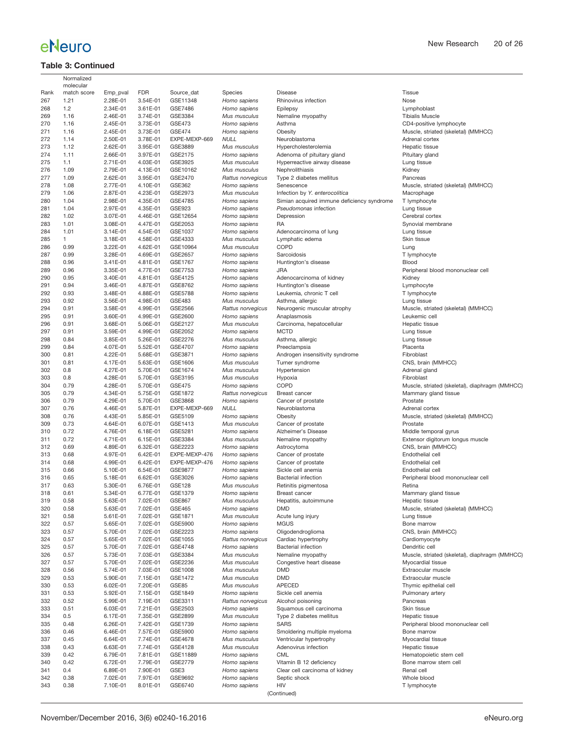## **Table 3: Continued**

|            | Normalized<br>molecular |                      |                      |                           |                                   |                                                   |                                                       |
|------------|-------------------------|----------------------|----------------------|---------------------------|-----------------------------------|---------------------------------------------------|-------------------------------------------------------|
| Rank       | match score             | Emp_pval             | <b>FDR</b>           | Source dat                | Species                           | <b>Disease</b>                                    | Tissue                                                |
| 267        | 1.21                    | 2.28E-01             | 3.54E-01             | GSE11348                  | Homo sapiens                      | Rhinovirus infection                              | Nose                                                  |
| 268        | 1.2                     | 2.34E-01             | 3.61E-01             | GSE7486                   | Homo sapiens                      | Epilepsy                                          | Lymphoblast                                           |
| 269        | 1.16                    | 2.46E-01             | 3.74E-01             | GSE3384                   | Mus musculus                      | Nemaline myopathy                                 | <b>Tibialis Muscle</b>                                |
| 270        | 1.16                    | 2.45E-01             | 3.73E-01             | GSE473                    | Homo sapiens                      | Asthma                                            | CD4-positive lymphocyte                               |
| 271        | 1.16                    | 2.45E-01             | 3.73E-01             | <b>GSE474</b>             | Homo sapiens                      | Obesity                                           | Muscle, striated (skeletal) (MMHCC)                   |
| 272<br>273 | 1.14<br>1.12            | 2.50E-01<br>2.62E-01 | 3.78E-01<br>3.95E-01 | EXPE-MEXP-669<br>GSE3889  | <b>NULL</b><br>Mus musculus       | Neuroblastoma<br>Hypercholesterolemia             | Adrenal cortex<br>Hepatic tissue                      |
| 274        | 1.11                    | 2.66E-01             | 3.97E-01             | GSE2175                   | Homo sapiens                      | Adenoma of pituitary gland                        | Pituitary gland                                       |
| 275        | 1.1                     | 2.71E-01             | 4.03E-01             | GSE3925                   | Mus musculus                      | Hyperreactive airway disease                      | Lung tissue                                           |
| 276        | 1.09                    | 2.79E-01             | 4.13E-01             | GSE10162                  | Mus musculus                      | Nephrolithiasis                                   | Kidney                                                |
| 277        | 1.09                    | 2.62E-01             | 3.95E-01             | GSE2470                   | Rattus norvegicus                 | Type 2 diabetes mellitus                          | Pancreas                                              |
| 278        | 1.08                    | 2.77E-01             | 4.10E-01             | GSE362                    | Homo sapiens                      | Senescence                                        | Muscle, striated (skeletal) (MMHCC)                   |
| 279        | 1.06                    | 2.87E-01             | 4.23E-01             | GSE2973                   | Mus musculus                      | Infection by Y. enterocolitica                    | Macrophage                                            |
| 280        | 1.04                    | 2.98E-01             | 4.35E-01             | GSE4785                   | Homo sapiens                      | Simian acquired immune deficiency syndrome        | T lymphocyte                                          |
| 281        | 1.04                    | 2.97E-01             | 4.35E-01             | GSE923                    | Homo sapiens                      | Pseudomonas infection                             | Lung tissue                                           |
| 282        | 1.02                    | 3.07E-01             | 4.46E-01             | GSE12654                  | Homo sapiens                      | Depression                                        | Cerebral cortex                                       |
| 283        | 1.01                    | 3.08E-01             | 4.47E-01             | GSE2053                   | Homo sapiens                      | RA                                                | Synovial membrane                                     |
| 284        | 1.01                    | 3.14E-01             | 4.54E-01             | GSE1037                   | Homo sapiens                      | Adenocarcinoma of lung                            | Lung tissue                                           |
| 285        | 1                       | 3.18E-01             | 4.58E-01             | GSE4333                   | Mus musculus                      | Lymphatic edema                                   | Skin tissue                                           |
| 286        | 0.99                    | 3.22E-01             | 4.62E-01             | GSE10964                  | Mus musculus                      | COPD                                              | Lung                                                  |
| 287        | 0.99                    | 3.28E-01             | 4.69E-01             | GSE2657                   | Homo sapiens                      | Sarcoidosis                                       | T lymphocyte                                          |
| 288        | 0.96                    | 3.41E-01             | 4.81E-01             | GSE1767<br><b>GSE7753</b> | Homo sapiens                      | Huntington's disease<br><b>JRA</b>                | Blood                                                 |
| 289<br>290 | 0.96<br>0.95            | 3.35E-01<br>3.40E-01 | 4.77E-01<br>4.81E-01 | GSE4125                   | Homo sapiens<br>Homo sapiens      | Adenocarcinoma of kidney                          | Peripheral blood mononuclear cell<br>Kidney           |
| 291        | 0.94                    | 3.46E-01             | 4.87E-01             | GSE8762                   | Homo sapiens                      | Huntington's disease                              | Lymphocyte                                            |
| 292        | 0.93                    | 3.48E-01             | 4.88E-01             | <b>GSE5788</b>            | Homo sapiens                      | Leukemia, chronic T cell                          | T lymphocyte                                          |
| 293        | 0.92                    | 3.56E-01             | 4.98E-01             | GSE483                    | Mus musculus                      | Asthma, allergic                                  | Lung tissue                                           |
| 294        | 0.91                    | 3.58E-01             | 4.99E-01             | GSE2566                   | Rattus norvegicus                 | Neurogenic muscular atrophy                       | Muscle, striated (skeletal) (MMHCC)                   |
| 295        | 0.91                    | 3.60E-01             | 4.99E-01             | GSE2600                   | Homo sapiens                      | Anaplasmosis                                      | Leukemic cell                                         |
| 296        | 0.91                    | 3.68E-01             | 5.06E-01             | GSE2127                   | Mus musculus                      | Carcinoma, hepatocellular                         | Hepatic tissue                                        |
| 297        | 0.91                    | 3.59E-01             | 4.99E-01             | GSE2052                   | Homo sapiens                      | <b>MCTD</b>                                       | Lung tissue                                           |
| 298        | 0.84                    | 3.85E-01             | 5.26E-01             | GSE2276                   | Mus musculus                      | Asthma, allergic                                  | Lung tissue                                           |
| 299        | 0.84                    | 4.07E-01             | 5.52E-01             | GSE4707                   | Homo sapiens                      | Preeclampsia                                      | Placenta                                              |
| 300        | 0.81                    | 4.22E-01             | 5.68E-01             | GSE3871                   | Homo sapiens                      | Androgen insensitivity syndrome                   | Fibroblast                                            |
| 301        | 0.81                    | 4.17E-01             | 5.63E-01             | GSE1606                   | Mus musculus                      | Turner syndrome                                   | CNS, brain (MMHCC)                                    |
| 302        | 0.8                     | 4.27E-01             | 5.70E-01             | GSE1674                   | Mus musculus                      | Hypertension                                      | Adrenal gland                                         |
| 303        | 0.8                     | 4.28E-01             | 5.70E-01             | GSE3195                   | Mus musculus                      | Hypoxia                                           | Fibroblast                                            |
| 304        | 0.79                    | 4.28E-01             | 5.70E-01             | <b>GSE475</b>             | Homo sapiens                      | COPD                                              | Muscle, striated (skeletal), diaphragm (MMHCC)        |
| 305        | 0.79                    | 4.34E-01             | 5.75E-01             | GSE1872                   | Rattus norvegicus                 | <b>Breast cancer</b>                              | Mammary gland tissue                                  |
| 306        | 0.79                    | 4.29E-01             | 5.70E-01             | GSE3868                   | Homo sapiens                      | Cancer of prostate                                | Prostate                                              |
| 307<br>308 | 0.76<br>0.76            | 4.46E-01<br>4.43E-01 | 5.87E-01<br>5.85E-01 | EXPE-MEXP-669<br>GSE5109  | <b>NULL</b><br>Homo sapiens       | Neuroblastoma<br>Obesity                          | Adrenal cortex<br>Muscle, striated (skeletal) (MMHCC) |
| 309        | 0.73                    | 4.64E-01             | 6.07E-01             | GSE1413                   | Mus musculus                      | Cancer of prostate                                | Prostate                                              |
| 310        | 0.72                    | 4.76E-01             | 6.18E-01             | GSE5281                   | Homo sapiens                      | Alzheimer's Disease                               | Middle temporal gyrus                                 |
| 311        | 0.72                    | 4.71E-01             | 6.15E-01             | GSE3384                   | Mus musculus                      | Nemaline myopathy                                 | Extensor digitorum longus muscle                      |
| 312        | 0.69                    | 4.89E-01             | 6.32E-01             | GSE2223                   | Homo sapiens                      | Astrocytoma                                       | CNS, brain (MMHCC)                                    |
| 313        | 0.68                    | 4.97E-01             | 6.42E-01             | EXPE-MEXP-476             | Homo sapiens                      | Cancer of prostate                                | Endothelial cell                                      |
| 314        | 0.68                    | 4.99E-01             | 6.42E-01             | EXPE-MEXP-476             | Homo sapiens                      | Cancer of prostate                                | Endothelial cell                                      |
| 315        | 0.66                    | 5.10E-01             | 6.54E-01             | <b>GSE9877</b>            | Homo sapiens                      | Sickle cell anemia                                | Endothelial cell                                      |
| 316        | 0.65                    | 5.18E-01             | 6.62E-01             | GSE3026                   | Homo sapiens                      | <b>Bacterial infection</b>                        | Peripheral blood mononuclear cell                     |
| 317        | 0.63                    | 5.30E-01             | 6.76E-01             | GSE128                    | Mus musculus                      | Retinitis pigmentosa                              | Retina                                                |
| 318        | 0.61                    | 5.34E-01             | 6.77E-01             | GSE1379                   | Homo sapiens                      | <b>Breast cancer</b>                              | Mammary gland tissue                                  |
| 319        | 0.58                    | 5.63E-01             | 7.02E-01             | <b>GSE867</b>             | Mus musculus                      | Hepatitis, autoimmune                             | Hepatic tissue                                        |
| 320        | 0.58                    | 5.63E-01             | 7.02E-01             | GSE465                    | Homo sapiens                      | DMD                                               | Muscle, striated (skeletal) (MMHCC)                   |
| 321        | 0.58                    | 5.61E-01             | 7.02E-01             | GSE1871                   | Mus musculus                      | Acute lung injury                                 | Lung tissue                                           |
| 322        | 0.57                    | 5.65E-01             | 7.02E-01             | GSE5900                   | Homo sapiens                      | <b>MGUS</b>                                       | Bone marrow                                           |
| 323        | 0.57                    | 5.70E-01             | 7.02E-01             | GSE2223                   | Homo sapiens                      | Oligodendroglioma                                 | CNS, brain (MMHCC)                                    |
| 324<br>325 | 0.57<br>0.57            | 5.65E-01<br>5.70E-01 | 7.02E-01<br>7.02E-01 | GSE1055<br>GSE4748        | Rattus norvegicus<br>Homo sapiens | Cardiac hypertrophy<br><b>Bacterial infection</b> | Cardiomyocyte<br>Dendritic cell                       |
| 326        | 0.57                    | 5.73E-01             | 7.03E-01             | GSE3384                   | Mus musculus                      | Nemaline myopathy                                 | Muscle, striated (skeletal), diaphragm (MMHCC)        |
| 327        | 0.57                    | 5.70E-01             | 7.02E-01             | GSE2236                   | Mus musculus                      | Congestive heart disease                          | Myocardial tissue                                     |
| 328        | 0.56                    | 5.74E-01             | 7.03E-01             | GSE1008                   | Mus musculus                      | <b>DMD</b>                                        | Extraocular muscle                                    |
| 329        | 0.53                    | 5.90E-01             | 7.15E-01             | GSE1472                   | Mus musculus                      | <b>DMD</b>                                        | Extraocular muscle                                    |
| 330        | 0.53                    | 6.02E-01             | 7.20E-01             | GSE85                     | Mus musculus                      | APECED                                            | Thymic epithelial cell                                |
| 331        | 0.53                    | 5.92E-01             | 7.15E-01             | GSE1849                   | Homo sapiens                      | Sickle cell anemia                                | Pulmonary artery                                      |
| 332        | 0.52                    | 5.99E-01             | 7.19E-01             | GSE3311                   | Rattus norvegicus                 | Alcohol poisoning                                 | Pancreas                                              |
| 333        | 0.51                    | 6.03E-01             | 7.21E-01             | GSE2503                   | Homo sapiens                      | Squamous cell carcinoma                           | Skin tissue                                           |
| 334        | 0.5                     | 6.17E-01             | 7.35E-01             | GSE2899                   | Mus musculus                      | Type 2 diabetes mellitus                          | Hepatic tissue                                        |
| 335        | 0.48                    | 6.26E-01             | 7.42E-01             | GSE1739                   | Homo sapiens                      | <b>SARS</b>                                       | Peripheral blood mononuclear cell                     |
| 336        | 0.46                    | 6.46E-01             | 7.57E-01             | GSE5900                   | Homo sapiens                      | Smoldering multiple myeloma                       | Bone marrow                                           |
| 337        | 0.45                    | 6.64E-01             | 7.74E-01             | GSE4678                   | Mus musculus                      | Ventricular hypertrophy                           | Myocardial tissue                                     |
| 338        | 0.43                    | 6.63E-01             | 7.74E-01             | GSE4128                   | Mus musculus                      | Adenovirus infection                              | Hepatic tissue                                        |
| 339        | 0.42                    | 6.79E-01             | 7.81E-01             | GSE11889                  | Homo sapiens                      | CML                                               | Hematopoietic stem cell                               |
| 340        | 0.42                    | 6.72E-01             | 7.79E-01             | GSE2779                   | Homo sapiens                      | Vitamin B 12 deficiency                           | Bone marrow stem cell                                 |
| 341        | 0.4                     | 6.89E-01             | 7.90E-01             | GSE3                      | Homo sapiens                      | Clear cell carcinoma of kidney                    | Renal cell                                            |
| 342<br>343 | 0.38<br>0.38            | 7.02E-01<br>7.10E-01 | 7.97E-01<br>8.01E-01 | GSE9692<br>GSE6740        | Homo sapiens<br>Homo sapiens      | Septic shock<br>HIV                               | Whole blood                                           |
|            |                         |                      |                      |                           |                                   | (Continued)                                       | T lymphocyte                                          |
|            |                         |                      |                      |                           |                                   |                                                   |                                                       |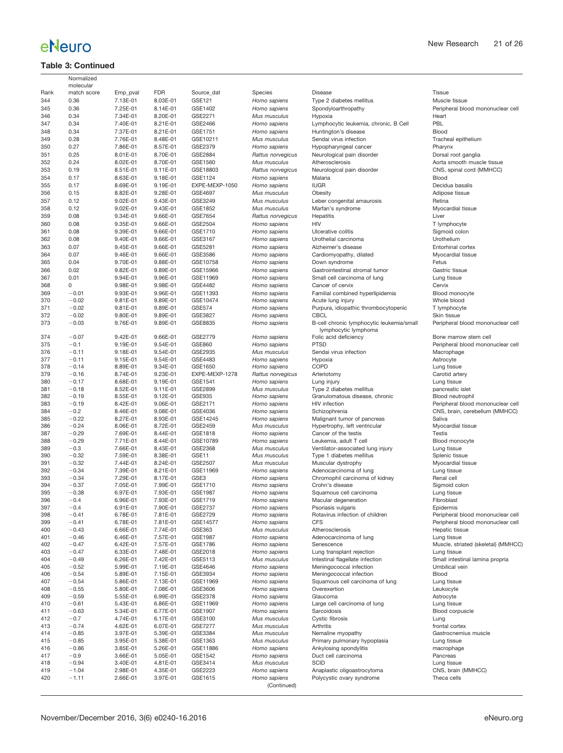## **Table 3: Continued**

|            | Normalized               |                      |                      |                    |                                   |                                                                   |                                        |
|------------|--------------------------|----------------------|----------------------|--------------------|-----------------------------------|-------------------------------------------------------------------|----------------------------------------|
| Rank       | molecular<br>match score | Emp_pval             | <b>FDR</b>           | Source_dat         | Species                           | Disease                                                           | Tissue                                 |
| 344        | 0.36                     | 7.13E-01             | 8.03E-01             | GSE121             | Homo sapiens                      | Type 2 diabetes mellitus                                          | Muscle tissue                          |
| 345        | 0.36                     | 7.25E-01             | 8.14E-01             | GSE1402            | Homo sapiens                      | Spondyloarthropathy                                               | Peripheral blood mononuclear cell      |
| 346        | 0.34                     | 7.34E-01             | 8.20E-01             | GSE2271            | Mus musculus                      | Hypoxia                                                           | Heart                                  |
| 347        | 0.34                     | 7.40E-01             | 8.21E-01             | GSE2466            | Homo sapiens                      | Lymphocytic leukemia, chronic, B Cell                             | PBL                                    |
| 348        | 0.34                     | 7.37E-01             | 8.21E-01             | GSE1751            | Homo sapiens                      | Huntington's disease                                              | Blood                                  |
| 349        | 0.28                     | 7.76E-01             | 8.48E-01             | GSE10211           |                                   | Sendai virus infection                                            | Tracheal epithelium                    |
| 350        | 0.27                     | 7.86E-01             |                      | GSE2379            | Mus musculus                      |                                                                   |                                        |
|            |                          |                      | 8.57E-01             |                    | Homo sapiens                      | Hypopharyngeal cancer                                             | Pharynx                                |
| 351        | 0.25                     | 8.01E-01             | 8.70E-01             | GSE2884            | Rattus norvegicus                 | Neurological pain disorder                                        | Dorsal root ganglia                    |
| 352        | 0.24                     | 8.02E-01             | 8.70E-01             | GSE1560            | Mus musculus                      | Atherosclerosis                                                   | Aorta smooth muscle tissue             |
| 353        | 0.19                     | 8.51E-01             | 9.11E-01             | GSE18803           | Rattus norvegicus                 | Neurological pain disorder                                        | CNS, spinal cord (MMHCC)               |
| 354        | 0.17                     | 8.63E-01             | 9.18E-01             | GSE1124            | Homo sapiens                      | Malaria                                                           | Blood                                  |
| 355        | 0.17                     | 8.69E-01             | 9.19E-01             | EXPE-MEXP-1050     | Homo sapiens                      | <b>IUGR</b>                                                       | Decidua basalis                        |
| 356        | 0.15                     | 8.82E-01             | 9.28E-01             | GSE4697            | Mus musculus                      | Obesity                                                           | Adipose tissue                         |
| 357        | 0.12                     | 9.02E-01             | 9.43E-01             | GSE3249            | Mus musculus                      | Leber congenital amaurosis                                        | Retina                                 |
| 358        | 0.12                     | 9.02E-01             | 9.43E-01             | GSE1852            | Mus musculus                      | Marfan's syndrome                                                 | Myocardial tissue                      |
| 359        | 0.08                     | 9.34E-01             | 9.66E-01             | GSE7654            | Rattus norvegicus                 | Hepatitis                                                         | Liver                                  |
| 360        | 0.08                     | 9.35E-01             | 9.66E-01             | GSE2504            | Homo sapiens                      | HIV                                                               | T lymphocyte                           |
| 361        | 0.08                     | 9.39E-01             | 9.66E-01             | GSE1710            | Homo sapiens                      | Ulcerative colitis                                                | Sigmoid colon                          |
| 362        | 0.08                     | 9.40E-01             | 9.66E-01             | GSE3167            | Homo sapiens                      | Urothelial carcinoma                                              | Urothelium                             |
| 363        | 0.07                     | 9.45E-01             | 9.66E-01             | GSE5281            | Homo sapiens                      | Alzheimer's disease                                               | Entorhinal cortex                      |
| 364        | 0.07                     | 9.46E-01             | 9.66E-01             | GSE3586            | Homo sapiens                      | Cardiomyopathy, dilated                                           | Myocardial tissue                      |
| 365        | 0.04                     | 9.70E-01             | 9.88E-01             | GSE10758           | Homo sapiens                      | Down syndrome                                                     | Fetus                                  |
| 366        | 0.02                     | 9.82E-01             | 9.89E-01             | GSE15966           | Homo sapiens                      | Gastrointestinal stromal tumor                                    | Gastric tissue                         |
| 367        | 0.01                     | 9.94E-01             | 9.96E-01             | GSE11969           | Homo sapiens                      | Small cell carcinoma of lung                                      | Lung tissue                            |
| 368        | 0                        | 9.98E-01             | 9.98E-01             | GSE4482            | Homo sapiens                      | Cancer of cervix                                                  | Cervix                                 |
| 369        | $-0.01$                  | 9.93E-01             | 9.96E-01             | GSE11393           | Homo sapiens                      | Familial combined hyperlipidemia                                  | Blood monocyte                         |
| 370        | $-0.02$                  | 9.81E-01             | 9.89E-01             | GSE10474           | Homo sapiens                      | Acute lung injury                                                 | Whole blood                            |
| 371        | $-0.02$                  | 9.81E-01             | 9.89E-01             | <b>GSE574</b>      | Homo sapiens                      | Purpura, idiopathic thrombocytopenic                              | T lymphocyte                           |
| 372        | $-0.02$                  | 9.80E-01             | 9.89E-01             | GSE3827            | Homo sapiens                      | <b>CBCL</b>                                                       | Skin tissue                            |
| 373        | $-0.03$                  | 9.76E-01             | 9.89E-01             | GSE8835            | Homo sapiens                      | B-cell chronic lymphocytic leukemia/small<br>lymphocytic lymphoma | Peripheral blood mononuclear cell      |
| 374        | $-0.07$                  | 9.42E-01             | 9.66E-01             | GSE2779            | Homo sapiens                      | Folic acid deficiency                                             | Bone marrow stem cell                  |
| 375        | $-0.1$                   | 9.19E-01             | 9.54E-01             | GSE860             | Homo sapiens                      | <b>PTSD</b>                                                       | Peripheral blood mononuclear cell      |
| 376        | $-0.11$                  | 9.18E-01             | 9.54E-01             | GSE2935            | Mus musculus                      | Sendai virus infection                                            | Macrophage                             |
| 377<br>378 | $-0.11$<br>$-0.14$       | 9.15E-01             | 9.54E-01             | GSE4483<br>GSE1650 | Homo sapiens                      | Hypoxia<br>COPD                                                   | Astrocyte                              |
| 379        | $-0.16$                  | 8.89E-01<br>8.74E-01 | 9.34E-01<br>9.23E-01 | EXPE-MEXP-1278     | Homo sapiens<br>Rattus norvegicus | Arteriotomy                                                       | Lung tissue<br>Carotid artery          |
| 380        | $-0.17$                  | 8.68E-01             | 9.19E-01             | GSE1541            | Homo sapiens                      | Lung injury                                                       | Lung tissue                            |
| 381        | $-0.18$                  | 8.52E-01             | 9.11E-01             | GSE2899            | Mus musculus                      | Type 2 diabetes mellitus                                          | pancreatic islet                       |
| 382        | $-0.19$                  | 8.55E-01             | 9.12E-01             | <b>GSE935</b>      | Homo sapiens                      | Granulomatous disease, chronic                                    | Blood neutrophil                       |
| 383        | $-0.19$                  | 8.42E-01             | 9.06E-01             | GSE2171            | Homo sapiens                      | HIV infection                                                     | Peripheral blood mononuclear cell      |
| 384        | $-0.2$                   | 8.46E-01             | 9.08E-01             | GSE4036            | Homo sapiens                      | Schizophrenia                                                     | CNS, brain, cerebellum (MMHCC)         |
| 385        | $-0.22$                  | 8.27E-01             | 8.93E-01             | GSE14245           | Homo sapiens                      | Malignant tumor of pancreas                                       | Saliva                                 |
| 386        | $-0.24$                  | 8.06E-01             | 8.72E-01             | GSE2459            | Mus musculus                      | Hypertrophy, left ventricular                                     | Myocardial tissue                      |
| 387        | $-0.29$                  | 7.69E-01             | 8.44E-01             | GSE1818            | Homo sapiens                      | Cancer of the testis                                              | Testis                                 |
| 388        | $-0.29$                  | 7.71E-01             | 8.44E-01             | GSE10789           | Homo sapiens                      | Leukemia, adult T cell                                            | Blood monocyte                         |
| 389        | $-0.3$                   | 7.66E-01             | 8.43E-01             | GSE2368            | Mus musculus                      | Ventilator-associated lung injury                                 | Lung tissue                            |
| 390        | $-0.32$                  | 7.59E-01             | 8.38E-01             | GSE11              | Mus musculus                      | Type 1 diabetes mellitus                                          | Splenic tissue                         |
| 391        | $-0.32$                  | 7.44E-01             | 8.24E-01             | GSE2507            | Mus musculus                      | Muscular dystrophy                                                | Myocardial tissue                      |
| 392        | $-0.34$                  | 7.39E-01             | 8.21E-01             | GSE11969           | Homo sapiens                      | Adenocarcinoma of lung                                            | Lung tissue                            |
| 393        | $-0.34$                  | 7.29E-01             | 8.17E-01             | GSE3               | Homo sapiens                      | Chromophil carcinoma of kidney                                    | Renal cell                             |
| 394        | $-0.37$                  | 7.05E-01             | 7.99E-01             | GSE1710            | Homo sapiens                      | Crohn's disease                                                   | Sigmoid colon                          |
| 395        | $-0.38$                  | 6.97E-01             | 7.93E-01             | <b>GSE1987</b>     | Homo sapiens                      | Squamous cell carcinoma                                           | Lung tissue                            |
| 396        | $-0.4$                   | 6.96E-01             | 7.93E-01             | GSE1719            | Homo sapiens                      | Macular degeneration                                              | Fibroblast                             |
| 397        | $-0.4$                   | 6.91E-01             | 7.90E-01             | GSE2737            | Homo sapiens                      | Psoriasis vulgaris                                                | Epidermis                              |
| 398        | $-0.41$                  | 6.78E-01             | 7.81E-01             | GSE2729            | Homo sapiens                      | Rotavirus infection of children                                   | Peripheral blood mononuclear cell      |
| 399        | $-0.41$                  | 6.78E-01             | 7.81E-01             | GSE14577           | Homo sapiens                      | <b>CFS</b>                                                        | Peripheral blood mononuclear cell      |
| 400        | $-0.43$                  | 6.66E-01             | 7.74E-01             | GSE363             | Mus musculus                      | Atherosclerosis                                                   | Hepatic tissue                         |
| 401        | $-0.46$                  | 6.46E-01             | 7.57E-01             | GSE1987            | Homo sapiens                      | Adenocarcinoma of lung                                            | Lung tissue                            |
| 402        | $-0.47$                  | 6.42E-01             | 7.57E-01             | GSE1786            | Homo sapiens                      | Senescence                                                        | Muscle, striated (skeletal) (MMHCC)    |
| 403        | $-0.47$                  | 6.33E-01             | 7.48E-01             | GSE2018            | Homo sapiens                      | Lung transplant rejection                                         | Lung tissue                            |
| 404        | $-0.49$                  | 6.26E-01             | 7.42E-01             | GSE5113            | Mus musculus                      | Intestinal flagellate infection                                   | Small intestinal lamina propria        |
| 405        | $-0.52$                  | 5.99E-01             | 7.19E-01             | GSE4646            | Homo sapiens                      | Meningococcal infection                                           | Umbilical vein                         |
| 406        | $-0.54$                  | 5.89E-01             | 7.15E-01             | GSE3934            | Homo sapiens                      | Meningococcal infection                                           | Blood                                  |
| 407        | $-0.54$                  | 5.86E-01             | 7.13E-01             | GSE11969           | Homo sapiens                      | Squamous cell carcinoma of lung                                   | Lung tissue                            |
| 408        | $-0.55$                  | 5.80E-01             | 7.08E-01             | GSE3606            | Homo sapiens                      | Overexertion                                                      | Leukocyte                              |
| 409        | $-0.59$                  | 5.55E-01             | 6.99E-01             | GSE2378            | Homo sapiens                      | Glaucoma                                                          | Astrocyte                              |
| 410        | $-0.61$                  | 5.43E-01             | 6.86E-01             | GSE11969           | Homo sapiens                      | Large cell carcinoma of lung                                      | Lung tissue                            |
| 411        | $-0.63$                  | 5.34E-01<br>4.74E-01 | 6.77E-01             | GSE1907            | Homo sapiens                      | Sarcoidosis                                                       | Blood corpuscle                        |
| 412        | $-0.7$                   |                      | 6.17E-01             | GSE3100            | Mus musculus<br>Mus musculus      | Cystic fibrosis<br>Arthritis                                      | Lung                                   |
| 413<br>414 | $-0.74$<br>$-0.85$       | 4.62E-01<br>3.97E-01 | 6.07E-01<br>5.39E-01 | GSE7277<br>GSE3384 | Mus musculus                      |                                                                   | frontal cortex<br>Gastrocnemius muscle |
| 415        | $-0.85$                  | 3.95E-01             | 5.38E-01             | GSE1363            | Mus musculus                      | Nemaline myopathy<br>Primary pulmonary hypoplasia                 | Lung tissue                            |
| 416        | $-0.86$                  | 3.85E-01             | 5.26E-01             | GSE11886           | Homo sapiens                      | Ankylosing spondylitis                                            | macrophage                             |
| 417        | $-0.9$                   | 3.66E-01             | 5.05E-01             | GSE1542            | Homo sapiens                      | Duct cell carcinoma                                               | Pancreas                               |
| 418        | $-0.94$                  | 3.40E-01             | 4.81E-01             | GSE3414            | Mus musculus                      | <b>SCID</b>                                                       | Lung tissue                            |
| 419        | $-1.04$                  | 2.98E-01             | 4.35E-01             | GSE2223            | Homo sapiens                      | Anaplastic oligoastrocytoma                                       | CNS, brain (MMHCC)                     |
| 420        | $-1.11$                  | 2.66E-01             | 3.97E-01             | GSE1615            | Homo sapiens                      | Polycystic ovary syndrome                                         | Theca cells                            |
|            |                          |                      |                      |                    | (Continued)                       |                                                                   |                                        |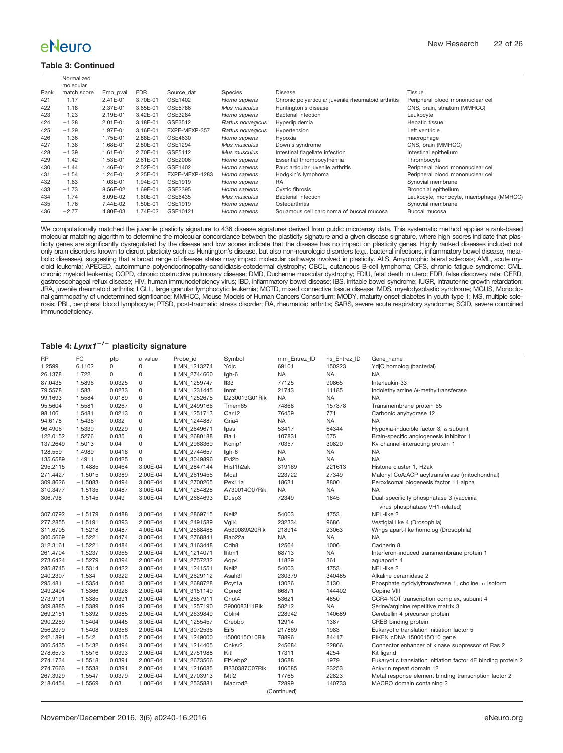#### **Table 3: Continued**

|      | Normalized  |          |            |                |                   |                                                     |                                         |
|------|-------------|----------|------------|----------------|-------------------|-----------------------------------------------------|-----------------------------------------|
|      | molecular   |          |            |                |                   |                                                     |                                         |
| Rank | match score | Emp pval | <b>FDR</b> | Source dat     | Species           | Disease                                             | Tissue                                  |
| 421  | $-1.17$     | 2.41E-01 | 3.70E-01   | GSE1402        | Homo sapiens      | Chronic polyarticular juvenile rheumatoid arthritis | Peripheral blood mononuclear cell       |
| 422  | $-1.18$     | 2.37E-01 | 3.65E-01   | GSE5786        | Mus musculus      | Huntington's disease                                | CNS, brain, striatum (MMHCC)            |
| 423  | $-1.23$     | 2.19E-01 | 3.42E-01   | GSE3284        | Homo sapiens      | <b>Bacterial infection</b>                          | Leukocyte                               |
| 424  | $-1.28$     | 2.01E-01 | 3.18E-01   | GSE3512        | Rattus norvegicus | Hyperlipidemia                                      | Hepatic tissue                          |
| 425  | $-1.29$     | 1.97E-01 | 3.16E-01   | EXPE-MEXP-357  | Rattus norvegicus | Hypertension                                        | Left ventricle                          |
| 426  | $-1.36$     | 1.75E-01 | 2.88E-01   | GSE4630        | Homo sapiens      | Hypoxia                                             | macrophage                              |
| 427  | $-1.38$     | 1.68E-01 | 2.80E-01   | GSE1294        | Mus musculus      | Down's syndrome                                     | CNS, brain (MMHCC)                      |
| 428  | $-1.39$     | 1.61E-01 | 2.70E-01   | GSE5112        | Mus musculus      | Intestinal flagellate infection                     | Intestinal epithelium                   |
| 429  | $-1.42$     | 1.53E-01 | 2.61E-01   | GSE2006        | Homo sapiens      | Essential thrombocythemia                           | Thrombocyte                             |
| 430  | $-1.44$     | 1.46E-01 | 2.52E-01   | GSE1402        | Homo sapiens      | Pauciarticular juvenile arthritis                   | Peripheral blood mononuclear cell       |
| 431  | $-1.54$     | 1.24E-01 | 2.25E-01   | EXPE-MEXP-1283 | Homo sapiens      | Hodgkin's lymphoma                                  | Peripheral blood mononuclear cell       |
| 432  | $-1.63$     | 1.03E-01 | 1.94E-01   | GSE1919        | Homo sapiens      | RA                                                  | Synovial membrane                       |
| 433  | $-1.73$     | 8.56E-02 | 1.69E-01   | GSE2395        | Homo sapiens      | Cystic fibrosis                                     | Bronchial epithelium                    |
| 434  | $-1.74$     | 8.09E-02 | 1.60E-01   | GSE6435        | Mus musculus      | <b>Bacterial infection</b>                          | Leukocyte, monocyte, macrophage (MMHCC) |
| 435  | $-1.76$     | 7.44E-02 | 1.50E-01   | GSE1919        | Homo sapiens      | Osteoarthritis                                      | Synovial membrane                       |
| 436  | $-2.77$     | 4.80E-03 | 1.74E-02   | GSE10121       | Homo sapiens      | Squamous cell carcinoma of buccal mucosa            | Buccal mucosa                           |

We computationally matched the juvenile plasticity signature to 436 disease signatures derived from public microarray data. This systematic method applies a rank-based molecular matching algorithm to determine the molecular concordance between the plasticity signature and a given disease signature, where high scores indicate that plasticity genes are significantly dysregulated by the disease and low scores indicate that the disease has no impact on plasticity genes. Highly ranked diseases included not only brain disorders known to disrupt plasticity such as Huntington's disease, but also non-neurologic disorders (e.g., bacterial infections, inflammatory bowel disease, metabolic diseases), suggesting that a broad range of disease states may impact molecular pathways involved in plasticity. ALS, Amyotrophic lateral sclerosis; AML, acute my-<br>eloid leukemia; APECED, autoimmune polyendocrinopath chronic myeloid leukemia; COPD, chronic obstructive pulmonary disease; DMD, Duchenne muscular dystrophy; FDIU, fetal death in utero; FDR, false discovery rate; GERD, gastroesophageal reflux disease; HIV, human immunodeficiency virus; IBD, inflammatory bowel disease; IBS, irritable bowel syndrome; IUGR, intrauterine growth retardation;<br>JRA, juvenile rheumatoid arthritis; LGLL, large gra rosis; PBL, peripheral blood lymphocyte; PTSD, post-traumatic stress disorder; RA, rheumatoid arthritis; SARS, severe acute respiratory syndrome; SCID, severe combined immunodeficiency.

#### <span id="page-21-0"></span>**Table 4:** *Lynx1*-**/**- **plasticity signature**

| 1.2599<br>6.1102<br>$\mathbf 0$<br>$\mathbf 0$<br>69101<br>150223<br>ILMN 1213274<br>Ydjc<br>YdjC homolog (bacterial)<br>26.1378<br>1.722<br>$\mathbf 0$<br>$\mathbf 0$<br><b>NA</b><br><b>NA</b><br><b>NA</b><br>ILMN 2744660<br>lgh-6<br>$\mathsf 0$<br>87.0435<br>1.5896<br>0.0325<br>II33<br>77125<br>90865<br>Interleukin-33<br>ILMN_1259747<br>$\mathsf 0$<br>79.5578<br>1.583<br>0.0233<br>21743<br>11185<br>ILMN 1231445<br>Indolethylamine N-methyltransferase<br>Inmt<br>99.1693<br>1.5584<br>0.0189<br>$\mathsf 0$<br>D230019G01Rik<br><b>NA</b><br><b>NA</b><br>ILMN_1252675<br><b>NA</b><br>95.5604<br>1.5581<br>0.0267<br>$\mathsf 0$<br>74868<br>157378<br>ILMN_2499166<br>Tmem65<br>Transmembrane protein 65<br>$\mathsf 0$<br>98.106<br>1.5481<br>0.0213<br>Car12<br>76459<br>771<br>ILMN 1251713<br>Carbonic anyhydrase 12<br><b>NA</b><br>94.6178<br>1.5436<br>0.032<br>$\mathsf 0$<br>Gria4<br><b>NA</b><br><b>NA</b><br>ILMN_1244887<br>$\mathbf 0$<br>96.4906<br>1.5339<br>0.0229<br>53417<br>64344<br>Hypoxia-inducible factor 3, $\alpha$ subunit<br>ILMN 2649671<br>Ipas<br>$\mathsf 0$<br>122.0152<br>1.5276<br>0.035<br>Bai1<br>107831<br>575<br>Brain-specific angiogenesis inhibitor 1<br>ILMN 2680188<br>137.2649<br>$\mathsf 0$<br>30820<br>1.5013<br>0.04<br>70357<br>Kv channel-interacting protein 1<br>ILMN_2968369<br>Kcnip1<br>128.559<br>1.4989<br>$\mathbf 0$<br>0.0418<br>ILMN 2744657<br>lgh-6<br><b>NA</b><br><b>NA</b><br><b>NA</b><br>$\mathsf 0$<br><b>NA</b><br><b>NA</b><br><b>NA</b><br>135.6589<br>1.4911<br>0.0425<br>ILMN_3049896<br>Evi2b<br>295.2115<br>3.00E-04<br>$-1.4885$<br>0.0464<br>Hist1h2ak<br>319169<br>221613<br>Histone cluster 1, H2ak<br>ILMN_2847144<br>271.4427<br>$-1.5015$<br>0.0389<br>2.00E-04<br>223722<br>27349<br>Malonyl CoA:ACP acyltransferase (mitochondrial)<br>ILMN 2619455<br>Mcat<br>309.8626<br>$-1.5083$<br>0.0494<br>3.00E-04<br>Pex11a<br>18631<br>8800<br>Peroxisomal biogenesis factor 11 alpha<br>ILMN_2700265<br>310.3477<br><b>NA</b><br>$-1.5135$<br>0.0487<br>3.00E-04<br>A730014O07Rik<br><b>NA</b><br><b>NA</b><br>ILMN_1254828<br>306.798<br>$-1.5145$<br>0.049<br>3.00E-04<br>72349<br>1845<br>ILMN 2684693<br>Dual-specificity phosphatase 3 (vaccinia<br>Dusp3 |
|---------------------------------------------------------------------------------------------------------------------------------------------------------------------------------------------------------------------------------------------------------------------------------------------------------------------------------------------------------------------------------------------------------------------------------------------------------------------------------------------------------------------------------------------------------------------------------------------------------------------------------------------------------------------------------------------------------------------------------------------------------------------------------------------------------------------------------------------------------------------------------------------------------------------------------------------------------------------------------------------------------------------------------------------------------------------------------------------------------------------------------------------------------------------------------------------------------------------------------------------------------------------------------------------------------------------------------------------------------------------------------------------------------------------------------------------------------------------------------------------------------------------------------------------------------------------------------------------------------------------------------------------------------------------------------------------------------------------------------------------------------------------------------------------------------------------------------------------------------------------------------------------------------------------------------------------------------------------------------------------------------------------------------------------------------------------------------------------------------------------------------------------------------------------------------------------------------------------------------------------------------------------|
|                                                                                                                                                                                                                                                                                                                                                                                                                                                                                                                                                                                                                                                                                                                                                                                                                                                                                                                                                                                                                                                                                                                                                                                                                                                                                                                                                                                                                                                                                                                                                                                                                                                                                                                                                                                                                                                                                                                                                                                                                                                                                                                                                                                                                                                                     |
|                                                                                                                                                                                                                                                                                                                                                                                                                                                                                                                                                                                                                                                                                                                                                                                                                                                                                                                                                                                                                                                                                                                                                                                                                                                                                                                                                                                                                                                                                                                                                                                                                                                                                                                                                                                                                                                                                                                                                                                                                                                                                                                                                                                                                                                                     |
|                                                                                                                                                                                                                                                                                                                                                                                                                                                                                                                                                                                                                                                                                                                                                                                                                                                                                                                                                                                                                                                                                                                                                                                                                                                                                                                                                                                                                                                                                                                                                                                                                                                                                                                                                                                                                                                                                                                                                                                                                                                                                                                                                                                                                                                                     |
|                                                                                                                                                                                                                                                                                                                                                                                                                                                                                                                                                                                                                                                                                                                                                                                                                                                                                                                                                                                                                                                                                                                                                                                                                                                                                                                                                                                                                                                                                                                                                                                                                                                                                                                                                                                                                                                                                                                                                                                                                                                                                                                                                                                                                                                                     |
|                                                                                                                                                                                                                                                                                                                                                                                                                                                                                                                                                                                                                                                                                                                                                                                                                                                                                                                                                                                                                                                                                                                                                                                                                                                                                                                                                                                                                                                                                                                                                                                                                                                                                                                                                                                                                                                                                                                                                                                                                                                                                                                                                                                                                                                                     |
|                                                                                                                                                                                                                                                                                                                                                                                                                                                                                                                                                                                                                                                                                                                                                                                                                                                                                                                                                                                                                                                                                                                                                                                                                                                                                                                                                                                                                                                                                                                                                                                                                                                                                                                                                                                                                                                                                                                                                                                                                                                                                                                                                                                                                                                                     |
|                                                                                                                                                                                                                                                                                                                                                                                                                                                                                                                                                                                                                                                                                                                                                                                                                                                                                                                                                                                                                                                                                                                                                                                                                                                                                                                                                                                                                                                                                                                                                                                                                                                                                                                                                                                                                                                                                                                                                                                                                                                                                                                                                                                                                                                                     |
|                                                                                                                                                                                                                                                                                                                                                                                                                                                                                                                                                                                                                                                                                                                                                                                                                                                                                                                                                                                                                                                                                                                                                                                                                                                                                                                                                                                                                                                                                                                                                                                                                                                                                                                                                                                                                                                                                                                                                                                                                                                                                                                                                                                                                                                                     |
|                                                                                                                                                                                                                                                                                                                                                                                                                                                                                                                                                                                                                                                                                                                                                                                                                                                                                                                                                                                                                                                                                                                                                                                                                                                                                                                                                                                                                                                                                                                                                                                                                                                                                                                                                                                                                                                                                                                                                                                                                                                                                                                                                                                                                                                                     |
|                                                                                                                                                                                                                                                                                                                                                                                                                                                                                                                                                                                                                                                                                                                                                                                                                                                                                                                                                                                                                                                                                                                                                                                                                                                                                                                                                                                                                                                                                                                                                                                                                                                                                                                                                                                                                                                                                                                                                                                                                                                                                                                                                                                                                                                                     |
|                                                                                                                                                                                                                                                                                                                                                                                                                                                                                                                                                                                                                                                                                                                                                                                                                                                                                                                                                                                                                                                                                                                                                                                                                                                                                                                                                                                                                                                                                                                                                                                                                                                                                                                                                                                                                                                                                                                                                                                                                                                                                                                                                                                                                                                                     |
|                                                                                                                                                                                                                                                                                                                                                                                                                                                                                                                                                                                                                                                                                                                                                                                                                                                                                                                                                                                                                                                                                                                                                                                                                                                                                                                                                                                                                                                                                                                                                                                                                                                                                                                                                                                                                                                                                                                                                                                                                                                                                                                                                                                                                                                                     |
|                                                                                                                                                                                                                                                                                                                                                                                                                                                                                                                                                                                                                                                                                                                                                                                                                                                                                                                                                                                                                                                                                                                                                                                                                                                                                                                                                                                                                                                                                                                                                                                                                                                                                                                                                                                                                                                                                                                                                                                                                                                                                                                                                                                                                                                                     |
|                                                                                                                                                                                                                                                                                                                                                                                                                                                                                                                                                                                                                                                                                                                                                                                                                                                                                                                                                                                                                                                                                                                                                                                                                                                                                                                                                                                                                                                                                                                                                                                                                                                                                                                                                                                                                                                                                                                                                                                                                                                                                                                                                                                                                                                                     |
|                                                                                                                                                                                                                                                                                                                                                                                                                                                                                                                                                                                                                                                                                                                                                                                                                                                                                                                                                                                                                                                                                                                                                                                                                                                                                                                                                                                                                                                                                                                                                                                                                                                                                                                                                                                                                                                                                                                                                                                                                                                                                                                                                                                                                                                                     |
|                                                                                                                                                                                                                                                                                                                                                                                                                                                                                                                                                                                                                                                                                                                                                                                                                                                                                                                                                                                                                                                                                                                                                                                                                                                                                                                                                                                                                                                                                                                                                                                                                                                                                                                                                                                                                                                                                                                                                                                                                                                                                                                                                                                                                                                                     |
|                                                                                                                                                                                                                                                                                                                                                                                                                                                                                                                                                                                                                                                                                                                                                                                                                                                                                                                                                                                                                                                                                                                                                                                                                                                                                                                                                                                                                                                                                                                                                                                                                                                                                                                                                                                                                                                                                                                                                                                                                                                                                                                                                                                                                                                                     |
|                                                                                                                                                                                                                                                                                                                                                                                                                                                                                                                                                                                                                                                                                                                                                                                                                                                                                                                                                                                                                                                                                                                                                                                                                                                                                                                                                                                                                                                                                                                                                                                                                                                                                                                                                                                                                                                                                                                                                                                                                                                                                                                                                                                                                                                                     |
| virus phosphatase VH1-related)                                                                                                                                                                                                                                                                                                                                                                                                                                                                                                                                                                                                                                                                                                                                                                                                                                                                                                                                                                                                                                                                                                                                                                                                                                                                                                                                                                                                                                                                                                                                                                                                                                                                                                                                                                                                                                                                                                                                                                                                                                                                                                                                                                                                                                      |
| 54003<br>4753<br>NEL-like 2<br>307.0792<br>$-1.5179$<br>0.0488<br>3.00E-04<br>ILMN 2869715<br>Nell <sub>2</sub>                                                                                                                                                                                                                                                                                                                                                                                                                                                                                                                                                                                                                                                                                                                                                                                                                                                                                                                                                                                                                                                                                                                                                                                                                                                                                                                                                                                                                                                                                                                                                                                                                                                                                                                                                                                                                                                                                                                                                                                                                                                                                                                                                     |
| 277.2855<br>0.0393<br>232334<br>9686<br>Vestigial like 4 (Drosophila)<br>$-1.5191$<br>2.00E-04<br>Vgll4<br>ILMN 2491589                                                                                                                                                                                                                                                                                                                                                                                                                                                                                                                                                                                                                                                                                                                                                                                                                                                                                                                                                                                                                                                                                                                                                                                                                                                                                                                                                                                                                                                                                                                                                                                                                                                                                                                                                                                                                                                                                                                                                                                                                                                                                                                                             |
| 311.6705<br>$-1.5218$<br>0.0487<br>4.00E-04<br>A530089A20Rik<br>218914<br>23063<br>Wings apart-like homolog (Drosophila)<br>ILMN 2568488                                                                                                                                                                                                                                                                                                                                                                                                                                                                                                                                                                                                                                                                                                                                                                                                                                                                                                                                                                                                                                                                                                                                                                                                                                                                                                                                                                                                                                                                                                                                                                                                                                                                                                                                                                                                                                                                                                                                                                                                                                                                                                                            |
| 300.5669<br>$-1.5221$<br>0.0474<br>3.00E-04<br>Rab22a<br><b>NA</b><br><b>NA</b><br><b>NA</b><br>ILMN_2768841                                                                                                                                                                                                                                                                                                                                                                                                                                                                                                                                                                                                                                                                                                                                                                                                                                                                                                                                                                                                                                                                                                                                                                                                                                                                                                                                                                                                                                                                                                                                                                                                                                                                                                                                                                                                                                                                                                                                                                                                                                                                                                                                                        |
| 312.3161<br>12564<br>1006<br>$-1.5221$<br>0.0484<br>4.00E-04<br>Cdh <sub>8</sub><br>Cadherin 8<br><b>ILMN 3163448</b>                                                                                                                                                                                                                                                                                                                                                                                                                                                                                                                                                                                                                                                                                                                                                                                                                                                                                                                                                                                                                                                                                                                                                                                                                                                                                                                                                                                                                                                                                                                                                                                                                                                                                                                                                                                                                                                                                                                                                                                                                                                                                                                                               |
| 261.4704<br>$-1.5237$<br>0.0365<br>2.00E-04<br>68713<br><b>NA</b><br>ILMN 1214071<br>Ifitm1<br>Interferon-induced transmembrane protein 1                                                                                                                                                                                                                                                                                                                                                                                                                                                                                                                                                                                                                                                                                                                                                                                                                                                                                                                                                                                                                                                                                                                                                                                                                                                                                                                                                                                                                                                                                                                                                                                                                                                                                                                                                                                                                                                                                                                                                                                                                                                                                                                           |
| 0.0394<br>361<br>273.6424<br>$-1.5279$<br>2.00E-04<br>11829<br>ILMN_2757232<br>Aqp4<br>aquaporin 4                                                                                                                                                                                                                                                                                                                                                                                                                                                                                                                                                                                                                                                                                                                                                                                                                                                                                                                                                                                                                                                                                                                                                                                                                                                                                                                                                                                                                                                                                                                                                                                                                                                                                                                                                                                                                                                                                                                                                                                                                                                                                                                                                                  |
| 285.8745<br>0.0422<br>54003<br>4753<br>NEL-like 2<br>$-1.5314$<br>3.00E-04<br>ILMN 1241551<br>Nell <sub>2</sub>                                                                                                                                                                                                                                                                                                                                                                                                                                                                                                                                                                                                                                                                                                                                                                                                                                                                                                                                                                                                                                                                                                                                                                                                                                                                                                                                                                                                                                                                                                                                                                                                                                                                                                                                                                                                                                                                                                                                                                                                                                                                                                                                                     |
| 240.2307<br>$-1.534$<br>0.0322<br>2.00E-04<br>230379<br>340485<br>Alkaline ceramidase 2<br>ILMN 2629112<br>Asah3l                                                                                                                                                                                                                                                                                                                                                                                                                                                                                                                                                                                                                                                                                                                                                                                                                                                                                                                                                                                                                                                                                                                                                                                                                                                                                                                                                                                                                                                                                                                                                                                                                                                                                                                                                                                                                                                                                                                                                                                                                                                                                                                                                   |
| 13026<br>295.481<br>$-1.5354$<br>0.046<br>3.00E-04<br>5130<br>Phosphate cytidylyltransferase 1, choline, $\alpha$ isoform<br>ILMN_2688728<br>Pcyt1a                                                                                                                                                                                                                                                                                                                                                                                                                                                                                                                                                                                                                                                                                                                                                                                                                                                                                                                                                                                                                                                                                                                                                                                                                                                                                                                                                                                                                                                                                                                                                                                                                                                                                                                                                                                                                                                                                                                                                                                                                                                                                                                 |
| 249.2494<br>$-1.5366$<br>0.0328<br>2.00E-04<br>66871<br>144402<br>Copine VIII<br>ILMN_3151149<br>Cpne8                                                                                                                                                                                                                                                                                                                                                                                                                                                                                                                                                                                                                                                                                                                                                                                                                                                                                                                                                                                                                                                                                                                                                                                                                                                                                                                                                                                                                                                                                                                                                                                                                                                                                                                                                                                                                                                                                                                                                                                                                                                                                                                                                              |
| 273.9191<br>$-1.5385$<br>0.0391<br>2.00E-04<br>Cnot4<br>53621<br>4850<br>CCR4-NOT transcription complex, subunit 4<br>ILMN 2657911                                                                                                                                                                                                                                                                                                                                                                                                                                                                                                                                                                                                                                                                                                                                                                                                                                                                                                                                                                                                                                                                                                                                                                                                                                                                                                                                                                                                                                                                                                                                                                                                                                                                                                                                                                                                                                                                                                                                                                                                                                                                                                                                  |
| 309.8885<br>58212<br>$-1.5389$<br>0.049<br>3.00E-04<br>2900083I11Rik<br>NA<br>Serine/arginine repetitive matrix 3<br>ILMN_1257190                                                                                                                                                                                                                                                                                                                                                                                                                                                                                                                                                                                                                                                                                                                                                                                                                                                                                                                                                                                                                                                                                                                                                                                                                                                                                                                                                                                                                                                                                                                                                                                                                                                                                                                                                                                                                                                                                                                                                                                                                                                                                                                                   |
| 269.2151<br>$-1.5392$<br>0.0385<br>2.00E-04<br>Cbln4<br>228942<br>140689<br>Cerebellin 4 precursor protein<br>ILMN_2639849                                                                                                                                                                                                                                                                                                                                                                                                                                                                                                                                                                                                                                                                                                                                                                                                                                                                                                                                                                                                                                                                                                                                                                                                                                                                                                                                                                                                                                                                                                                                                                                                                                                                                                                                                                                                                                                                                                                                                                                                                                                                                                                                          |
| 290.2289<br>$-1.5404$<br>0.0445<br>3.00E-04<br>12914<br>ILMN_1255457<br>Crebbp<br>1387<br>CREB binding protein                                                                                                                                                                                                                                                                                                                                                                                                                                                                                                                                                                                                                                                                                                                                                                                                                                                                                                                                                                                                                                                                                                                                                                                                                                                                                                                                                                                                                                                                                                                                                                                                                                                                                                                                                                                                                                                                                                                                                                                                                                                                                                                                                      |
| 256.2379<br>Eukaryotic translation initiation factor 5<br>$-1.5408$<br>0.0356<br>2.00E-04<br>ILMN 3072536<br>Eif <sub>5</sub><br>217869<br>1983                                                                                                                                                                                                                                                                                                                                                                                                                                                                                                                                                                                                                                                                                                                                                                                                                                                                                                                                                                                                                                                                                                                                                                                                                                                                                                                                                                                                                                                                                                                                                                                                                                                                                                                                                                                                                                                                                                                                                                                                                                                                                                                     |
| 78896<br>RIKEN cDNA 1500015O10 gene<br>242.1891<br>$-1.542$<br>0.0315<br>2.00E-04<br>1500015O10Rik<br>84417<br>ILMN_1249000                                                                                                                                                                                                                                                                                                                                                                                                                                                                                                                                                                                                                                                                                                                                                                                                                                                                                                                                                                                                                                                                                                                                                                                                                                                                                                                                                                                                                                                                                                                                                                                                                                                                                                                                                                                                                                                                                                                                                                                                                                                                                                                                         |
| 306.5435<br>3.00E-04<br>22866<br>$-1.5432$<br>0.0494<br>245684<br>Connector enhancer of kinase suppressor of Ras 2<br>ILMN 1214405<br>Cnksr <sub>2</sub>                                                                                                                                                                                                                                                                                                                                                                                                                                                                                                                                                                                                                                                                                                                                                                                                                                                                                                                                                                                                                                                                                                                                                                                                                                                                                                                                                                                                                                                                                                                                                                                                                                                                                                                                                                                                                                                                                                                                                                                                                                                                                                            |
| 278.6573<br>$-1.5516$<br>0.0393<br>2.00E-04<br>17311<br>4254<br>ILMN_2751988<br>Kitl<br>Kit ligand                                                                                                                                                                                                                                                                                                                                                                                                                                                                                                                                                                                                                                                                                                                                                                                                                                                                                                                                                                                                                                                                                                                                                                                                                                                                                                                                                                                                                                                                                                                                                                                                                                                                                                                                                                                                                                                                                                                                                                                                                                                                                                                                                                  |
| 274.1734<br>13688<br>1979<br>$-1.5518$<br>0.0391<br>2.00E-04<br>Eukaryotic translation initiation factor 4E binding protein 2<br>ILMN 2673566<br>Eif4ebp2                                                                                                                                                                                                                                                                                                                                                                                                                                                                                                                                                                                                                                                                                                                                                                                                                                                                                                                                                                                                                                                                                                                                                                                                                                                                                                                                                                                                                                                                                                                                                                                                                                                                                                                                                                                                                                                                                                                                                                                                                                                                                                           |
| 274.7663<br>2.00E-04<br>106585<br>23253<br>$-1.5538$<br>0.0391<br>B230387C07Rik<br>Ankyrin repeat domain 12<br>ILMN 1216085                                                                                                                                                                                                                                                                                                                                                                                                                                                                                                                                                                                                                                                                                                                                                                                                                                                                                                                                                                                                                                                                                                                                                                                                                                                                                                                                                                                                                                                                                                                                                                                                                                                                                                                                                                                                                                                                                                                                                                                                                                                                                                                                         |
| 267.3929<br>22823<br>$-1.5547$<br>0.0379<br>2.00E-04<br>ILMN_2703913<br>Mtf <sub>2</sub><br>17765<br>Metal response element binding transcription factor 2                                                                                                                                                                                                                                                                                                                                                                                                                                                                                                                                                                                                                                                                                                                                                                                                                                                                                                                                                                                                                                                                                                                                                                                                                                                                                                                                                                                                                                                                                                                                                                                                                                                                                                                                                                                                                                                                                                                                                                                                                                                                                                          |
| $-1.5569$<br>0.03<br>72899<br>140733<br>218.0454<br>1.00E-04<br>ILMN 2535881<br>Macrod <sub>2</sub><br>MACRO domain containing 2                                                                                                                                                                                                                                                                                                                                                                                                                                                                                                                                                                                                                                                                                                                                                                                                                                                                                                                                                                                                                                                                                                                                                                                                                                                                                                                                                                                                                                                                                                                                                                                                                                                                                                                                                                                                                                                                                                                                                                                                                                                                                                                                    |
| (Continued)                                                                                                                                                                                                                                                                                                                                                                                                                                                                                                                                                                                                                                                                                                                                                                                                                                                                                                                                                                                                                                                                                                                                                                                                                                                                                                                                                                                                                                                                                                                                                                                                                                                                                                                                                                                                                                                                                                                                                                                                                                                                                                                                                                                                                                                         |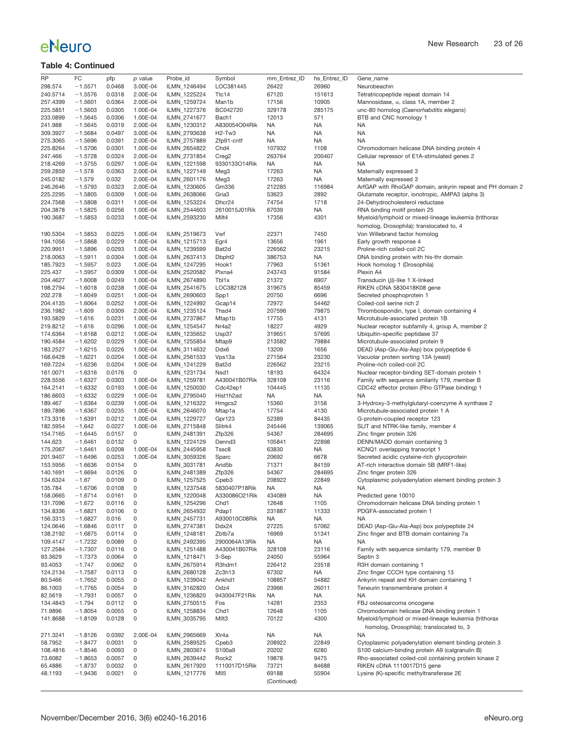| <b>RP</b> | FC        | pfp    | p value             | Probe_id     | Symbol                          | mm_Entrez_ID | hs_Entrez_ID | Gene_name                                                 |
|-----------|-----------|--------|---------------------|--------------|---------------------------------|--------------|--------------|-----------------------------------------------------------|
| 298.574   | $-1.5571$ | 0.0468 | 3.00E-04            | ILMN 1246494 | LOC381445                       | 26422        | 26960        | Neurobeachin                                              |
|           |           |        |                     |              |                                 |              |              |                                                           |
| 240.5714  | $-1.5576$ | 0.0318 | 2.00E-04            | ILMN_1225224 | Ttc14                           | 67120        | 151613       | Tetratricopeptide repeat domain 14                        |
| 257.4399  | $-1.5601$ | 0.0364 | 2.00E-04            | ILMN_1259724 | Man1b                           | 17156        | 10905        | Mannosidase, $\alpha$ , class 1A, member 2                |
| 225.5851  | $-1.5603$ | 0.0305 | 1.00E-04            | ILMN_1227376 | BC042720                        | 329178       | 285175       | unc-80 homolog (Caenorhabditis elegans)                   |
|           |           |        |                     |              |                                 |              |              |                                                           |
| 233.0899  | $-1.5645$ | 0.0306 | 1.00E-04            | ILMN_2741677 | Bach1                           | 12013        | 571          | BTB and CNC homology 1                                    |
| 241.988   | $-1.5645$ | 0.0319 | 2.00E-04            | ILMN_1230312 | A830054O04Rik                   | NA           | <b>NA</b>    | NA                                                        |
|           |           |        |                     |              |                                 |              |              |                                                           |
| 309.3927  | $-1.5684$ | 0.0497 | 3.00E-04            | ILMN_2793638 | H <sub>2</sub> -Tw <sub>3</sub> | <b>NA</b>    | <b>NA</b>    | <b>NA</b>                                                 |
| 275.3065  | $-1.5696$ | 0.0391 | 2.00E-04            | ILMN_2757889 | Zfp91-cntf                      | <b>NA</b>    | <b>NA</b>    | <b>NA</b>                                                 |
|           |           |        |                     |              |                                 |              |              |                                                           |
| 225.8264  | $-1.5706$ | 0.0301 | 1.00E-04            | ILMN_2654822 | Chd <sub>4</sub>                | 107932       | 1108         | Chromodomain helicase DNA binding protein 4               |
| 247.466   | $-1.5728$ | 0.0324 | 2.00E-04            | ILMN_2731854 | Creg <sub>2</sub>               | 263764       | 200407       | Cellular repressor of E1A-stimulated genes 2              |
|           |           |        |                     |              |                                 |              |              |                                                           |
| 218.4269  | $-1.5755$ | 0.0297 | 1.00E-04            | ILMN_1221598 | 9330133O14Rik                   | <b>NA</b>    | <b>NA</b>    | <b>NA</b>                                                 |
| 259.2859  | $-1.578$  | 0.0363 | 2.00E-04            | ILMN_1227149 | Meg3                            | 17263        | <b>NA</b>    | Maternally expressed 3                                    |
|           |           |        |                     |              |                                 |              |              |                                                           |
| 245.0182  | $-1.579$  | 0.032  | 2.00E-04            | ILMN_2601176 | Meg3                            | 17263        | <b>NA</b>    | Maternally expressed 3                                    |
| 246.2646  | $-1.5793$ | 0.0323 | 2.00E-04            | ILMN_1230605 | Gm336                           | 212285       | 116984       | ArfGAP with RhoGAP domain, ankyrin repeat and PH domain 2 |
|           |           |        |                     |              |                                 |              |              |                                                           |
| 225.2295  | $-1.5805$ | 0.0309 | 1.00E-04            | ILMN_2638066 | Gria <sub>3</sub>               | 53623        | 2892         | Glutamate receptor, ionotropic, AMPA3 (alpha 3)           |
| 224.7568  | $-1.5808$ | 0.0311 | 1.00E-04            | ILMN_1253224 | Dhcr24                          | 74754        | 1718         | 24-Dehydrocholesterol reductase                           |
|           |           |        |                     |              |                                 |              |              |                                                           |
| 204.3878  | $-1.5825$ | 0.0256 | 1.00E-04            | ILMN_2544603 | 2610015J01Rik                   | 67039        | NA           | RNA binding motif protein 25                              |
| 190.3687  | $-1.5853$ | 0.0233 | 1.00E-04            | ILMN_2593230 | Mllt4                           | 17356        | 4301         | Myeloid/lymphoid or mixed-lineage leukemia (trithorax     |
|           |           |        |                     |              |                                 |              |              |                                                           |
|           |           |        |                     |              |                                 |              |              | homolog, Drosophila); translocated to, 4                  |
| 190.5304  | $-1.5853$ | 0.0225 | 1.00E-04            | ILMN_2519673 | Vwf                             | 22371        | 7450         | Von Willebrand factor homolog                             |
|           |           |        |                     |              |                                 |              |              |                                                           |
| 194.1056  | $-1.5868$ | 0.0229 | 1.00E-04            | ILMN_1215713 | Egr4                            | 13656        | 1961         | Early growth response 4                                   |
| 220.9951  | $-1.5896$ | 0.0293 | 1.00E-04            | ILMN_1239599 | Bat2d                           | 226562       | 23215        | Proline-rich coiled-coil 2C                               |
|           |           |        |                     |              |                                 |              |              |                                                           |
| 218.0063  | $-1.5911$ | 0.0304 | 1.00E-04            | ILMN_2637413 | Dbpht <sub>2</sub>              | 386753       | <b>NA</b>    | DNA binding protein with his-thr domain                   |
| 185.7923  | $-1.5957$ | 0.023  | 1.00E-04            | ILMN 1247295 | Hook1                           | 77963        | 51361        | Hook homolog 1 (Drosophila)                               |
|           |           |        |                     |              |                                 |              |              |                                                           |
| 225.437   | $-1.5957$ | 0.0309 | 1.00E-04            | ILMN_2520582 | Plxna4                          | 243743       | 91584        | Plexin A4                                                 |
|           |           |        | 1.00E-04            |              |                                 |              |              |                                                           |
| 204.4627  | $-1.6008$ | 0.0249 |                     | ILMN_2674890 | Tbl1x                           | 21372        | 6907         | Transducin ( $\beta$ )-like 1 X-linked                    |
| 198.2794  | $-1.6018$ | 0.0238 | 1.00E-04            | ILMN_2541675 | LOC382128                       | 319675       | 85459        | RIKEN cDNA 5830418K08 gene                                |
| 202.278   | $-1.6049$ | 0.0251 | 1.00E-04            | ILMN_2690603 |                                 | 20750        | 6696         | Secreted phosphoprotein 1                                 |
|           |           |        |                     |              | Spp1                            |              |              |                                                           |
| 204.4135  | $-1.6064$ | 0.0252 | 1.00E-04            | ILMN 1224992 | Gcap14                          | 72972        | 54462        | Coiled-coil serine rich 2                                 |
|           |           |        | 2.00E-04            | ILMN 1235124 |                                 |              |              |                                                           |
| 236.1982  | $-1.609$  | 0.0309 |                     |              | Thsd4                           | 207596       | 79875        | Thrombospondin, type I, domain containing 4               |
| 193.5829  | $-1.616$  | 0.0231 | 1.00E-04            | ILMN_2737867 | Mtap1b                          | 17755        | 4131         | Microtubule-associated protein 1B                         |
| 219.8212  |           |        |                     |              | Nr4a2                           |              |              |                                                           |
|           | $-1.616$  | 0.0296 | 1.00E-04            | ILMN_1254547 |                                 | 18227        | 4929         | Nuclear receptor subfamily 4, group A, member 2           |
| 174.6364  | $-1.6168$ | 0.0212 | 1.00E-04            | ILMN_1235652 | Usp37                           | 319651       | 57695        | Ubiquitin-specific peptidase 37                           |
| 190.4584  | $-1.6202$ | 0.0229 | 1.00E-04            | ILMN_1255854 | Mtap9                           | 213582       | 79884        | Microtubule-associated protein 9                          |
|           |           |        |                     |              |                                 |              |              |                                                           |
| 183.2527  | $-1.6215$ | 0.0226 | 1.00E-04            | ILMN_3114632 | Ddx6                            | 13209        | 1656         | DEAD (Asp-Glu-Ala-Asp) box polypeptide 6                  |
| 168.6428  | $-1.6221$ | 0.0204 | 1.00E-04            | ILMN_2561533 | Vps13a                          | 271564       | 23230        | Vacuolar protein sorting 13A (yeast)                      |
|           |           |        |                     |              |                                 |              |              |                                                           |
| 169.7224  | $-1.6236$ | 0.0204 | 1.00E-04            | ILMN_1241229 | Bat2d                           | 226562       | 23215        | Proline-rich coiled-coil 2C                               |
| 161.0071  | $-1.6316$ | 0.0176 | 0                   | ILMN_1231734 | Nsd1                            | 18193        | 64324        | Nuclear receptor-binding SET-domain protein 1             |
|           |           |        |                     |              |                                 |              |              |                                                           |
| 228.5556  | $-1.6327$ | 0.0303 | 1.00E-04            | ILMN_1259781 | A430041B07Rik                   | 328108       | 23116        | Family with sequence similarity 179, member B             |
| 164.2141  | $-1.6332$ | 0.0193 | 1.00E-04            | ILMN_1250030 | Cdc42ep1                        | 104445       | 11135        | CDC42 effector protein (Rho GTPase binding) 1             |
|           |           |        |                     |              |                                 |              |              |                                                           |
| 186.6603  | $-1.6332$ | 0.0229 | 1.00E-04            | ILMN_2795040 | Hist1h2ad                       | <b>NA</b>    | <b>NA</b>    | NA                                                        |
| 189.467   | $-1.6364$ | 0.0239 | 1.00E-04            | ILMN_1216322 | Hmgcs2                          | 15360        | 3158         | 3-Hydroxy-3-methylglutaryl-coenzyme A synthase 2          |
|           |           |        |                     |              |                                 |              |              |                                                           |
| 189.7896  | $-1.6367$ | 0.0235 | 1.00E-04            | ILMN_2646070 | Mtap1a                          | 17754        | 4130         | Microtubule-associated protein 1 A                        |
| 173.3318  | $-1.6391$ | 0.0212 | 1.00E-04            | ILMN_1229727 | Gpr123                          | 52389        | 84435        | G-protein-coupled receptor 123                            |
|           |           |        |                     |              |                                 |              |              |                                                           |
| 182.5954  | $-1.642$  | 0.0227 | 1.00E-04            | ILMN_2715848 | Slitrk4                         | 245446       | 139065       | SLIT and NTRK-like family, member 4                       |
| 154.7165  | $-1.6445$ | 0.0157 | 0                   | ILMN_2481391 | Zfp326                          | 54367        | 284695       | Zinc finger protein 326                                   |
|           |           |        |                     |              |                                 |              |              |                                                           |
| 144.623   | $-1.6461$ | 0.0132 | 0                   | ILMN_1224129 | Dennd <sub>3</sub>              | 105841       | 22898        | DENN/MADD domain containing 3                             |
| 175.2067  | $-1.6461$ | 0.0208 | 1.00E-04            | ILMN_2445958 | Tssc8                           | 63830        | <b>NA</b>    | KCNQ1 overlapping transcript 1                            |
|           |           |        |                     |              |                                 |              |              |                                                           |
| 201.9407  | $-1.6496$ | 0.0253 | 1.00E-04            | ILMN_3059326 | Sparc                           | 20692        | 6678         | Secreted acidic cysteine-rich glycoprotein                |
| 153.5956  | $-1.6636$ | 0.0154 | 0                   | ILMN_3031781 | Arid <sub>5</sub> b             | 71371        | 84159        | AT-rich interactive domain 5B (MRF1-like)                 |
|           |           |        |                     |              |                                 |              |              |                                                           |
| 140.1691  | $-1.6694$ | 0.0126 | 0                   | ILMN_2481389 | Zfp326                          | 54367        | 284695       | Zinc finger protein 326                                   |
| 134.6324  | $-1.67$   | 0.0109 | 0                   | ILMN_1257525 | Cpeb <sub>3</sub>               | 208922       | 22849        | Cytoplasmic polyadenylation element binding protein 3     |
|           |           |        |                     |              |                                 |              |              |                                                           |
| 135.784   | $-1.6706$ | 0.0108 | 0                   | ILMN_1237548 | 5830407P18Rik                   | <b>NA</b>    | <b>NA</b>    | <b>NA</b>                                                 |
| 158.0665  | $-1.6714$ | 0.0161 | 0                   | ILMN_1220048 | A330086O21Rik                   | 434089       | <b>NA</b>    | Predicted gene 10010                                      |
| 131.7096  | $-1.672$  | 0.0116 | 0                   | ILMN_1254296 | Chd1                            | 12648        | 1105         | Chromodomain helicase DNA binding protein 1               |
|           |           |        |                     |              |                                 |              |              |                                                           |
| 134.8336  | $-1.6821$ | 0.0106 | 0                   | ILMN 2654932 | Pdap1                           | 231887       | 11333        | PDGFA-associated protein 1                                |
| 156.3313  | $-1.6827$ | 0.016  | 0                   | ILMN_2457731 | A930010C08Rik                   | <b>NA</b>    | <b>NA</b>    | ΝA                                                        |
|           |           |        |                     |              |                                 |              |              |                                                           |
| 124.0646  | $-1.6846$ | 0.0117 | 0                   | ILMN_2747381 | Ddx24                           | 27225        | 57062        | DEAD (Asp-Glu-Ala-Asp) box polypeptide 24                 |
| 138.2192  | $-1.6875$ | 0.0114 | 0                   | ILMN 1248181 | Zbtb7a                          | 16969        | 51341        | Zinc finger and BTB domain containing 7a                  |
|           |           |        |                     |              |                                 |              |              |                                                           |
| 109.4147  | $-1.7232$ | 0.0089 | 0                   | ILMN 2492395 | 2900064A13Rik                   | <b>NA</b>    | <b>NA</b>    | <b>NA</b>                                                 |
| 127.2584  | $-1.7307$ | 0.0116 | 0                   | ILMN 1251488 | A430041B07Rik                   | 328108       | 23116        | Family with sequence similarity 179, member B             |
|           |           |        |                     |              |                                 |              |              |                                                           |
| 93.3629   | $-1.7373$ | 0.0064 | 0                   | ILMN_1218471 | 3-Sep                           | 24050        | 55964        | Septin 3                                                  |
| 93.4053   | $-1.747$  | 0.0062 | 0                   | ILMN_2675914 | R3hdm1                          | 226412       | 23518        | R3H domain containing 1                                   |
|           |           |        |                     |              |                                 |              |              |                                                           |
| 124.2134  | $-1.7587$ | 0.0113 | 0                   | ILMN_2680128 | Zc3h13                          | 67302        | NA           | Zinc finger CCCH type containing 13                       |
| 80.5466   | $-1.7652$ | 0.0055 | 0                   | ILMN_1239042 | Ankhd1                          | 108857       | 54882        | Ankyrin repeat and KH domain containing 1                 |
|           |           |        |                     |              |                                 |              |              |                                                           |
| 86.1003   | $-1.7765$ | 0.0054 | 0                   | ILMN_3162820 | Odz4                            | 23966        | 26011        | Teneurin transmembrane protein 4                          |
| 82.5619   | $-1.7931$ | 0.0057 | 0                   | ILMN_1236820 | 9430047F21Rik                   | NA.          | NA           | <b>NA</b>                                                 |
|           |           |        |                     |              |                                 |              |              |                                                           |
| 134.4843  | $-1.794$  | 0.0112 | 0                   | ILMN_2750515 | Fos                             | 14281        | 2353         | FBJ osteosarcoma oncogene                                 |
| 71.9896   | $-1.8054$ | 0.0055 | 0                   | ILMN_1258834 | Chd <sub>1</sub>                | 12648        | 1105         | Chromodomain helicase DNA binding protein 1               |
|           |           |        |                     |              |                                 |              |              |                                                           |
| 141.8688  | $-1.8109$ | 0.0128 | 0                   | ILMN 3035795 | Mllt3                           | 70122        | 4300         | Myeloid/lymphoid or mixed-lineage leukemia (trithorax     |
|           |           |        |                     |              |                                 |              |              | homolog, Drosophila); translocated to, 3                  |
|           |           |        |                     |              |                                 |              |              |                                                           |
| 271.3241  | $-1.8126$ | 0.0392 | 2.00E-04            | ILMN_2965669 | XIr4a                           | <b>NA</b>    | <b>NA</b>    | <b>NA</b>                                                 |
| 58.7952   | $-1.8477$ | 0.0031 | 0                   | ILMN_2589525 | Cpeb <sub>3</sub>               | 208922       | 22849        | Cytoplasmic polyadenylation element binding protein 3     |
|           |           |        |                     |              |                                 |              |              |                                                           |
| 108.4816  | $-1.8546$ | 0.0093 | 0                   | ILMN_2803674 | S100a9                          | 20202        | 6280         | S100 calcium-binding protein A9 (calgranulin B)           |
| 73.6082   | $-1.8653$ | 0.0057 | 0                   | ILMN_2639442 | Rock <sub>2</sub>               | 19878        | 9475         | Rho-associated coiled-coil containing protein kinase 2    |
|           |           |        |                     |              |                                 |              |              |                                                           |
| 65.4886   | $-1.8737$ | 0.0032 | 0                   | ILMN_2617920 | 1110017D15Rik                   | 73721        | 84688        | RIKEN cDNA 1110017D15 gene                                |
| 48.1193   | $-1.9436$ | 0.0021 | $\mathsf{O}\xspace$ | ILMN_1217776 | MII <sub>5</sub>                | 69188        | 55904        | Lysine (K)-specific methyltransferase 2E                  |
|           |           |        |                     |              |                                 |              |              |                                                           |
|           |           |        |                     |              |                                 | (Continued)  |              |                                                           |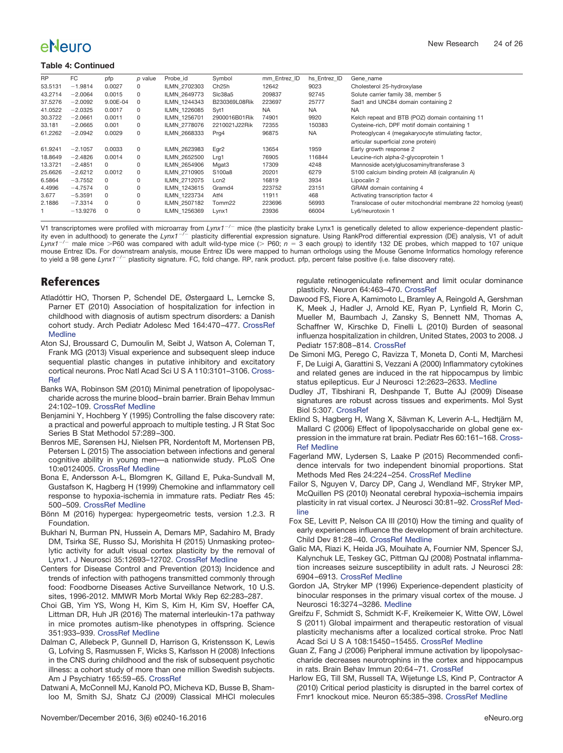#### **Table 4: Continued**

| <b>RP</b> | FC         | pfp      | p value  | Probe id     | Symbol            | mm Entrez ID | hs Entrez ID | Gene name                                                      |
|-----------|------------|----------|----------|--------------|-------------------|--------------|--------------|----------------------------------------------------------------|
| 53.5131   | $-1.9814$  | 0.0027   | 0        | ILMN 2702303 | Ch <sub>25h</sub> | 12642        | 9023         | Cholesterol 25-hydroxylase                                     |
| 43.2714   | $-2.0064$  | 0.0015   | 0        | ILMN 2649773 | SIc38a5           | 209837       | 92745        | Solute carrier family 38, member 5                             |
| 37.5276   | $-2.0092$  | 9.00E-04 | 0        | ILMN 1244343 | B230369L08Rik     | 223697       | 25777        | Sad1 and UNC84 domain containing 2                             |
| 41.0522   | $-2.0325$  | 0.0017   | 0        | ILMN 1226085 | Svt1              | <b>NA</b>    | <b>NA</b>    | <b>NA</b>                                                      |
| 30.3722   | $-2.0661$  | 0.0011   | 0        | ILMN 1256701 | 2900016B01Rik     | 74901        | 9920         | Kelch repeat and BTB (POZ) domain containing 11                |
| 33.181    | $-2.0665$  | 0.001    | $\Omega$ | ILMN 2778076 | 2210021J22Rik     | 72355        | 150383       | Cysteine-rich, DPF motif domain containing 1                   |
| 61.2262   | $-2.0942$  | 0.0029   | 0        | ILMN 2668333 | Prg4              | 96875        | <b>NA</b>    | Proteoglycan 4 (megakaryocyte stimulating factor,              |
|           |            |          |          |              |                   |              |              | articular superficial zone protein)                            |
| 61.9241   | $-2.1057$  | 0.0033   | 0        | ILMN 2623983 | Egr <sub>2</sub>  | 13654        | 1959         | Early growth response 2                                        |
| 18.8649   | $-2.4826$  | 0.0014   | 0        | ILMN 2652500 | Lrg1              | 76905        | 116844       | Leucine-rich alpha-2-glycoprotein 1                            |
| 13.3721   | $-2.4851$  | 0        | 0        | ILMN 2654906 | Mgat3             | 17309        | 4248         | Mannoside acetylglucosaminyltransferase 3                      |
| 25.6626   | $-2.6212$  | 0.0012   | 0        | ILMN 2710905 | S100a8            | 20201        | 6279         | S100 calcium binding protein A8 (calgranulin A)                |
| 6.5864    | $-3.7552$  | 0        | 0        | ILMN 2712075 | Lcn2              | 16819        | 3934         | Lipocalin 2                                                    |
| 4.4996    | $-4.7574$  | 0        | 0        | ILMN 1243615 | Gramd4            | 223752       | 23151        | GRAM domain containing 4                                       |
| 3.677     | $-5.3591$  | 0        | 0        | ILMN 1223734 | Atf4              | 11911        | 468          | Activating transcription factor 4                              |
| 2.1886    | $-7.3314$  | 0        | 0        | ILMN_2507182 | Tomm22            | 223696       | 56993        | Translocase of outer mitochondrial membrane 22 homolog (yeast) |
|           | $-13.9276$ | 0        | 0        | ILMN 1256369 | Lynx1             | 23936        | 66004        | Ly6/neurotoxin 1                                               |

V1 transcriptomes were profiled with microarray from Lynx1<sup>-/-</sup> mice (the plasticity brake Lynx1 is genetically deleted to allow experience-dependent plasticity even in adulthood) to generate the Lynx1<sup>-/-</sup> plasticity differential expression signature. Using RankProd differential expression (DE) analysis, V1 of adult<br>Lynx1<sup>-/-</sup> male mice >P60 was compared with adult wild-type mouse Entrez IDs. For downstream analysis, mouse Entrez IDs were mapped to human orthologs using the Mouse Genome Informatics homology reference to yield a 98 gene Lynx1<sup>-/-</sup> plasticity signature. FC, fold change. RP, rank product. pfp, percent false positive (i.e. false discovery rate).

## **References**

- <span id="page-23-8"></span>Atladóttir HO, Thorsen P, Schendel DE, Østergaard L, Lemcke S, Parner ET (2010) Association of hospitalization for infection in childhood with diagnosis of autism spectrum disorders: a Danish cohort study. Arch Pediatr Adolesc Med 164:470 –477. [CrossRef](http://dx.doi.org/10.1001/archpediatrics.2010.9) [Medline](http://www.ncbi.nlm.nih.gov/pubmed/20439799)
- <span id="page-23-12"></span>Aton SJ, Broussard C, Dumoulin M, Seibt J, Watson A, Coleman T, Frank MG (2013) Visual experience and subsequent sleep induce sequential plastic changes in putative inhibitory and excitatory cortical neurons. Proc Natl Acad Sci U S A 110:3101–3106. [Cross-](http://dx.doi.org/10.1073/pnas.1208093110)[Ref](http://dx.doi.org/10.1073/pnas.1208093110)
- <span id="page-23-5"></span>Banks WA, Robinson SM (2010) Minimal penetration of lipopolysaccharide across the murine blood– brain barrier. Brain Behav Immun 24:102–109. [CrossRef](http://dx.doi.org/10.1016/j.bbi.2009.09.001) [Medline](http://www.ncbi.nlm.nih.gov/pubmed/19735725)
- <span id="page-23-4"></span>Benjamini Y, Hochberg Y (1995) Controlling the false discovery rate: a practical and powerful approach to multiple testing. J R Stat Soc Series B Stat Methodol 57:289 –300.
- <span id="page-23-23"></span>Benros ME, Sørensen HJ, Nielsen PR, Nordentoft M, Mortensen PB, Petersen L (2015) The association between infections and general cognitive ability in young men—a nationwide study. PLoS One 10:e0124005. [CrossRef](http://dx.doi.org/10.1371/journal.pone.0124005) [Medline](http://www.ncbi.nlm.nih.gov/pubmed/25970427)
- <span id="page-23-16"></span>Bona E, Andersson A-L, Blomgren K, Gilland E, Puka-Sundvall M, Gustafson K, Hagberg H (1999) Chemokine and inflammatory cell response to hypoxia-ischemia in immature rats. Pediatr Res 45: 500 –509. [CrossRef](http://dx.doi.org/10.1203/00006450-199904010-00008) [Medline](http://www.ncbi.nlm.nih.gov/pubmed/10203141)
- <span id="page-23-9"></span>Bönn M (2016) hypergea: hypergeometric tests, version 1.2.3. R Foundation.
- <span id="page-23-19"></span>Bukhari N, Burman PN, Hussein A, Demars MP, Sadahiro M, Brady DM, Tsirka SE, Russo SJ, Morishita H (2015) Unmasking proteolytic activity for adult visual cortex plasticity by the removal of Lynx1. J Neurosci 35:12693–12702. [CrossRef](http://dx.doi.org/10.1523/JNEUROSCI.4315-14.2015) [Medline](http://www.ncbi.nlm.nih.gov/pubmed/26377459)
- <span id="page-23-21"></span>Centers for Disease Control and Prevention (2013) Incidence and trends of infection with pathogens transmitted commonly through food: Foodborne Diseases Active Surveillance Network, 10 U.S. sites, 1996-2012. MMWR Morb Mortal Wkly Rep 62:283–287.
- <span id="page-23-22"></span>Choi GB, Yim YS, Wong H, Kim S, Kim H, Kim SV, Hoeffer CA, Littman DR, Huh JR (2016) The maternal interleukin-17a pathway in mice promotes autism-like phenotypes in offspring. Science 351:933–939. [CrossRef](http://dx.doi.org/10.1126/science.aad0314) [Medline](http://www.ncbi.nlm.nih.gov/pubmed/26822608)
- <span id="page-23-10"></span>Dalman C, Allebeck P, Gunnell D, Harrison G, Kristensson K, Lewis G, Lofving S, Rasmussen F, Wicks S, Karlsson H (2008) Infections in the CNS during childhood and the risk of subsequent psychotic illness: a cohort study of more than one million Swedish subjects. Am J Psychiatry 165:59 –65. [CrossRef](http://dx.doi.org/10.1176/appi.ajp.2007.07050740)
- <span id="page-23-20"></span>Datwani A, McConnell MJ, Kanold PO, Micheva KD, Busse B, Shamloo M, Smith SJ, Shatz CJ (2009) Classical MHCI molecules

regulate retinogeniculate refinement and limit ocular dominance plasticity. Neuron 64:463–470. [CrossRef](http://dx.doi.org/10.1016/j.neuron.2009.10.015)

- <span id="page-23-15"></span>Dawood FS, Fiore A, Kamimoto L, Bramley A, Reingold A, Gershman K, Meek J, Hadler J, Arnold KE, Ryan P, Lynfield R, Morin C, Mueller M, Baumbach J, Zansky S, Bennett NM, Thomas A, Schaffner W, Kirschke D, Finelli L (2010) Burden of seasonal influenza hospitalization in children, United States, 2003 to 2008. J Pediatr 157:808 –814. [CrossRef](http://dx.doi.org/10.1016/j.jpeds.2010.05.012)
- <span id="page-23-3"></span>De Simoni MG, Perego C, Ravizza T, Moneta D, Conti M, Marchesi F, De Luigi A, Garattini S, Vezzani A (2000) Inflammatory cytokines and related genes are induced in the rat hippocampus by limbic status epilepticus. Eur J Neurosci 12:2623–2633. [Medline](http://www.ncbi.nlm.nih.gov/pubmed/10947836)
- <span id="page-23-13"></span>Dudley JT, Tibshirani R, Deshpande T, Butte AJ (2009) Disease signatures are robust across tissues and experiments. Mol Syst Biol 5:307. [CrossRef](http://dx.doi.org/10.1038/msb.2009.66)
- <span id="page-23-7"></span>Eklind S, Hagberg H, Wang X, Sävman K, Leverin A-L, Hedtjärn M, Mallard C (2006) Effect of lipopolysaccharide on global gene expression in the immature rat brain. Pediatr Res 60:161–168. [Cross-](http://dx.doi.org/10.1203/01.pdr.0000228323.32445.7d)[Ref](http://dx.doi.org/10.1203/01.pdr.0000228323.32445.7d) [Medline](http://www.ncbi.nlm.nih.gov/pubmed/16864697)
- <span id="page-23-17"></span>Fagerland MW, Lydersen S, Laake P (2015) Recommended confidence intervals for two independent binomial proportions. Stat Methods Med Res 24:224 –254. [CrossRef](http://dx.doi.org/10.1177/0962280211415469) [Medline](http://www.ncbi.nlm.nih.gov/pubmed/21996567)
- <span id="page-23-0"></span>Failor S, Nguyen V, Darcy DP, Cang J, Wendland MF, Stryker MP, McQuillen PS (2010) Neonatal cerebral hypoxia–ischemia impairs plasticity in rat visual cortex. J Neurosci 30:81–92. [CrossRef](http://dx.doi.org/10.1523/JNEUROSCI.5656-08.2010) [Med](http://www.ncbi.nlm.nih.gov/pubmed/20053890)[line](http://www.ncbi.nlm.nih.gov/pubmed/20053890)
- <span id="page-23-14"></span>Fox SE, Levitt P, Nelson CA III (2010) How the timing and quality of early experiences influence the development of brain architecture. Child Dev 81:28 –40. [CrossRef](http://dx.doi.org/10.1111/j.1467-8624.2009.01380.x) [Medline](http://www.ncbi.nlm.nih.gov/pubmed/20331653)
- <span id="page-23-6"></span>Galic MA, Riazi K, Heida JG, Mouihate A, Fournier NM, Spencer SJ, Kalynchuk LE, Teskey GC, Pittman QJ (2008) Postnatal inflammation increases seizure susceptibility in adult rats. J Neurosci 28: 6904 –6913. [CrossRef](http://dx.doi.org/10.1523/JNEUROSCI.1901-08.2008) [Medline](http://www.ncbi.nlm.nih.gov/pubmed/18596165)
- <span id="page-23-18"></span>Gordon JA, Stryker MP (1996) Experience-dependent plasticity of binocular responses in the primary visual cortex of the mouse. J Neurosci 16:3274 –3286. [Medline](http://www.ncbi.nlm.nih.gov/pubmed/8627365)
- <span id="page-23-11"></span>Greifzu F, Schmidt S, Schmidt K-F, Kreikemeier K, Witte OW, Löwel S (2011) Global impairment and therapeutic restoration of visual plasticity mechanisms after a localized cortical stroke. Proc Natl Acad Sci U S A 108:15450-15455. [CrossRef](http://dx.doi.org/10.1073/pnas.1016458108) [Medline](http://www.ncbi.nlm.nih.gov/pubmed/21873250)
- <span id="page-23-1"></span>Guan Z, Fang J (2006) Peripheral immune activation by lipopolysaccharide decreases neurotrophins in the cortex and hippocampus in rats. Brain Behav Immun 20:64 –71. [CrossRef](http://dx.doi.org/10.1016/j.bbi.2005.04.005)
- <span id="page-23-2"></span>Harlow EG, Till SM, Russell TA, Wijetunge LS, Kind P, Contractor A (2010) Critical period plasticity is disrupted in the barrel cortex of Fmr1 knockout mice. Neuron 65:385–398. [CrossRef](http://dx.doi.org/10.1016/j.neuron.2010.01.024) [Medline](http://www.ncbi.nlm.nih.gov/pubmed/20159451)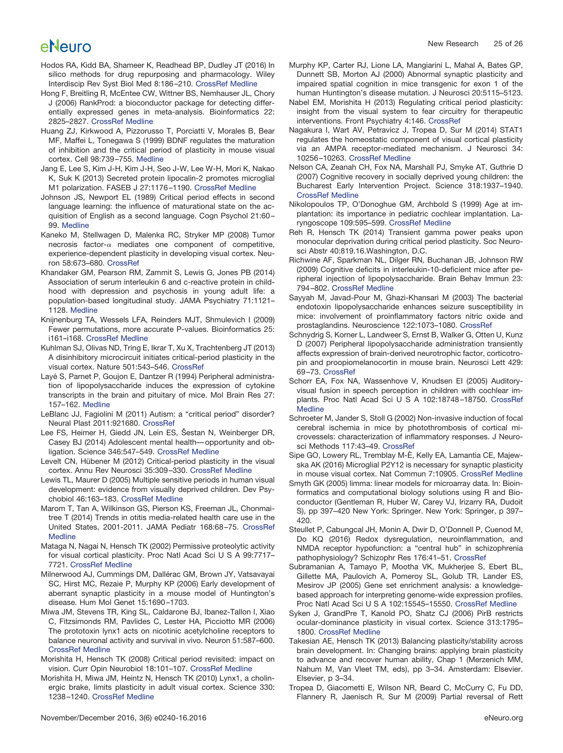- <span id="page-24-11"></span>Hodos RA, Kidd BA, Shameer K, Readhead BP, Dudley JT (2016) In silico methods for drug repurposing and pharmacology. Wiley Interdiscip Rev Syst Biol Med 8:186 –210. [CrossRef](http://dx.doi.org/10.1002/wsbm.1337) [Medline](http://www.ncbi.nlm.nih.gov/pubmed/27080087)
- <span id="page-24-21"></span>Hong F, Breitling R, McEntee CW, Wittner BS, Nemhauser JL, Chory J (2006) RankProd: a bioconductor package for detecting differentially expressed genes in meta-analysis. Bioinformatics 22: 2825–2827. [CrossRef](http://dx.doi.org/10.1093/bioinformatics/btl476) [Medline](http://www.ncbi.nlm.nih.gov/pubmed/16982708)
- <span id="page-24-23"></span>Huang ZJ, Kirkwood A, Pizzorusso T, Porciatti V, Morales B, Bear MF, Maffei L, Tonegawa S (1999) BDNF regulates the maturation of inhibition and the critical period of plasticity in mouse visual cortex. Cell 98:739 –755. [Medline](http://www.ncbi.nlm.nih.gov/pubmed/10499792)
- <span id="page-24-0"></span>Jang E, Lee S, Kim J-H, Kim J-H, Seo J-W, Lee W-H, Mori K, Nakao K, Suk K (2013) Secreted protein lipocalin-2 promotes microglial M1 polarization. FASEB J 27:1176 –1190. [CrossRef](http://dx.doi.org/10.1096/fj.12-222257) [Medline](http://www.ncbi.nlm.nih.gov/pubmed/23207546)
- <span id="page-24-17"></span>Johnson JS, Newport EL (1989) Critical period effects in second language learning: the influence of maturational state on the acquisition of English as a second language. Cogn Psychol 21:60 – 99. [Medline](http://www.ncbi.nlm.nih.gov/pubmed/2920538)
- <span id="page-24-37"></span>Kaneko M, Stellwagen D, Malenka RC, Stryker MP (2008) Tumor necrosis factor- $\alpha$  mediates one component of competitive, experience-dependent plasticity in developing visual cortex. Neuron 58:673–680. [CrossRef](http://dx.doi.org/10.1016/j.neuron.2008.04.023)
- <span id="page-24-12"></span>Khandaker GM, Pearson RM, Zammit S, Lewis G, Jones PB (2014) Association of serum interleukin 6 and c-reactive protein in childhood with depression and psychosis in young adult life: a population-based longitudinal study. JAMA Psychiatry 71:1121– 1128. [Medline](http://www.ncbi.nlm.nih.gov/pmc/articles/PMC4561502)
- <span id="page-24-25"></span>Knijnenburg TA, Wessels LFA, Reinders MJT, Shmulevich I (2009) Fewer permutations, more accurate P-values. Bioinformatics 25: i161–i168. [CrossRef](http://dx.doi.org/10.1093/bioinformatics/btp211) [Medline](http://www.ncbi.nlm.nih.gov/pubmed/19477983)
- <span id="page-24-28"></span>Kuhlman SJ, Olivas ND, Tring E, Ikrar T, Xu X, Trachtenberg JT (2013) A disinhibitory microcircuit initiates critical-period plasticity in the visual cortex. Nature 501:543–546. [CrossRef](http://dx.doi.org/10.1038/nature12485)
- <span id="page-24-5"></span>Layé S, Parnet P, Goujon E, Dantzer R (1994) Peripheral administration of lipopolysaccharide induces the expression of cytokine transcripts in the brain and pituitary of mice. Mol Brain Res 27: 157–162. [Medline](http://www.ncbi.nlm.nih.gov/pubmed/7877446)
- <span id="page-24-7"></span>LeBlanc JJ, Fagiolini M (2011) Autism: a "critical period" disorder? Neural Plast 2011:921680. [CrossRef](http://dx.doi.org/10.1155/2011/921680)
- <span id="page-24-34"></span>Lee FS, Heimer H, Giedd JN, Lein ES, Šestan N, Weinberger DR, Casey BJ (2014) Adolescent mental health— opportunity and obligation. Science 346:547–549. [CrossRef](http://dx.doi.org/10.1126/science.1260497) [Medline](http://www.ncbi.nlm.nih.gov/pubmed/25359951)
- <span id="page-24-2"></span>Levelt CN, Hübener M (2012) Critical-period plasticity in the visual cortex. Annu Rev Neurosci 35:309 –330. [CrossRef](http://dx.doi.org/10.1146/annurev-neuro-061010-113813) [Medline](http://www.ncbi.nlm.nih.gov/pubmed/22462544)
- <span id="page-24-33"></span>Lewis TL, Maurer D (2005) Multiple sensitive periods in human visual development: evidence from visually deprived children. Dev Psychobiol 46:163–183. [CrossRef](http://dx.doi.org/10.1002/dev.20055) [Medline](http://www.ncbi.nlm.nih.gov/pubmed/15772974)
- <span id="page-24-27"></span>Marom T, Tan A, Wilkinson GS, Pierson KS, Freeman JL, Chonmaitree T (2014) Trends in otitis media-related health care use in the United States, 2001-2011. JAMA Pediatr 168:68 –75. [CrossRef](http://dx.doi.org/10.1001/jamapediatrics.2013.3924) **[Medline](http://www.ncbi.nlm.nih.gov/pubmed/24276262)**
- <span id="page-24-16"></span>Mataga N, Nagai N, Hensch TK (2002) Permissive proteolytic activity for visual cortical plasticity. Proc Natl Acad Sci U S A 99:7717-7721. [CrossRef](http://dx.doi.org/10.1073/pnas.102088899) [Medline](http://www.ncbi.nlm.nih.gov/pubmed/12032349)
- <span id="page-24-9"></span>Milnerwood AJ, Cummings DM, Dallérac GM, Brown JY, Vatsavayai SC, Hirst MC, Rezaie P, Murphy KP (2006) Early development of aberrant synaptic plasticity in a mouse model of Huntington's disease. Hum Mol Genet 15:1690 –1703.
- <span id="page-24-32"></span>Miwa JM, Stevens TR, King SL, Caldarone BJ, Ibanez-Tallon I, Xiao C, Fitzsimonds RM, Pavlides C, Lester HA, Picciotto MR (2006) The prototoxin lynx1 acts on nicotinic acetylcholine receptors to balance neuronal activity and survival in vivo. Neuron 51:587–600. [CrossRef](http://dx.doi.org/10.1016/j.neuron.2006.07.025) [Medline](http://www.ncbi.nlm.nih.gov/pubmed/16950157)
- <span id="page-24-19"></span>Morishita H, Hensch TK (2008) Critical period revisited: impact on vision. Curr Opin Neurobiol 18:101–107. [CrossRef](http://dx.doi.org/10.1016/j.conb.2008.05.009) [Medline](http://www.ncbi.nlm.nih.gov/pubmed/18534841)
- <span id="page-24-15"></span>Morishita H, Miwa JM, Heintz N, Hensch TK (2010) Lynx1, a cholinergic brake, limits plasticity in adult visual cortex. Science 330: 1238 –1240. [CrossRef](http://dx.doi.org/10.1126/science.1195320) [Medline](http://www.ncbi.nlm.nih.gov/pubmed/21071629)
- <span id="page-24-35"></span>Murphy KP, Carter RJ, Lione LA, Mangiarini L, Mahal A, Bates GP, Dunnett SB, Morton AJ (2000) Abnormal synaptic plasticity and impaired spatial cognition in mice transgenic for exon 1 of the human Huntington's disease mutation. J Neurosci 20:5115–5123.
- <span id="page-24-18"></span>Nabel EM, Morishita H (2013) Regulating critical period plasticity: insight from the visual system to fear circuitry for therapeutic interventions. Front Psychiatry 4:146. [CrossRef](http://dx.doi.org/10.3389/fpsyt.2013.00146)
- <span id="page-24-4"></span>Nagakura I, Wart AV, Petravicz J, Tropea D, Sur M (2014) STAT1 regulates the homeostatic component of visual cortical plasticity via an AMPA receptor-mediated mechanism. J Neurosci 34: 10256 –10263. [CrossRef](http://dx.doi.org/10.1523/JNEUROSCI.0189-14.2014) [Medline](http://www.ncbi.nlm.nih.gov/pubmed/25080587)
- <span id="page-24-1"></span>Nelson CA, Zeanah CH, Fox NA, Marshall PJ, Smyke AT, Guthrie D (2007) Cognitive recovery in socially deprived young children: the Bucharest Early Intervention Project. Science 318:1937–1940. [CrossRef](http://dx.doi.org/10.1126/science.1143921) [Medline](http://www.ncbi.nlm.nih.gov/pubmed/18096809)
- <span id="page-24-26"></span>Nikolopoulos TP, O'Donoghue GM, Archbold S (1999) Age at implantation: its importance in pediatric cochlear implantation. Laryngoscope 109:595–599. [CrossRef](http://dx.doi.org/10.1097/00005537-199904000-00014) [Medline](http://www.ncbi.nlm.nih.gov/pubmed/10201747)
- <span id="page-24-29"></span>Reh R, Hensch TK (2014) Transient gamma power peaks upon monocular deprivation during critical period plasticity. Soc Neurosci Abstr 40:819.16.Washington, D.C.
- <span id="page-24-30"></span>Richwine AF, Sparkman NL, Dilger RN, Buchanan JB, Johnson RW (2009) Cognitive deficits in interleukin-10-deficient mice after peripheral injection of lipopolysaccharide. Brain Behav Immun 23: 794 –802. [CrossRef](http://dx.doi.org/10.1016/j.bbi.2009.02.020) [Medline](http://www.ncbi.nlm.nih.gov/pubmed/19272439)
- <span id="page-24-22"></span>Sayyah M, Javad-Pour M, Ghazi-Khansari M (2003) The bacterial endotoxin lipopolysaccharide enhances seizure susceptibility in mice: involvement of proinflammatory factors nitric oxide and prostaglandins. Neuroscience 122:1073–1080. [CrossRef](http://dx.doi.org/10.1016/j.neuroscience.2003.08.043)
- <span id="page-24-3"></span>Schnydrig S, Korner L, Landweer S, Ernst B, Walker G, Otten U, Kunz D (2007) Peripheral lipopolysaccharide administration transiently affects expression of brain-derived neurotrophic factor, corticotropin and proopiomelanocortin in mouse brain. Neurosci Lett 429: 69 –73. [CrossRef](http://dx.doi.org/10.1016/j.neulet.2007.09.067)
- <span id="page-24-31"></span>Schorr EA, Fox NA, Wassenhove V, Knudsen EI (2005) Auditoryvisual fusion in speech perception in children with cochlear im-plants. Proc Natl Acad Sci U S A 102:18748-18750. [CrossRef](http://dx.doi.org/10.1073/pnas.0508862102) **[Medline](http://www.ncbi.nlm.nih.gov/pubmed/16339316)**
- <span id="page-24-24"></span>Schroeter M, Jander S, Stoll G (2002) Non-invasive induction of focal cerebral ischemia in mice by photothrombosis of cortical microvessels: characterization of inflammatory responses. J Neurosci Methods 117:43–49. [CrossRef](http://dx.doi.org/10.1016/S0165-0270(02)00072-9)
- <span id="page-24-10"></span>Sipe GO, Lowery RL, Tremblay M-È, Kelly EA, Lamantia CE, Majewska AK (2016) Microglial P2Y12 is necessary for synaptic plasticity in mouse visual cortex. Nat Commun 7:10905. [CrossRef](http://dx.doi.org/10.1038/ncomms10905) [Medline](http://www.ncbi.nlm.nih.gov/pubmed/26948129)
- <span id="page-24-36"></span>Smyth GK (2005) limma: linear models for microarray data. In: Bioinformatics and computational biology solutions using R and Bioconductor (Gentleman R, Huber W, Carey VJ, Irizarry RA, Dudoit S), pp 397–420 New York: Springer. New York: Springer, p 397– 420.
- <span id="page-24-13"></span>Steullet P, Cabungcal JH, Monin A, Dwir D, O'Donnell P, Cuenod M, Do KQ (2016) Redox dysregulation, neuroinflammation, and NMDA receptor hypofunction: a "central hub" in schizophrenia pathophysiology? Schizophr Res 176:41–51. [CrossRef](http://dx.doi.org/10.1016/j.schres.2014.06.021)
- <span id="page-24-20"></span>Subramanian A, Tamayo P, Mootha VK, Mukherjee S, Ebert BL, Gillette MA, Paulovich A, Pomeroy SL, Golub TR, Lander ES, Mesirov JP (2005) Gene set enrichment analysis: a knowledgebased approach for interpreting genome-wide expression profiles. Proc Natl Acad Sci U S A 102:15545-15550. [CrossRef](http://dx.doi.org/10.1073/pnas.0506580102) [Medline](http://www.ncbi.nlm.nih.gov/pubmed/16199517)
- <span id="page-24-6"></span>Syken J, GrandPre T, Kanold PO, Shatz CJ (2006) PirB restricts ocular-dominance plasticity in visual cortex. Science 313:1795– 1800. [CrossRef](http://dx.doi.org/10.1126/science.1128232) [Medline](http://www.ncbi.nlm.nih.gov/pubmed/16917027)
- <span id="page-24-8"></span>Takesian AE, Hensch TK (2013) Balancing plasticity/stability across brain development. In: Changing brains: applying brain plasticity to advance and recover human ability, Chap 1 (Merzenich MM, Nahum M, Van Vleet TM, eds), pp 3–34. Amsterdam: Elsevier. Elsevier, p 3–34.
- <span id="page-24-14"></span>Tropea D, Giacometti E, Wilson NR, Beard C, McCurry C, Fu DD, Flannery R, Jaenisch R, Sur M (2009) Partial reversal of Rett